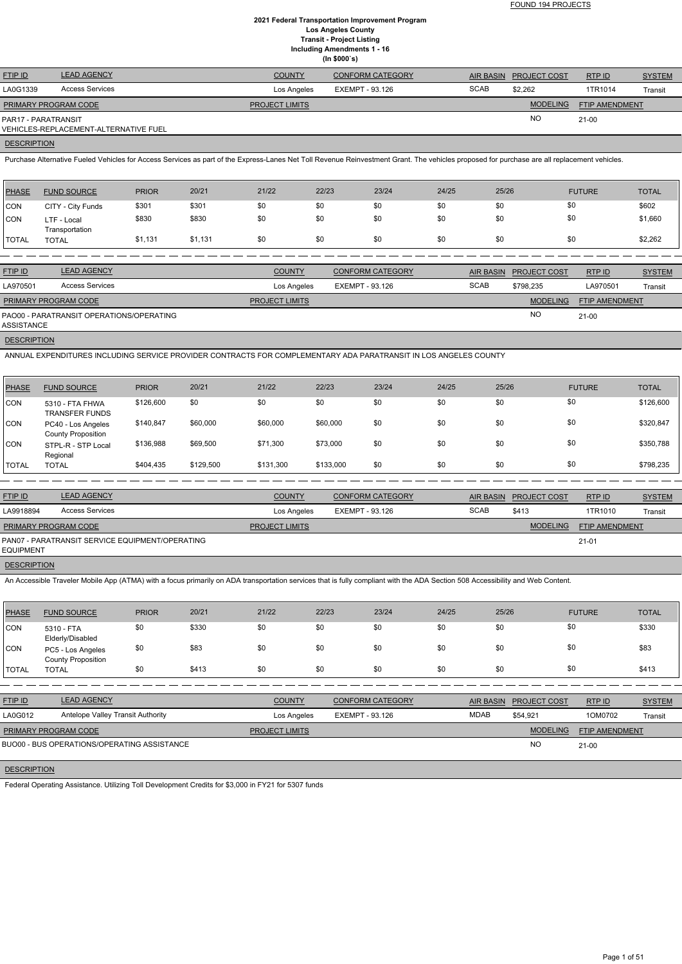FOUND 194 PROJECTS

## **2021 Federal Transportation Improvement Program Los Angeles County Transit - Project Listing Including Amendments 1 - 16 (In \$000`s)**

| <b>FTIP ID</b>              | <b>LEAD AGENCY</b>                    | <b>COUNTY</b>         | <b>CONFORM CATEGORY</b> |             | AIR BASIN PROJECT COST | RTPID          | <b>SYSTEM</b> |
|-----------------------------|---------------------------------------|-----------------------|-------------------------|-------------|------------------------|----------------|---------------|
| LA0G1339                    | <b>Access Services</b>                | Los Angeles           | EXEMPT - 93.126         | <b>SCAB</b> | \$2,262                | 1TR1014        | Transit       |
| <b>PRIMARY PROGRAM CODE</b> |                                       | <b>PROJECT LIMITS</b> |                         |             | <b>MODELING</b>        | FTIP AMENDMENT |               |
| PAR17 - PARATRANSIT         | VEHICLES-REPLACEMENT-ALTERNATIVE FUEL |                       |                         |             | NO                     | $21 - 00$      |               |
|                             |                                       |                       |                         |             |                        |                |               |

# **DESCRIPTION**

Purchase Alternative Fueled Vehicles for Access Services as part of the Express-Lanes Net Toll Revenue Reinvestment Grant. The vehicles proposed for purchase are all replacement vehicles.

| \$0<br>\$301<br>\$0<br>\$0<br>\$0<br>\$0<br>\$301<br>\$0<br> CON<br>CITY - City Funds<br>\$0<br>\$830<br>\$830<br>\$0<br>\$0<br>\$0<br>\$0<br><b>ICON</b><br>\$0<br>LTF - Local | <b>PHASE</b><br><b>FUND SOURCE</b> | <b>PRIOR</b> | 20/21<br>21/22 | 22/23 | 23/24 | 24/25 | 25/26 | <b>FUTURE</b> | <b>TOTAL</b> |
|---------------------------------------------------------------------------------------------------------------------------------------------------------------------------------|------------------------------------|--------------|----------------|-------|-------|-------|-------|---------------|--------------|
|                                                                                                                                                                                 |                                    |              |                |       |       |       |       |               | \$602        |
|                                                                                                                                                                                 | Transportation                     |              |                |       |       |       |       |               | \$1,660      |
| \$0<br>\$1,131<br>\$0<br>\$1,131<br>\$0<br>\$0<br>\$0<br>\$0<br><b>TOTAL</b><br><b>TOTAL</b>                                                                                    |                                    |              |                |       |       |       |       |               | \$2,262      |

| <b>FTIP ID</b>       | <b>LEAD AGENCY</b>                       | <b>COUNTY</b>         | <b>CONFORM CATEGORY</b> |             | AIR BASIN PROJECT COST | RTPID                 | <b>SYSTEM</b> |
|----------------------|------------------------------------------|-----------------------|-------------------------|-------------|------------------------|-----------------------|---------------|
| LA970501             | <b>Access Services</b>                   | Los Angeles           | EXEMPT - 93.126         | <b>SCAB</b> | \$798.235              | LA970501              | Transit       |
| PRIMARY PROGRAM CODE |                                          | <b>PROJECT LIMITS</b> |                         |             | <b>MODELING</b>        | <b>FTIP AMENDMENT</b> |               |
| ASSISTANCE           | PAO00 - PARATRANSIT OPERATIONS/OPERATING |                       |                         |             | <b>NO</b>              | $21-00$               |               |
|                      |                                          |                       |                         |             |                        |                       |               |

**DESCRIPTION** 

ANNUAL EXPENDITURES INCLUDING SERVICE PROVIDER CONTRACTS FOR COMPLEMENTARY ADA PARATRANSIT IN LOS ANGELES COUNTY

| <b>PHASE</b> | <b>FUND SOURCE</b>                              | <b>PRIOR</b> | 20/21     | 21/22     | 22/23     | 23/24 | 24/25 | 25/26 | <b>FUTURE</b> | <b>TOTAL</b> |
|--------------|-------------------------------------------------|--------------|-----------|-----------|-----------|-------|-------|-------|---------------|--------------|
| <b>CON</b>   | 5310 - FTA FHWA<br><b>TRANSFER FUNDS</b>        | \$126,600    | \$0       | \$0       | \$0       | \$0   | \$0   | \$0   | \$0           | \$126,600    |
| <b>CON</b>   | PC40 - Los Angeles<br><b>County Proposition</b> | \$140,847    | \$60,000  | \$60,000  | \$60,000  | \$0   | \$0   | \$0   | \$0           | \$320,847    |
| <b>CON</b>   | STPL-R - STP Local<br>Regional                  | \$136,988    | \$69,500  | \$71,300  | \$73,000  | \$0   | \$0   | \$0   | \$0           | \$350,788    |
| <b>TOTAL</b> | <b>TOTAL</b>                                    | \$404,435    | \$129,500 | \$131,300 | \$133,000 | \$0   | \$0   | \$0   | \$0           | \$798,235    |

| <b>FTIP ID</b>       | <b>LEAD AGENCY</b>                              | <b>COUNTY</b>         | <b>CONFORM CATEGORY</b> |             | AIR BASIN PROJECT COST | RTP ID         | <b>SYSTEM</b>  |
|----------------------|-------------------------------------------------|-----------------------|-------------------------|-------------|------------------------|----------------|----------------|
| LA9918894            | <b>Access Services</b>                          | Los Angeles           | EXEMPT - 93.126         | <b>SCAB</b> | \$413                  | 1TR1010        | <b>Transit</b> |
| PRIMARY PROGRAM CODE |                                                 | <b>PROJECT LIMITS</b> |                         |             | <b>MODELING</b>        | FTIP AMENDMENT |                |
| <b>EQUIPMENT</b>     | PAN07 - PARATRANSIT SERVICE EQUIPMENT/OPERATING |                       |                         |             |                        | $21 - 01$      |                |

**DESCRIPTION** 

An Accessible Traveler Mobile App (ATMA) with a focus primarily on ADA transportation services that is fully compliant with the ADA Section 508 Accessibility and Web Content.

| <b>PHASE</b> | <b>FUND SOURCE</b>                             | <b>PRIOR</b> | 20/21 | 21/22 | 22/23 | 23/24 | 24/25 | 25/26 | <b>FUTURE</b> | <b>TOTAL</b> |
|--------------|------------------------------------------------|--------------|-------|-------|-------|-------|-------|-------|---------------|--------------|
| <b>CON</b>   | 5310 - FTA<br>Elderly/Disabled                 | \$0          | \$330 | \$0   | \$0   | \$0   | \$0   | \$0   | \$0           | \$330        |
| <b>CON</b>   | PC5 - Los Angeles<br><b>County Proposition</b> | \$0          | \$83  | \$0   | \$0   | \$0   | \$0   | \$0   | \$0           | \$83         |
| <b>TOTAL</b> | <b>TOTAL</b>                                   | \$0          | \$413 | \$0   | \$0   | \$0   | \$0   | \$0   | \$0           | \$413        |

| <b>FTIP ID</b> | <b>LEAD AGENCY</b>                | <b>COUNTY</b> | <b>CONFORM CATEGORY</b> | <b>AIR BASIN</b> | <b>PROJECT COST</b> | <b>RTPID</b> | <u>SYSTEM</u> |
|----------------|-----------------------------------|---------------|-------------------------|------------------|---------------------|--------------|---------------|
| LA0G012        | Antelope Valley Transit Authority | Los Angeles   | EXEMPT - 93.126         | MDAB             | \$54,921            | 1OM0702      | Transit       |
|                |                                   |               |                         |                  |                     |              |               |

| PRIMARY PROGRAM CODE                        | <b>I IMITS</b> | <b>MODELING</b> | <b>FTIP AMENDMENT</b> |
|---------------------------------------------|----------------|-----------------|-----------------------|
| BUO00 - BUS OPERATIONS/OPERATING ASSISTANCE |                | ΝC              | $21-00$               |
|                                             |                |                 |                       |

# **DESCRIPTION**

Federal Operating Assistance. Utilizing Toll Development Credits for \$3,000 in FY21 for 5307 funds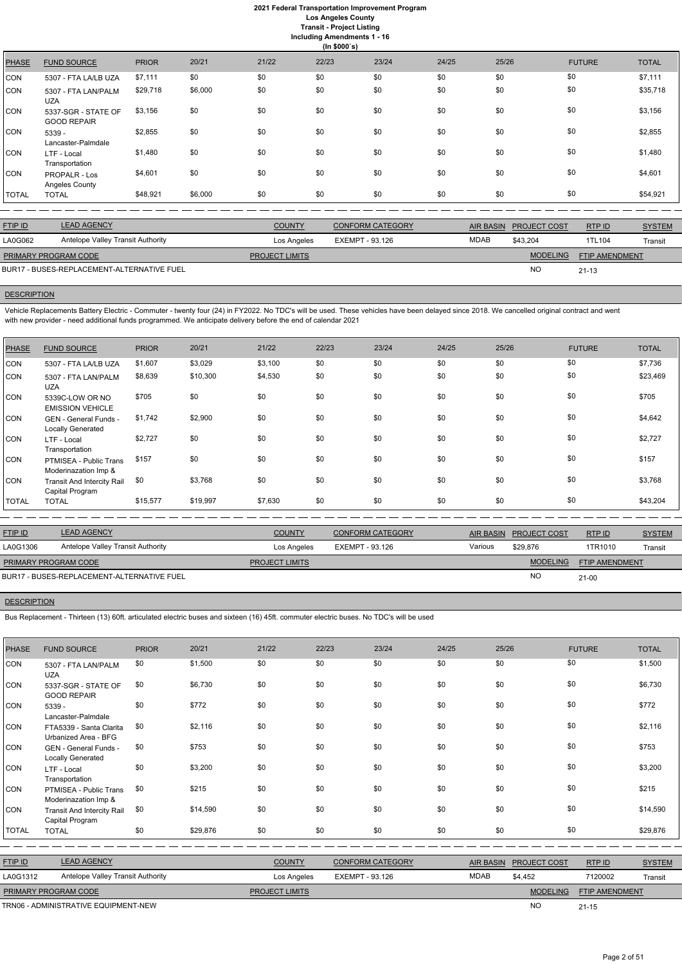## **2021 Federal Transportation Improvement Program Los Angeles County**

**Transit - Project Listing**

**Including Amendments 1 - 16**

|  |              | ng Amenuments |
|--|--------------|---------------|
|  | (ln \$000's) |               |

|              |                                           |              |         |       | $\cdots$ + $\cdots$ $\cdots$ |       |       |       |               |              |
|--------------|-------------------------------------------|--------------|---------|-------|------------------------------|-------|-------|-------|---------------|--------------|
| <b>PHASE</b> | <b>FUND SOURCE</b>                        | <b>PRIOR</b> | 20/21   | 21/22 | 22/23                        | 23/24 | 24/25 | 25/26 | <b>FUTURE</b> | <b>TOTAL</b> |
| <b>CON</b>   | 5307 - FTA LA/LB UZA                      | \$7,111      | \$0     | \$0   | \$0                          | \$0   | \$0   | \$0   | \$0           | \$7,111      |
| CON          | 5307 - FTA LAN/PALM<br><b>UZA</b>         | \$29,718     | \$6,000 | \$0   | \$0                          | \$0   | \$0   | \$0   | \$0           | \$35,718     |
| <b>CON</b>   | 5337-SGR - STATE OF<br><b>GOOD REPAIR</b> | \$3,156      | \$0     | \$0   | \$0                          | \$0   | \$0   | \$0   | \$0           | \$3,156      |
| <b>CON</b>   | 5339 -<br>Lancaster-Palmdale              | \$2,855      | \$0     | \$0   | \$0                          | \$0   | \$0   | \$0   | \$0           | \$2,855      |
| <b>CON</b>   | LTF - Local<br>Transportation             | \$1,480      | \$0     | \$0   | \$0                          | \$0   | \$0   | \$0   | \$0           | \$1,480      |
| <b>CON</b>   | <b>PROPALR - Los</b><br>Angeles County    | \$4,601      | \$0     | \$0   | \$0                          | \$0   | \$0   | \$0   | \$0           | \$4,601      |
| <b>TOTAL</b> | <b>TOTAL</b>                              | \$48,921     | \$6,000 | \$0   | \$0                          | \$0   | \$0   | \$0   | \$0           | \$54,921     |

Vehicle Replacements Battery Electric - Commuter - twenty four (24) in FY2022. No TDC's will be used. These vehicles have been delayed since 2018. We cancelled original contract and went with new provider - need additional funds programmed. We anticipate delivery before the end of calendar 2021

| <b>FTIP ID</b>       | <b>LEAD AGENCY</b>                         | <b>COUNTY</b>         | <b>CONFORM CATEGORY</b> |             | AIR BASIN PROJECT COST | RTPID                 | <b>SYSTEM</b> |
|----------------------|--------------------------------------------|-----------------------|-------------------------|-------------|------------------------|-----------------------|---------------|
| LA0G062              | <b>Antelope Valley Transit Authority</b>   | Los Angeles           | EXEMPT - 93.126         | <b>MDAB</b> | \$43.204               | 1TL104                | Transit       |
| PRIMARY PROGRAM CODE |                                            | <b>PROJECT LIMITS</b> |                         |             | <b>MODELING</b>        | <b>FTIP AMENDMENT</b> |               |
|                      | BUR17 - BUSES-REPLACEMENT-ALTERNATIVE FUEL |                       |                         |             | <b>NC</b>              | $21 - 13$             |               |

# **DESCRIPTION**

| <b>PHASE</b> | <b>FUND SOURCE</b>                                   | <b>PRIOR</b> | 20/21    | 21/22   | 22/23 | 23/24 | 24/25 | 25/26 | <b>FUTURE</b> | <b>TOTAL</b> |
|--------------|------------------------------------------------------|--------------|----------|---------|-------|-------|-------|-------|---------------|--------------|
| CON          | 5307 - FTA LA/LB UZA                                 | \$1,607      | \$3,029  | \$3,100 | \$0   | \$0   | \$0   | \$0   | \$0           | \$7,736      |
| <b>CON</b>   | 5307 - FTA LAN/PALM<br><b>UZA</b>                    | \$8,639      | \$10,300 | \$4,530 | \$0   | \$0   | \$0   | \$0   | \$0           | \$23,469     |
| CON          | 5339C-LOW OR NO<br><b>EMISSION VEHICLE</b>           | \$705        | \$0      | \$0     | \$0   | \$0   | \$0   | \$0   | \$0           | \$705        |
| CON          | GEN - General Funds -<br>Locally Generated           | \$1,742      | \$2,900  | \$0     | \$0   | \$0   | \$0   | \$0   | \$0           | \$4,642      |
| <b>CON</b>   | LTF - Local<br>Transportation                        | \$2,727      | \$0      | \$0     | \$0   | \$0   | \$0   | \$0   | \$0           | \$2,727      |
| CON          | PTMISEA - Public Trans<br>Moderinazation Imp &       | \$157        | \$0      | \$0     | \$0   | \$0   | \$0   | \$0   | \$0           | \$157        |
| CON          | <b>Transit And Intercity Rail</b><br>Capital Program | \$0          | \$3,768  | \$0     | \$0   | \$0   | \$0   | \$0   | \$0           | \$3,768      |
| <b>TOTAL</b> | <b>TOTAL</b>                                         | \$15,577     | \$19,997 | \$7,630 | \$0   | \$0   | \$0   | \$0   | \$0           | \$43,204     |

| <b>FTIP ID</b>                                | <b>LEAD AGENCY</b> | <b>COUNTY</b>                  | <b>CONFORM CATEGORY</b> |         | AIR BASIN PROJECT COST | RTPID                 | <b>SYSTEM</b> |
|-----------------------------------------------|--------------------|--------------------------------|-------------------------|---------|------------------------|-----------------------|---------------|
| Antelope Valley Transit Authority<br>LA0G1306 |                    | EXEMPT - 93.126<br>Los Angeles |                         | Various | \$29.876               | 1TR1010               | Transit       |
| <b>PRIMARY PROGRAM CODE</b>                   |                    | <b>PROJECT LIMITS</b>          |                         |         | <b>MODELING</b>        | <b>FTIP AMENDMENT</b> |               |
| BUR17 - BUSES-REPLACEMENT-ALTERNATIVE FUEL    |                    |                                |                         |         | <b>NO</b>              | $21 - 00$             |               |

## **DESCRIPTION**

Bus Replacement - Thirteen (13) 60ft. articulated electric buses and sixteen (16) 45ft. commuter electric buses. No TDC's will be used

| <b>PHASE</b>                                  | <b>FUND SOURCE</b>                                   | <b>PRIOR</b> | 20/21    | 21/22         | 22/23                  | 23/24                   | 24/25 | 25/26            |                     | <b>FUTURE</b>  | <b>TOTAL</b>  |
|-----------------------------------------------|------------------------------------------------------|--------------|----------|---------------|------------------------|-------------------------|-------|------------------|---------------------|----------------|---------------|
| <b>CON</b>                                    | 5307 - FTA LAN/PALM<br><b>UZA</b>                    | \$0          | \$1,500  | \$0           | \$0                    | \$0                     | \$0   | \$0              |                     | \$0            | \$1,500       |
| <b>CON</b>                                    | 5337-SGR - STATE OF<br><b>GOOD REPAIR</b>            | \$0          | \$6,730  | \$0           | \$0                    | \$0                     | \$0   | \$0              |                     | \$0            | \$6,730       |
| <b>CON</b>                                    | $5339 -$<br>Lancaster-Palmdale                       | \$0          | \$772    | \$0           | \$0                    | \$0                     | \$0   | \$0              |                     | \$0            | \$772         |
| <b>CON</b>                                    | FTA5339 - Santa Clarita<br>Urbanized Area - BFG      | \$0          | \$2,116  | \$0           | \$0                    | \$0                     | \$0   | \$0              |                     | \$0            | \$2,116       |
| <b>CON</b>                                    | GEN - General Funds -<br>Locally Generated           | \$0          | \$753    | \$0           | \$0                    | \$0                     | \$0   | \$0              |                     | \$0            | \$753         |
| <b>CON</b>                                    | LTF - Local<br>Transportation                        | \$0          | \$3,200  | \$0           | \$0                    | \$0                     | \$0   | \$0              |                     | \$0            | \$3,200       |
| <b>CON</b>                                    | PTMISEA - Public Trans<br>Moderinazation Imp &       | \$0          | \$215    | \$0           | \$0                    | \$0                     | \$0   | \$0              |                     | \$0            | \$215         |
| <b>CON</b>                                    | <b>Transit And Intercity Rail</b><br>Capital Program | \$0          | \$14,590 | \$0           | \$0                    | \$0                     | \$0   | \$0              |                     | \$0            | \$14,590      |
| <b>TOTAL</b>                                  | <b>TOTAL</b>                                         | \$0          | \$29,876 | \$0           | \$0                    | \$0                     | \$0   | \$0              |                     | \$0            | \$29,876      |
|                                               |                                                      |              |          |               |                        |                         |       |                  |                     |                |               |
| FTIP ID                                       | <b>LEAD AGENCY</b>                                   |              |          | <b>COUNTY</b> |                        | <b>CONFORM CATEGORY</b> |       | <b>AIR BASIN</b> | <b>PROJECT COST</b> | RTP ID         | <b>SYSTEM</b> |
| LA0G1312                                      | Antelope Valley Transit Authority                    |              |          | Los Angeles   | <b>EXEMPT - 93.126</b> |                         |       | <b>MDAB</b>      | \$4,452             | 7120002        | Transit       |
| PRIMARY PROGRAM CODE<br><b>PROJECT LIMITS</b> |                                                      |              |          |               |                        |                         |       |                  | <b>MODELING</b>     | FTIP AMENDMENT |               |
|                                               | TRN06 - ADMINISTRATIVE EQUIPMENT-NEW                 |              |          |               |                        |                         |       |                  | <b>NO</b>           | $21 - 15$      |               |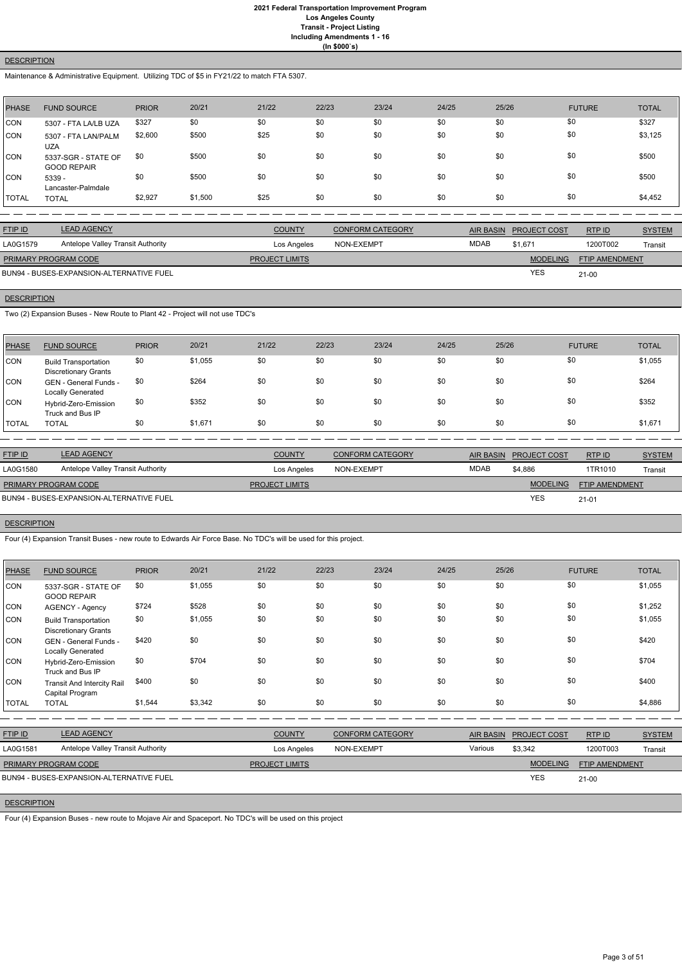## **DESCRIPTION**

Maintenance & Administrative Equipment. Utilizing TDC of \$5 in FY21/22 to match FTA 5307.

| PHASE      | <b>FUND SOURCE</b>                        | <b>PRIOR</b> | 20/21   | 21/22 | 22/23 | 23/24 | 24/25 | 25/26 | <b>FUTURE</b> | <b>TOTAL</b> |
|------------|-------------------------------------------|--------------|---------|-------|-------|-------|-------|-------|---------------|--------------|
| <b>CON</b> | 5307 - FTA LA/LB UZA                      | \$327        | \$0     | \$0   | \$0   | \$0   | \$0   | \$0   | \$0           | \$327        |
| CON        | 5307 - FTA LAN/PALM<br><b>UZA</b>         | \$2,600      | \$500   | \$25  | \$0   | \$0   | \$0   | \$0   | \$0           | \$3,125      |
| CON        | 5337-SGR - STATE OF<br><b>GOOD REPAIR</b> | \$0          | \$500   | \$0   | \$0   | \$0   | \$0   | \$0   | \$0           | \$500        |
| ICON.      | 5339 -<br>Lancaster-Palmdale              | \$0          | \$500   | \$0   | \$0   | \$0   | \$0   | \$0   | \$0           | \$500        |
| I TOTAL    | <b>TOTAL</b>                              | \$2,927      | \$1,500 | \$25  | \$0   | \$0   | \$0   | \$0   | \$0           | \$4,452      |

| <b>FTIP ID</b>                           | <b>LEAD AGENCY</b>                | <b>COUNTY</b>         | <b>CONFORM CATEGORY</b> |             | AIR BASIN PROJECT COST | RTP ID                | <b>SYSTEM</b> |
|------------------------------------------|-----------------------------------|-----------------------|-------------------------|-------------|------------------------|-----------------------|---------------|
| LA0G1579                                 | Antelope Valley Transit Authority | Los Angeles           | NON-EXEMPT              | <b>MDAB</b> | \$1.671                | 1200T002              | Transit       |
| <b>PRIMARY PROGRAM CODE</b>              |                                   | <b>PROJECT LIMITS</b> |                         |             | <b>MODELING</b>        | <b>FTIP AMENDMENT</b> |               |
| BUN94 - BUSES-EXPANSION-ALTERNATIVE FUEL |                                   |                       |                         |             | <b>YES</b>             | $21 - 00$             |               |

# **DESCRIPTION**

Two (2) Expansion Buses - New Route to Plant 42 - Project will not use TDC's

| PHASE        | <b>FUND SOURCE</b>                                         | <b>PRIOR</b> | 20/21   | 21/22 | 22/23 | 23/24 | 24/25 | 25/26 | <b>FUTURE</b> | <b>TOTAL</b> |
|--------------|------------------------------------------------------------|--------------|---------|-------|-------|-------|-------|-------|---------------|--------------|
| ICON         | <b>Build Transportation</b><br><b>Discretionary Grants</b> | \$0          | \$1,055 | \$0   | \$0   | \$0   | \$0   | \$0   | \$0           | \$1,055      |
| ICON         | GEN - General Funds -<br>Locally Generated                 | \$0          | \$264   | \$0   | \$0   | \$0   | \$0   | \$0   | \$0           | \$264        |
| ICON         | Hybrid-Zero-Emission<br>Truck and Bus IP                   | \$0          | \$352   | \$0   | \$0   | \$0   | \$0   | \$0   | \$0           | \$352        |
| <b>TOTAL</b> | <b>TOTAL</b>                                               | \$0          | \$1,671 | \$0   | \$0   | \$0   | \$0   | \$0   | \$0           | \$1,671      |

| <b>FTIP ID</b>                           | <b>LEAD AGENCY</b>                | <b>COUNTY</b>                            | <b>CONFORM CATEGORY</b> | AIR BASIN | <b>PROJECT COST</b> | RTP ID                | <b>SYSTEM</b> |
|------------------------------------------|-----------------------------------|------------------------------------------|-------------------------|-----------|---------------------|-----------------------|---------------|
| LA0G1580                                 | Antelope Valley Transit Authority | <b>MDAB</b><br>NON-EXEMPT<br>Los Angeles |                         | \$4,886   | 1TR1010             | Transit               |               |
| <b>PRIMARY PROGRAM CODE</b>              |                                   | <b>PROJECT LIMITS</b>                    |                         |           | <b>MODELING</b>     | <b>FTIP AMENDMENT</b> |               |
| BUN94 - BUSES-EXPANSION-ALTERNATIVE FUEL |                                   |                                          |                         |           | <b>YES</b>          | $21 - 01$             |               |

## **DESCRIPTION**

Four (4) Expansion Transit Buses - new route to Edwards Air Force Base. No TDC's will be used for this project.

| <b>PHASE</b> | <b>FUND SOURCE</b>                                         | <b>PRIOR</b> | 20/21   | 21/22 | 22/23 | 23/24 | 24/25 | 25/26 | <b>FUTURE</b> | <b>TOTAL</b> |
|--------------|------------------------------------------------------------|--------------|---------|-------|-------|-------|-------|-------|---------------|--------------|
| <b>CON</b>   | 5337-SGR - STATE OF<br><b>GOOD REPAIR</b>                  | \$0          | \$1,055 | \$0   | \$0   | \$0   | \$0   | \$0   | \$0           | \$1,055      |
| <b>CON</b>   | AGENCY - Agency                                            | \$724        | \$528   | \$0   | \$0   | \$0   | \$0   | \$0   | \$0           | \$1,252      |
| <b>CON</b>   | <b>Build Transportation</b><br><b>Discretionary Grants</b> | \$0          | \$1,055 | \$0   | \$0   | \$0   | \$0   | \$0   | \$0           | \$1,055      |
| <b>CON</b>   | GEN - General Funds -<br><b>Locally Generated</b>          | \$420        | \$0     | \$0   | \$0   | \$0   | \$0   | \$0   | \$0           | \$420        |
| <b>CON</b>   | Hybrid-Zero-Emission<br>Truck and Bus IP                   | \$0          | \$704   | \$0   | \$0   | \$0   | \$0   | \$0   | \$0           | \$704        |
| <b>CON</b>   | <b>Transit And Intercity Rail</b><br>Capital Program       | \$400        | \$0     | \$0   | \$0   | \$0   | \$0   | \$0   | \$0           | \$400        |
| <b>TOTAL</b> | <b>TOTAL</b>                                               | \$1,544      | \$3,342 | \$0   | \$0   | \$0   | \$0   | \$0   | \$0           | \$4,886      |

| <b>FTIP ID</b>              | <b>LEAD AGENCY</b>                       | <b>COUNTY</b>         | <b>CONFORM CATEGORY</b> | AIR BASIN | <b>PROJECT COST</b> | RTP ID                | <b>SYSTEM</b> |
|-----------------------------|------------------------------------------|-----------------------|-------------------------|-----------|---------------------|-----------------------|---------------|
| LA0G1581                    | Antelope Valley Transit Authority        | Los Angeles           | NON-EXEMPT              | Various   | \$3.342             | 1200T003              | Transit       |
| <b>PRIMARY PROGRAM CODE</b> |                                          | <b>PROJECT LIMITS</b> |                         |           | <b>MODELING</b>     | <b>FTIP AMENDMENT</b> |               |
|                             | BUN94 - BUSES-EXPANSION-ALTERNATIVE FUEL |                       |                         |           | <b>YES</b>          | $21 - 00$             |               |

# **DESCRIPTION**

Four (4) Expansion Buses - new route to Mojave Air and Spaceport. No TDC's will be used on this project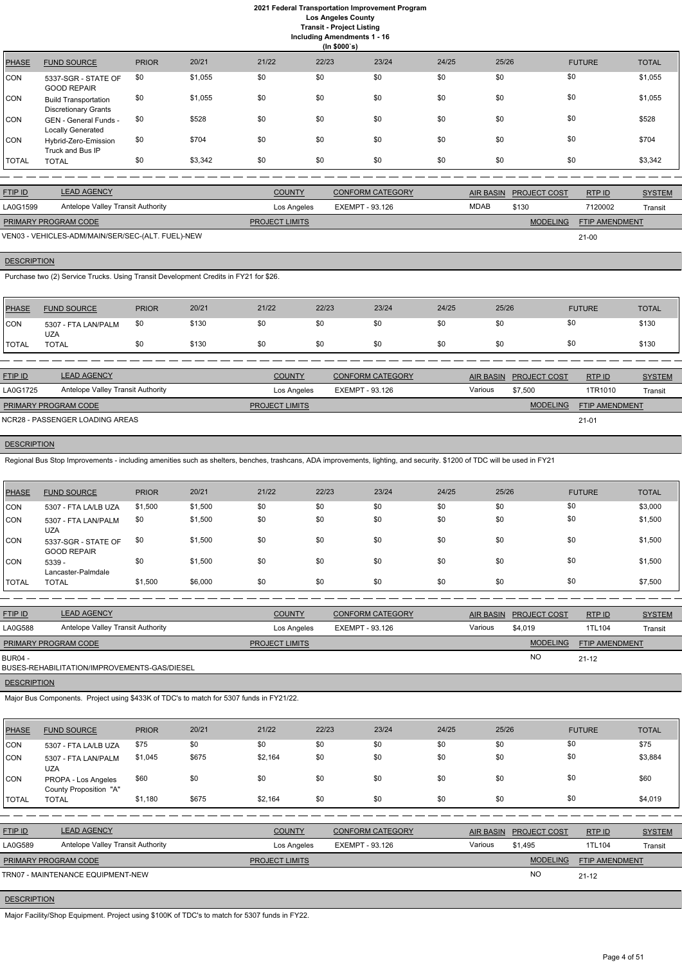# **2021 Federal Transportation Improvement Program Los Angeles County**

**Transit - Project Listing**

| Including Amendments 1 - 16 |  |  |
|-----------------------------|--|--|
| (ln \$000's)                |  |  |

|              | $(III$ $\psi$                                              |              |         |       |       |       |       |       |               |              |
|--------------|------------------------------------------------------------|--------------|---------|-------|-------|-------|-------|-------|---------------|--------------|
| <b>PHASE</b> | <b>FUND SOURCE</b>                                         | <b>PRIOR</b> | 20/21   | 21/22 | 22/23 | 23/24 | 24/25 | 25/26 | <b>FUTURE</b> | <b>TOTAL</b> |
| <b>CON</b>   | 5337-SGR - STATE OF<br><b>GOOD REPAIR</b>                  | \$0          | \$1,055 | \$0   | \$0   | \$0   | \$0   | \$0   | \$0           | \$1,055      |
| <b>CON</b>   | <b>Build Transportation</b><br><b>Discretionary Grants</b> | \$0          | \$1,055 | \$0   | \$0   | \$0   | \$0   | \$0   | \$0           | \$1,055      |
| <b>CON</b>   | GEN - General Funds -<br>Locally Generated                 | \$0          | \$528   | \$0   | \$0   | \$0   | \$0   | \$0   | \$0           | \$528        |
| <b>CON</b>   | Hybrid-Zero-Emission<br>Truck and Bus IP                   | \$0          | \$704   | \$0   | \$0   | \$0   | \$0   | \$0   | \$0           | \$704        |
| <b>TOTAL</b> | <b>TOTAL</b>                                               | \$0          | \$3,342 | \$0   | \$0   | \$0   | \$0   | \$0   | \$0           | \$3,342      |

| <b>FTIP ID</b>              | <b>LEAD AGENCY</b>                                | <b>COUNTY</b>         | <b>CONFORM CATEGORY</b> |             | AIR BASIN PROJECT COST | RTP ID                | <b>SYSTEM</b> |
|-----------------------------|---------------------------------------------------|-----------------------|-------------------------|-------------|------------------------|-----------------------|---------------|
| LA0G1599                    | <b>Antelope Valley Transit Authority</b>          | Los Angeles           | EXEMPT - 93.126         | <b>MDAB</b> | \$130                  | 7120002               | Transit       |
| <b>PRIMARY PROGRAM CODE</b> |                                                   | <b>PROJECT LIMITS</b> |                         |             | <b>MODELING</b>        | <b>FTIP AMENDMENT</b> |               |
|                             | VEN03 - VEHICLES-ADM/MAIN/SER/SEC-(ALT. FUEL)-NEW |                       |                         |             |                        | $21 - 00$             |               |

# **DESCRIPTION**

Purchase two (2) Service Trucks. Using Transit Development Credits in FY21 for \$26.

| <b>PHASE</b>   | <b>FUND SOURCE</b>                | <b>PRIOR</b> | 20/21 | 21/22         | 22/23 | 23/24                   | 24/25 | 25/26     | <b>FUTURE</b>                 | <b>TOTAL</b>  |
|----------------|-----------------------------------|--------------|-------|---------------|-------|-------------------------|-------|-----------|-------------------------------|---------------|
| <b>CON</b>     | 5307 - FTA LAN/PALM<br><b>UZA</b> | \$0          | \$130 | \$0           | \$0   | \$0                     | \$0   | \$0       | \$0                           | \$130         |
| <b>TOTAL</b>   | <b>TOTAL</b>                      | \$0          | \$130 | \$0           | \$0   | \$0                     | \$0   | \$0       | \$0                           | \$130         |
|                |                                   |              |       |               |       |                         |       |           |                               |               |
| <b>FTIP ID</b> | <b>LEAD AGENCY</b>                |              |       | <b>COUNTY</b> |       | <b>CONFORM CATEGORY</b> |       | AIR BASIN | RTP ID<br><b>PROJECT COST</b> | <b>SYSTEM</b> |
|                | .                                 |              |       |               |       |                         |       | .         |                               |               |

| LA0G1725                    | Antelope Valley Transit Authority | Los Angeles           | EXEMPT - 93.126 | Various | \$7,500         | 1TR1010               | Transit |
|-----------------------------|-----------------------------------|-----------------------|-----------------|---------|-----------------|-----------------------|---------|
| <b>PRIMARY PROGRAM CODE</b> |                                   | <b>PROJECT LIMITS</b> |                 |         | <b>MODELING</b> | <b>FTIP AMENDMENT</b> |         |
|                             | NCR28 - PASSENGER LOADING AREAS   |                       |                 |         |                 | $21 - 01$             |         |

# **DESCRIPTION**

Regional Bus Stop Improvements - including amenities such as shelters, benches, trashcans, ADA improvements, lighting, and security. \$1200 of TDC will be used in FY21

| PHASE      | <b>FUND SOURCE</b>                        | <b>PRIOR</b> | 20/21   | 21/22 | 22/23 | 23/24 | 24/25 | 25/26 | <b>FUTURE</b> | <b>TOTAL</b> |
|------------|-------------------------------------------|--------------|---------|-------|-------|-------|-------|-------|---------------|--------------|
| CON        | 5307 - FTA LA/LB UZA                      | \$1,500      | \$1,500 | \$0   | \$0   | \$0   | \$0   | \$0   | \$0           | \$3,000      |
| <b>CON</b> | 5307 - FTA LAN/PALM<br><b>UZA</b>         | \$0          | \$1,500 | \$0   | \$0   | \$0   | \$0   | \$0   | \$0           | \$1,500      |
| <b>CON</b> | 5337-SGR - STATE OF<br><b>GOOD REPAIR</b> | \$0          | \$1,500 | \$0   | \$0   | \$0   | \$0   | \$0   | \$0           | \$1,500      |
| CON        | 5339 -<br>Lancaster-Palmdale              | \$0          | \$1,500 | \$0   | \$0   | \$0   | \$0   | \$0   | \$0           | \$1,500      |
| TOTAL      | <b>TOTAL</b>                              | \$1,500      | \$6,000 | \$0   | \$0   | \$0   | \$0   | \$0   | \$0           | \$7,500      |

| <b>FTIP ID</b>              | <b>LEAD AGENCY</b>                           | <b>COUNTY</b>         | <b>CONFORM CATEGORY</b> | <b>AIR BASIN</b> | <b>PROJECT COST</b> | RTP ID                | <b>SYSTEM</b> |
|-----------------------------|----------------------------------------------|-----------------------|-------------------------|------------------|---------------------|-----------------------|---------------|
| LA0G588                     | <b>Antelope Valley Transit Authority</b>     | Los Angeles           | EXEMPT - 93.126         | Various          | \$4,019             | 1TL104                | Transit       |
| <b>PRIMARY PROGRAM CODE</b> |                                              | <b>PROJECT LIMITS</b> |                         |                  | <b>MODELING</b>     | <b>FTIP AMENDMENT</b> |               |
| <b>BUR04 -</b>              | BUSES-REHABILITATION/IMPROVEMENTS-GAS/DIESEL |                       |                         |                  | <b>NO</b>           | $21 - 12$             |               |
|                             |                                              |                       |                         |                  |                     |                       |               |

**DESCRIPTION** 

Major Bus Components. Project using \$433K of TDC's to match for 5307 funds in FY21/22.

| <b>PHASE</b>   | <b>FUND SOURCE</b>                            | <b>PRIOR</b> | 20/21 | 21/22                 | 22/23                  | 23/24                   | 24/25            | 25/26               | <b>FUTURE</b>  | <b>TOTAL</b>  |
|----------------|-----------------------------------------------|--------------|-------|-----------------------|------------------------|-------------------------|------------------|---------------------|----------------|---------------|
| CON            | 5307 - FTA LA/LB UZA                          | \$75         | \$0   | \$0                   | \$0                    | \$0                     | \$0              | \$0                 | \$0            | \$75          |
| CON            | 5307 - FTA LAN/PALM<br><b>UZA</b>             | \$1,045      | \$675 | \$2,164               | \$0                    | \$0                     | \$0              | \$0                 | \$0            | \$3,884       |
| <b>CON</b>     | PROPA - Los Angeles<br>County Proposition "A" | \$60         | \$0   | \$0                   | \$0                    | \$0                     | \$0              | \$0                 | \$0            | \$60          |
| <b>TOTAL</b>   | <b>TOTAL</b>                                  | \$1,180      | \$675 | \$2,164               | \$0                    | \$0                     | \$0              | \$0                 | \$0            | \$4,019       |
|                |                                               |              |       |                       |                        |                         |                  |                     |                |               |
| <b>FTIP ID</b> | <b>LEAD AGENCY</b>                            |              |       | <b>COUNTY</b>         |                        | <b>CONFORM CATEGORY</b> | <b>AIR BASIN</b> | <b>PROJECT COST</b> | RTP ID         | <b>SYSTEM</b> |
| LA0G589        | Antelope Valley Transit Authority             |              |       | Los Angeles           | <b>EXEMPT - 93.126</b> |                         | Various          | \$1,495             | 1TL104         | Transit       |
|                | PRIMARY PROGRAM CODE                          |              |       | <b>PROJECT LIMITS</b> |                        |                         |                  | <b>MODELING</b>     | FTIP AMENDMENT |               |
|                | TRN07 - MAINTENANCE EQUIPMENT-NEW             |              |       |                       |                        |                         |                  | <b>NO</b>           | $21 - 12$      |               |

## **DESCRIPTION**

Major Facility/Shop Equipment. Project using \$100K of TDC's to match for 5307 funds in FY22.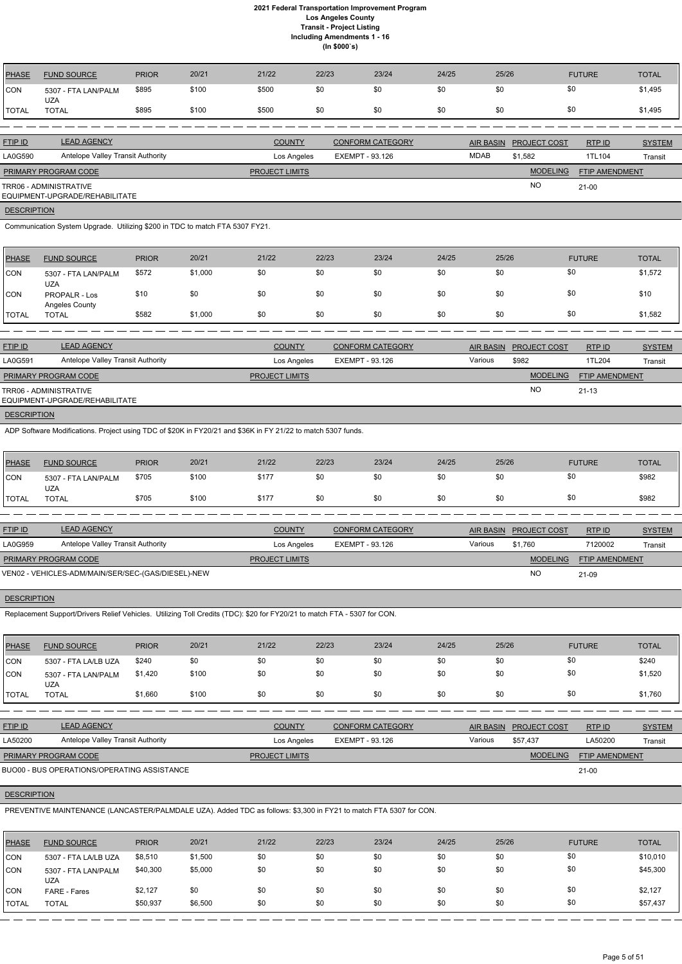| PHASE              | <b>FUND SOURCE</b>                                                                                                       | <b>PRIOR</b> | 20/21   | 21/22                 | 22/23 |                        | 23/24                   | 24/25 | 25/26            |                     | <b>FUTURE</b>         | <b>TOTAL</b>  |
|--------------------|--------------------------------------------------------------------------------------------------------------------------|--------------|---------|-----------------------|-------|------------------------|-------------------------|-------|------------------|---------------------|-----------------------|---------------|
| CON                | 5307 - FTA LAN/PALM                                                                                                      | \$895        | \$100   | \$500                 | \$0   |                        | \$0                     | \$0   | \$0              |                     | \$0                   | \$1,495       |
| <b>TOTAL</b>       | <b>UZA</b><br><b>TOTAL</b>                                                                                               | \$895        | \$100   | \$500                 | \$0   |                        | \$0                     | \$0   | \$0              |                     | \$0                   | \$1,495       |
|                    |                                                                                                                          |              |         |                       |       |                        |                         |       |                  |                     |                       |               |
| <b>FTIP ID</b>     | <b>LEAD AGENCY</b>                                                                                                       |              |         | <b>COUNTY</b>         |       |                        | <b>CONFORM CATEGORY</b> |       | AIR BASIN        | PROJECT COST        | RTP ID                | <b>SYSTEM</b> |
| LA0G590            | Antelope Valley Transit Authority                                                                                        |              |         | Los Angeles           |       | <b>EXEMPT - 93.126</b> |                         |       | <b>MDAB</b>      | \$1,582             | 1TL104                | Transit       |
|                    | PRIMARY PROGRAM CODE                                                                                                     |              |         | <b>PROJECT LIMITS</b> |       |                        |                         |       |                  | <b>MODELING</b>     | FTIP AMENDMENT        |               |
|                    | TRR06 - ADMINISTRATIVE<br>EQUIPMENT-UPGRADE/REHABILITATE                                                                 |              |         |                       |       |                        |                         |       |                  | <b>NO</b>           | $21-00$               |               |
| <b>DESCRIPTION</b> |                                                                                                                          |              |         |                       |       |                        |                         |       |                  |                     |                       |               |
|                    | Communication System Upgrade. Utilizing \$200 in TDC to match FTA 5307 FY21.                                             |              |         |                       |       |                        |                         |       |                  |                     |                       |               |
| <b>PHASE</b>       | <b>FUND SOURCE</b>                                                                                                       | <b>PRIOR</b> | 20/21   | 21/22                 | 22/23 |                        | 23/24                   | 24/25 | 25/26            |                     | <b>FUTURE</b>         | <b>TOTAL</b>  |
| CON                | 5307 - FTA LAN/PALM                                                                                                      | \$572        | \$1,000 | \$0                   | \$0   |                        | \$0                     | \$0   | \$0              |                     | \$0                   | \$1,572       |
| CON                | <b>UZA</b><br>PROPALR - Los<br>Angeles County                                                                            | \$10         | \$0     | \$0                   | \$0   |                        | \$0                     | \$0   | \$0              |                     | \$0                   | \$10          |
| <b>TOTAL</b>       | <b>TOTAL</b>                                                                                                             | \$582        | \$1,000 | \$0                   | \$0   |                        | \$0                     | \$0   | \$0              |                     | \$0                   | \$1,582       |
|                    |                                                                                                                          |              |         |                       |       |                        |                         |       |                  |                     |                       |               |
| FTIP ID            | <b>LEAD AGENCY</b>                                                                                                       |              |         | <b>COUNTY</b>         |       |                        | <b>CONFORM CATEGORY</b> |       | <b>AIR BASIN</b> | PROJECT COST        | RTP ID                | <b>SYSTEM</b> |
| LA0G591            | Antelope Valley Transit Authority                                                                                        |              |         | Los Angeles           |       | <b>EXEMPT - 93.126</b> |                         |       | Various          | \$982               | 1TL204                | Transit       |
|                    | PRIMARY PROGRAM CODE                                                                                                     |              |         | PROJECT LIMITS        |       |                        |                         |       |                  | <b>MODELING</b>     | FTIP AMENDMENT        |               |
|                    | TRR06 - ADMINISTRATIVE<br>EQUIPMENT-UPGRADE/REHABILITATE                                                                 |              |         |                       |       |                        |                         |       |                  | <b>NO</b>           | $21 - 13$             |               |
| <b>DESCRIPTION</b> |                                                                                                                          |              |         |                       |       |                        |                         |       |                  |                     |                       |               |
|                    | ADP Software Modifications. Project using TDC of \$20K in FY20/21 and \$36K in FY 21/22 to match 5307 funds.             |              |         |                       |       |                        |                         |       |                  |                     |                       |               |
| <b>PHASE</b>       | <b>FUND SOURCE</b>                                                                                                       | <b>PRIOR</b> | 20/21   | 21/22                 | 22/23 |                        | 23/24                   | 24/25 | 25/26            |                     | <b>FUTURE</b>         | <b>TOTAL</b>  |
| <b>CON</b>         | 5307 - FTA LAN/PALM<br><b>UZA</b>                                                                                        | \$705        | \$100   | \$177                 | \$0   |                        | \$0                     | \$0   | \$0              |                     | \$0                   | \$982         |
| <b>TOTAL</b>       | <b>TOTAL</b>                                                                                                             | \$705        | \$100   | \$177                 | \$0   |                        | \$0                     | \$0   | \$0              |                     | \$0                   | \$982         |
|                    |                                                                                                                          |              |         |                       |       |                        |                         |       |                  |                     |                       |               |
| FTIP ID            | <b>LEAD AGENCY</b>                                                                                                       |              |         | <b>COUNTY</b>         |       |                        | <b>CONFORM CATEGORY</b> |       | <b>AIR BASIN</b> | <b>PROJECT COST</b> | RTP ID                | <b>SYSTEM</b> |
| LA0G959            | Antelope Valley Transit Authority                                                                                        |              |         | Los Angeles           |       | <b>EXEMPT - 93.126</b> |                         |       | Various          | \$1,760             | 7120002               | Transit       |
|                    | PRIMARY PROGRAM CODE                                                                                                     |              |         | <b>PROJECT LIMITS</b> |       |                        |                         |       |                  | <b>MODELING</b>     | <b>FTIP AMENDMENT</b> |               |
|                    | VEN02 - VEHICLES-ADM/MAIN/SER/SEC-(GAS/DIESEL)-NEW                                                                       |              |         |                       |       |                        |                         |       |                  | <b>NO</b>           | 21-09                 |               |
| <b>DESCRIPTION</b> |                                                                                                                          |              |         |                       |       |                        |                         |       |                  |                     |                       |               |
|                    | Replacement Support/Drivers Relief Vehicles. Utilizing Toll Credits (TDC): \$20 for FY20/21 to match FTA - 5307 for CON. |              |         |                       |       |                        |                         |       |                  |                     |                       |               |
|                    |                                                                                                                          |              |         |                       |       |                        |                         |       |                  |                     |                       |               |

| PHASE          | <b>FUND SOURCE</b>                | <b>PRIOR</b> | 20/21 | 21/22 | 22/23 | 23/24 | 24/25 | 25/26 | <b>FUTURE</b> | <b>TOTAL</b> |
|----------------|-----------------------------------|--------------|-------|-------|-------|-------|-------|-------|---------------|--------------|
| CON            | 5307 - FTA LA/LB UZA              | \$240        | \$0   | \$0   | \$0   | \$0   | \$0   | \$0   | \$0           | \$240        |
| CON            | 5307 - FTA LAN/PALM<br><b>UZA</b> | \$1,420      | \$100 | \$0   | \$0   | \$0   | \$0   | \$0   | \$0           | \$1,520      |
| <b>I</b> TOTAL | TOTAL                             | \$1,660      | \$100 | \$0   | \$0   | \$0   | \$0   | \$0   | \$0           | \$1,760      |

RTP ID

| <b>FTIP ID</b>              | <b>LEAD AGENCY</b>                          | <b>COUNTY</b>         | <b>CONFORM CATEGORY</b> | AIR BASIN | <b>PROJECT COST</b> | RTPID                 | <b>SYSTEM</b> |
|-----------------------------|---------------------------------------------|-----------------------|-------------------------|-----------|---------------------|-----------------------|---------------|
| LA50200                     | Antelope Valley Transit Authority           | Los Angeles           | EXEMPT - 93.126         | Various   | \$57.437            | LA50200               | Transit       |
| <b>PRIMARY PROGRAM CODE</b> |                                             | <b>PROJECT LIMITS</b> |                         |           | <b>MODELING</b>     | <b>FTIP AMENDMENT</b> |               |
|                             | BUO00 - BUS OPERATIONS/OPERATING ASSISTANCE |                       |                         |           |                     | 21-00                 |               |

## **DESCRIPTION**

PREVENTIVE MAINTENANCE (LANCASTER/PALMDALE UZA). Added TDC as follows: \$3,300 in FY21 to match FTA 5307 for CON.

| <b>PHASE</b> | <b>FUND SOURCE</b>                | <b>PRIOR</b> | 20/21   | 21/22 | 22/23 | 23/24 | 24/25 | 25/26 | <b>FUTURE</b> | <b>TOTAL</b> |
|--------------|-----------------------------------|--------------|---------|-------|-------|-------|-------|-------|---------------|--------------|
| CON          | 5307 - FTA LA/LB UZA              | \$8,510      | \$1,500 | \$0   | \$0   | \$0   | \$0   | \$0   | \$0           | \$10,010     |
| <b>CON</b>   | 5307 - FTA LAN/PALM<br><b>UZA</b> | \$40,300     | \$5,000 | \$0   | \$0   | \$0   | \$0   | \$0   | \$0           | \$45,300     |
| <b>CON</b>   | <b>FARE - Fares</b>               | \$2,127      | \$0     | \$0   | \$0   | \$0   | \$0   | \$0   | \$0           | \$2,127      |
| TOTAL        | <b>TOTAL</b>                      | \$50,937     | \$6,500 | \$0   | \$0   | \$0   | \$0   | \$0   | \$0           | \$57,437     |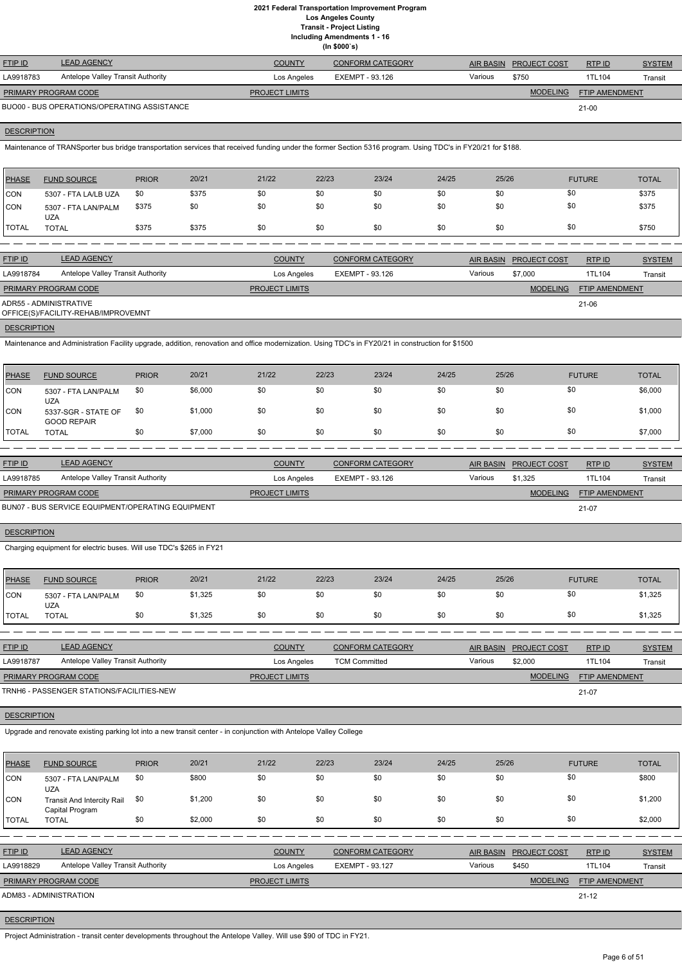**Including Amendments 1 - 16**

|  | moldanig Amolianionto i To<br>(ln \$000's) |
|--|--------------------------------------------|
|  |                                            |

| <b>FTIP ID</b>              | <b>LEAD AGENCY</b>                          | <b>COUNTY</b>         | CONFORM CATEGORY |         | AIR BASIN PROJECT COST | RTPID          | <b>SYSTEM</b> |
|-----------------------------|---------------------------------------------|-----------------------|------------------|---------|------------------------|----------------|---------------|
| LA9918783                   | Antelope Valley Transit Authority           | Los Angeles           | EXEMPT - 93.126  | Various | \$750                  | 1TL104         | Transit       |
| <b>PRIMARY PROGRAM CODE</b> |                                             | <b>PROJECT LIMITS</b> |                  |         | <b>MODELING</b>        | FTIP AMENDMENT |               |
|                             | BUO00 - BUS OPERATIONS/OPERATING ASSISTANCE |                       |                  |         |                        | $21 - 00$      |               |

## **DESCRIPTION**

Maintenance of TRANSporter bus bridge transportation services that received funding under the former Section 5316 program. Using TDC's in FY20/21 for \$188.

| PHASE        | <b>FUND SOURCE</b>                | <b>PRIOR</b> | 20/21 | 21/22 | 22/23 | 23/24 | 24/25 | 25/26 | <b>FUTURE</b> | <b>TOTAL</b> |
|--------------|-----------------------------------|--------------|-------|-------|-------|-------|-------|-------|---------------|--------------|
| <b>CON</b>   | 5307 - FTA LA/LB UZA              | -\$0         | \$375 | \$0   | \$0   | \$0   | \$0   | \$0   | \$0           | \$375        |
| <b>CON</b>   | 5307 - FTA LAN/PALM<br><b>UZA</b> | \$375        | \$0   | \$0   | \$0   | \$0   | \$0   | \$0   | \$0           | \$375        |
| <b>TOTAL</b> | TOTAL                             | \$375        | \$375 | \$0   | \$0   | \$0   | \$0   | \$0   | \$0           | \$750        |

| <b>FTIP ID</b>              | <b>LEAD AGENCY</b>                  | <b>COUNTY</b>         | <b>CONFORM CATEGORY</b> |         | AIR BASIN PROJECT COST | RTP ID                | <b>SYSTEM</b> |
|-----------------------------|-------------------------------------|-----------------------|-------------------------|---------|------------------------|-----------------------|---------------|
| LA9918784                   | Antelope Valley Transit Authority   | Los Angeles           | EXEMPT - 93.126         | Various | \$7,000                | 1TL104                | Transit       |
| <b>PRIMARY PROGRAM CODE</b> |                                     | <b>PROJECT LIMITS</b> |                         |         | <b>MODELING</b>        | <b>FTIP AMENDMENT</b> |               |
| ADR55 - ADMINISTRATIVE      | OFFICE(S)/FACILITY-REHAB/IMPROVEMNT |                       |                         |         |                        | 21-06                 |               |
| <b>DESCRIPTION</b>          |                                     |                       |                         |         |                        |                       |               |

Maintenance and Administration Facility upgrade, addition, renovation and office modernization. Using TDC's in FY20/21 in construction for \$1500

| <b>PHASE</b> | <b>FUND SOURCE</b>                        | <b>PRIOR</b> | 20/21   | 21/22 | 22/23 | 23/24 | 24/25 | 25/26 | <b>FUTURE</b> | <b>TOTAL</b> |
|--------------|-------------------------------------------|--------------|---------|-------|-------|-------|-------|-------|---------------|--------------|
| <b>CON</b>   | 5307 - FTA LAN/PALM<br><b>UZA</b>         | \$0          | \$6,000 | \$0   | \$0   | \$0   | \$0   | \$0   | \$0           | \$6,000      |
| <b>CON</b>   | 5337-SGR - STATE OF<br><b>GOOD REPAIR</b> | \$0          | \$1,000 | \$0   | \$0   | \$0   | \$0   | \$0   | \$0           | \$1,000      |
| <b>TOTAL</b> | <b>TOTAL</b>                              | \$0          | \$7,000 | \$0   | \$0   | \$0   | \$0   | \$0   | \$0           | \$7,000      |

| <b>FTIP ID</b>              | <b>LEAD AGENCY</b>                                | <b>COUNTY</b>         | <b>CONFORM CATEGORY</b> |         | AIR BASIN PROJECT COST | RTPID                 | <b>SYSTEM</b> |
|-----------------------------|---------------------------------------------------|-----------------------|-------------------------|---------|------------------------|-----------------------|---------------|
| LA9918785                   | Antelope Valley Transit Authority                 | Los Angeles           | EXEMPT - 93.126         | Various | \$1.325                | 1TL104                | Transit       |
| <b>PRIMARY PROGRAM CODE</b> |                                                   | <b>PROJECT LIMITS</b> |                         |         | <b>MODELING</b>        | <b>FTIP AMENDMENT</b> |               |
|                             | BUN07 - BUS SERVICE EQUIPMENT/OPERATING EQUIPMENT |                       |                         |         |                        | 21-07                 |               |

## **DESCRIPTION**

Charging equipment for electric buses. Will use TDC's \$265 in FY21

| PHASE        | <b>FUND SOURCE</b>         | <b>PRIOR</b> | 20/21   | 21/22 | 22/23 | 23/24 | 24/25 | 25/26 | <b>FUTURE</b> | TOTAL   |
|--------------|----------------------------|--------------|---------|-------|-------|-------|-------|-------|---------------|---------|
| <b>CON</b>   | 5307 - FTA LAN/PALM<br>UZA | \$0          | \$1,325 | \$0   |       | \$0   | \$0   | \$0   | \$0           | \$1,325 |
| <b>TOTAL</b> | TOTAL                      |              | \$1,325 |       |       | \$0   | \$0   | \$0   | \$0           | \$1,325 |

| <b>FTIP ID</b>              | <b>LEAD AGENCY</b>                        | <b>COUNTY</b>         | <b>CONFORM CATEGORY</b> |         | AIR BASIN PROJECT COST | RTPID                 | <b>SYSTEM</b> |
|-----------------------------|-------------------------------------------|-----------------------|-------------------------|---------|------------------------|-----------------------|---------------|
| LA9918787                   | Antelope Valley Transit Authority         | Los Angeles           | <b>TCM Committed</b>    | Various | \$2,000                | 1TL104                | Transit       |
| <b>PRIMARY PROGRAM CODE</b> |                                           | <b>PROJECT LIMITS</b> |                         |         | <b>MODELING</b>        | <b>FTIP AMENDMENT</b> |               |
|                             | TRNH6 - PASSENGER STATIONS/FACILITIES-NEW |                       |                         |         |                        | 21-07                 |               |

# **DESCRIPTION**

| <b>PHASE</b> | <b>FUND SOURCE</b>                                   | <b>PRIOR</b> | 20/21   | 21/22 | 22/23 | 23/24 | 24/25 | 25/26 | <b>FUTURE</b> | <b>TOTAL</b> |
|--------------|------------------------------------------------------|--------------|---------|-------|-------|-------|-------|-------|---------------|--------------|
| CON          | 5307 - FTA LAN/PALM<br>UZA                           | \$0          | \$800   | \$0   | \$0   | \$0   | \$0   | \$0   | \$0           | \$800        |
| <b>CON</b>   | <b>Transit And Intercity Rail</b><br>Capital Program | \$0          | \$1,200 | \$0   | \$0   | \$0   | \$0   | \$0   | \$0           | \$1,200      |
| <b>TOTAL</b> | <b>TOTAL</b>                                         | \$0          | \$2,000 | \$0   | \$0   | \$0   | \$0   | \$0   | \$0           | \$2,000      |

| <b>FTIP ID</b>              | <b>LEAD AGENCY</b>                | <b>COUNTY</b>         | <b>CONFORM CATEGORY</b> | <b>AIR BASIN</b> | <b>PROJECT COST</b> | RTP ID                | <b>SYSTEM</b> |
|-----------------------------|-----------------------------------|-----------------------|-------------------------|------------------|---------------------|-----------------------|---------------|
| LA9918829                   | Antelope Valley Transit Authority | Los Angeles           | EXEMPT - 93.127         | Various          | \$450               | 1TL104                | Transit       |
| <b>PRIMARY PROGRAM CODE</b> |                                   | <b>PROJECT LIMITS</b> |                         |                  | <b>MODELING</b>     | <b>FTIP AMENDMENT</b> |               |
| ADM83 - ADMINISTRATION      |                                   |                       |                         |                  |                     | $21 - 12$             |               |

## **DESCRIPTION**

Project Administration - transit center developments throughout the Antelope Valley. Will use \$90 of TDC in FY21.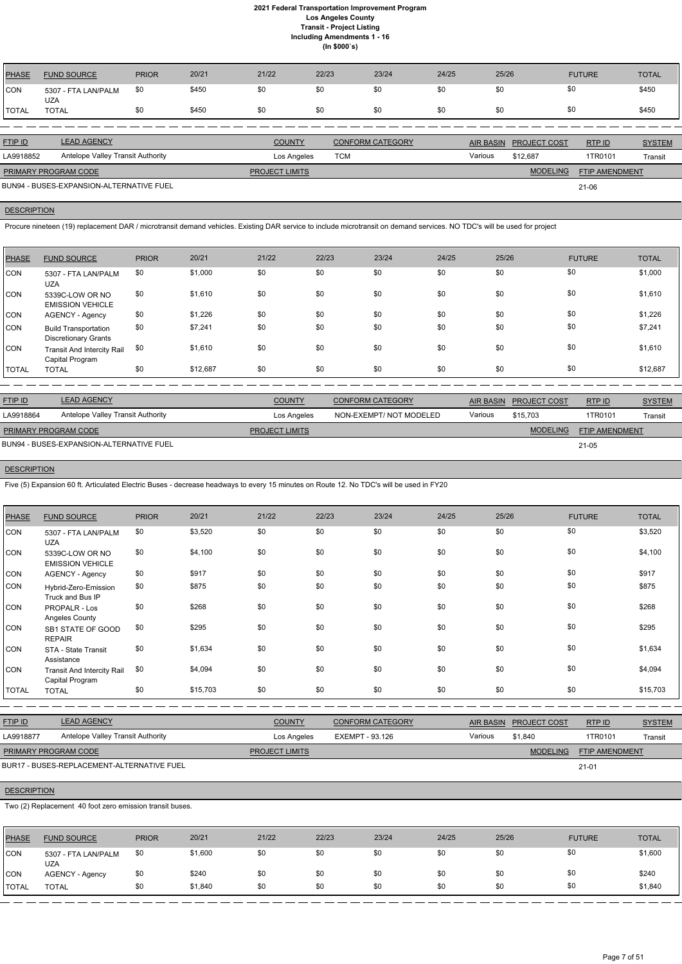| <b>PHASE</b> | <b>FUND SOURCE</b>                | <b>PRIOR</b> | 20/21 | 21/22 | 22/23 | 23/24 | 24/25 | 25/26 | <b>FUTURE</b> | <b>TOTAL</b> |
|--------------|-----------------------------------|--------------|-------|-------|-------|-------|-------|-------|---------------|--------------|
| <b>CON</b>   | 5307 - FTA LAN/PALM<br><b>UZA</b> | \$0          | \$450 | \$0   | \$0   | \$0   | \$0   | \$0   | \$0           | \$450        |
| TOTAL        | <b>TOTAL</b>                      | \$0          | \$450 | \$0   | \$0   | \$0   | \$0   | -\$0  | \$0           | \$450        |
|              |                                   |              |       |       |       |       |       |       |               |              |

| <b>FTIP ID</b>              | <b>LEAD AGENCY</b>                       | <b>COUNTY</b>         | <b>CONFORM CATEGORY</b> |         | AIR BASIN PROJECT COST | RTP ID                | <b>SYSTEM</b> |
|-----------------------------|------------------------------------------|-----------------------|-------------------------|---------|------------------------|-----------------------|---------------|
| LA9918852                   | Antelope Valley Transit Authority        | Los Angeles           | TCM                     | Various | \$12.687               | 1TR0101               | Transit       |
| <b>PRIMARY PROGRAM CODE</b> |                                          | <b>PROJECT LIMITS</b> |                         |         | <b>MODELING</b>        | <b>FTIP AMENDMENT</b> |               |
|                             | BUN94 - BUSES-EXPANSION-ALTERNATIVE FUEL |                       |                         |         |                        | $21 - 06$             |               |

## **DESCRIPTION**

Procure nineteen (19) replacement DAR / microtransit demand vehicles. Existing DAR service to include microtransit on demand services. NO TDC's will be used for project

| <b>PHASE</b> | <b>FUND SOURCE</b>                                         | <b>PRIOR</b> | 20/21    | 21/22 | 22/23 | 23/24 | 24/25 | 25/26 | <b>FUTURE</b> | <b>TOTAL</b> |
|--------------|------------------------------------------------------------|--------------|----------|-------|-------|-------|-------|-------|---------------|--------------|
| CON          | 5307 - FTA LAN/PALM<br><b>UZA</b>                          | \$0          | \$1,000  | \$0   | \$0   | \$0   | \$0   | \$0   | \$0           | \$1,000      |
| <b>CON</b>   | 5339C-LOW OR NO<br><b>EMISSION VEHICLE</b>                 | \$0          | \$1,610  | \$0   | \$0   | \$0   | \$0   | \$0   | \$0           | \$1,610      |
| CON          | AGENCY - Agency                                            | \$0          | \$1,226  | \$0   | \$0   | \$0   | \$0   | \$0   | \$0           | \$1,226      |
| <b>CON</b>   | <b>Build Transportation</b><br><b>Discretionary Grants</b> | \$0          | \$7,241  | \$0   | \$0   | \$0   | \$0   | \$0   | \$0           | \$7,241      |
| <b>CON</b>   | <b>Transit And Intercity Rail</b><br>Capital Program       | \$0          | \$1,610  | \$0   | \$0   | \$0   | \$0   | \$0   | \$0           | \$1,610      |
| <b>TOTAL</b> | <b>TOTAL</b>                                               | \$0          | \$12,687 | \$0   | \$0   | \$0   | \$0   | \$0   | \$0           | \$12,687     |

| <b>FTIP ID</b>              | <b>LEAD AGENCY</b>                       | <b>COUNTY</b>         | <b>CONFORM CATEGORY</b> | <b>AIR BASIN</b> | <b>PROJECT COST</b> | RTPID                 | <b>SYSTEM</b> |
|-----------------------------|------------------------------------------|-----------------------|-------------------------|------------------|---------------------|-----------------------|---------------|
| LA9918864                   | Antelope Valley Transit Authority        | Los Angeles           | NON-EXEMPT/NOT MODELED  | Various          | \$15,703            | 1TR0101               | Transit       |
| <b>PRIMARY PROGRAM CODE</b> |                                          | <b>PROJECT LIMITS</b> |                         |                  | <b>MODELING</b>     | <b>FTIP AMENDMENT</b> |               |
|                             | BUN94 - BUSES-EXPANSION-ALTERNATIVE FUEL |                       |                         |                  |                     | 21-05                 |               |

# **DESCRIPTION**

Five (5) Expansion 60 ft. Articulated Electric Buses - decrease headways to every 15 minutes on Route 12. No TDC's will be used in FY20

| PHASE        | <b>FUND SOURCE</b>                                   | <b>PRIOR</b> | 20/21    | 21/22 | 22/23 | 23/24 | 24/25 | 25/26 | <b>FUTURE</b> | <b>TOTAL</b> |
|--------------|------------------------------------------------------|--------------|----------|-------|-------|-------|-------|-------|---------------|--------------|
| <b>CON</b>   | 5307 - FTA LAN/PALM<br><b>UZA</b>                    | \$0          | \$3,520  | \$0   | \$0   | \$0   | \$0   | \$0   | \$0           | \$3,520      |
| CON          | 5339C-LOW OR NO<br><b>EMISSION VEHICLE</b>           | \$0          | \$4,100  | \$0   | \$0   | \$0   | \$0   | \$0   | \$0           | \$4,100      |
| CON          | AGENCY - Agency                                      | \$0          | \$917    | \$0   | \$0   | \$0   | \$0   | \$0   | \$0           | \$917        |
| <b>CON</b>   | Hybrid-Zero-Emission<br>Truck and Bus IP             | \$0          | \$875    | \$0   | \$0   | \$0   | \$0   | \$0   | \$0           | \$875        |
| CON          | PROPALR - Los<br>Angeles County                      | \$0          | \$268    | \$0   | \$0   | \$0   | \$0   | \$0   | \$0           | \$268        |
| CON          | SB1 STATE OF GOOD<br><b>REPAIR</b>                   | \$0          | \$295    | \$0   | \$0   | \$0   | \$0   | \$0   | \$0           | \$295        |
| CON          | STA - State Transit<br>Assistance                    | \$0          | \$1,634  | \$0   | \$0   | \$0   | \$0   | \$0   | \$0           | \$1,634      |
| <b>CON</b>   | <b>Transit And Intercity Rail</b><br>Capital Program | \$0          | \$4,094  | \$0   | \$0   | \$0   | \$0   | \$0   | \$0           | \$4,094      |
| <b>TOTAL</b> | <b>TOTAL</b>                                         | \$0          | \$15,703 | \$0   | \$0   | \$0   | \$0   | \$0   | \$0           | \$15,703     |

RTP ID

| LA9918877          | Antelope Valley Transit Authority                        |              |         | Los Angeles           |       | EXEMPT - 93.126 |       | Various | \$1,840         | 1TR0101        | Transit      |
|--------------------|----------------------------------------------------------|--------------|---------|-----------------------|-------|-----------------|-------|---------|-----------------|----------------|--------------|
|                    | PRIMARY PROGRAM CODE                                     |              |         | <b>PROJECT LIMITS</b> |       |                 |       |         | <b>MODELING</b> | FTIP AMENDMENT |              |
|                    | BUR17 - BUSES-REPLACEMENT-ALTERNATIVE FUEL               |              |         |                       |       |                 |       |         |                 | $21 - 01$      |              |
| <b>DESCRIPTION</b> |                                                          |              |         |                       |       |                 |       |         |                 |                |              |
|                    | Two (2) Replacement 40 foot zero emission transit buses. |              |         |                       |       |                 |       |         |                 |                |              |
| <b>PHASE</b>       | <b>FUND SOURCE</b>                                       | <b>PRIOR</b> | 20/21   | 21/22                 | 22/23 | 23/24           | 24/25 | 25/26   | <b>FUTURE</b>   |                | <b>TOTAL</b> |
| CON                | 5307 - FTA LAN/PALM<br><b>UZA</b>                        | \$0          | \$1,600 | \$0                   | \$0   | \$0             | \$0   | \$0     | \$0             |                | \$1,600      |
| <b>CON</b>         | <b>AGENCY - Agency</b>                                   | \$0          | \$240   | \$0                   | \$0   | \$0             | \$0   | \$0     | \$0             |                | \$240        |
| <b>TOTAL</b>       | <b>TOTAL</b>                                             | \$0          | \$1,840 | \$0                   | \$0   | \$0             | \$0   | \$0     | \$0             |                | \$1,840      |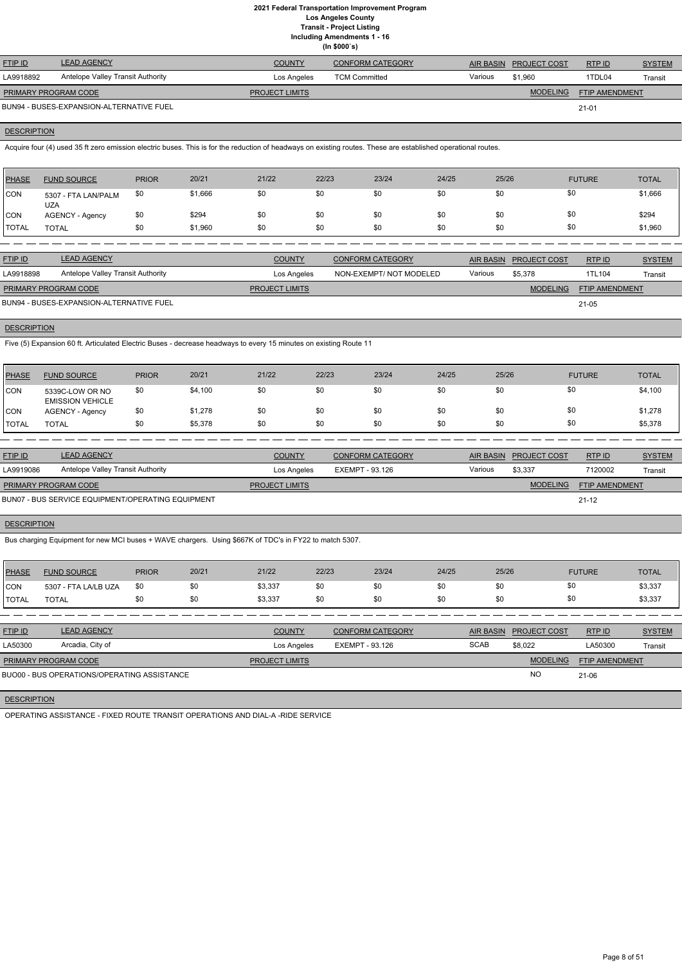**Including Amendments 1 - 16**

| (ln \$000's)         |                                          |                       |                         |         |                        |                |               |  |  |  |
|----------------------|------------------------------------------|-----------------------|-------------------------|---------|------------------------|----------------|---------------|--|--|--|
| <b>FTIP ID</b>       | <b>LEAD AGENCY</b>                       | <b>COUNTY</b>         | <b>CONFORM CATEGORY</b> |         | AIR BASIN PROJECT COST | RTP ID         | <b>SYSTEM</b> |  |  |  |
| LA9918892            | Antelope Valley Transit Authority        | Los Angeles           | <b>TCM Committed</b>    | Various | \$1,960                | 1TDL04         | Transit       |  |  |  |
| PRIMARY PROGRAM CODE |                                          | <b>PROJECT LIMITS</b> |                         |         | <b>MODELING</b>        | FTIP AMENDMENT |               |  |  |  |
|                      | BUN94 - BUSES-EXPANSION-ALTERNATIVE FUEL |                       |                         |         |                        | $21 - 01$      |               |  |  |  |

## **DESCRIPTION**

Acquire four (4) used 35 ft zero emission electric buses. This is for the reduction of headways on existing routes. These are established operational routes.

| <b>PHASE</b> | <b>FUND SOURCE</b>                | <b>PRIOR</b> | 20/21   | 21/22 | 22/23 | 23/24 | 24/25 | 25/26 | <b>FUTURE</b> | <b>TOTAL</b> |
|--------------|-----------------------------------|--------------|---------|-------|-------|-------|-------|-------|---------------|--------------|
| <b>CON</b>   | 5307 - FTA LAN/PALM<br><b>UZA</b> | \$0          | \$1,666 | \$0   | \$0   | \$0   | \$0   | \$0   | \$0           | \$1,666      |
| <b>CON</b>   | <b>AGENCY - Agency</b>            | \$0          | \$294   | \$0   | \$0   | \$0   | \$0   | \$0   | \$0           | \$294        |
| <b>TOTAL</b> | TOTAL                             | \$0          | \$1,960 | \$0   | \$0   | \$0   | \$0   | \$0   | \$0           | \$1,960      |

| <b>FTIP ID</b>              | <b>LEAD AGENCY</b>                       | <b>COUNTY</b>         | CONFORM CATEGORY        |         | AIR BASIN PROJECT COST | RTP ID                | <b>SYSTEM</b> |
|-----------------------------|------------------------------------------|-----------------------|-------------------------|---------|------------------------|-----------------------|---------------|
| LA9918898                   | Antelope Valley Transit Authority        | Los Angeles           | NON-EXEMPT/ NOT MODELED | Various | \$5,378                | 1TL104                | Transit       |
| <b>PRIMARY PROGRAM CODE</b> |                                          | <b>PROJECT LIMITS</b> |                         |         | <b>MODELING</b>        | <b>FTIP AMENDMENT</b> |               |
|                             | BUN94 - BUSES-EXPANSION-ALTERNATIVE FUEL |                       |                         |         |                        | 21-05                 |               |

**DESCRIPTION** 

Five (5) Expansion 60 ft. Articulated Electric Buses - decrease headways to every 15 minutes on existing Route 11

| <b>PHASE</b>   | <b>FUND SOURCE</b>                         | <b>PRIOR</b> | 20/21   | 21/22 | 22/23 | 23/24 | 24/25 | 25/26 | <b>FUTURE</b> | <b>TOTAL</b> |
|----------------|--------------------------------------------|--------------|---------|-------|-------|-------|-------|-------|---------------|--------------|
| <b>CON</b>     | 5339C-LOW OR NO<br><b>EMISSION VEHICLE</b> | \$0          | \$4,100 | \$0   | \$0   | \$0   | \$0   |       | \$0           | \$4,100      |
| <b>CON</b>     | <b>AGENCY - Agency</b>                     | \$0          | \$1,278 | \$0   | \$0   | \$0   | \$0   |       | \$0           | \$1,278      |
| <b>I</b> TOTAL | <b>TOTAL</b>                               | \$0          | \$5,378 | \$0   | \$0   | \$0   | \$0   | \$0   | \$0           | \$5,378      |

| <b>FTIP ID</b>                                    | <b>LEAD AGENCY</b>                | <b>COUNTY</b>         | <b>CONFORM CATEGORY</b> |         | AIR BASIN PROJECT COST | RTP ID                | <b>SYSTEM</b> |
|---------------------------------------------------|-----------------------------------|-----------------------|-------------------------|---------|------------------------|-----------------------|---------------|
| LA9919086                                         | Antelope Valley Transit Authority | Los Angeles           | EXEMPT - 93.126         | Various | \$3,337                | 7120002               | Transit       |
| <b>PRIMARY PROGRAM CODE</b>                       |                                   | <b>PROJECT LIMITS</b> |                         |         | <b>MODELING</b>        | <b>FTIP AMENDMENT</b> |               |
| BUN07 - BUS SERVICE EQUIPMENT/OPERATING EQUIPMENT |                                   |                       |                         |         |                        | $21 - 12$             |               |

## **DESCRIPTION**

Bus charging Equipment for new MCI buses + WAVE chargers. Using \$667K of TDC's in FY22 to match 5307.

| PHASE        | <b>FUND SOURCE</b>   | <b>PRIOR</b> | 20/21 | 21/22   | 22/23 | 23/24 | 24/25 | 25/26 | <b>FUTURE</b> | <b>TOTAL</b> |
|--------------|----------------------|--------------|-------|---------|-------|-------|-------|-------|---------------|--------------|
| Icon         | 5307 - FTA LA/LB UZA | -\$0         | \$0   | \$3,337 | \$0   | \$0   | \$0   | \$0   | \$0           | \$3,337      |
| <b>TOTAL</b> | TOTAL                |              | \$0   | \$3,337 | \$0   | \$0   | \$0   | \$0   | \$0           | \$3,337      |
|              |                      |              |       |         |       |       |       |       |               |              |

| <b>FTIP ID</b>              | <b>LEAD AGENCY</b>                          | <b>COUNTY</b>         | <b>CONFORM CATEGORY</b> | AIR BASIN   | <b>PROJECT COST</b> | RTP ID                | <b>SYSTEM</b> |
|-----------------------------|---------------------------------------------|-----------------------|-------------------------|-------------|---------------------|-----------------------|---------------|
| LA50300                     | Arcadia, City of                            | Los Angeles           | EXEMPT - 93.126         | <b>SCAB</b> | \$8.022             | LA50300               | Transit       |
| <b>PRIMARY PROGRAM CODE</b> |                                             | <b>PROJECT LIMITS</b> |                         |             | <b>MODELING</b>     | <b>FTIP AMENDMENT</b> |               |
|                             | BUO00 - BUS OPERATIONS/OPERATING ASSISTANCE |                       |                         |             | <b>NO</b>           | 21-06                 |               |

**DESCRIPTION** 

OPERATING ASSISTANCE - FIXED ROUTE TRANSIT OPERATIONS AND DIAL-A -RIDE SERVICE

Page 8 of 51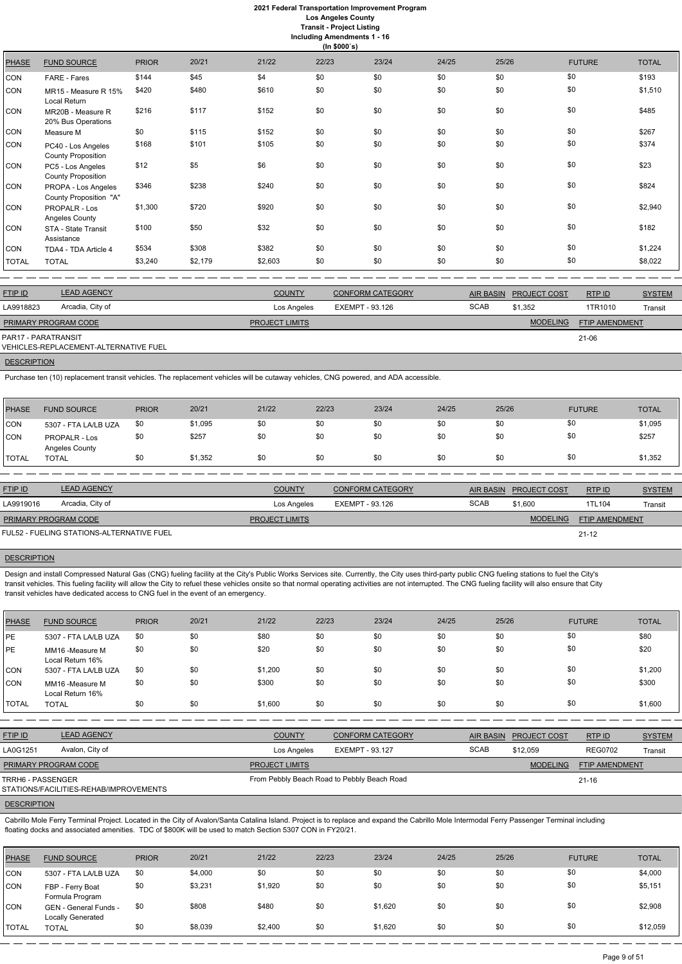## **2021 Federal Transportation Improvement Program Los Angeles County**

**Transit - Project Listing**

**Including Amendments 1 - 16**

|              | (ln \$000's)                                    |              |         |         |       |       |       |       |               |              |  |
|--------------|-------------------------------------------------|--------------|---------|---------|-------|-------|-------|-------|---------------|--------------|--|
| <b>PHASE</b> | <b>FUND SOURCE</b>                              | <b>PRIOR</b> | 20/21   | 21/22   | 22/23 | 23/24 | 24/25 | 25/26 | <b>FUTURE</b> | <b>TOTAL</b> |  |
| CON          | FARE - Fares                                    | \$144        | \$45    | \$4     | \$0   | \$0   | \$0   | \$0   | \$0           | \$193        |  |
| CON          | MR15 - Measure R 15%<br>Local Return            | \$420        | \$480   | \$610   | \$0   | \$0   | \$0   | \$0   | \$0           | \$1,510      |  |
| CON          | MR20B - Measure R<br>20% Bus Operations         | \$216        | \$117   | \$152   | \$0   | \$0   | \$0   | \$0   | \$0           | \$485        |  |
| CON          | Measure M                                       | \$0          | \$115   | \$152   | \$0   | \$0   | \$0   | \$0   | \$0           | \$267        |  |
| CON          | PC40 - Los Angeles<br><b>County Proposition</b> | \$168        | \$101   | \$105   | \$0   | \$0   | \$0   | \$0   | \$0           | \$374        |  |
| CON          | PC5 - Los Angeles<br><b>County Proposition</b>  | \$12         | \$5     | \$6     | \$0   | \$0   | \$0   | \$0   | \$0           | \$23         |  |
| <b>CON</b>   | PROPA - Los Angeles<br>County Proposition "A"   | \$346        | \$238   | \$240   | \$0   | \$0   | \$0   | \$0   | \$0           | \$824        |  |
| CON          | PROPALR - Los<br>Angeles County                 | \$1,300      | \$720   | \$920   | \$0   | \$0   | \$0   | \$0   | \$0           | \$2,940      |  |
| <b>CON</b>   | STA - State Transit<br>Assistance               | \$100        | \$50    | \$32    | \$0   | \$0   | \$0   | \$0   | \$0           | \$182        |  |
| <b>CON</b>   | TDA4 - TDA Article 4                            | \$534        | \$308   | \$382   | \$0   | \$0   | \$0   | \$0   | \$0           | \$1,224      |  |
| <b>TOTAL</b> | <b>TOTAL</b>                                    | \$3,240      | \$2,179 | \$2,603 | \$0   | \$0   | \$0   | \$0   | \$0           | \$8,022      |  |

| <b>FTIP ID</b>       | <b>LEAD AGENCY</b>                    | <b>COUNTY</b>         | <b>CONFORM CATEGORY</b> | <b>AIR BASIN</b> | <b>PROJECT COST</b> | RTP ID                | <b>SYSTEM</b>  |
|----------------------|---------------------------------------|-----------------------|-------------------------|------------------|---------------------|-----------------------|----------------|
| LA9918823            | Arcadia, City of                      | Los Angeles           | EXEMPT - 93.126         | <b>SCAB</b>      | \$1.352             | 1TR1010               | <b>Transit</b> |
| PRIMARY PROGRAM CODE |                                       | <b>PROJECT LIMITS</b> |                         |                  | <b>MODELING</b>     | <b>FTIP AMENDMENT</b> |                |
| PAR17 - PARATRANSIT  | VEHICLES-REPLACEMENT-ALTERNATIVE FUEL |                       |                         |                  |                     | 21-06                 |                |
|                      |                                       |                       |                         |                  |                     |                       |                |

**DESCRIPTION** 

Purchase ten (10) replacement transit vehicles. The replacement vehicles will be cutaway vehicles, CNG powered, and ADA accessible.

| PHASE        | <b>FUND SOURCE</b>                     | <b>PRIOR</b> | 20/21   | 21/22 | 22/23 | 23/24 | 24/25 | 25/26 | <b>FUTURE</b> | <b>TOTAL</b> |
|--------------|----------------------------------------|--------------|---------|-------|-------|-------|-------|-------|---------------|--------------|
| CON          | 5307 - FTA LA/LB UZA                   | \$0          | \$1,095 | \$0   | \$0   | \$0   | \$0   | \$0   | \$0           | \$1,095      |
| CON          | <b>PROPALR - Los</b><br>Angeles County | \$0          | \$257   | \$0   | \$0   | \$0   | \$0   | \$0   | \$0           | \$257        |
| <b>TOTAL</b> | <b>TOTAL</b>                           |              | \$1,352 | \$0   | \$0   | \$0   | \$0   | \$0   | \$0           | \$1,352      |

| <b>FTIP ID</b>              | <b>LEAD AGENCY</b>                        | <b>COUNTY</b>         | CONFORM CATEGORY |             | AIR BASIN PROJECT COST | RTPID                 | <b>SYSTEM</b> |
|-----------------------------|-------------------------------------------|-----------------------|------------------|-------------|------------------------|-----------------------|---------------|
| LA9919016                   | Arcadia, City of                          | Los Angeles           | EXEMPT - 93.126  | <b>SCAB</b> | \$1,600                | 1TL104                | Transit       |
| <b>PRIMARY PROGRAM CODE</b> |                                           | <b>PROJECT LIMITS</b> |                  |             | <b>MODELING</b>        | <b>FTIP AMENDMENT</b> |               |
|                             | FUL52 - FUELING STATIONS-ALTERNATIVE FUEL |                       |                  |             |                        | $21 - 12$             |               |

#### **DESCRIPTION**

Design and install Compressed Natural Gas (CNG) fueling facility at the City's Public Works Services site. Currently, the City uses third-party public CNG fueling stations to fuel the City's transit vehicles. This fueling facility will allow the City to refuel these vehicles onsite so that normal operating activities are not interrupted. The CNG fueling facility will also ensure that City transit vehicles have dedicated access to CNG fuel in the event of an emergency.

| <b>PHASE</b> | <b>FUND SOURCE</b>                  | <b>PRIOR</b> | 20/21 | 21/22   | 22/23 | 23/24 | 24/25 | 25/26 | <b>FUTURE</b> | <b>TOTAL</b> |
|--------------|-------------------------------------|--------------|-------|---------|-------|-------|-------|-------|---------------|--------------|
| PE           | 5307 - FTA LA/LB UZA                | \$0          | \$0   | \$80    | \$0   | \$0   | \$0   | \$0   | \$0           | \$80         |
| PE           | MM16 -Measure M<br>Local Return 16% | \$0          | \$0   | \$20    | \$0   | \$0   | \$0   | \$0   | \$0           | \$20         |
| <b>CON</b>   | 5307 - FTA LA/LB UZA                | \$0          | \$0   | \$1,200 | \$0   | \$0   | \$0   | \$0   | \$0           | \$1,200      |
| CON          | MM16 -Measure M<br>Local Return 16% | \$0          | \$0   | \$300   | \$0   | \$0   | \$0   | \$0   | \$0           | \$300        |
| <b>TOTAL</b> | <b>TOTAL</b>                        | \$0          | \$0   | \$1,600 | \$0   | \$0   | \$0   | \$0   | \$0           | \$1,600      |

| <b>FTIP ID</b>                                              | <b>LEAD AGENCY</b> | <b>COUNTY</b>         | CONFORM CATEGORY                            |             | AIR BASIN PROJECT COST | RTPID                 | <b>SYSTEM</b> |
|-------------------------------------------------------------|--------------------|-----------------------|---------------------------------------------|-------------|------------------------|-----------------------|---------------|
| LA0G1251                                                    | Avalon, City of    | Los Angeles           | EXEMPT - 93.127                             | <b>SCAB</b> | \$12,059               | <b>REG0702</b>        | Transit       |
| <b>PRIMARY PROGRAM CODE</b>                                 |                    | <b>PROJECT LIMITS</b> |                                             |             | <b>MODELING</b>        | <b>FTIP AMENDMENT</b> |               |
| TRRH6 - PASSENGER<br>STATIONS/FACILITIES-REHAB/IMPROVEMENTS |                    |                       | From Pebbly Beach Road to Pebbly Beach Road |             |                        | $21 - 16$             |               |
| <b>DESCRIPTION</b>                                          |                    |                       |                                             |             |                        |                       |               |

Cabrillo Mole Ferry Terminal Project. Located in the City of Avalon/Santa Catalina Island. Project is to replace and expand the Cabrillo Mole Intermodal Ferry Passenger Terminal including floating docks and associated amenities. TDC of \$800K will be used to match Section 5307 CON in FY20/21.

| <b>PHASE</b> | <b>FUND SOURCE</b>                                | <b>PRIOR</b> | 20/21   | 21/22   | 22/23 | 23/24   | 24/25 | 25/26 | <b>FUTURE</b> | <b>TOTAL</b> |
|--------------|---------------------------------------------------|--------------|---------|---------|-------|---------|-------|-------|---------------|--------------|
| <b>CON</b>   | 5307 - FTA LA/LB UZA                              | \$0          | \$4,000 | \$0     | \$0   | \$0     | \$0   | \$0   | \$0           | \$4,000      |
| <b>CON</b>   | FBP - Ferry Boat<br>Formula Program               | \$0          | \$3,231 | \$1,920 | \$0   | \$0     | \$0   | \$0   | \$0           | \$5,151      |
| <b>CON</b>   | GEN - General Funds -<br><b>Locally Generated</b> | \$0          | \$808   | \$480   | \$0   | \$1.620 | \$0   | \$0   | \$0           | \$2,908      |
| <b>TOTAL</b> | <b>TOTAL</b>                                      | \$0          | \$8,039 | \$2,400 | \$0   | \$1,620 | \$0   | \$0   | \$0           | \$12,059     |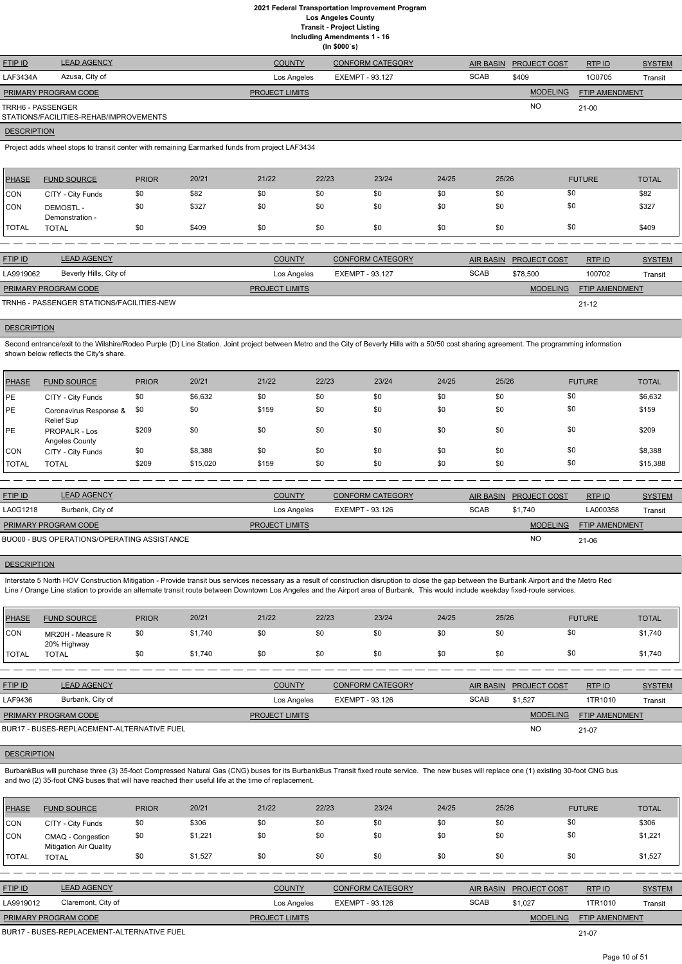**Including Amendments 1 - 16**

|  | (ln \$000's) |  |
|--|--------------|--|
|  |              |  |

| <b>FTIP ID</b>       | <b>LEAD AGENCY</b>                     | <b>COUNTY</b>         | <b>CONFORM CATEGORY</b> |             | AIR BASIN PROJECT COST | RTP ID         | <b>SYSTEM</b> |
|----------------------|----------------------------------------|-----------------------|-------------------------|-------------|------------------------|----------------|---------------|
| LAF3434A             | Azusa, City of                         | Los Angeles           | EXEMPT - 93.127         | <b>SCAB</b> | \$409                  | 100705         | Transit       |
| PRIMARY PROGRAM CODE |                                        | <b>PROJECT LIMITS</b> |                         |             | <b>MODELING</b>        | FTIP AMENDMENT |               |
| TRRH6 - PASSENGER    |                                        |                       |                         |             | <b>NC</b>              | $21-00$        |               |
|                      | STATIONS/FACILITIES-REHAB/IMPROVEMENTS |                       |                         |             |                        |                |               |

## **DESCRIPTION**

Project adds wheel stops to transit center with remaining Earmarked funds from project LAF3434

Second entrance/exit to the Wilshire/Rodeo Purple (D) Line Station. Joint project between Metro and the City of Beverly Hills with a 50/50 cost sharing agreement. The programming information shown below reflects the City's share.

| PHASE        | <b>FUND SOURCE</b>                 | <b>PRIOR</b> | 20/21 | 21/22 | 22/23 | 23/24 | 24/25 | 25/26 | <b>FUTURE</b> | <b>TOTAL</b> |
|--------------|------------------------------------|--------------|-------|-------|-------|-------|-------|-------|---------------|--------------|
| CON          | CITY - City Funds                  | \$0          | \$82  | \$0   | \$0   | \$0   | \$0   | \$0   | \$0           | \$82         |
| <b>CON</b>   | <b>DEMOSTL-</b><br>Demonstration - | \$0          | \$327 | \$0   | \$0   | \$0   | \$0   | \$0   | \$0           | \$327        |
| <b>TOTAL</b> | <b>TOTAL</b>                       | \$0          | \$409 | \$0   | \$0   | \$0   | \$0   | \$0   | \$0           | \$409        |

| <b>FTIP ID</b>                            | <b>LEAD AGENCY</b>     | <b>COUNTY</b>         | <b>CONFORM CATEGORY</b> |             | AIR BASIN PROJECT COST | RTP ID                | <b>SYSTEM</b> |
|-------------------------------------------|------------------------|-----------------------|-------------------------|-------------|------------------------|-----------------------|---------------|
| LA9919062                                 | Beverly Hills, City of | Los Angeles           | EXEMPT - 93.127         | <b>SCAB</b> | \$78,500               | 100702                | Transit       |
| <b>PRIMARY PROGRAM CODE</b>               |                        | <b>PROJECT LIMITS</b> |                         |             | <b>MODELING</b>        | <b>FTIP AMENDMENT</b> |               |
| TRNH6 - PASSENGER STATIONS/FACILITIES-NEW |                        |                       |                         |             |                        | $21 - 12$             |               |

#### **DESCRIPTION**

| PHASE        | <b>FUND SOURCE</b>                   | <b>PRIOR</b> | 20/21    | 21/22 | 22/23 | 23/24 | 24/25 | 25/26 | <b>FUTURE</b> | <b>TOTAL</b> |
|--------------|--------------------------------------|--------------|----------|-------|-------|-------|-------|-------|---------------|--------------|
| <b>IPE</b>   | CITY - City Funds                    | \$0          | \$6,632  | \$0   | \$0   | \$0   | \$0   | \$0   | \$0           | \$6,632      |
| PE           | Coronavirus Response &<br>Relief Sup | \$0          | \$0      | \$159 | \$0   | \$0   | \$0   | \$0   | \$0           | \$159        |
| PE           | PROPALR - Los<br>Angeles County      | \$209        | \$0      | \$0   | \$0   | \$0   | \$0   | \$0   | \$0           | \$209        |
| CON          | CITY - City Funds                    | \$0          | \$8,388  | \$0   | \$0   | \$0   | \$0   | \$0   | \$0           | \$8,388      |
| <b>TOTAL</b> | <b>TOTAL</b>                         | \$209        | \$15,020 | \$159 | \$0   | \$0   | \$0   | \$0   | \$0           | \$15,388     |

| <b>FTIP ID</b>              | <b>LEAD AGENCY</b>                          | <b>COUNTY</b>         | <b>CONFORM CATEGORY</b> | <b>AIR BASIN</b> | <b>PROJECT COST</b> | <b>RTPID</b>   | <b>SYSTEM</b> |
|-----------------------------|---------------------------------------------|-----------------------|-------------------------|------------------|---------------------|----------------|---------------|
| LA0G1218                    | Burbank, City of                            | Los Angeles           | EXEMPT - 93.126         | <b>SCAB</b>      | \$1.740             | LA000358       | Transit       |
| <b>PRIMARY PROGRAM CODE</b> |                                             | <b>PROJECT LIMITS</b> |                         |                  | <b>MODELING</b>     | FTIP AMENDMENT |               |
|                             | BUO00 - BUS OPERATIONS/OPERATING ASSISTANCE |                       |                         |                  | N <sub>O</sub>      | 21-06          |               |

## **DESCRIPTION**

Interstate 5 North HOV Construction Mitigation - Provide transit bus services necessary as a result of construction disruption to close the gap between the Burbank Airport and the Metro Red Line / Orange Line station to provide an alternate transit route between Downtown Los Angeles and the Airport area of Burbank. This would include weekday fixed-route services.

| PHASE      | <b>FUND SOURCE</b>               | <b>PRIOR</b> | 20/21   | 21/22 | 22/23 | 23/24 | 24/25 | 25/26 | <b>FUTURE</b> | <b>TOTAL</b> |
|------------|----------------------------------|--------------|---------|-------|-------|-------|-------|-------|---------------|--------------|
| <b>CON</b> | MR20H - Measure R<br>20% Highway | \$0          | \$1,740 | \$0   |       | \$0   | \$0   | \$0   | \$0           | \$1,740      |
| TOTAL      | <b>TOTAL</b>                     | \$0          | \$1,740 | \$0   |       | \$0   | \$0   | \$0   | \$0           | \$1,740      |

| FTIP ID                     | <b>LEAD AGENCY</b>                         | <b>COUNTY</b>         | <b>CONFORM CATEGORY</b> |             | AIR BASIN PROJECT COST | RTP ID                | <b>SYSTEM</b> |
|-----------------------------|--------------------------------------------|-----------------------|-------------------------|-------------|------------------------|-----------------------|---------------|
| LAF9436                     | Burbank, City of                           | Los Angeles           | EXEMPT - 93.126         | <b>SCAB</b> | \$1.527                | 1TR1010               | Transit       |
| <b>PRIMARY PROGRAM CODE</b> |                                            | <b>PROJECT LIMITS</b> |                         |             | <b>MODELING</b>        | <b>FTIP AMENDMENT</b> |               |
|                             | BUR17 - BUSES-REPLACEMENT-ALTERNATIVE FUEL |                       |                         |             |                        | 21-07                 |               |

## **DESCRIPTION**

BurbankBus will purchase three (3) 35-foot Compressed Natural Gas (CNG) buses for its BurbankBus Transit fixed route service. The new buses will replace one (1) existing 30-foot CNG bus and two (2) 35-foot CNG buses that will have reached their useful life at the time of replacement.

| <b>PHASE</b> | <b>FUND SOURCE</b>                                 | <b>PRIOR</b> | 20/21   | 21/22 | 22/23 | 23/24 | 24/25 | 25/26 | <b>FUTURE</b> | <b>TOTAL</b> |
|--------------|----------------------------------------------------|--------------|---------|-------|-------|-------|-------|-------|---------------|--------------|
| <b>CON</b>   | CITY - City Funds                                  | \$0          | \$306   | \$0   | \$0   | \$0   | \$0   |       | \$0           | \$306        |
| <b>CON</b>   | CMAQ - Congestion<br><b>Mitigation Air Quality</b> | \$0          | \$1,221 | \$0   | \$0   | \$0   | \$0   |       |               | \$1,221      |
| <b>TOTAL</b> | <b>TOTAL</b>                                       | \$0          | \$1,527 | \$0   | \$0   | \$0   | \$0   |       | \$0           | \$1,527      |

| <b>FTIP ID</b>                            | <b>LEAD AGENCY</b> | <b>COUNTY</b>         | <b>CONFORM CATEGORY</b> |             | <b>AIR BASIN PROJECT COST</b> | RTPID                 | <b>SYSTEM</b> |
|-------------------------------------------|--------------------|-----------------------|-------------------------|-------------|-------------------------------|-----------------------|---------------|
| LA9919012                                 | Claremont, City of | Los Angeles           | EXEMPT - 93.126         | <b>SCAB</b> | \$1.027                       | 1TR1010               | Transit       |
| <b>PRIMARY PROGRAM CODE</b>               |                    | <b>PROJECT LIMITS</b> |                         |             | <b>MODELING</b>               | <b>FTIP AMENDMENT</b> |               |
| DUD17 DUCES DEDI ACEMENT ALTEDNATIVE EUEL |                    |                       |                         |             |                               | $\sim$ $\sim$ $\sim$  |               |

21-07

BUR17 - BUSES-REPLACEMENT-ALTERNATIVE FUEL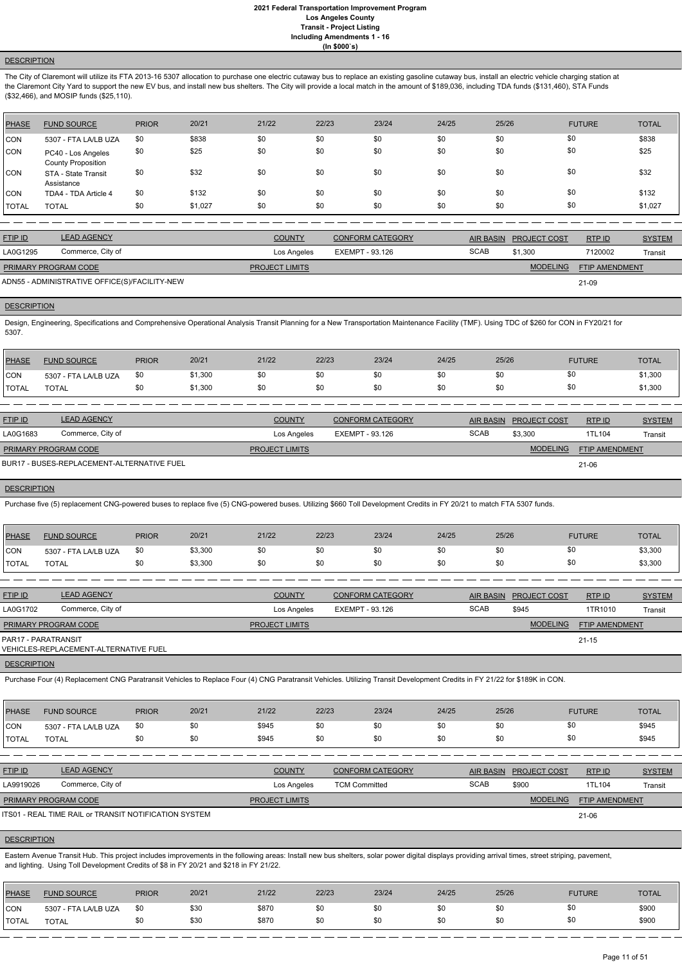## **DESCRIPTION**

The City of Claremont will utilize its FTA 2013-16 5307 allocation to purchase one electric cutaway bus to replace an existing gasoline cutaway bus, install an electric vehicle charging station at the Claremont City Yard to support the new EV bus, and install new bus shelters. The City will provide a local match in the amount of \$189,036, including TDA funds (\$131,460), STA Funds (\$32,466), and MOSIP funds (\$25,110).

Design, Engineering, Specifications and Comprehensive Operational Analysis Transit Planning for a New Transportation Maintenance Facility (TMF). Using TDC of \$260 for CON in FY20/21 for 5307.

| <b>PHASE</b> | <b>FUND SOURCE</b>                              | <b>PRIOR</b> | 20/21   | 21/22 | 22/23 | 23/24 | 24/25 | 25/26 | <b>FUTURE</b> | <b>TOTAL</b> |
|--------------|-------------------------------------------------|--------------|---------|-------|-------|-------|-------|-------|---------------|--------------|
| <b>CON</b>   | 5307 - FTA LA/LB UZA                            | \$0          | \$838   | \$0   | \$0   | \$0   | \$0   | \$0   | \$0           | \$838        |
| <b>CON</b>   | PC40 - Los Angeles<br><b>County Proposition</b> | \$0          | \$25    | \$0   | \$0   | \$0   | \$0   | \$0   | \$0           | \$25         |
| CON          | STA - State Transit<br>Assistance               | \$0          | \$32    | \$0   | \$0   | \$0   | \$0   | \$0   | \$0           | \$32         |
| CON          | TDA4 - TDA Article 4                            | \$0          | \$132   | \$0   | \$0   | \$0   | \$0   | \$0   | \$0           | \$132        |
| <b>TOTAL</b> | <b>TOTAL</b>                                    | \$0          | \$1,027 | \$0   | \$0   | \$0   | \$0   | \$0   | \$0           | \$1,027      |

| <b>FTIP ID</b>       | <b>LEAD AGENCY</b>                            | <b>COUNTY</b>         | CONFORM CATEGORY |             | AIR BASIN PROJECT COST | RTP ID                | <b>SYSTEM</b> |
|----------------------|-----------------------------------------------|-----------------------|------------------|-------------|------------------------|-----------------------|---------------|
| LA0G1295             | Commerce, City of                             | Los Angeles           | EXEMPT - 93.126  | <b>SCAB</b> | \$1.300                | 7120002               | Transit       |
| PRIMARY PROGRAM CODE |                                               | <b>PROJECT LIMITS</b> |                  |             | <b>MODELING</b>        | <b>FTIP AMENDMENT</b> |               |
|                      | ADN55 - ADMINISTRATIVE OFFICE(S)/FACILITY-NEW |                       |                  |             |                        | 21-09                 |               |

**DESCRIPTION** 

| <b>PHASE</b> | <b>FUND SOURCE</b>   | <b>PRIOR</b> | 20/21   | 21/22 | 22/23 | 23/24 | 24/25 | 25/26 | <b>FUTURE</b> | <b>TOTAL</b> |
|--------------|----------------------|--------------|---------|-------|-------|-------|-------|-------|---------------|--------------|
| <b>CON</b>   | 5307 - FTA LA/LB UZA | -\$0         | \$1,300 |       |       | \$0   | \$0   | \$0   | \$0           | \$1,300      |
| <b>TOTAL</b> | TOTAL                |              | \$1,300 |       |       | \$0   | \$0   | \$0   | \$0           | \$1,300      |

| <b>FTIP ID</b>              | <b>LEAD AGENCY</b>                         | <b>COUNTY</b>         | <b>CONFORM CATEGORY</b> |             | AIR BASIN PROJECT COST | RTPID                 | <b>SYSTEM</b> |
|-----------------------------|--------------------------------------------|-----------------------|-------------------------|-------------|------------------------|-----------------------|---------------|
| LA0G1683                    | Commerce, City of                          | Los Angeles           | EXEMPT - 93.126         | <b>SCAB</b> | \$3.300                | 1TL104                | Transit       |
| <b>PRIMARY PROGRAM CODE</b> |                                            | <b>PROJECT LIMITS</b> |                         |             | <b>MODELING</b>        | <b>FTIP AMENDMENT</b> |               |
|                             | BUR17 - BUSES-REPLACEMENT-ALTERNATIVE FUEL |                       |                         |             |                        | 21-06                 |               |

BUR17 - BUSES-REPLACEMENT-ALTERNATIVE FUEL

**DESCRIPTION** 

Purchase five (5) replacement CNG-powered buses to replace five (5) CNG-powered buses. Utilizing \$660 Toll Development Credits in FY 20/21 to match FTA 5307 funds.

| <b>PHASE</b> | <b>FUND SOURCE</b>   | <b>PRIOR</b> | 20/21   | 21/22 | 22/23 | 23/24 | 24/25 | 25/26 | <b>FUTURE</b> | <b>TOTAL</b> |
|--------------|----------------------|--------------|---------|-------|-------|-------|-------|-------|---------------|--------------|
| <b>CON</b>   | 5307 - FTA LA/LB UZA | \$0          | \$3,300 | \$0   | \$0   |       | \$0   |       | \$0           | \$3,300      |
| <b>TOTAL</b> | TOTAL                | \$0          | \$3,300 | \$0   | \$0   | \$0   | \$0   |       | \$0           | \$3,300      |

| <b>FTIP ID</b>              | <b>LEAD AGENCY</b>                    | <b>COUNTY</b>         | <b>CONFORM CATEGORY</b> |             | AIR BASIN PROJECT COST | RTP ID                | <b>SYSTEM</b> |
|-----------------------------|---------------------------------------|-----------------------|-------------------------|-------------|------------------------|-----------------------|---------------|
| LA0G1702                    | Commerce, City of                     | Los Angeles           | EXEMPT - 93.126         | <b>SCAB</b> | \$945                  | 1TR1010               | Transit       |
| <b>PRIMARY PROGRAM CODE</b> |                                       | <b>PROJECT LIMITS</b> |                         |             | <b>MODELING</b>        | <b>FTIP AMENDMENT</b> |               |
| PAR17 - PARATRANSIT         | VEHICLES-REPLACEMENT-ALTERNATIVE FUEL |                       |                         |             |                        | $21 - 15$             |               |

**DESCRIPTION** 

Purchase Four (4) Replacement CNG Paratransit Vehicles to Replace Four (4) CNG Paratransit Vehicles. Utilizing Transit Development Credits in FY 21/22 for \$189K in CON.

| <b>PHASE</b>  | <b>FUND SOURCE</b>   | <b>PRIOR</b> | 20/21 | 21/22 | 22/23 | 23/24 | 24/25 | 25/26 | <b>FUTURE</b> | <b>TOTAL</b> |
|---------------|----------------------|--------------|-------|-------|-------|-------|-------|-------|---------------|--------------|
| <b>CON</b>    | 5307 - FTA LA/LB UZA | \$0          | \$0   | \$945 | งบ    | \$0   | \$0   | งบ    | \$0           | \$945        |
| <b>ITOTAL</b> | <b>TOTAL</b>         | \$0          | \$0   | \$945 |       | \$0   | \$0   | \$0   | \$0           | \$945        |

| <b>FTIP ID</b>              | <b>LEAD AGENCY</b>                                    | <b>COUNTY</b>         | <b>CONFORM CATEGORY</b> |             | AIR BASIN PROJECT COST | RTPID                 | <b>SYSTEM</b> |
|-----------------------------|-------------------------------------------------------|-----------------------|-------------------------|-------------|------------------------|-----------------------|---------------|
| LA9919026                   | Commerce, City of                                     | Los Angeles           | <b>TCM Committed</b>    | <b>SCAB</b> | \$900                  | 1TL104                | Transit       |
| <b>PRIMARY PROGRAM CODE</b> |                                                       | <b>PROJECT LIMITS</b> |                         |             | <b>MODELING</b>        | <b>FTIP AMENDMENT</b> |               |
|                             | ITS01 - REAL TIME RAIL or TRANSIT NOTIFICATION SYSTEM |                       |                         |             |                        | 21-06                 |               |

## **DESCRIPTION**

Eastern Avenue Transit Hub. This project includes improvements in the following areas: Install new bus shelters, solar power digital displays providing arrival times, street striping, pavement, and lighting. Using Toll Development Credits of \$8 in FY 20/21 and \$218 in FY 21/22.

| PHASE        | <b>FUND SOURCE</b>   | <b>PRIOR</b> | 20/21 | 21/22 | 22/23 | 23/24 | 24/25 | 25/26 | <b>FUTURE</b> | <b>TOTAL</b> |
|--------------|----------------------|--------------|-------|-------|-------|-------|-------|-------|---------------|--------------|
| <b>CON</b>   | 5307 - FTA LA/LB UZA | \$0          | \$30  | \$870 | \$0   | \$0   | \$0   | \$0   | \$0           | \$900        |
| <b>TOTAL</b> | TOTAL                | \$0          | \$30  | \$870 | \$0   | \$0   | \$0   | \$0   | \$0           | \$900        |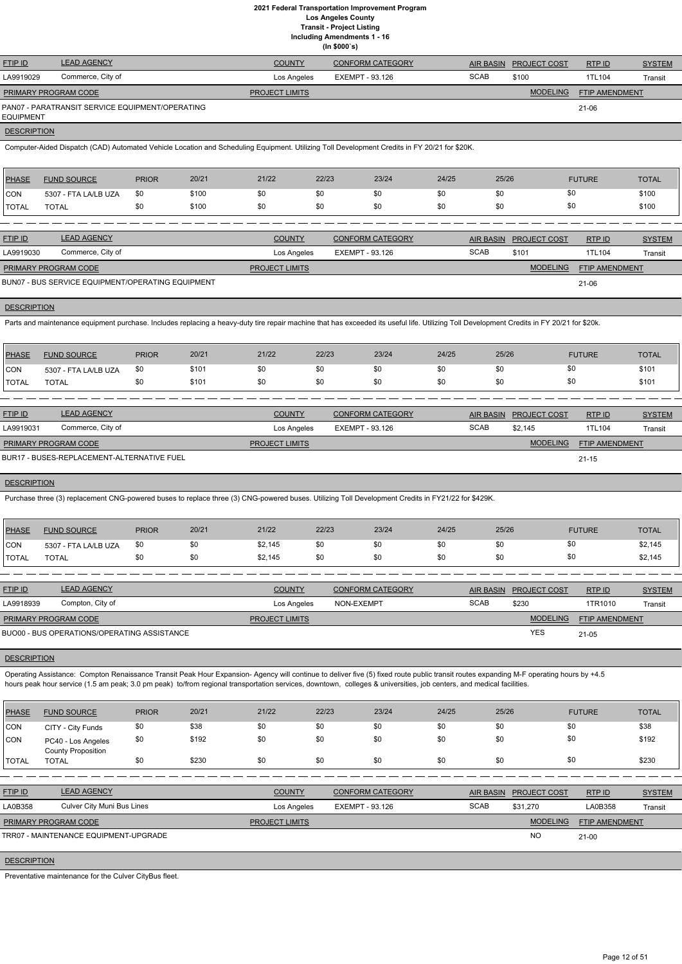**Including Amendments 1 - 16**

| (ln \$000's) |  |
|--------------|--|
|--------------|--|

| <b>FTIP ID</b>       | <b>LEAD AGENCY</b>                              | <b>COUNTY</b>         | <b>CONFORM CATEGORY</b> |             | AIR BASIN PROJECT COST | RTP ID         | <b>SYSTEM</b> |
|----------------------|-------------------------------------------------|-----------------------|-------------------------|-------------|------------------------|----------------|---------------|
| LA9919029            | Commerce, City of                               | Los Angeles           | EXEMPT - 93.126         | <b>SCAB</b> | \$100                  | 1TL104         | Transit       |
| PRIMARY PROGRAM CODE |                                                 | <b>PROJECT LIMITS</b> |                         |             | <b>MODELING</b>        | FTIP AMENDMENT |               |
| EQUIPMENT            | PAN07 - PARATRANSIT SERVICE EQUIPMENT/OPERATING |                       |                         |             |                        | $21 - 06$      |               |
| ___________          |                                                 |                       |                         |             |                        |                |               |

#### **DESCRIPTION**

Computer-Aided Dispatch (CAD) Automated Vehicle Location and Scheduling Equipment. Utilizing Toll Development Credits in FY 20/21 for \$20K.

| PHASE        | <b>FUND SOURCE</b>   | <b>PRIOR</b> | 20/21 | 21/22 | 22/23 | 23/24 | 24/25 | 25/26 | <b>FUTURE</b> | <b>TOTAL</b> |
|--------------|----------------------|--------------|-------|-------|-------|-------|-------|-------|---------------|--------------|
| <b>CON</b>   | 5307 - FTA LA/LB UZA | \$0          | \$100 | \$0   |       | \$0   | \$0   | \$0   | \$0           | \$100        |
| <b>TOTAL</b> | TOTAL                | \$0          | \$100 | \$0   |       | \$0   | \$0   | \$0   | \$0           | \$100        |

| <b>FTIP ID</b>              | <b>LEAD AGENCY</b>                                | <b>COUNTY</b>         | <b>CONFORM CATEGORY</b> | <b>AIR BASIN</b> | <b>PROJECT COST</b> | RTP ID                | <b>SYSTEM</b> |
|-----------------------------|---------------------------------------------------|-----------------------|-------------------------|------------------|---------------------|-----------------------|---------------|
| LA9919030                   | Commerce, City of                                 | Los Angeles           | EXEMPT - 93.126         | <b>SCAB</b>      | \$101               | 1TL104                | Transit       |
| <b>PRIMARY PROGRAM CODE</b> |                                                   | <b>PROJECT LIMITS</b> |                         |                  | <b>MODELING</b>     | <b>FTIP AMENDMENT</b> |               |
|                             | BUN07 - BUS SERVICE EQUIPMENT/OPERATING EQUIPMENT |                       |                         |                  |                     | $21 - 06$             |               |

**DESCRIPTION** 

Parts and maintenance equipment purchase. Includes replacing a heavy-duty tire repair machine that has exceeded its useful life. Utilizing Toll Development Credits in FY 20/21 for \$20k.

| <b>PHASE</b> | <b>FUND SOURCE</b>   | <b>PRIOR</b> | 20/21 | 21/22 | 22/23 | 23/24 | 24/25 | 25/26 | <b>FUTURE</b> | <b>TOTAL</b> |
|--------------|----------------------|--------------|-------|-------|-------|-------|-------|-------|---------------|--------------|
| <b>CON</b>   | 5307 - FTA LA/LB UZA | \$0          | \$101 | \$0   |       | \$0   | \$0   | \$0   | \$0           | \$101        |
| <b>TOTAL</b> | <b>TOTAL</b>         | \$0          | \$101 | \$0   |       | \$0   | \$0   | \$0   |               | \$101        |

Operating Assistance: Compton Renaissance Transit Peak Hour Expansion-Agency will continue to deliver five (5) fixed route public transit routes expanding M-F operating hours by +4.5 hours peak hour service (1.5 am peak; 3.0 pm peak) to/from regional transportation services, downtown, colleges & universities, job centers, and medical facilities.

| <b>FTIP ID</b>              | <b>LEAD AGENCY</b>                         | <b>COUNTY</b>         | CONFORM CATEGORY |             | AIR BASIN PROJECT COST | RTPID                 | <b>SYSTEM</b> |
|-----------------------------|--------------------------------------------|-----------------------|------------------|-------------|------------------------|-----------------------|---------------|
| LA9919031                   | Commerce, City of                          | Los Angeles           | EXEMPT - 93.126  | <b>SCAB</b> | \$2.145                | 1TL104                | Transit       |
| <b>PRIMARY PROGRAM CODE</b> |                                            | <b>PROJECT LIMITS</b> |                  |             | <b>MODELING</b>        | <b>FTIP AMENDMENT</b> |               |
|                             | BUR17 - BUSES-REPLACEMENT-ALTERNATIVE FUEL |                       |                  |             |                        | $21 - 15$             |               |

**DESCRIPTION** 

Purchase three (3) replacement CNG-powered buses to replace three (3) CNG-powered buses. Utilizing Toll Development Credits in FY21/22 for \$429K.

| PHASE        | <b>FUND SOURCE</b>   | <b>PRIOR</b> | 20/21 | 21/22   | 22/23 | 23/24 | 24/25 | 25/26 | <b>FUTURE</b> | <b>TOTAL</b> |
|--------------|----------------------|--------------|-------|---------|-------|-------|-------|-------|---------------|--------------|
| <b>CON</b>   | 5307 - FTA LA/LB UZA | \$0          |       | \$2,145 | \$0   | \$0   | \$0   |       | \$0           | \$2,145      |
| <b>TOTAL</b> | <b>TOTAL</b>         |              |       | \$2,145 | \$0   | \$0   | \$0   | งเ    | \$0           | \$2,145      |

| <b>FTIP ID</b>              | <b>LEAD AGENCY</b>                          | <b>COUNTY</b>         | <b>CONFORM CATEGORY</b> | AIR BASIN   | <b>PROJECT COST</b> | RTPID          | <b>SYSTEM</b> |
|-----------------------------|---------------------------------------------|-----------------------|-------------------------|-------------|---------------------|----------------|---------------|
| LA9918939                   | Compton, City of                            | Los Angeles           | NON-EXEMPT              | <b>SCAB</b> | \$230               | 1TR1010        | Transit       |
| <b>PRIMARY PROGRAM CODE</b> |                                             | <b>PROJECT LIMITS</b> |                         |             | <b>MODELING</b>     | FTIP AMENDMENT |               |
|                             | BUO00 - BUS OPERATIONS/OPERATING ASSISTANCE |                       |                         |             | <b>YES</b>          | 21-05          |               |

#### **DESCRIPTION**

| <b>PHASE</b>            | <b>FUND SOURCE</b>                              | <b>PRIOR</b> | 20/21 | 21/22                 | 22/23           | 23/24                   | 24/25       | 25/26            |                     | <b>FUTURE</b>  | <b>TOTAL</b>  |
|-------------------------|-------------------------------------------------|--------------|-------|-----------------------|-----------------|-------------------------|-------------|------------------|---------------------|----------------|---------------|
| CON                     | CITY - City Funds                               | \$0          | \$38  | \$0                   | \$0             | \$0                     | \$0         | \$0              | \$0                 |                | \$38          |
| CON                     | PC40 - Los Angeles<br><b>County Proposition</b> | \$0          | \$192 | \$0                   | \$0             | \$0                     | \$0         | \$0              | \$0                 |                | \$192         |
| <b>TOTAL</b>            | <b>TOTAL</b>                                    | \$0          | \$230 | \$0                   | \$0             | \$0                     | \$0         | \$0              | \$0                 |                | \$230         |
|                         |                                                 |              |       |                       |                 |                         |             |                  |                     |                |               |
| <b>FTIP ID</b>          | <b>LEAD AGENCY</b>                              |              |       | <b>COUNTY</b>         |                 | <b>CONFORM CATEGORY</b> |             | <b>AIR BASIN</b> | <b>PROJECT COST</b> | RTP ID         | <b>SYSTEM</b> |
| LA0B358                 | Culver City Muni Bus Lines                      |              |       | Los Angeles           | EXEMPT - 93.126 |                         | <b>SCAB</b> |                  | \$31,270            | LA0B358        | Transit       |
|                         | PRIMARY PROGRAM CODE                            |              |       | <b>PROJECT LIMITS</b> |                 |                         |             |                  | <b>MODELING</b>     | FTIP AMENDMENT |               |
|                         | TRR07 - MAINTENANCE EQUIPMENT-UPGRADE           |              |       |                       |                 |                         |             |                  | <b>NO</b>           | $21 - 00$      |               |
| $- - - - - - - - - - -$ |                                                 |              |       |                       |                 |                         |             |                  |                     |                |               |

DESCRIPTION

Preventative maintenance for the Culver CityBus fleet.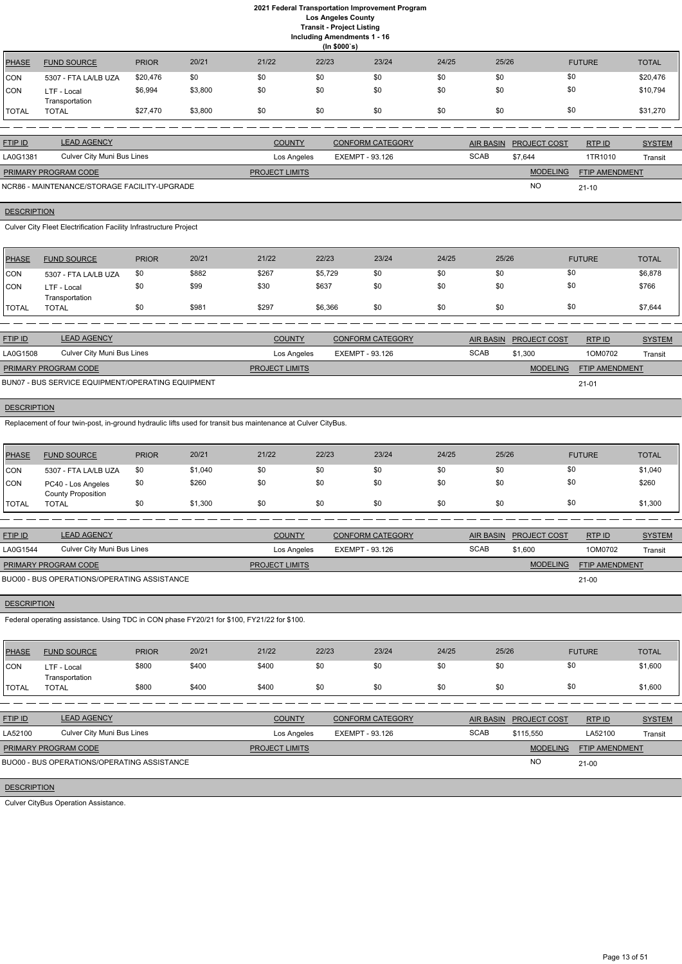**Including Amendments 1 - 16**

| iding Amendments 1 - 1    |  |  |
|---------------------------|--|--|
| $\mathbf{a}$ $\mathbf{a}$ |  |  |

|              | (ln \$000's)                  |              |         |       |       |       |       |       |               |              |
|--------------|-------------------------------|--------------|---------|-------|-------|-------|-------|-------|---------------|--------------|
| <b>PHASE</b> | <b>FUND SOURCE</b>            | <b>PRIOR</b> | 20/21   | 21/22 | 22/23 | 23/24 | 24/25 | 25/26 | <b>FUTURE</b> | <b>TOTAL</b> |
| <b>CON</b>   | 5307 - FTA LA/LB UZA          | \$20,476     | \$0     | \$0   | \$0   | \$0   | \$0   | \$0   | \$0           | \$20,476     |
| <b>CON</b>   | LTF - Local<br>Transportation | \$6,994      | \$3,800 | \$0   | \$0   | \$0   | \$0   | \$0   | \$0           | \$10,794     |
| <b>TOTAL</b> | TOTAL                         | \$27,470     | \$3,800 | \$0   | \$0   | \$0   | \$0   | \$0   | \$0           | \$31,270     |

| <b>FTIP ID</b>              | <b>LEAD AGENCY</b>                           | <b>COUNTY</b>         | <b>CONFORM CATEGORY</b> |             | <b>AIR BASIN PROJECT COST</b> | RTP ID                | <b>SYSTEM</b> |
|-----------------------------|----------------------------------------------|-----------------------|-------------------------|-------------|-------------------------------|-----------------------|---------------|
| LA0G1381                    | Culver City Muni Bus Lines                   | Los Angeles           | EXEMPT - 93.126         | <b>SCAB</b> | \$7.644                       | 1TR1010               | Transit       |
| <b>PRIMARY PROGRAM CODE</b> |                                              | <b>PROJECT LIMITS</b> |                         |             | <b>MODELING</b>               | <b>FTIP AMENDMENT</b> |               |
|                             | NCR86 - MAINTENANCE/STORAGE FACILITY-UPGRADE |                       |                         |             | <b>NO</b>                     | $21 - 10$             |               |

# **DESCRIPTION**

Culver City Fleet Electrification Facility Infrastructure Project

| <b>PHASE</b>  | <b>FUND SOURCE</b>            | <b>PRIOR</b> | 20/21 | 21/22 | 22/23   | 23/24 | 24/25 | 25/26 | <b>FUTURE</b> | <b>TOTAL</b> |
|---------------|-------------------------------|--------------|-------|-------|---------|-------|-------|-------|---------------|--------------|
| <b>ICON</b>   | 5307 - FTA LA/LB UZA          | \$0          | \$882 | \$267 | \$5,729 | \$0   | \$0   | \$0   | \$0           | \$6,878      |
| <b>ICON</b>   | LTF - Local<br>Transportation | \$0          | \$99  | \$30  | \$637   | \$0   | \$0   | \$0   | \$0           | \$766        |
| <b>ITOTAL</b> | <b>TOTAL</b>                  | \$0          | \$981 | \$297 | \$6,366 | \$0   | \$0   | \$0   | \$0           | \$7,644      |

| <b>FTIP ID</b>              | <b>LEAD AGENCY</b>                                | <b>COUNTY</b>         | <b>CONFORM CATEGORY</b> |             | AIR BASIN PROJECT COST | RTP ID                | <b>SYSTEM</b> |
|-----------------------------|---------------------------------------------------|-----------------------|-------------------------|-------------|------------------------|-----------------------|---------------|
| LA0G1508                    | Culver City Muni Bus Lines                        | Los Angeles           | EXEMPT - 93.126         | <b>SCAB</b> | \$1.300                | 1OM0702               | Transit       |
| <b>PRIMARY PROGRAM CODE</b> |                                                   | <b>PROJECT LIMITS</b> |                         |             | <b>MODELING</b>        | <b>FTIP AMENDMENT</b> |               |
|                             | BUN07 - BUS SERVICE EQUIPMENT/OPERATING EQUIPMENT |                       |                         |             |                        | $21 - 01$             |               |

## **DESCRIPTION**

Replacement of four twin-post, in-ground hydraulic lifts used for transit bus maintenance at Culver CityBus.

| PHASE        | <b>FUND SOURCE</b>                              | <b>PRIOR</b> | 20/21   | 21/22 | 22/23 | 23/24 | 24/25 | 25/26 | <b>FUTURE</b> | <b>TOTAL</b> |
|--------------|-------------------------------------------------|--------------|---------|-------|-------|-------|-------|-------|---------------|--------------|
| CON          | 5307 - FTA LA/LB UZA                            | \$0          | \$1,040 | \$0   | \$0   | \$0   | \$0   | \$0   | \$0           | \$1,040      |
| <b>CON</b>   | PC40 - Los Angeles<br><b>County Proposition</b> | \$0          | \$260   | \$0   | \$0   | \$0   | \$0   | \$0   | \$0           | \$260        |
| <b>TOTAL</b> | <b>TOTAL</b>                                    | \$0          | \$1,300 | \$0   | \$0   | \$0   | \$0   | \$0   | \$0           | \$1,300      |

| <b>FTIP ID</b>                              | <b>LEAD AGENCY</b>         | <b>COUNTY</b>         | <b>CONFORM CATEGORY</b> | AIR BASIN   | <b>PROJECT COST</b> | RTP ID                | <b>SYSTEM</b> |
|---------------------------------------------|----------------------------|-----------------------|-------------------------|-------------|---------------------|-----------------------|---------------|
| LA0G1544                                    | Culver City Muni Bus Lines | Los Angeles           | EXEMPT - 93.126         | <b>SCAB</b> | \$1,600             | 1OM0702               | Transit       |
| <b>PRIMARY PROGRAM CODE</b>                 |                            | <b>PROJECT LIMITS</b> |                         |             | <b>MODELING</b>     | <b>FTIP AMENDMENT</b> |               |
| BUO00 - BUS OPERATIONS/OPERATING ASSISTANCE |                            |                       |                         |             |                     | $21 - 00$             |               |

## **DESCRIPTION**

Federal operating assistance. Using TDC in CON phase FY20/21 for \$100, FY21/22 for \$100.

| PHASE        | <b>FUND SOURCE</b>            | <b>PRIOR</b> | 20/21 | 21/22 | 22/23 | 23/24 | 24/25 | 25/26 | <b>FUTURE</b> | <b>TOTAL</b> |
|--------------|-------------------------------|--------------|-------|-------|-------|-------|-------|-------|---------------|--------------|
| CON          | LTF - Local<br>Transportation | \$800        | \$400 | \$400 | \$0   | \$0   | \$0   |       | \$0           | \$1,600      |
| <b>TOTAL</b> | <b>TOTAL</b>                  | \$800        | \$400 | \$400 | \$0   | \$0   | \$0   |       | \$0           | \$1,600      |

FTIP ID LEAD AGENCY COUNTY CONFORM CATEGORY AIR BASIN PROJECT COST RTP ID SYSTEM AND STREM

| LA52100              | Culver City Muni Bus Lines                  | Los Angeles           | EXEMPT - 93.126 | <b>SCAB</b> | \$115,550       | LA52100               | Transit |
|----------------------|---------------------------------------------|-----------------------|-----------------|-------------|-----------------|-----------------------|---------|
| PRIMARY PROGRAM CODE |                                             | <b>PROJECT LIMITS</b> |                 |             | <b>MODELING</b> | <b>FTIP AMENDMENT</b> |         |
|                      | BUO00 - BUS OPERATIONS/OPERATING ASSISTANCE |                       |                 |             | <b>NO</b>       | $21 - 00$             |         |
| _____________        |                                             |                       |                 |             |                 |                       |         |

## **DESCRIPTION**

Culver CityBus Operation Assistance.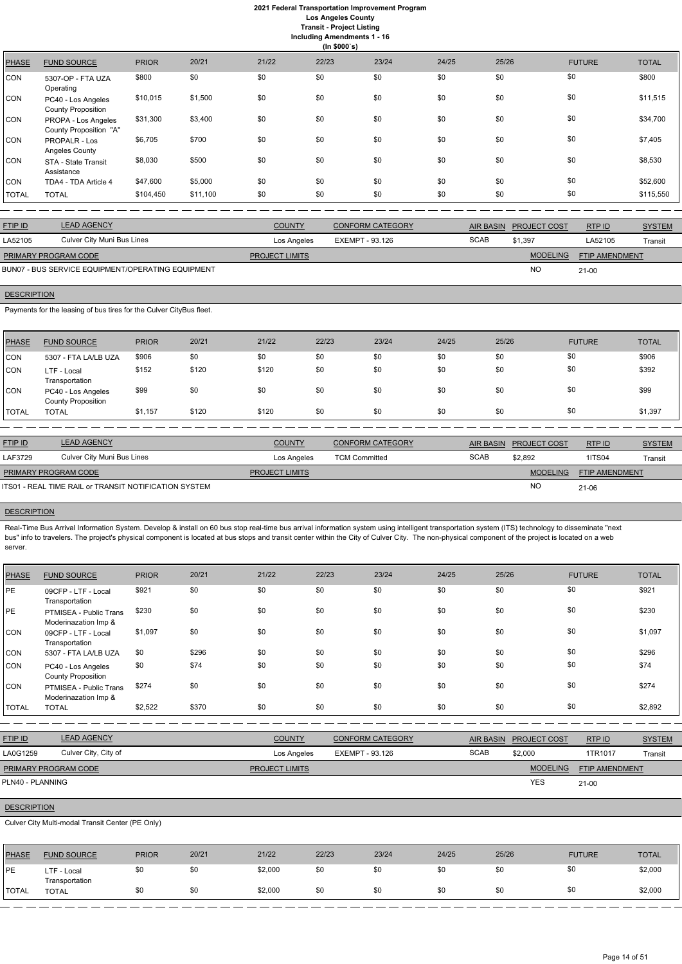# **2021 Federal Transportation Improvement Program Los Angeles County**

**Transit - Project Listing**

**Including Amendments 1 - 16**

|              | (ln \$000's)                                    |              |          |       |       |       |       |       |               |              |
|--------------|-------------------------------------------------|--------------|----------|-------|-------|-------|-------|-------|---------------|--------------|
| <b>PHASE</b> | <b>FUND SOURCE</b>                              | <b>PRIOR</b> | 20/21    | 21/22 | 22/23 | 23/24 | 24/25 | 25/26 | <b>FUTURE</b> | <b>TOTAL</b> |
| CON          | 5307-OP - FTA UZA<br>Operating                  | \$800        | \$0      | \$0   | \$0   | \$0   | \$0   | \$0   | \$0           | \$800        |
| CON          | PC40 - Los Angeles<br><b>County Proposition</b> | \$10,015     | \$1,500  | \$0   | \$0   | \$0   | \$0   | \$0   | \$0           | \$11,515     |
| CON          | PROPA - Los Angeles<br>County Proposition "A"   | \$31,300     | \$3,400  | \$0   | \$0   | \$0   | \$0   | \$0   | \$0           | \$34,700     |
| CON          | <b>PROPALR - Los</b><br>Angeles County          | \$6,705      | \$700    | \$0   | \$0   | \$0   | \$0   | \$0   | \$0           | \$7,405      |
| CON          | STA - State Transit<br>Assistance               | \$8,030      | \$500    | \$0   | \$0   | \$0   | \$0   | \$0   | \$0           | \$8,530      |
| CON          | TDA4 - TDA Article 4                            | \$47,600     | \$5,000  | \$0   | \$0   | \$0   | \$0   | \$0   | \$0           | \$52,600     |
| <b>TOTAL</b> | <b>TOTAL</b>                                    | \$104,450    | \$11,100 | \$0   | \$0   | \$0   | \$0   | \$0   | \$0           | \$115,550    |

| <u>FTIP ID</u>                                    | <b>LEAD AGENCY</b>         | <b>COUNTY</b>         | <b>CONFORM CATEGORY</b> | AIR BASIN   | <b>PROJECT COST</b> | RTPID                 | <b>SYSTEM</b> |
|---------------------------------------------------|----------------------------|-----------------------|-------------------------|-------------|---------------------|-----------------------|---------------|
| LA52105                                           | Culver City Muni Bus Lines | Los Angeles           | EXEMPT - 93.126         | <b>SCAB</b> | \$1,397             | LA52105               | Transit       |
| PRIMARY PROGRAM CODE                              |                            | <b>PROJECT LIMITS</b> |                         |             | <b>MODELING</b>     | <b>FTIP AMENDMENT</b> |               |
| BUN07 - BUS SERVICE EQUIPMENT/OPERATING EQUIPMENT |                            |                       |                         |             | <b>NC</b>           | $21 - 00$             |               |

BUN07 - BUS SERVICE EQUIPMENT/OPERATING EQUIPMENT

# **DESCRIPTION**

Payments for the leasing of bus tires for the Culver CityBus fleet.

Real-Time Bus Arrival Information System. Develop & install on 60 bus stop real-time bus arrival information system using intelligent transportation system (ITS) technology to disseminate "next bus" info to travelers. The project's physical component is located at bus stops and transit center within the City of Culver City. The non-physical component of the project is located on a web server.

| <b>PHASE</b> | <b>FUND SOURCE</b>                              | <b>PRIOR</b> | 20/21 | 21/22 | 22/23 | 23/24 | 24/25 | 25/26 | <b>FUTURE</b> | <b>TOTAL</b> |
|--------------|-------------------------------------------------|--------------|-------|-------|-------|-------|-------|-------|---------------|--------------|
| CON          | 5307 - FTA LA/LB UZA                            | \$906        | \$0   | \$0   | \$0   | \$0   | \$0   | \$0   | \$0           | \$906        |
| <b>CON</b>   | LTF - Local<br>Transportation                   | \$152        | \$120 | \$120 | \$0   | \$0   | \$0   | \$0   | \$0           | \$392        |
| <b>CON</b>   | PC40 - Los Angeles<br><b>County Proposition</b> | \$99         | \$0   | \$0   | \$0   | \$0   | \$0   | \$0   | \$0           | \$99         |
| TOTAL        | <b>TOTAL</b>                                    | \$1,157      | \$120 | \$120 | \$0   | \$0   | \$0   | \$0   | \$0           | \$1,397      |

| <b>FTIP ID</b>              | <b>LEAD AGENCY</b>                                    | <b>COUNTY</b>         | <b>CONFORM CATEGORY</b> |             | AIR BASIN PROJECT COST | RTP ID                | <b>SYSTEM</b> |
|-----------------------------|-------------------------------------------------------|-----------------------|-------------------------|-------------|------------------------|-----------------------|---------------|
| LAF3729                     | Culver City Muni Bus Lines                            | Los Angeles           | <b>TCM Committed</b>    | <b>SCAB</b> | \$2.892                | <b>1ITS04</b>         | Transit       |
| <b>PRIMARY PROGRAM CODE</b> |                                                       | <b>PROJECT LIMITS</b> |                         |             | <b>MODELING</b>        | <b>FTIP AMENDMENT</b> |               |
|                             | ITS01 - REAL TIME RAIL or TRANSIT NOTIFICATION SYSTEM |                       |                         |             | <b>NC</b>              | $21 - 06$             |               |

## **DESCRIPTION**

| <b>PHASE</b> | <b>FUND SOURCE</b>                              | <b>PRIOR</b> | 20/21 | 21/22 | 22/23 | 23/24 | 24/25 | 25/26 | <b>FUTURE</b> | <b>TOTAL</b> |
|--------------|-------------------------------------------------|--------------|-------|-------|-------|-------|-------|-------|---------------|--------------|
| PE           | 09CFP - LTF - Local<br>Transportation           | \$921        | \$0   | \$0   | \$0   | \$0   | \$0   | \$0   | \$0           | \$921        |
| PE           | PTMISEA - Public Trans<br>Moderinazation Imp &  | \$230        | \$0   | \$0   | \$0   | \$0   | \$0   | \$0   | \$0           | \$230        |
| CON          | 09CFP - LTF - Local<br>Transportation           | \$1,097      | \$0   | \$0   | \$0   | \$0   | \$0   | \$0   | \$0           | \$1,097      |
| CON          | 5307 - FTA LA/LB UZA                            | \$0          | \$296 | \$0   | \$0   | \$0   | \$0   | \$0   | \$0           | \$296        |
| CON          | PC40 - Los Angeles<br><b>County Proposition</b> | \$0          | \$74  | \$0   | \$0   | \$0   | \$0   | \$0   | \$0           | \$74         |
| CON          | PTMISEA - Public Trans<br>Moderinazation Imp &  | \$274        | \$0   | \$0   | \$0   | \$0   | \$0   | \$0   | \$0           | \$274        |
| <b>TOTAL</b> | <b>TOTAL</b>                                    | \$2,522      | \$370 | \$0   | \$0   | \$0   | \$0   | \$0   | \$0           | \$2,892      |

| <b>FTIP ID</b>             | <b>LEAD AGENCY</b>   | <b>COUNTY</b>         | <b>CONFORM CATEGORY</b> |             | AIR BASIN PROJECT COST | RTP ID                | <b>SYSTEM</b> |
|----------------------------|----------------------|-----------------------|-------------------------|-------------|------------------------|-----------------------|---------------|
| LA0G1259                   | Culver City, City of | Los Angeles           | EXEMPT - 93.126         | <b>SCAB</b> | \$2,000                | 1TR1017               | Transit       |
| PRIMARY PROGRAM CODE       |                      | <b>PROJECT LIMITS</b> |                         |             | <b>MODELING</b>        | <b>FTIP AMENDMENT</b> |               |
| PLN40 - PLANNING           |                      |                       |                         |             | <b>YES</b>             | $21-00$               |               |
|                            |                      |                       |                         |             |                        |                       |               |
| <b>DESCRIPTION</b>         |                      |                       |                         |             |                        |                       |               |
| __________________________ | .                    |                       |                         |             |                        |                       |               |

Culver City Multi-modal Transit Center (PE Only)

| PHASE                | <b>FUND SOURCE</b>             | <b>PRIOR</b> | 20/21 | 21/22   | 22/23 | 23/24 | 24/25 | 25/26 | <b>FUTURE</b> | <b>TOTAL</b> |
|----------------------|--------------------------------|--------------|-------|---------|-------|-------|-------|-------|---------------|--------------|
| PE                   | LTF - Local                    |              | \$0   | \$2,000 | \$0   | \$0   | \$0   |       |               | \$2,000      |
| <b><i>ITOTAL</i></b> | Transportation<br><b>TOTAL</b> |              | \$0   | \$2,000 | \$0   | \$0   | \$0   |       |               | \$2,000      |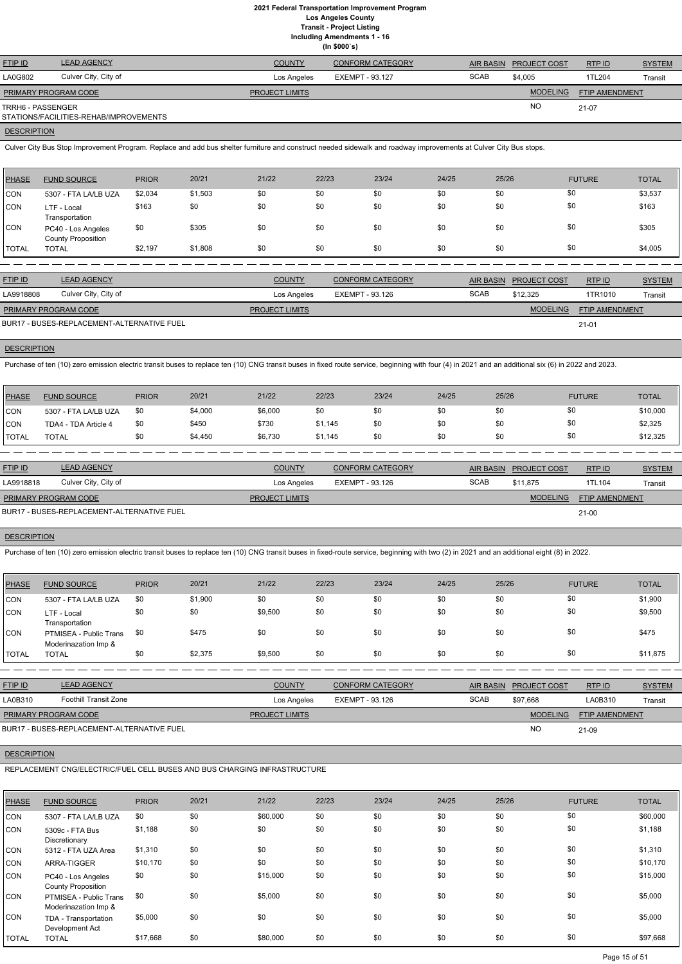**(In \$000`s)** FTIP ID LEAD AGENCY COUNTY CONFORM CATEGORY AIR BASIN PROJECT COST RTP ID SYSTEM AND STREM MODELING FTIP AMENDMENT RTP ID LA0G802 Culver City, City of Los Angeles EXEMPT - 93.127 Transit NO SCAB \$4,005 1TL204 21-07 **PROJECT LIMITS** TRRH6 - PASSENGER STATIONS/FACILITIES-REHAB/IMPROVEMENTS PRIMARY PROGRAM CODE

## **DESCRIPTION**

Culver City Bus Stop Improvement Program. Replace and add bus shelter furniture and construct needed sidewalk and roadway improvements at Culver City Bus stops.

| PHASE        | <b>FUND SOURCE</b>                              | <b>PRIOR</b> | 20/21   | 21/22 | 22/23 | 23/24 | 24/25 | 25/26 | <b>FUTURE</b> | <b>TOTAL</b> |
|--------------|-------------------------------------------------|--------------|---------|-------|-------|-------|-------|-------|---------------|--------------|
| <b>CON</b>   | 5307 - FTA LA/LB UZA                            | \$2,034      | \$1,503 | \$0   | \$0   | \$0   | \$0   | \$0   | \$0           | \$3,537      |
| <b>CON</b>   | LTF - Local<br>Transportation                   | \$163        | \$0     | \$0   | \$0   | \$0   | \$0   | \$0   | \$0           | \$163        |
| <b>CON</b>   | PC40 - Los Angeles<br><b>County Proposition</b> | \$0          | \$305   | \$0   | \$0   | \$0   | \$0   | \$0   | \$0           | \$305        |
| <b>TOTAL</b> | <b>TOTAL</b>                                    | \$2,197      | \$1,808 | \$0   | \$0   | \$0   | \$0   | \$0   | \$0           | \$4,005      |

| <b>FTIP ID</b>              | <b>LEAD AGENCY</b>                         | <b>COUNTY</b>         | <b>CONFORM CATEGORY</b> | AIR BASIN   | <b>PROJECT COST</b> | RTPID                 | <b>SYSTEM</b> |
|-----------------------------|--------------------------------------------|-----------------------|-------------------------|-------------|---------------------|-----------------------|---------------|
| LA9918808                   | Culver City, City of                       | Los Angeles           | EXEMPT - 93.126         | <b>SCAB</b> | \$12,325            | 1TR1010               | Transit       |
| <b>PRIMARY PROGRAM CODE</b> |                                            | <b>PROJECT LIMITS</b> |                         |             | <b>MODELING</b>     | <b>FTIP AMENDMENT</b> |               |
|                             | BUR17 - BUSES-REPLACEMENT-ALTERNATIVE FUEL |                       |                         |             |                     | $21 - 01$             |               |

#### **DESCRIPTION**

Purchase of ten (10) zero emission electric transit buses to replace ten (10) CNG transit buses in fixed route service, beginning with four (4) in 2021 and an additional six (6) in 2022 and 2023.

| PHASE        | <b>FUND SOURCE</b>   | <b>PRIOR</b> | 20/21   | 21/22   | 22/23   | 23/24 | 24/25 | 25/26 | <b>FUTURE</b> | <b>TOTAL</b> |
|--------------|----------------------|--------------|---------|---------|---------|-------|-------|-------|---------------|--------------|
| CON          | 5307 - FTA LA/LB UZA | \$0          | \$4,000 | \$6,000 | \$0     | \$0   | \$0   | \$U   | \$0           | \$10,000     |
| CON          | TDA4 - TDA Article 4 | \$0          | \$450   | \$730   | \$1,145 | \$0   | \$0   | \$0   | \$0           | \$2,325      |
| <b>TOTAL</b> | <b>TOTAL</b>         | \$0          | \$4,450 | \$6,730 | \$1,145 | \$0   | \$0   | \$Ο   | \$0           | \$12,325     |

| <b>FTIP ID</b>              | <b>LEAD AGENCY</b>                         | <b>COUNTY</b>         | <b>CONFORM CATEGORY</b> | AIR BASIN   | <b>PROJECT COST</b> | RTP ID                | <b>SYSTEM</b> |
|-----------------------------|--------------------------------------------|-----------------------|-------------------------|-------------|---------------------|-----------------------|---------------|
| LA9918818                   | Culver City, City of                       | Los Angeles           | EXEMPT - 93.126         | <b>SCAB</b> | \$11.875            | 1TL104                | Transit       |
| <b>PRIMARY PROGRAM CODE</b> |                                            | <b>PROJECT LIMITS</b> |                         |             | <b>MODELING</b>     | <b>FTIP AMENDMENT</b> |               |
|                             | BUR17 - BUSES-REPLACEMENT-ALTERNATIVE FUEL |                       |                         |             |                     | $21 - 00$             |               |

## **DESCRIPTION**

Purchase of ten (10) zero emission electric transit buses to replace ten (10) CNG transit buses in fixed-route service, beginning with two (2) in 2021 and an additional eight (8) in 2022.

| PHASE      | <b>FUND SOURCE</b>                             | <b>PRIOR</b> | 20/21   | 21/22   | 22/23 | 23/24 | 24/25 | 25/26 | <b>FUTURE</b> | <b>TOTAL</b> |
|------------|------------------------------------------------|--------------|---------|---------|-------|-------|-------|-------|---------------|--------------|
| <b>CON</b> | 5307 - FTA LA/LB UZA                           | \$0          | \$1,900 | \$0     | \$0   | \$0   | \$0   | \$0   | \$0           | \$1,900      |
| CON        | LTF - Local<br>Transportation                  | \$0          | \$0     | \$9,500 | \$0   | \$0   | \$0   | \$0   | \$0           | \$9,500      |
| ICON       | PTMISEA - Public Trans<br>Moderinazation Imp & | \$0          | \$475   | \$0     | \$0   | \$0   | \$0   | \$0   | \$0           | \$475        |
| TOTAL      | <b>TOTAL</b>                                   | \$0          | \$2,375 | \$9,500 | \$0   | \$0   | \$0   | \$0   | \$0           | \$11,875     |

| <b>FTIP ID</b>              | <b>LEAD AGENCY</b>        | <b>COUNTY</b>         | <b>CONFORM CATEGORY</b> |             | AIR BASIN PROJECT COST | RTP ID                | <b>SYSTEM</b> |
|-----------------------------|---------------------------|-----------------------|-------------------------|-------------|------------------------|-----------------------|---------------|
| LA0B310                     | Foothill Transit Zone     | Los Angeles           | EXEMPT - 93.126         | <b>SCAB</b> | \$97,668               | LA0B310               | Transit       |
| <b>PRIMARY PROGRAM CODE</b> |                           | <b>PROJECT LIMITS</b> |                         |             | <b>MODELING</b>        | <b>FTIP AMENDMENT</b> |               |
|                             | - . - - - - - - - - - - - |                       |                         |             | $\cdot$ . $\sim$       |                       |               |

## **DESCRIPTION**

#### REPLACEMENT CNG/ELECTRIC/FUEL CELL BUSES AND BUS CHARGING INFRASTRUCTURE

| <b>PHASE</b> | <b>FUND SOURCE</b>                              | <b>PRIOR</b> | 20/21 | 21/22    | 22/23 | 23/24 | 24/25 | 25/26 | <b>FUTURE</b> | <b>TOTAL</b> |
|--------------|-------------------------------------------------|--------------|-------|----------|-------|-------|-------|-------|---------------|--------------|
| <b>CON</b>   | 5307 - FTA LA/LB UZA                            | \$0          | \$0   | \$60,000 | \$0   | \$0   | \$0   | \$0   | \$0           | \$60,000     |
| <b>CON</b>   | 5309c - FTA Bus<br>Discretionary                | \$1,188      | \$0   | \$0      | \$0   | \$0   | \$0   | \$0   | \$0           | \$1,188      |
| <b>CON</b>   | 5312 - FTA UZA Area                             | \$1,310      | \$0   | \$0      | \$0   | \$0   | \$0   | \$0   | \$0           | \$1,310      |
| <b>CON</b>   | ARRA-TIGGER                                     | \$10,170     | \$0   | \$0      | \$0   | \$0   | \$0   | \$0   | \$0           | \$10,170     |
| <b>CON</b>   | PC40 - Los Angeles<br><b>County Proposition</b> | \$0          | \$0   | \$15,000 | \$0   | \$0   | \$0   | \$0   | \$0           | \$15,000     |
| <b>CON</b>   | PTMISEA - Public Trans<br>Moderinazation Imp &  | \$0          | \$0   | \$5,000  | \$0   | \$0   | \$0   | \$0   | \$0           | \$5,000      |
| <b>CON</b>   | TDA - Transportation<br>Development Act         | \$5,000      | \$0   | \$0      | \$0   | \$0   | \$0   | \$0   | \$0           | \$5,000      |
| <b>TOTAL</b> | <b>TOTAL</b>                                    | \$17,668     | \$0   | \$80,000 | \$0   | \$0   | \$0   | \$0   | \$0           | \$97,668     |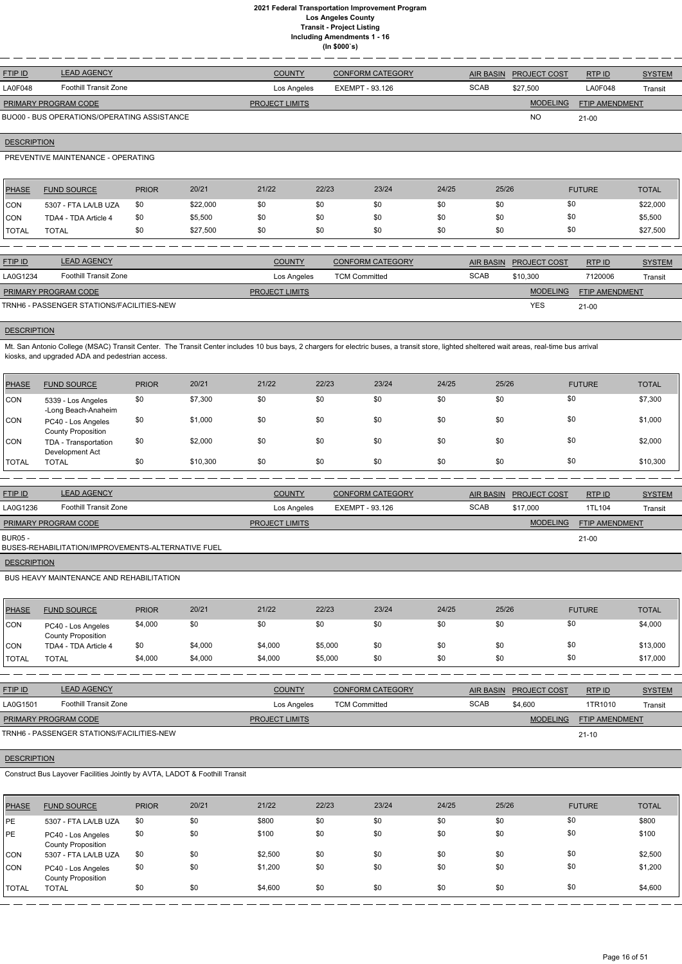| <b>FTIP ID</b>              | <b>LEAD AGENCY</b>                          | <b>COUNTY</b>         | <b>CONFORM CATEGORY</b> | <b>AIR BASIN</b> | <b>PROJECT COST</b> | RTP ID                | <b>SYSTEM</b> |
|-----------------------------|---------------------------------------------|-----------------------|-------------------------|------------------|---------------------|-----------------------|---------------|
| LA0F048                     | Foothill Transit Zone                       | Los Angeles           | EXEMPT - 93.126         | <b>SCAB</b>      | \$27,500            | LA0F048               | Transit       |
| <b>PRIMARY PROGRAM CODE</b> |                                             | <b>PROJECT LIMITS</b> |                         |                  | <b>MODELING</b>     | <b>FTIP AMENDMENT</b> |               |
|                             | BUO00 - BUS OPERATIONS/OPERATING ASSISTANCE |                       |                         |                  | <b>NO</b>           | $21 - 00$             |               |

## **DESCRIPTION**

## PREVENTIVE MAINTENANCE - OPERATING

| <b>PHASE</b>  | <b>FUND SOURCE</b>   | <b>PRIOR</b> | 20/21    | 21/22 | 22/23 | 23/24 | 24/25 | 25/26 | <b>FUTURE</b> | <b>TOTAL</b> |
|---------------|----------------------|--------------|----------|-------|-------|-------|-------|-------|---------------|--------------|
| <b>CON</b>    | 5307 - FTA LA/LB UZA | \$0          | \$22,000 | \$0   | \$0   | \$0   | \$0   | \$0   | \$0           | \$22,000     |
| <b>CON</b>    | TDA4 - TDA Article 4 | \$0          | \$5,500  | \$0   | \$0   | \$0   | \$0   |       | \$0           | \$5,500      |
| <b>ITOTAL</b> | <b>TOTAL</b>         | \$0          | \$27,500 | \$0   | \$0   | \$0   | \$0   | \$0   | \$0           | \$27,500     |
|               |                      |              |          |       |       |       |       |       |               |              |

| <b>FTIP ID</b>              | <b>LEAD AGENCY</b>                        | <b>COUNTY</b>         | <b>CONFORM CATEGORY</b> |             | AIR BASIN PROJECT COST | RTPID                 | <b>SYSTEM</b> |
|-----------------------------|-------------------------------------------|-----------------------|-------------------------|-------------|------------------------|-----------------------|---------------|
| LA0G1234                    | <b>Foothill Transit Zone</b>              | Los Angeles           | <b>TCM Committed</b>    | <b>SCAB</b> | \$10,300               | 7120006               | Transit       |
| <b>PRIMARY PROGRAM CODE</b> |                                           | <b>PROJECT LIMITS</b> |                         |             | <b>MODELING</b>        | <b>FTIP AMENDMENT</b> |               |
|                             | TRNH6 - PASSENGER STATIONS/FACILITIES-NEW |                       |                         |             | <b>YES</b>             | $21 - 00$             |               |

## **DESCRIPTION**

Mt. San Antonio College (MSAC) Transit Center. The Transit Center includes 10 bus bays, 2 chargers for electric buses, a transit store, lighted sheltered wait areas, real-time bus arrival kiosks, and upgraded ADA and pedestrian access.

| <b>PHASE</b> | <b>FUND SOURCE</b>                              | <b>PRIOR</b> | 20/21    | 21/22 | 22/23 | 23/24 | 24/25 | 25/26 | <b>FUTURE</b> | <b>TOTAL</b> |
|--------------|-------------------------------------------------|--------------|----------|-------|-------|-------|-------|-------|---------------|--------------|
| <b>CON</b>   | 5339 - Los Angeles<br>-Long Beach-Anaheim       | \$0          | \$7,300  | \$0   | \$0   | \$0   | \$0   | \$0   | \$0           | \$7,300      |
| <b>CON</b>   | PC40 - Los Angeles<br><b>County Proposition</b> | \$0          | \$1,000  | \$0   | \$0   | \$0   | \$0   | \$0   | \$0           | \$1,000      |
| CON          | TDA - Transportation<br>Development Act         | \$0          | \$2,000  | \$0   | \$0   | \$0   | \$0   | \$0   | \$0           | \$2,000      |
| <b>TOTAL</b> | <b>TOTAL</b>                                    | \$0          | \$10,300 | \$0   | \$0   | \$0   | \$0   | \$0   | \$0           | \$10,300     |

| <b>FTIP ID</b>       | <b>LEAD AGENCY</b>                                 | <b>COUNTY</b>         | <b>CONFORM CATEGORY</b> | AIR BASIN   | <b>PROJECT COST</b> | RTP ID                | <b>SYSTEM</b> |
|----------------------|----------------------------------------------------|-----------------------|-------------------------|-------------|---------------------|-----------------------|---------------|
| LA0G1236             | Foothill Transit Zone                              | Los Angeles           | EXEMPT - 93.126         | <b>SCAB</b> | \$17,000            | 1TL104                | Transit       |
| PRIMARY PROGRAM CODE |                                                    | <b>PROJECT LIMITS</b> |                         |             | <b>MODELING</b>     | <b>FTIP AMENDMENT</b> |               |
| BUR05 -              | BUSES-REHABILITATION/IMPROVEMENTS-ALTERNATIVE FUEL |                       |                         |             |                     | $21-00$               |               |

**DESCRIPTION** 

BUS HEAVY MAINTENANCE AND REHABILITATION

| <b>PHASE</b> | <b>FUND SOURCE</b>                       | <b>PRIOR</b> | 20/21   | 21/22   | 22/23   | 23/24 | 24/25 | 25/26 | <b>FUTURE</b> | <b>TOTAL</b> |
|--------------|------------------------------------------|--------------|---------|---------|---------|-------|-------|-------|---------------|--------------|
| <b>CON</b>   | PC40 - Los Angeles<br>County Proposition | \$4,000      | \$0     | \$0     | \$0     | \$0   | \$0   | \$0   | \$0           | \$4,000      |
| <b>CON</b>   | TDA4 - TDA Article 4                     | \$0          | \$4,000 | \$4,000 | \$5,000 | \$0   | \$0   | \$0   | \$0           | \$13,000     |
| <b>TOTAL</b> | TOTAL                                    | \$4,000      | \$4,000 | \$4,000 | \$5,000 | \$0   | \$0   | \$0   | \$0           | \$17,000     |

| <b>FTIP ID</b>              | <b>LEAD AGENCY</b>    | <b>COUNTY</b>         | <b>CONFORM CATEGORY</b> |             | AIR BASIN PROJECT COST | RTP ID         | <b>SYSTEM</b> |
|-----------------------------|-----------------------|-----------------------|-------------------------|-------------|------------------------|----------------|---------------|
| LA0G1501                    | Foothill Transit Zone | Los Angeles           | <b>TCM Committed</b>    | <b>SCAB</b> | \$4,600                | 1TR1010        | Transit       |
| <b>PRIMARY PROGRAM CODE</b> |                       | <b>PROJECT LIMITS</b> |                         |             | <b>MODELING</b>        | FTIP AMENDMENT |               |

## **DESCRIPTION**

Construct Bus Layover Facilities Jointly by AVTA, LADOT & Foothill Transit

| <b>PHASE</b> | <b>FUND SOURCE</b>                              | <b>PRIOR</b> | 20/21 | 21/22   | 22/23 | 23/24 | 24/25 | 25/26 | <b>FUTURE</b> | <b>TOTAL</b> |
|--------------|-------------------------------------------------|--------------|-------|---------|-------|-------|-------|-------|---------------|--------------|
| PE           | 5307 - FTA LA/LB UZA                            | \$0          | \$0   | \$800   | \$0   | \$0   | \$0   | \$0   | \$0           | \$800        |
| PE           | PC40 - Los Angeles<br><b>County Proposition</b> | \$0          | \$0   | \$100   | \$0   | \$0   | \$0   | \$0   | \$0           | \$100        |
| <b>CON</b>   | 5307 - FTA LA/LB UZA                            | \$0          | \$0   | \$2,500 | \$0   | \$0   | \$0   | \$0   | \$0           | \$2,500      |
| <b>CON</b>   | PC40 - Los Angeles<br><b>County Proposition</b> | \$0          | \$0   | \$1,200 | \$0   | \$0   | \$0   | \$0   | \$0           | \$1,200      |
| <b>TOTAL</b> | <b>TOTAL</b>                                    | \$0          | \$0   | \$4,600 | \$0   | \$0   | \$0   | \$0   | \$0           | \$4,600      |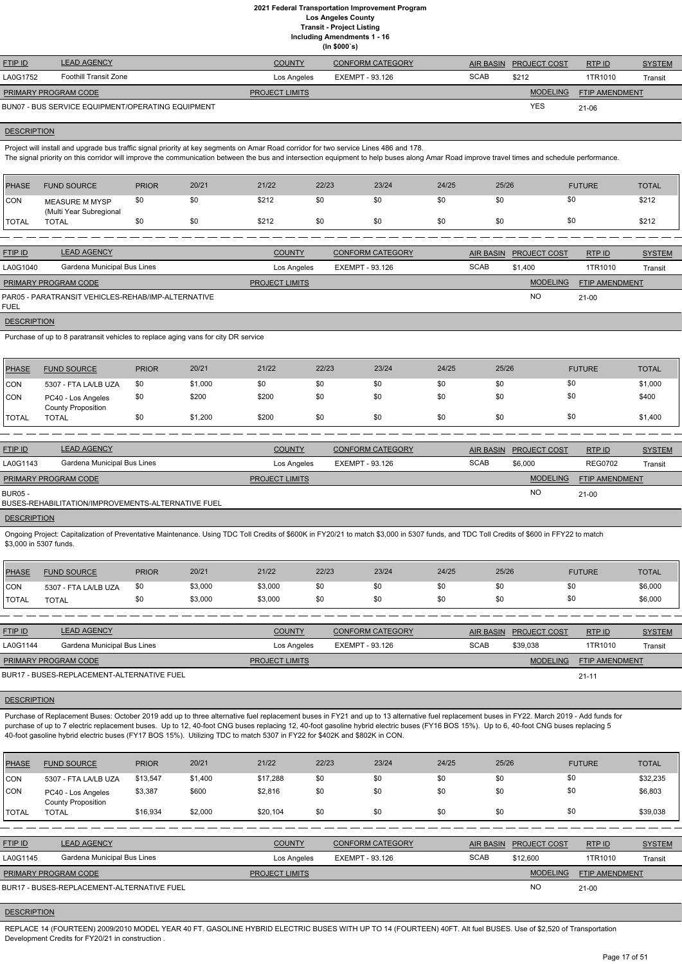**Including Amendments 1 - 16**

| (ln \$000's) |
|--------------|
|              |

Project will install and upgrade bus traffic signal priority at key segments on Amar Road corridor for two service Lines 486 and 178. The signal priority on this corridor will improve the communication between the bus and intersection equipment to help buses along Amar Road improve travel times and schedule performance.

| <b>FTIP ID</b>              | <b>LEAD AGENCY</b>                                | <b>COUNTY</b>         | <b>CONFORM CATEGORY</b> | <b>AIR BASIN</b> | <b>PROJECT COST</b> | RTP ID                | <b>SYSTEM</b> |
|-----------------------------|---------------------------------------------------|-----------------------|-------------------------|------------------|---------------------|-----------------------|---------------|
| LA0G1752                    | Foothill Transit Zone                             | Los Angeles           | EXEMPT - 93.126         | <b>SCAB</b>      | \$212               | 1TR1010               | Transit       |
| <b>PRIMARY PROGRAM CODE</b> |                                                   | <b>PROJECT LIMITS</b> |                         |                  | <b>MODELING</b>     | <b>FTIP AMENDMENT</b> |               |
|                             | BUN07 - BUS SERVICE EQUIPMENT/OPERATING EQUIPMENT |                       |                         |                  | <b>YES</b>          | 21-06                 |               |
|                             |                                                   |                       |                         |                  |                     |                       |               |

#### **DESCRIPTION**

| <b>PHASE</b>   | <b>FUND SOURCE</b>                               | <b>PRIOR</b> | 20/21 | 21/22         | 22/23 | 23/24                   | 24/25 | 25/26     | <b>FUTURE</b>                 | <b>TOTAL</b>  |
|----------------|--------------------------------------------------|--------------|-------|---------------|-------|-------------------------|-------|-----------|-------------------------------|---------------|
| <b>CON</b>     | <b>MEASURE M MYSP</b><br>(Multi Year Subregional | \$0          | \$0   | \$212         | \$0   | \$0                     | \$0   | \$0       | \$0                           | \$212         |
| <b>TOTAL</b>   | <b>TOTAL</b>                                     | \$0          | \$0   | \$212         | \$0   | \$0                     | \$0   | \$0       | \$0                           | \$212         |
|                |                                                  |              |       |               |       |                         |       |           |                               |               |
| <b>FTIP ID</b> | <b>LEAD AGENCY</b>                               |              |       | <b>COUNTY</b> |       | <b>CONFORM CATEGORY</b> |       | AIR BASIN | RTP ID<br><b>PROJECT COST</b> | <b>SYSTEM</b> |

|                             |                                                    | $      -$             | $0.0111$ of the orient contribution |             | AII DAOIN THUGLUTUUGI | 1111 ID               | $0101$ <u><math>101</math></u> |
|-----------------------------|----------------------------------------------------|-----------------------|-------------------------------------|-------------|-----------------------|-----------------------|--------------------------------|
| LA0G1040                    | Gardena Municipal Bus Lines                        | Los Angeles           | EXEMPT - 93.126                     | <b>SCAB</b> | \$1.400               | 1TR1010               | Transit                        |
| <b>PRIMARY PROGRAM CODE</b> |                                                    | <b>PROJECT LIMITS</b> |                                     |             | <b>MODELING</b>       | <b>FTIP AMENDMENT</b> |                                |
| <b>FUEL</b>                 | PAR05 - PARATRANSIT VEHICLES-REHAB/IMP-ALTERNATIVE |                       |                                     |             | N <sub>O</sub>        | $21 - 00$             |                                |

**DESCRIPTION** 

Purchase of up to 8 paratransit vehicles to replace aging vans for city DR service

| PHASE        | <b>FUND SOURCE</b>                              | <b>PRIOR</b> | 20/21   | 21/22 | 22/23 | 23/24 | 24/25 | 25/26 | <b>FUTURE</b> | <b>TOTAL</b> |
|--------------|-------------------------------------------------|--------------|---------|-------|-------|-------|-------|-------|---------------|--------------|
| <b>CON</b>   | 5307 - FTA LA/LB UZA                            | \$0          | \$1,000 | \$0   | \$0   | \$0   | \$0   | \$0   | \$0           | \$1,000      |
| <b>CON</b>   | PC40 - Los Angeles<br><b>County Proposition</b> | \$0          | \$200   | \$200 | \$0   | \$0   | \$0   | \$0   | \$0           | \$400        |
| <b>TOTAL</b> | <b>TOTAL</b>                                    |              | \$1,200 | \$200 | \$0   | \$0   | \$0   | \$0   | \$0           | \$1,400      |

| <b>FTIP ID</b>              | <b>LEAD AGENCY</b>                                 | <b>COUNTY</b>         | <b>CONFORM CATEGORY</b> | <b>AIR BASIN</b> | <b>PROJECT COST</b> | RTP ID                | <b>SYSTEM</b> |
|-----------------------------|----------------------------------------------------|-----------------------|-------------------------|------------------|---------------------|-----------------------|---------------|
| LA0G1143                    | Gardena Municipal Bus Lines                        | Los Angeles           | EXEMPT - 93.126         | <b>SCAB</b>      | \$6,000             | <b>REG0702</b>        | Transit       |
| <b>PRIMARY PROGRAM CODE</b> |                                                    | <b>PROJECT LIMITS</b> |                         |                  | <b>MODELING</b>     | <b>FTIP AMENDMENT</b> |               |
| BUR05 -                     | BUSES-REHABILITATION/IMPROVEMENTS-ALTERNATIVE FUEL |                       |                         |                  | <b>NO</b>           | 21-00                 |               |

#### **DESCRIPTION**

Ongoing Project: Capitalization of Preventative Maintenance. Using TDC Toll Credits of \$600K in FY20/21 to match \$3,000 in 5307 funds, and TDC Toll Credits of \$600 in FFY22 to match \$3,000 in 5307 funds.

| <b>PHASE</b> | <b>FUND SOURCE</b>   | <b>PRIOR</b> | 20/21   | 21/22   | 22/23 | 23/24 | 24/25 | 25/26 | <b>FUTURE</b> | <b>TOTAL</b> |
|--------------|----------------------|--------------|---------|---------|-------|-------|-------|-------|---------------|--------------|
| <b>CON</b>   | 5307 - FTA LA/LB UZA | \$0          | \$3,000 | \$3,000 | \$0   | \$0   | \$0   | \$0   |               | \$6,000      |
| <b>TOTAL</b> | <b>TOTAL</b>         | \$0          | \$3,000 | \$3,000 | \$0   | \$0   | \$0   | \$0   |               | \$6,000      |

| <b>FTIP ID</b>              | <b>LEAD AGENCY</b>                         | <b>COUNTY</b>         | <b>CONFORM CATEGORY</b> |             | AIR BASIN PROJECT COST | RTPID                 | <b>SYSTEM</b> |
|-----------------------------|--------------------------------------------|-----------------------|-------------------------|-------------|------------------------|-----------------------|---------------|
| LA0G1144                    | Gardena Municipal Bus Lines                | Los Angeles           | EXEMPT - 93.126         | <b>SCAB</b> | \$39,038               | 1TR1010               | Transit       |
| <b>PRIMARY PROGRAM CODE</b> |                                            | <b>PROJECT LIMITS</b> |                         |             | <b>MODELING</b>        | <b>FTIP AMENDMENT</b> |               |
|                             | BUR17 - BUSES-REPLACEMENT-ALTERNATIVE FUEL |                       |                         |             |                        | $21 - 11$             |               |

## **DESCRIPTION**

Purchase of Replacement Buses: October 2019 add up to three alternative fuel replacement buses in FY21 and up to 13 alternative fuel replacement buses in FY22. March 2019 - Add funds for purchase of up to 7 electric replacement buses. Up to 12, 40-foot CNG buses replacing 12, 40-foot gasoline hybrid electric buses (FY16 BOS 15%). Up to 6, 40-foot CNG buses replacing 5

40-foot gasoline hybrid electric buses (FY17 BOS 15%). Utilizing TDC to match 5307 in FY22 for \$402K and \$802K in CON.

| PHASE                                                                                     | <b>FUND SOURCE</b>                              | <b>PRIOR</b> | 20/21   | 21/22         | 22/23           | 23/24                   | 24/25       | 25/26            |                     | <b>FUTURE</b> | <b>TOTAL</b>  |
|-------------------------------------------------------------------------------------------|-------------------------------------------------|--------------|---------|---------------|-----------------|-------------------------|-------------|------------------|---------------------|---------------|---------------|
| CON                                                                                       | 5307 - FTA LA/LB UZA                            | \$13,547     | \$1,400 | \$17,288      | \$0             | \$0                     | \$0         | \$0              | \$0                 |               | \$32,235      |
| <b>CON</b>                                                                                | PC40 - Los Angeles<br><b>County Proposition</b> | \$3,387      | \$600   | \$2,816       | \$0             | \$0                     | \$0         | \$0              | \$0                 |               | \$6,803       |
| <b>ITOTAL</b>                                                                             | <b>TOTAL</b>                                    | \$16.934     | \$2,000 | \$20.104      | \$0             | \$0                     | \$0         | \$0              | \$0                 |               | \$39,038      |
|                                                                                           |                                                 |              |         |               |                 |                         |             |                  |                     |               |               |
| <b>FTIP ID</b>                                                                            | <b>LEAD AGENCY</b>                              |              |         | <b>COUNTY</b> |                 | <b>CONFORM CATEGORY</b> |             | <b>AIR BASIN</b> | <b>PROJECT COST</b> | RTP ID        | <b>SYSTEM</b> |
| LA0G1145                                                                                  | Gardena Municipal Bus Lines                     |              |         | Los Angeles   | EXEMPT - 93.126 |                         | <b>SCAB</b> |                  | \$12,600            | 1TR1010       | Transit       |
| <b>MODELING</b><br>PRIMARY PROGRAM CODE<br><b>PROJECT LIMITS</b><br><b>FTIP AMENDMENT</b> |                                                 |              |         |               |                 |                         |             |                  |                     |               |               |
| <b>NO</b><br>BUR17 - BUSES-REPLACEMENT-ALTERNATIVE FUEL<br>$21 - 00$                      |                                                 |              |         |               |                 |                         |             |                  |                     |               |               |

## **DESCRIPTION**

REPLACE 14 (FOURTEEN) 2009/2010 MODEL YEAR 40 FT. GASOLINE HYBRID ELECTRIC BUSES WITH UP TO 14 (FOURTEEN) 40FT. Alt fuel BUSES. Use of \$2,520 of Transportation Development Credits for FY20/21 in construction .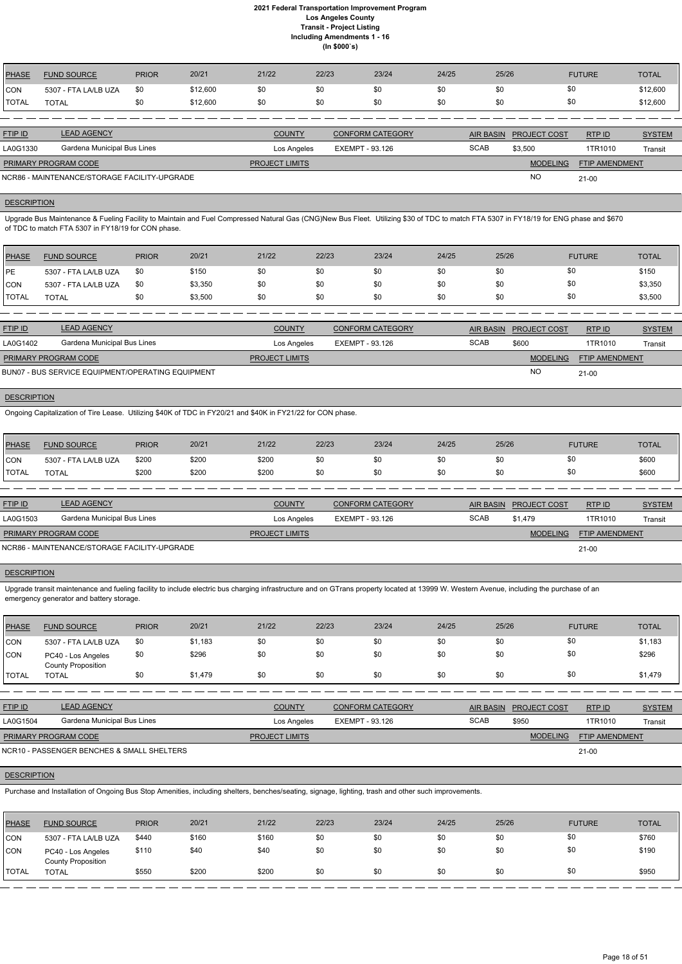| <b>PHASE</b>                                              | <b>FUND SOURCE</b>          | <b>PRIOR</b> | 20/21    | 21/22                 | 22/23                  | 23/24                   | 24/25 | 25/26            |                     | <b>FUTURE</b>         | <b>TOTAL</b>  |
|-----------------------------------------------------------|-----------------------------|--------------|----------|-----------------------|------------------------|-------------------------|-------|------------------|---------------------|-----------------------|---------------|
| ICON                                                      | 5307 - FTA LA/LB UZA        | \$0          | \$12,600 | \$0                   | \$0                    | \$0                     | \$0   | \$0              | \$0                 |                       | \$12,600      |
| <b>ITOTAL</b>                                             | <b>TOTAL</b>                | \$0          | \$12,600 | \$0                   | \$0                    | \$0                     | \$0   | \$0              | \$0                 |                       | \$12,600      |
|                                                           |                             |              |          |                       |                        |                         |       |                  |                     |                       |               |
| <b>FTIP ID</b>                                            | <b>LEAD AGENCY</b>          |              |          | <b>COUNTY</b>         |                        | <b>CONFORM CATEGORY</b> |       | <b>AIR BASIN</b> | <b>PROJECT COST</b> | RTP ID                | <b>SYSTEM</b> |
| LA0G1330                                                  | Gardena Municipal Bus Lines |              |          | Los Angeles           | <b>EXEMPT - 93.126</b> |                         |       | <b>SCAB</b>      | \$3,500             | 1TR1010               | Transit       |
|                                                           | PRIMARY PROGRAM CODE        |              |          | <b>PROJECT LIMITS</b> |                        |                         |       |                  | <b>MODELING</b>     | <b>FTIP AMENDMENT</b> |               |
| <b>NO</b><br>NCR86 - MAINTENANCE/STORAGE FACILITY-UPGRADE |                             |              |          |                       |                        |                         |       |                  | $21 - 00$           |                       |               |

## **DESCRIPTION**

Upgrade Bus Maintenance & Fueling Facility to Maintain and Fuel Compressed Natural Gas (CNG)New Bus Fleet. Utilizing \$30 of TDC to match FTA 5307 in FY18/19 for ENG phase and \$670 of TDC to match FTA 5307 in FY18/19 for CON phase.

| PHASE          | <b>FUND SOURCE</b>   | <b>PRIOR</b> | 20/21   | 21/22 | 22/23 | 23/24 | 24/25 | 25/26 | <b>FUTURE</b> | <b>TOTAL</b> |
|----------------|----------------------|--------------|---------|-------|-------|-------|-------|-------|---------------|--------------|
| <b>IPE</b>     | 5307 - FTA LA/LB UZA | \$0          | \$150   | \$0   | \$0   | \$0   | \$0   | \$0   |               | \$150        |
| <b>ICON</b>    | 5307 - FTA LA/LB UZA | \$0          | \$3,350 | \$0   | \$0   | \$0   | \$0   | \$0   |               | \$3,350      |
| <b>I</b> TOTAL | <b>TOTAL</b>         | \$0          | \$3,500 | \$0   | \$0   | \$0   | \$0   | \$0   |               | \$3,500      |

| <b>FTIP ID</b>                                    | <b>LEAD AGENCY</b>          | <b>COUNTY</b>         | <b>CONFORM CATEGORY</b> |             | AIR BASIN PROJECT COST | RTP ID                | <b>SYSTEM</b> |
|---------------------------------------------------|-----------------------------|-----------------------|-------------------------|-------------|------------------------|-----------------------|---------------|
| LA0G1402                                          | Gardena Municipal Bus Lines | Los Angeles           | EXEMPT - 93.126         | <b>SCAB</b> | \$600                  | 1TR1010               | Transit       |
| <b>PRIMARY PROGRAM CODE</b>                       |                             | <b>PROJECT LIMITS</b> |                         |             | <b>MODELING</b>        | <b>FTIP AMENDMENT</b> |               |
| BUN07 - BUS SERVICE EQUIPMENT/OPERATING EQUIPMENT |                             |                       |                         |             | <b>NC</b>              | $21-00$               |               |

## **DESCRIPTION**

Ongoing Capitalization of Tire Lease. Utilizing \$40K of TDC in FY20/21 and \$40K in FY21/22 for CON phase.

| PHASE        | <b>FUND SOURCE</b>   | <b>PRIOR</b> | 20/21 | 21/22 | 22/23 | 23/24 | 24/25 | 25/26 | <b>FUTURE</b> | <b>TOTAL</b> |
|--------------|----------------------|--------------|-------|-------|-------|-------|-------|-------|---------------|--------------|
| Icon         | 5307 - FTA LA/LB UZA | \$200        | \$200 | \$200 | \$0   | \$0   | \$0   |       |               | \$600        |
| <b>TOTAL</b> | TOTAL                | \$200        | \$200 | \$200 | \$0   | \$0   | \$0   |       |               | \$600        |
|              |                      |              |       |       |       |       |       |       |               |              |

| <b>FTIP ID</b>                               | <b>LEAD AGENCY</b>          | <b>COUNTY</b>         | <b>CONFORM CATEGORY</b> |      | AIR BASIN PROJECT COST | RTPID                 | <b>SYSTEM</b> |
|----------------------------------------------|-----------------------------|-----------------------|-------------------------|------|------------------------|-----------------------|---------------|
| LA0G1503                                     | Gardena Municipal Bus Lines | Los Angeles           | EXEMPT - 93.126         | SCAB | \$1.479                | 1TR1010               | Transit       |
| PRIMARY PROGRAM CODE                         |                             | <b>PROJECT LIMITS</b> |                         |      | <b>MODELING</b>        | <b>FTIP AMENDMENT</b> |               |
| NCR86 - MAINTENANCE/STORAGE FACILITY-UPGRADE |                             |                       |                         |      |                        | $21 - 00$             |               |

#### **DESCRIPTION**

Upgrade transit maintenance and fueling facility to include electric bus charging infrastructure and on GTrans property located at 13999 W. Western Avenue, including the purchase of an emergency generator and battery storage.

| PHASE         | <b>FUND SOURCE</b>                              | <b>PRIOR</b> | 20/21   | 21/22 | 22/23 | 23/24 | 24/25 | 25/26 | <b>FUTURE</b> | <b>TOTAL</b> |
|---------------|-------------------------------------------------|--------------|---------|-------|-------|-------|-------|-------|---------------|--------------|
| <b>CON</b>    | 5307 - FTA LA/LB UZA                            | \$0          | \$1,183 | \$0   | \$0   | \$0   | \$0   | \$0   |               | \$1,183      |
| CON           | PC40 - Los Angeles<br><b>County Proposition</b> | \$0          | \$296   | \$0   | \$0   | \$0   | \$0   | \$0   |               | \$296        |
| <b>ITOTAL</b> | <b>TOTAL</b>                                    | \$0          | \$1,479 | \$0   | \$0   | \$0   | \$0   | \$0   |               | \$1,479      |

| <b>FTIP ID</b> | <b>LEAD AGENCY</b>          | <b>COUNTY</b> | <b>CONFORM CATEGORY</b> | <b>AIR BASIN</b> | <b>PROJECT COST</b> | <b>RTPID</b> | SYSTEM         |
|----------------|-----------------------------|---------------|-------------------------|------------------|---------------------|--------------|----------------|
| LA0G1504       | Gardena Municipal Bus Lines | Los Angeles   | $-93.126$<br>EXEMPT -   | SCAE             | <b>\$950</b>        | 1TR1010      | <b>Transit</b> |

21-00

## **DESCRIPTION**

NCR10 - PASSENGER BENCHES & SMALL SHELTERS

Purchase and Installation of Ongoing Bus Stop Amenities, including shelters, benches/seating, signage, lighting, trash and other such improvements.

| <b>PHASE</b>  | <b>FUND SOURCE</b>                              | <b>PRIOR</b> | 20/21 | 21/22 | 22/23 | 23/24 | 24/25 | 25/26 | <b>FUTURE</b> | <b>TOTAL</b> |
|---------------|-------------------------------------------------|--------------|-------|-------|-------|-------|-------|-------|---------------|--------------|
| CON           | 5307 - FTA LA/LB UZA                            | \$440        | \$160 | \$160 | \$0   | \$0   | \$0   | \$0   | \$0           | \$760        |
| CON           | PC40 - Los Angeles<br><b>County Proposition</b> | \$110        | \$40  | \$40  | \$0   | \$0   | \$0   | \$0   | \$0           | \$190        |
| <b>ITOTAL</b> | <b>TOTAL</b>                                    | \$550        | \$200 | \$200 | \$0   | \$0   | \$0   | \$0   | \$0           | \$950        |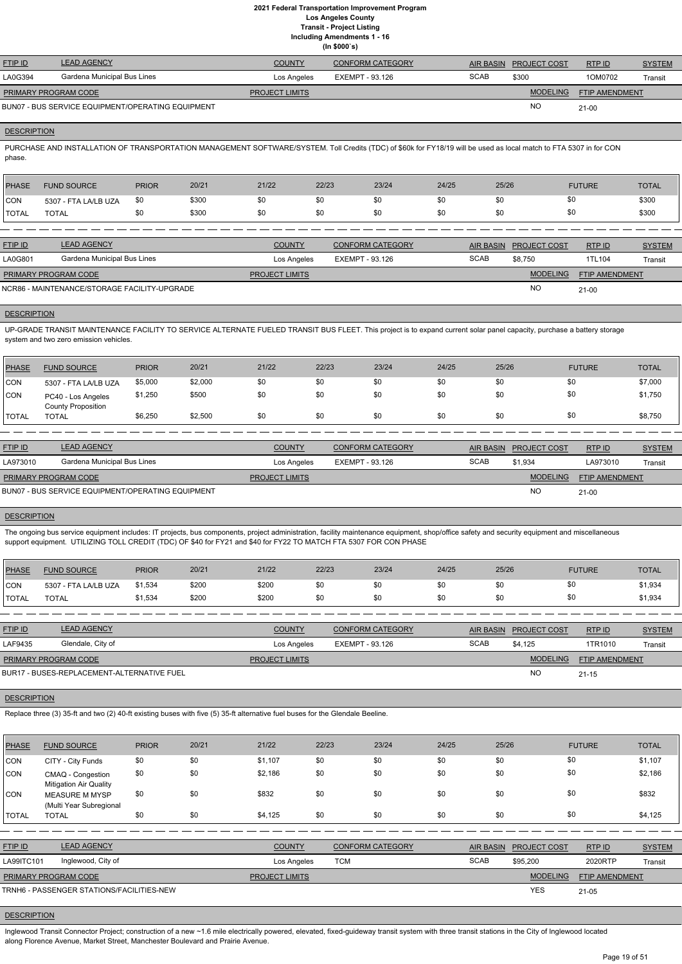**Including Amendments 1 - 16**

| cluding Amendments 1 - 16 |  |  |
|---------------------------|--|--|
| (ln \$000's)              |  |  |

| <b>FTIP ID</b>              | <b>LEAD AGENCY</b>                                | <b>COUNTY</b>         | <b>CONFORM CATEGORY</b> |             | AIR BASIN PROJECT COST | RTPID                 | <b>SYSTEM</b> |
|-----------------------------|---------------------------------------------------|-----------------------|-------------------------|-------------|------------------------|-----------------------|---------------|
| LA0G394                     | Gardena Municipal Bus Lines                       | Los Angeles           | EXEMPT - 93.126         | <b>SCAB</b> | \$300                  | 1OM0702               | Transit       |
| <b>PRIMARY PROGRAM CODE</b> |                                                   | <b>PROJECT LIMITS</b> |                         |             | <b>MODELING</b>        | <b>FTIP AMENDMENT</b> |               |
|                             | BUN07 - BUS SERVICE EQUIPMENT/OPERATING EQUIPMENT |                       |                         |             | <b>NC</b>              | $21 - 00$             |               |

### **DESCRIPTION**

PURCHASE AND INSTALLATION OF TRANSPORTATION MANAGEMENT SOFTWARE/SYSTEM. Toll Credits (TDC) of \$60k for FY18/19 will be used as local match to FTA 5307 in for CON phase.

| PHASE      | <b>FUND SOURCE</b>   | <b>PRIOR</b> | 20/21 | 21/22 | 22/23 | 23/24 | 24/25 | 25/26 | <b>FUTURE</b> | TOTAL |
|------------|----------------------|--------------|-------|-------|-------|-------|-------|-------|---------------|-------|
| <b>CON</b> | 5307 - FTA LA/LB UZA | \$0          | \$300 | \$0   | \$0   | \$0   | \$0   | \$0   | \$0           | \$300 |
| 'TOTAL     | <b>TOTAL</b>         | \$0          | \$300 | \$0   | \$0   | \$0   | \$0   | \$0   | \$0           | \$300 |
|            |                      |              |       |       |       |       |       |       |               |       |

| <b>FTIP ID</b>              | <b>LEAD AGENCY</b>                           | <b>COUNTY</b>         | CONFORM CATEGORY |             | AIR BASIN PROJECT COST | RTPID                 | <b>SYSTEM</b> |
|-----------------------------|----------------------------------------------|-----------------------|------------------|-------------|------------------------|-----------------------|---------------|
| LA0G801                     | Gardena Municipal Bus Lines                  | Los Angeles           | EXEMPT - 93.126  | <b>SCAB</b> | \$8.750                | 1TL104                | Transit       |
| <b>PRIMARY PROGRAM CODE</b> |                                              | <b>PROJECT LIMITS</b> |                  |             | <b>MODELING</b>        | <b>FTIP AMENDMENT</b> |               |
|                             | NCR86 - MAINTENANCE/STORAGE FACILITY-UPGRADE |                       |                  |             | <b>NC</b>              | $21-00$               |               |

#### **DESCRIPTION**

The ongoing bus service equipment includes: IT projects, bus components, project administration, facility maintenance equipment, shop/office safety and security equipment and miscellaneous support equipment. UTILIZING TOLL CREDIT (TDC) OF \$40 for FY21 and \$40 for FY22 TO MATCH FTA 5307 FOR CON PHASE

UP-GRADE TRANSIT MAINTENANCE FACILITY TO SERVICE ALTERNATE FUELED TRANSIT BUS FLEET. This project is to expand current solar panel capacity, purchase a battery storage system and two zero emission vehicles.

| PHASE        | <b>FUND SOURCE</b>                              | <b>PRIOR</b> | 20/21   | 21/22 | 22/23 | 23/24 | 24/25 | 25/26 | <b>FUTURE</b> | <b>TOTAL</b> |
|--------------|-------------------------------------------------|--------------|---------|-------|-------|-------|-------|-------|---------------|--------------|
| CON          | 5307 - FTA LA/LB UZA                            | \$5,000      | \$2,000 | \$0   | \$0   | \$0   | \$0   | \$0   | \$0           | \$7,000      |
| CON          | PC40 - Los Angeles<br><b>County Proposition</b> | \$1,250      | \$500   | \$0   | \$0   | \$0   | \$0   | \$0   | \$0           | \$1,750      |
| <b>TOTAL</b> | <b>TOTAL</b>                                    | \$6,250      | \$2,500 | \$0   | \$0   | \$0   | \$0   | \$0   | \$0           | \$8,750      |

| <b>FTIP ID</b>              | <b>LEAD AGENCY</b>                                | <b>COUNTY</b>         | <b>CONFORM CATEGORY</b> | AIR BASIN   | <b>PROJECT COST</b> | RTP ID                | <b>SYSTEM</b> |
|-----------------------------|---------------------------------------------------|-----------------------|-------------------------|-------------|---------------------|-----------------------|---------------|
| LA973010                    | Gardena Municipal Bus Lines                       | Los Angeles           | EXEMPT - 93.126         | <b>SCAB</b> | \$1.934             | LA973010              | Transit       |
| <b>PRIMARY PROGRAM CODE</b> |                                                   | <b>PROJECT LIMITS</b> |                         |             | <b>MODELING</b>     | <b>FTIP AMENDMENT</b> |               |
|                             | BUN07 - BUS SERVICE EQUIPMENT/OPERATING EQUIPMENT |                       |                         |             | N <sub>O</sub>      | $21 - 00$             |               |

## **DESCRIPTION**

Inglewood Transit Connector Project; construction of a new ~1.6 mile electrically powered, elevated, fixed-guideway transit system with three transit stations in the City of Inglewood located along Florence Avenue, Market Street, Manchester Boulevard and Prairie Avenue.

| PHASE        | <b>FUND SOURCE</b>                         | <b>PRIOR</b> | 20/21 | 21/22                 | 22/23           | 23/24                   | 24/25 | 25/26            |                     | <b>FUTURE</b>         | <b>TOTAL</b>  |
|--------------|--------------------------------------------|--------------|-------|-----------------------|-----------------|-------------------------|-------|------------------|---------------------|-----------------------|---------------|
| <b>ICON</b>  | 5307 - FTA LA/LB UZA                       | \$1,534      | \$200 | \$200                 | \$0             | \$0                     | \$0   | \$0              | \$0                 |                       | \$1,934       |
| <b>TOTAL</b> | <b>TOTAL</b>                               | \$1,534      | \$200 | \$200                 | \$0             | \$0                     | \$0   | \$0              | \$0                 |                       | \$1,934       |
|              |                                            |              |       |                       |                 |                         |       |                  |                     |                       |               |
| FTIP ID      | <b>LEAD AGENCY</b>                         |              |       | <b>COUNTY</b>         |                 | <b>CONFORM CATEGORY</b> |       | <b>AIR BASIN</b> | <b>PROJECT COST</b> | RTPID                 | <b>SYSTEM</b> |
| LAF9435      | Glendale, City of                          |              |       | Los Angeles           | EXEMPT - 93.126 |                         |       | <b>SCAB</b>      | \$4.125             | 1TR1010               | Transit       |
|              |                                            |              |       |                       |                 |                         |       |                  |                     |                       |               |
|              | PRIMARY PROGRAM CODE                       |              |       | <b>PROJECT LIMITS</b> |                 |                         |       |                  | <b>MODELING</b>     | <b>FTIP AMENDMENT</b> |               |
|              | BUR17 - BUSES-REPLACEMENT-ALTERNATIVE FUEL |              |       |                       |                 |                         |       |                  | <b>NO</b>           | $21 - 15$             |               |

## **DESCRIPTION**

Replace three (3) 35-ft and two (2) 40-ft existing buses with five (5) 35-ft alternative fuel buses for the Glendale Beeline.

| <b>PHASE</b>   | <b>FUND SOURCE</b>                                 | <b>PRIOR</b> | 20/21 | 21/22                 | 22/23      | 23/24                   | 24/25            | 25/26           | <b>FUTURE</b>  | <b>TOTAL</b>  |
|----------------|----------------------------------------------------|--------------|-------|-----------------------|------------|-------------------------|------------------|-----------------|----------------|---------------|
| <b>CON</b>     | CITY - City Funds                                  | \$0          | \$0   | \$1,107               | \$0        | \$0                     | \$0              | \$0             | \$0            | \$1,107       |
| CON            | CMAQ - Congestion<br><b>Mitigation Air Quality</b> | \$0          | \$0   | \$2,186               | \$0        | \$0                     | \$0              | \$0             | \$0            | \$2,186       |
| CON            | <b>MEASURE M MYSP</b><br>(Multi Year Subregional   | \$0          | \$0   | \$832                 | \$0        | \$0                     | \$0              | \$0             | \$0            | \$832         |
| <b>TOTAL</b>   | <b>TOTAL</b>                                       | \$0          | \$0   | \$4,125               | \$0        | \$0                     | \$0              | \$0             | \$0            | \$4,125       |
|                |                                                    |              |       |                       |            |                         |                  |                 |                |               |
| <b>FTIP ID</b> | <b>LEAD AGENCY</b>                                 |              |       | <b>COUNTY</b>         |            | <b>CONFORM CATEGORY</b> | <b>AIR BASIN</b> | PROJECT COST    | RTP ID         | <b>SYSTEM</b> |
| LA99ITC101     | Inglewood, City of                                 |              |       | Los Angeles           | <b>TCM</b> |                         | <b>SCAB</b>      | \$95,200        | 2020RTP        | Transit       |
|                | PRIMARY PROGRAM CODE                               |              |       | <b>PROJECT LIMITS</b> |            |                         |                  | <b>MODELING</b> | FTIP AMENDMENT |               |
|                | TRNH6 - PASSENGER STATIONS/FACILITIES-NEW          |              |       |                       |            |                         |                  | <b>YES</b>      | $21 - 05$      |               |

## **DESCRIPTION**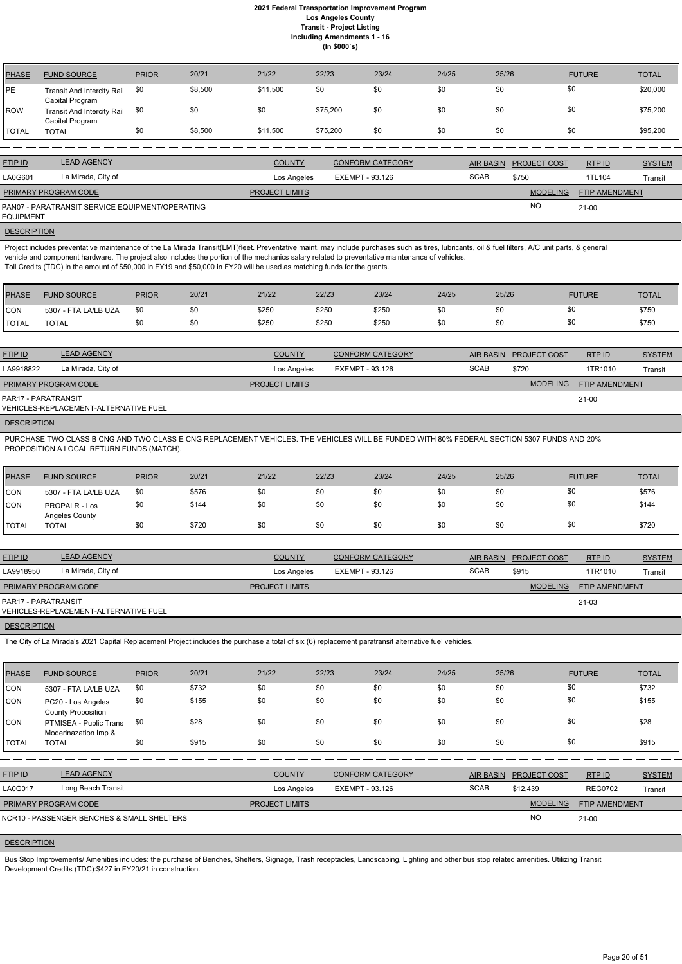| <b>PHASE</b> | <b>FUND SOURCE</b>                                   | <b>PRIOR</b> | 20/21   | 21/22    | 22/23    | 23/24 | 24/25 | 25/26 | <b>FUTURE</b> | <b>TOTAL</b> |
|--------------|------------------------------------------------------|--------------|---------|----------|----------|-------|-------|-------|---------------|--------------|
| <b>PE</b>    | <b>Transit And Intercity Rail</b><br>Capital Program | \$0          | \$8,500 | \$11,500 | \$0      | \$0   | \$0   | \$0   | \$0           | \$20,000     |
| <b>IROW</b>  | <b>Transit And Intercity Rail</b><br>Capital Program | \$0          | \$0     | \$0      | \$75,200 | \$0   | \$0   | \$0   | \$0           | \$75,200     |
| TOTAL        | <b>TOTAL</b>                                         | \$0          | \$8,500 | \$11,500 | \$75,200 | \$0   | \$0   | \$0   | \$0           | \$95,200     |

| <b>FTIP ID</b>              | <b>LEAD AGENCY</b>                              | <b>COUNTY</b>         | <b>CONFORM CATEGORY</b> |             | AIR BASIN PROJECT COST | RTPID          | <b>SYSTEM</b> |
|-----------------------------|-------------------------------------------------|-----------------------|-------------------------|-------------|------------------------|----------------|---------------|
| LA0G601                     | La Mirada, City of                              | Los Angeles           | EXEMPT - 93.126         | <b>SCAB</b> | \$750                  | 1TL104         | Transit       |
| <b>PRIMARY PROGRAM CODE</b> |                                                 | <b>PROJECT LIMITS</b> |                         |             | <b>MODELING</b>        | FTIP AMENDMENT |               |
| <b>EQUIPMENT</b>            | PAN07 - PARATRANSIT SERVICE EQUIPMENT/OPERATING |                       |                         |             | <b>NO</b>              | 21-00          |               |

**DESCRIPTION** 

Project includes preventative maintenance of the La Mirada Transit(LMT)fleet. Preventative maint. may include purchases such as tires, lubricants, oil & fuel filters, A/C unit parts, & general vehicle and component hardware. The project also includes the portion of the mechanics salary related to preventative maintenance of vehicles. Toll Credits (TDC) in the amount of \$50,000 in FY19 and \$50,000 in FY20 will be used as matching funds for the grants.

| <b>PHASE</b> | <b>FUND SOURCE</b>   | <b>PRIOR</b> | 20/21 | 21/22 | 22/23 | 23/24 | 24/25 | 25/26 | <b>FUTURE</b> | <b>TOTAL</b> |
|--------------|----------------------|--------------|-------|-------|-------|-------|-------|-------|---------------|--------------|
| <b>CON</b>   | 5307 - FTA LA/LB UZA | \$0          | \$0   | \$250 | \$250 | \$250 | \$0   |       |               | \$750        |
| <b>TOTAL</b> | <b>TOTAL</b>         | \$0          | \$0   | \$250 | \$250 | \$250 | \$0   |       |               | \$750        |

| <b>FTIP ID</b>              | <b>LEAD AGENCY</b>                    | <b>COUNTY</b>         | <b>CONFORM CATEGORY</b> | <b>AIR BASIN</b> | <b>PROJECT COST</b> | RTP ID                | <b>SYSTEM</b> |
|-----------------------------|---------------------------------------|-----------------------|-------------------------|------------------|---------------------|-----------------------|---------------|
| LA9918822                   | La Mirada, City of                    | Los Angeles           | EXEMPT - 93.126         | <b>SCAB</b>      | \$720               | 1TR1010               | Transit       |
| <b>PRIMARY PROGRAM CODE</b> |                                       | <b>PROJECT LIMITS</b> |                         |                  | <b>MODELING</b>     | <b>FTIP AMENDMENT</b> |               |
| PAR17 - PARATRANSIT         | VEHICLES-REPLACEMENT-ALTERNATIVE FUEL |                       |                         |                  |                     | $21-00$               |               |
|                             |                                       |                       |                         |                  |                     |                       |               |

## **DESCRIPTION**

Bus Stop Improvements/ Amenities includes: the purchase of Benches, Shelters, Signage, Trash receptacles, Landscaping, Lighting and other bus stop related amenities. Utilizing Transit Development Credits (TDC):\$427 in FY20/21 in construction.

PURCHASE TWO CLASS B CNG AND TWO CLASS E CNG REPLACEMENT VEHICLES. THE VEHICLES WILL BE FUNDED WITH 80% FEDERAL SECTION 5307 FUNDS AND 20% PROPOSITION A LOCAL RETURN FUNDS (MATCH).

| PHASE          | <b>FUND SOURCE</b>                     | <b>PRIOR</b> | 20/21 | 21/22 | 22/23 | 23/24 | 24/25 | 25/26 | <b>FUTURE</b> | <b>TOTAL</b> |
|----------------|----------------------------------------|--------------|-------|-------|-------|-------|-------|-------|---------------|--------------|
| <b>ICON</b>    | 5307 - FTA LA/LB UZA                   | \$0          | \$576 | \$0   | \$0   | \$0   | \$0   | \$0   | \$0           | \$576        |
| <b>ICON</b>    | <b>PROPALR - Los</b><br>Angeles County | \$0          | \$144 | \$0   | \$0   | \$0   | \$0   | \$0   | \$0           | \$144        |
| <b>I</b> TOTAL | TOTAL                                  |              | \$720 | \$0   | \$0   | \$0   | \$0   | \$0   | \$0           | \$720        |

| <b>FTIP ID</b>              | <b>LEAD AGENCY</b>                    | <b>COUNTY</b>         | <b>CONFORM CATEGORY</b> |             | AIR BASIN PROJECT COST | RTP ID                | <b>SYSTEM</b> |
|-----------------------------|---------------------------------------|-----------------------|-------------------------|-------------|------------------------|-----------------------|---------------|
| LA9918950                   | La Mirada, City of                    | Los Angeles           | EXEMPT - 93.126         | <b>SCAB</b> | \$915                  | 1TR1010               | Transit       |
| <b>PRIMARY PROGRAM CODE</b> |                                       | <b>PROJECT LIMITS</b> |                         |             | <b>MODELING</b>        | <b>FTIP AMENDMENT</b> |               |
| PAR17 - PARATRANSIT         | VEHICLES-REPLACEMENT-ALTERNATIVE FUEL |                       |                         |             |                        | $21 - 03$             |               |
|                             |                                       |                       |                         |             |                        |                       |               |

**DESCRIPTION** 

The City of La Mirada's 2021 Capital Replacement Project includes the purchase a total of six (6) replacement paratransit alternative fuel vehicles.

| <b>PHASE</b> | <b>FUND SOURCE</b>                              | <b>PRIOR</b> | 20/21 | 21/22          | 22/23                  | 23/24                   | 24/25       | 25/26            |                     | <b>FUTURE</b>  | <b>TOTAL</b>  |
|--------------|-------------------------------------------------|--------------|-------|----------------|------------------------|-------------------------|-------------|------------------|---------------------|----------------|---------------|
| <b>CON</b>   | 5307 - FTA LA/LB UZA                            | \$0          | \$732 | \$0            | \$0                    | \$0                     | \$0         | \$0              |                     | \$0            | \$732         |
| CON          | PC20 - Los Angeles<br><b>County Proposition</b> | \$0          | \$155 | \$0            | \$0                    | \$0                     | \$0         | \$0              |                     | \$0            | \$155         |
| <b>CON</b>   | PTMISEA - Public Trans<br>Moderinazation Imp &  | \$0          | \$28  | \$0            | \$0                    | \$0                     | \$0         | \$0              |                     | \$0            | \$28          |
| <b>TOTAL</b> | <b>TOTAL</b>                                    | \$0          | \$915 | \$0            | \$0                    | \$0                     | \$0         | \$0              |                     | \$0            | \$915         |
|              |                                                 |              |       |                |                        |                         |             |                  |                     |                |               |
| FTIP ID      | <b>LEAD AGENCY</b>                              |              |       | <b>COUNTY</b>  |                        | <b>CONFORM CATEGORY</b> |             | <b>AIR BASIN</b> | <b>PROJECT COST</b> | RTP ID         | <b>SYSTEM</b> |
| LA0G017      | Long Beach Transit                              |              |       | Los Angeles    | <b>EXEMPT - 93.126</b> |                         | <b>SCAB</b> |                  | \$12,439            | <b>REG0702</b> | Transit       |
|              | PRIMARY PROGRAM CODE                            |              |       | PROJECT LIMITS |                        |                         |             |                  | <b>MODELING</b>     | FTIP AMENDMENT |               |
|              | NCR10 - PASSENGER BENCHES & SMALL SHELTERS      |              |       |                |                        |                         |             |                  | <b>NO</b>           | $21 - 00$      |               |

#### **DESCRIPTION**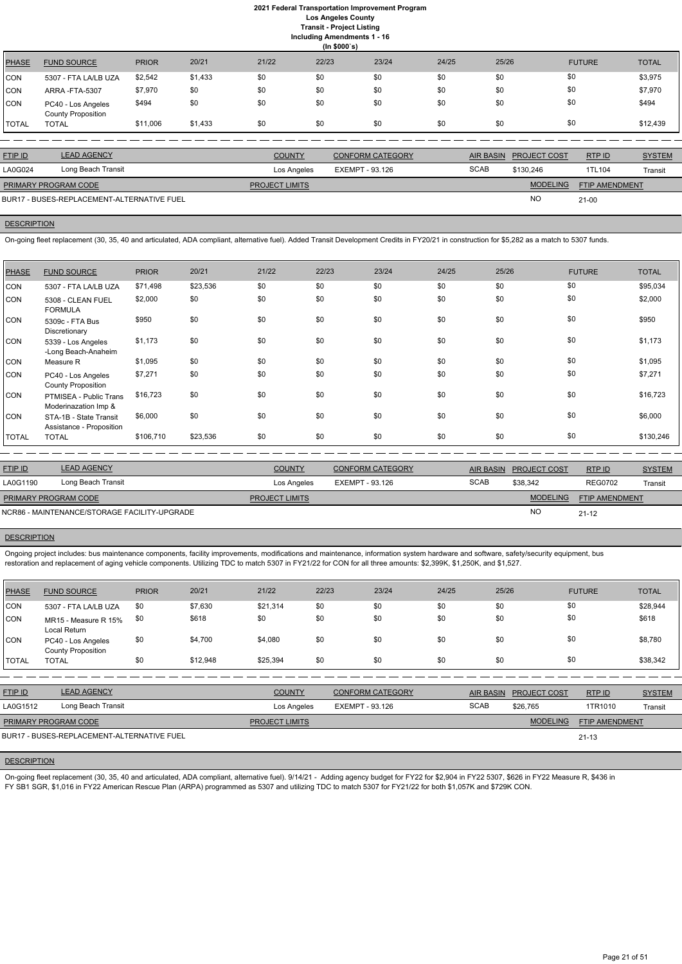**Including Amendments 1 - 16**

**(In \$000`s)** PHASE FUND SOURCE PRIOR 20/21 21/22 22/23 23/24 24/25 25/26 FUTURE TOTAL CON 5307 - FTA LA/LB UZA \$2,542 \$1,433 \$0 \$0 \$0 \$0 \$0 \$0 \$0 \$0 \$0 \$0 \$3,975 CON ARRA -FTA-5307 \$7,970 \$0 \$0 \$0 \$0 \$0 \$0 \$0 \$0 \$0 \$0 \$0 \$7,970 CON PC40 - Los Angeles County Proposition \$494 \$0 \$0 \$0 \$0 \$0 \$0 \$0 \$0 \$0 \$0 \$0 \$0 \$194 TOTAL TOTAL \$11,006 \$1,433 \$0 \$0 \$0 \$0 \$0 \$0 \$12,439

| <b>FTIP ID</b>       | <b>LEAD AGENCY</b>                         | <b>COUNTY</b>         | <b>CONFORM CATEGORY</b> |             | AIR BASIN PROJECT COST | RTP ID                | <b>SYSTEM</b> |
|----------------------|--------------------------------------------|-----------------------|-------------------------|-------------|------------------------|-----------------------|---------------|
| LA0G024              | Long Beach Transit                         | Los Angeles           | EXEMPT - 93.126         | <b>SCAB</b> | \$130.246              | 1TL104                | Transit       |
| PRIMARY PROGRAM CODE |                                            | <b>PROJECT LIMITS</b> |                         |             | MODELING               | <b>FTIP AMENDMENT</b> |               |
|                      | BUR17 - BUSES-REPLACEMENT-ALTERNATIVE FUEL |                       |                         |             | <b>NC</b>              | $21-00$               |               |

## **DESCRIPTION**

On-going fleet replacement (30, 35, 40 and articulated, ADA compliant, alternative fuel). Added Transit Development Credits in FY20/21 in construction for \$5,282 as a match to 5307 funds.

| <b>PHASE</b> | <b>FUND SOURCE</b>                                 | <b>PRIOR</b> | 20/21    | 21/22 | 22/23 | 23/24 | 24/25 | 25/26 | <b>FUTURE</b> | <b>TOTAL</b> |
|--------------|----------------------------------------------------|--------------|----------|-------|-------|-------|-------|-------|---------------|--------------|
| CON          | 5307 - FTA LA/LB UZA                               | \$71,498     | \$23,536 | \$0   | \$0   | \$0   | \$0   | \$0   | \$0           | \$95,034     |
| CON          | 5308 - CLEAN FUEL<br><b>FORMULA</b>                | \$2,000      | \$0      | \$0   | \$0   | \$0   | \$0   | \$0   | \$0           | \$2,000      |
| CON          | 5309c - FTA Bus<br>Discretionary                   | \$950        | \$0      | \$0   | \$0   | \$0   | \$0   | \$0   | \$0           | \$950        |
| <b>CON</b>   | 5339 - Los Angeles<br>-Long Beach-Anaheim          | \$1,173      | \$0      | \$0   | \$0   | \$0   | \$0   | \$0   | \$0           | \$1,173      |
| CON          | Measure R                                          | \$1,095      | \$0      | \$0   | \$0   | \$0   | \$0   | \$0   | \$0           | \$1,095      |
| CON          | PC40 - Los Angeles<br><b>County Proposition</b>    | \$7,271      | \$0      | \$0   | \$0   | \$0   | \$0   | \$0   | \$0           | \$7,271      |
| CON          | PTMISEA - Public Trans<br>Moderinazation Imp &     | \$16,723     | \$0      | \$0   | \$0   | \$0   | \$0   | \$0   | \$0           | \$16,723     |
| CON          | STA-1B - State Transit<br>Assistance - Proposition | \$6,000      | \$0      | \$0   | \$0   | \$0   | \$0   | \$0   | \$0           | \$6,000      |
| <b>TOTAL</b> | <b>TOTAL</b>                                       | \$106,710    | \$23,536 | \$0   | \$0   | \$0   | \$0   | \$0   | \$0           | \$130,246    |

On-going fleet replacement (30, 35, 40 and articulated, ADA compliant, alternative fuel). 9/14/21 - Adding agency budget for FY22 for \$2,904 in FY22 5307, \$626 in FY22 Measure R, \$436 in FY SB1 SGR, \$1,016 in FY22 American Rescue Plan (ARPA) programmed as 5307 and utilizing TDC to match 5307 for FY21/22 for both \$1,057K and \$729K CON.

| <b>FTIP ID</b>              | <b>LEAD AGENCY</b>                           | <b>COUNTY</b>         | <b>CONFORM CATEGORY</b> |             | AIR BASIN PROJECT COST | RTP ID         | <b>SYSTEM</b> |
|-----------------------------|----------------------------------------------|-----------------------|-------------------------|-------------|------------------------|----------------|---------------|
| LA0G1190                    | Long Beach Transit                           | Los Angeles           | EXEMPT - 93.126         | <b>SCAB</b> | \$38,342               | <b>REG0702</b> | Transit       |
| <b>PRIMARY PROGRAM CODE</b> |                                              | <b>PROJECT LIMITS</b> |                         |             | <b>MODELING</b>        | FTIP AMENDMENT |               |
|                             | NCR86 - MAINTENANCE/STORAGE FACILITY-UPGRADE |                       |                         |             | <b>NO</b>              | $21 - 12$      |               |

#### **DESCRIPTION**

Ongoing project includes: bus maintenance components, facility improvements, modifications and maintenance, information system hardware and software, safety/security equipment, bus restoration and replacement of aging vehicle components. Utilizing TDC to match 5307 in FY21/22 for CON for all three amounts: \$2,399K, \$1,250K, and \$1,527.

| <b>PHASE</b> | <b>FUND SOURCE</b>                              | <b>PRIOR</b> | 20/21    | 21/22    | 22/23 | 23/24 | 24/25 | 25/26 | <b>FUTURE</b> | <b>TOTAL</b> |
|--------------|-------------------------------------------------|--------------|----------|----------|-------|-------|-------|-------|---------------|--------------|
| CON          | 5307 - FTA LA/LB UZA                            | \$0          | \$7,630  | \$21,314 | \$0   | \$0   | \$0   | \$0   | \$0           | \$28,944     |
| CON          | MR15 - Measure R 15%<br>Local Return            | \$0          | \$618    | \$0      | \$0   | \$0   | \$0   | \$0   | \$0           | \$618        |
| <b>CON</b>   | PC40 - Los Angeles<br><b>County Proposition</b> | \$0          | \$4,700  | \$4,080  | \$0   | \$0   | \$0   | \$0   | \$0           | \$8,780      |
| <b>TOTAL</b> | <b>TOTAL</b>                                    | \$0          | \$12,948 | \$25,394 | \$0   | \$0   | \$0   | \$0   | \$0           | \$38,342     |

| <u>FTIP ID</u>              | <b>LEAD AGENCY</b> | <b>COUNTY</b>         | <b>CONFORM CATEGORY</b> |             | AIR BASIN PROJECT COST | RTPID                 | <b>SYSTEM</b> |
|-----------------------------|--------------------|-----------------------|-------------------------|-------------|------------------------|-----------------------|---------------|
| LA0G1512                    | Long Beach Transit | Los Angeles           | EXEMPT - 93.126         | <b>SCAB</b> | \$26,765               | 1TR1010               | Transit       |
| <b>PRIMARY PROGRAM CODE</b> |                    | <b>PROJECT LIMITS</b> |                         |             | <b>MODELING</b>        | <b>FTIP AMENDMENT</b> |               |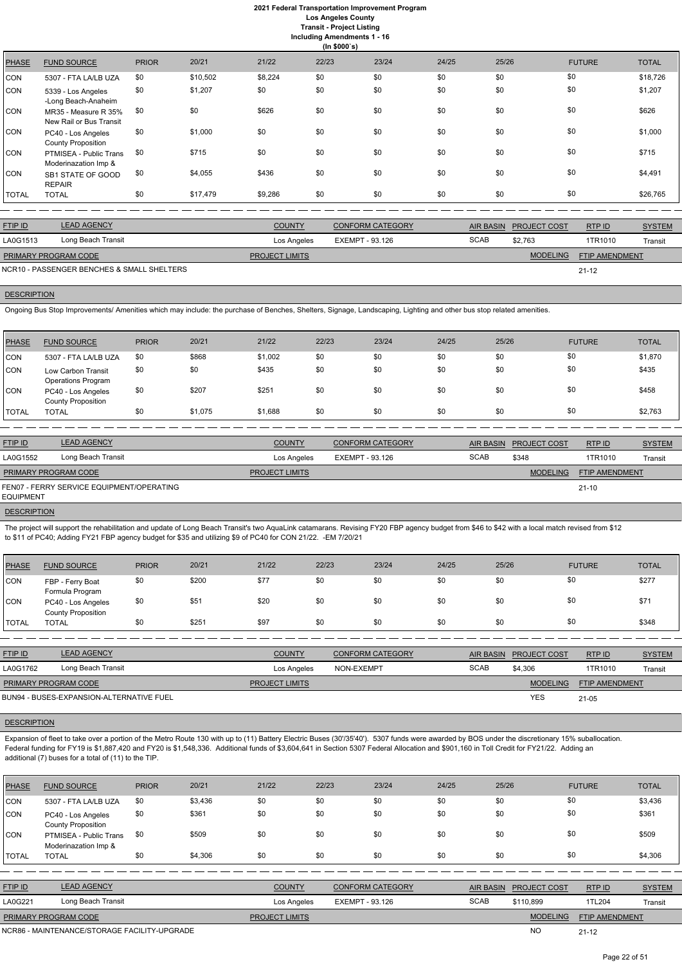## **2021 Federal Transportation Improvement Program Los Angeles County**

**Transit - Project Listing**

**Including Amendments 1 - 16**

|              | (ln \$000's)                                    |              |          |         |       |       |       |       |               |              |  |  |
|--------------|-------------------------------------------------|--------------|----------|---------|-------|-------|-------|-------|---------------|--------------|--|--|
| <b>PHASE</b> | <b>FUND SOURCE</b>                              | <b>PRIOR</b> | 20/21    | 21/22   | 22/23 | 23/24 | 24/25 | 25/26 | <b>FUTURE</b> | <b>TOTAL</b> |  |  |
| CON          | 5307 - FTA LA/LB UZA                            | \$0          | \$10,502 | \$8,224 | \$0   | \$0   | \$0   | \$0   | \$0           | \$18,726     |  |  |
| CON          | 5339 - Los Angeles<br>-Long Beach-Anaheim       | \$0          | \$1,207  | \$0     | \$0   | \$0   | \$0   | \$0   | \$0           | \$1,207      |  |  |
| CON          | MR35 - Measure R 35%<br>New Rail or Bus Transit | \$0          | \$0      | \$626   | \$0   | \$0   | \$0   | \$0   | \$0           | \$626        |  |  |
| CON          | PC40 - Los Angeles<br><b>County Proposition</b> | \$0          | \$1,000  | \$0     | \$0   | \$0   | \$0   | \$0   | \$0           | \$1,000      |  |  |
| CON          | PTMISEA - Public Trans<br>Moderinazation Imp &  | \$0          | \$715    | \$0     | \$0   | \$0   | \$0   | \$0   | \$0           | \$715        |  |  |
| CON          | SB1 STATE OF GOOD<br><b>REPAIR</b>              | \$0          | \$4,055  | \$436   | \$0   | \$0   | \$0   | \$0   | \$0           | \$4,491      |  |  |
| TOTAL        | <b>TOTAL</b>                                    | \$0          | \$17,479 | \$9,286 | \$0   | \$0   | \$0   | \$0   | \$0           | \$26,765     |  |  |

| <b>FTIP ID</b>              | <b>LEAD AGENCY</b>                         | <b>COUNTY</b>         | <b>CONFORM CATEGORY</b> |             | AIR BASIN PROJECT COST | RTP ID                | <b>SYSTEM</b> |
|-----------------------------|--------------------------------------------|-----------------------|-------------------------|-------------|------------------------|-----------------------|---------------|
| LA0G1513                    | Long Beach Transit                         | Los Angeles           | EXEMPT - 93.126         | <b>SCAB</b> | \$2.763                | 1TR1010               | Transit       |
| <b>PRIMARY PROGRAM CODE</b> |                                            | <b>PROJECT LIMITS</b> |                         |             | <b>MODELING</b>        | <b>FTIP AMENDMENT</b> |               |
|                             | NCR10 - PASSENGER BENCHES & SMALL SHELTERS |                       |                         |             |                        | $21 - 12$             |               |

## **DESCRIPTION**

Ongoing Bus Stop Improvements/ Amenities which may include: the purchase of Benches, Shelters, Signage, Landscaping, Lighting and other bus stop related amenities.

| PHASE        | <b>FUND SOURCE</b>                              | <b>PRIOR</b> | 20/21   | 21/22   | 22/23 | 23/24 | 24/25 | 25/26 | <b>FUTURE</b> | <b>TOTAL</b> |
|--------------|-------------------------------------------------|--------------|---------|---------|-------|-------|-------|-------|---------------|--------------|
| CON          | 5307 - FTA LA/LB UZA                            | \$0          | \$868   | \$1,002 | \$0   | \$0   | \$0   | \$0   | \$0           | \$1,870      |
| <b>CON</b>   | Low Carbon Transit<br><b>Operations Program</b> | \$0          | \$0     | \$435   | \$0   | \$0   | \$0   | \$0   | \$0           | \$435        |
| <b>CON</b>   | PC40 - Los Angeles<br><b>County Proposition</b> | \$0          | \$207   | \$251   | \$0   | \$0   | \$0   | \$0   | \$0           | \$458        |
| <b>TOTAL</b> | <b>TOTAL</b>                                    | \$0          | \$1,075 | \$1,688 | \$0   | \$0   | \$0   | \$0   | \$0           | \$2,763      |

| <b>FTIP ID</b>              | <b>LEAD AGENCY</b>                        | <b>COUNTY</b>         | <b>CONFORM CATEGORY</b> |             | AIR BASIN PROJECT COST | RTP ID                | <b>SYSTEM</b> |
|-----------------------------|-------------------------------------------|-----------------------|-------------------------|-------------|------------------------|-----------------------|---------------|
| LA0G1552                    | Long Beach Transit                        | Los Angeles           | EXEMPT - 93.126         | <b>SCAB</b> | \$348                  | 1TR1010               | Transit       |
| <b>PRIMARY PROGRAM CODE</b> |                                           | <b>PROJECT LIMITS</b> |                         |             | <b>MODELING</b>        | <b>FTIP AMENDMENT</b> |               |
| <b>EQUIPMENT</b>            | FEN07 - FERRY SERVICE EQUIPMENT/OPERATING |                       |                         |             |                        | $21 - 10$             |               |
| ___________                 |                                           |                       |                         |             |                        |                       |               |

**DESCRIPTION** 

The project will support the rehabilitation and update of Long Beach Transit's two AquaLink catamarans. Revising FY20 FBP agency budget from \$46 to \$42 with a local match revised from \$12 to \$11 of PC40; Adding FY21 FBP agency budget for \$35 and utilizing \$9 of PC40 for CON 21/22. -EM 7/20/21

| <b>PHASE</b> | <b>FUND SOURCE</b>                              | <b>PRIOR</b> | 20/21 | 21/22 | 22/23 | 23/24 | 24/25 | 25/26 | <b>FUTURE</b> | <b>TOTAL</b> |
|--------------|-------------------------------------------------|--------------|-------|-------|-------|-------|-------|-------|---------------|--------------|
| CON          | FBP - Ferry Boat<br>Formula Program             | \$0          | \$200 | \$77  | \$0   | \$0   | \$0   | \$0   | \$0           | \$277        |
| <b>CON</b>   | PC40 - Los Angeles<br><b>County Proposition</b> | \$0          | \$51  | \$20  | \$0   | \$0   | \$0   | \$0   | \$0           | \$71         |
| <b>TOTAL</b> | <b>TOTAL</b>                                    | \$0          | \$251 | \$97  | \$0   | \$0   | \$0   | \$0   | \$0           | \$348        |

| <b>FTIP ID</b>              | <b>LEAD AGENCY</b>                       | <b>COUNTY</b>         | <b>CONFORM CATEGORY</b> |             | AIR BASIN PROJECT COST | RTP ID                | <b>SYSTEM</b> |
|-----------------------------|------------------------------------------|-----------------------|-------------------------|-------------|------------------------|-----------------------|---------------|
| LA0G1762                    | Long Beach Transit                       | Los Angeles           | NON-EXEMPT              | <b>SCAB</b> | \$4.306                | 1TR1010               | Transit       |
| <b>PRIMARY PROGRAM CODE</b> |                                          | <b>PROJECT LIMITS</b> |                         |             | <b>MODELING</b>        | <b>FTIP AMENDMENT</b> |               |
|                             | BUN94 - BUSES-EXPANSION-ALTERNATIVE FUEL |                       |                         |             | <b>YES</b>             | $21 - 05$             |               |

Expansion of fleet to take over a portion of the Metro Route 130 with up to (11) Battery Electric Buses (30'/35'40'). 5307 funds were awarded by BOS under the discretionary 15% suballocation. Federal funding for FY19 is \$1,887,420 and FY20 is \$1,548,336. Additional funds of \$3,604,641 in Section 5307 Federal Allocation and \$901,160 in Toll Credit for FY21/22. Adding an additional (7) buses for a total of (11) to the TIP.

| <b>PHASE</b>   | <b>FUND SOURCE</b>                              | <b>PRIOR</b> | 20/21   | 21/22                 | 22/23           | 23/24                   | 24/25 | 25/26            |                 | <b>FUTURE</b>  | <b>TOTAL</b>  |
|----------------|-------------------------------------------------|--------------|---------|-----------------------|-----------------|-------------------------|-------|------------------|-----------------|----------------|---------------|
| CON            | 5307 - FTA LA/LB UZA                            | \$0          | \$3,436 | \$0                   | \$0             | \$0                     | \$0   | \$0              |                 | \$0            | \$3,436       |
| CON            | PC40 - Los Angeles<br><b>County Proposition</b> | \$0          | \$361   | \$0                   | \$0             | \$0                     | \$0   | \$0              |                 | \$0            | \$361         |
| CON            | PTMISEA - Public Trans<br>Moderinazation Imp &  | \$0          | \$509   | \$0                   | \$0             | \$0                     | \$0   | \$0              |                 | \$0            | \$509         |
| <b>TOTAL</b>   | <b>TOTAL</b>                                    | \$0          | \$4,306 | \$0                   | \$0             | \$0                     | \$0   | \$0              |                 | \$0            | \$4,306       |
|                |                                                 |              |         |                       |                 |                         |       |                  |                 |                |               |
| <b>FTIP ID</b> | <b>LEAD AGENCY</b>                              |              |         | <b>COUNTY</b>         |                 | <b>CONFORM CATEGORY</b> |       | <b>AIR BASIN</b> | PROJECT COST    | RTP ID         | <b>SYSTEM</b> |
| LA0G221        | Long Beach Transit                              |              |         | Los Angeles           | EXEMPT - 93.126 |                         |       | <b>SCAB</b>      | \$110,899       | 1TL204         | Transit       |
|                | PRIMARY PROGRAM CODE                            |              |         | <b>PROJECT LIMITS</b> |                 |                         |       |                  | <b>MODELING</b> | FTIP AMENDMENT |               |
|                | NCR86 - MAINTENANCE/STORAGE FACILITY-UPGRADE    |              |         |                       |                 |                         |       |                  | <b>NO</b>       | $21 - 12$      |               |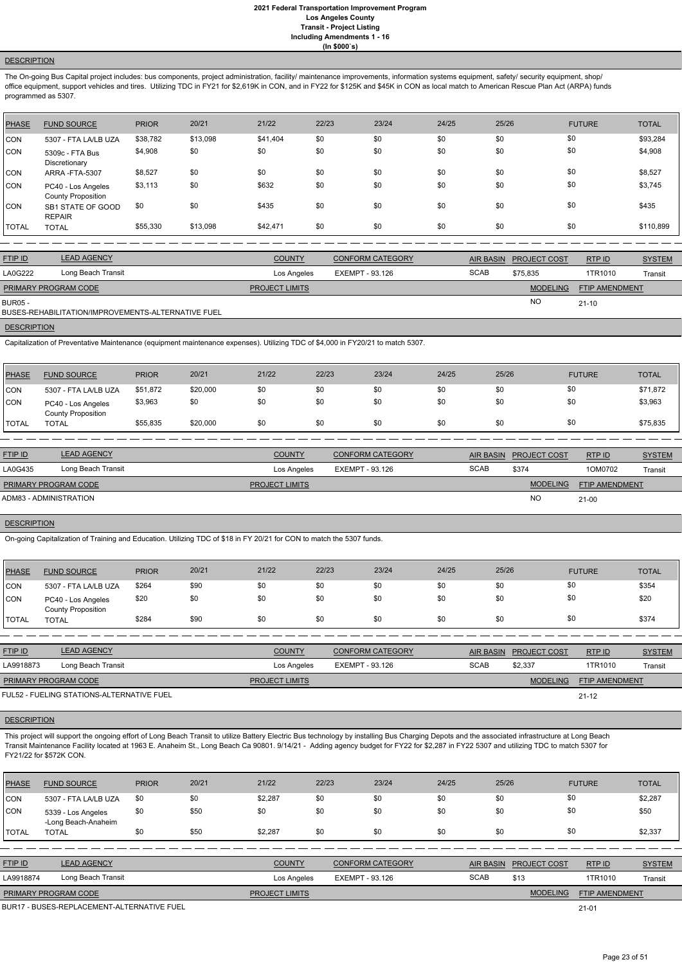## **DESCRIPTION**

The On-going Bus Capital project includes: bus components, project administration, facility/ maintenance improvements, information systems equipment, safety/ security equipment, shop/ office equipment, support vehicles and tires. Utilizing TDC in FY21 for \$2,619K in CON, and in FY22 for \$125K and \$45K in CON as local match to American Rescue Plan Act (ARPA) funds programmed as 5307.

| ICON<br>ICON<br> CON | 5307 - FTA LA/LB UZA<br>5309c - FTA Bus<br>Discretionary<br>ARRA-FTA-5307             | \$38,782<br>\$4,908<br>\$8,527 | \$13,098<br>\$0<br>\$0 | \$41,404<br>\$0<br>\$0 | \$0<br>\$0<br>\$0 | \$0<br>\$0<br>\$0 | \$0<br>\$0<br>\$0 | \$0<br>\$0<br>\$0 | \$0<br>\$0<br>\$0 | \$93,284<br>\$4,908<br>\$8,527 |
|----------------------|---------------------------------------------------------------------------------------|--------------------------------|------------------------|------------------------|-------------------|-------------------|-------------------|-------------------|-------------------|--------------------------------|
| CON<br>ICON.         | PC40 - Los Angeles<br><b>County Proposition</b><br>SB1 STATE OF GOOD<br><b>REPAIR</b> | \$3,113<br>\$0                 | \$0<br>\$0             | \$632<br>\$435         | \$0<br>\$0        | \$0<br>\$0        | \$0<br>\$0        | \$0<br>\$0        | \$0<br>\$0        | \$3,745<br>\$435               |
| I TOTAL              | <b>TOTAL</b>                                                                          | \$55,330                       | \$13,098               | \$42,471               | \$0               | \$0               | \$0               | \$0               | \$0               | \$110,899                      |

| <b>FTIP ID</b>              | <b>LEAD AGENCY</b> | <b>COUNTY</b>         | CONFORM CATEGORY |             | AIR BASIN PROJECT COST | RTPID                 | <b>SYSTEM</b> |
|-----------------------------|--------------------|-----------------------|------------------|-------------|------------------------|-----------------------|---------------|
| LA0G222                     | Long Beach Transit | Los Angeles           | EXEMPT - 93.126  | <b>SCAB</b> | \$75.835               | 1TR1010               | Transit       |
| <b>PRIMARY PROGRAM CODE</b> |                    | <b>PROJECT LIMITS</b> |                  |             | <b>MODELING</b>        | <b>FTIP AMENDMENT</b> |               |
| <b>BUR05 -</b>              |                    |                       |                  |             | <b>NO</b>              | $21 - 10$             |               |

BUSES-REHABILITATION/IMPROVEMENTS-ALTERNATIVE FUEL

Capitalization of Preventative Maintenance (equipment maintenance expenses). Utilizing TDC of \$4,000 in FY20/21 to match 5307.

DESCRIPTION

| PHASE        | <b>FUND SOURCE</b>                              | <b>PRIOR</b> | 20/21    | 21/22 | 22/23 | 23/24 | 24/25 | 25/26 | <b>FUTURE</b> | <b>TOTAL</b> |
|--------------|-------------------------------------------------|--------------|----------|-------|-------|-------|-------|-------|---------------|--------------|
| <b>CON</b>   | 5307 - FTA LA/LB UZA                            | \$51,872     | \$20,000 | \$0   | \$0   | \$0   | \$0   | \$0   | \$0           | \$71,872     |
| CON          | PC40 - Los Angeles<br><b>County Proposition</b> | \$3,963      | \$0      | \$0   |       | \$0   | \$0   | \$0   | \$0           | \$3,963      |
| <b>TOTAL</b> | TOTAL                                           | \$55,835     | \$20,000 | \$0   |       | \$0   | \$0   | \$0   | \$0           | \$75,835     |

| <b>FTIP ID</b>              | <b>LEAD AGENCY</b> | <b>COUNTY</b>         | CONFORM CATEGORY |             | AIR BASIN PROJECT COST | RTPID                 | <b>SYSTEM</b> |
|-----------------------------|--------------------|-----------------------|------------------|-------------|------------------------|-----------------------|---------------|
| LA0G435                     | Long Beach Transit | Los Angeles           | EXEMPT - 93.126  | <b>SCAB</b> | \$374                  | 1OM0702               | Transit       |
| <b>PRIMARY PROGRAM CODE</b> |                    | <b>PROJECT LIMITS</b> |                  |             | <b>MODELING</b>        | <b>FTIP AMENDMENT</b> |               |
| ADM83 - ADMINISTRATION      |                    |                       |                  |             | <b>NO</b>              | $21 - 00$             |               |

## **DESCRIPTION**

On-going Capitalization of Training and Education. Utilizing TDC of \$18 in FY 20/21 for CON to match the 5307 funds.

| <b>PHASE</b> | <b>FUND SOURCE</b>                              | <b>PRIOR</b> | 20/21 | 21/22 | 22/23 | 23/24 | 24/25 | 25/26 | <b>FUTURE</b> | <b>TOTAL</b> |
|--------------|-------------------------------------------------|--------------|-------|-------|-------|-------|-------|-------|---------------|--------------|
| <b>CON</b>   | 5307 - FTA LA/LB UZA                            | \$264        | \$90  | \$0   | \$0   | \$0   | \$0   | \$0   | \$0           | \$354        |
| CON          | PC40 - Los Angeles<br><b>County Proposition</b> | \$20         | \$0   | \$0   | \$0   | \$0   | \$0   | \$0   | \$0           | \$20         |
| I TOTAL      | <b>TOTAL</b>                                    | \$284        | \$90  | \$0   | \$0   | \$0   | \$0   | \$0   | \$0           | \$374        |

| <b>FTIP ID</b>                            | <b>LEAD AGENCY</b> | <b>COUNTY</b>         | <b>CONFORM CATEGORY</b> | <b>AIR BASIN</b> | <b>PROJECT COST</b> | RTP ID                | <b>SYSTEM</b> |
|-------------------------------------------|--------------------|-----------------------|-------------------------|------------------|---------------------|-----------------------|---------------|
| LA9918873                                 | Long Beach Transit | Los Angeles           | EXEMPT - 93.126         | <b>SCAB</b>      | \$2,337             | 1TR1010               | Transit       |
| <b>PRIMARY PROGRAM CODE</b>               |                    | <b>PROJECT LIMITS</b> |                         |                  | <b>MODELING</b>     | <b>FTIP AMENDMENT</b> |               |
| FUL52 - FUELING STATIONS-ALTERNATIVE FUEL |                    |                       |                         |                  |                     | $21 - 12$             |               |

This project will support the ongoing effort of Long Beach Transit to utilize Battery Electric Bus technology by installing Bus Charging Depots and the associated infrastructure at Long Beach Transit Maintenance Facility located at 1963 E. Anaheim St., Long Beach Ca 90801. 9/14/21 - Adding agency budget for FY22 for \$2,287 in FY22 5307 and utilizing TDC to match 5307 for FY21/22 for \$572K CON.

| \$0<br>\$2,287<br>\$0<br>\$2,287<br>\$0<br>\$0<br>\$0<br>\$0<br>\$0<br><b>CON</b><br>5307 - FTA LA/LB UZA<br>\$0<br>\$50<br>\$0<br>\$0<br>\$0<br>\$0<br>\$0<br>\$50<br>\$0<br>CON<br>5339 - Los Angeles | <b>TOTAL</b>  |
|---------------------------------------------------------------------------------------------------------------------------------------------------------------------------------------------------------|---------------|
|                                                                                                                                                                                                         |               |
| -Long Beach-Anaheim                                                                                                                                                                                     |               |
| \$0<br>\$50<br>\$0<br>\$0<br>\$0<br>\$0<br>\$0<br>\$2,287<br>\$2,337<br><b>TOTAL</b><br><b>TOTAL</b>                                                                                                    |               |
|                                                                                                                                                                                                         |               |
| <b>LEAD AGENCY</b><br><b>FTIP ID</b><br><b>COUNTY</b><br><b>CONFORM CATEGORY</b><br><b>AIR BASIN</b><br>RTP ID<br><b>PROJECT COST</b>                                                                   | <b>SYSTEM</b> |
| <b>SCAB</b><br>Long Beach Transit<br>\$13<br>1TR1010<br>LA9918874<br>EXEMPT - 93.126<br>Los Angeles                                                                                                     | Transit       |
| <b>MODELING</b><br>PRIMARY PROGRAM CODE<br><b>PROJECT LIMITS</b><br><b>FTIP AMENDMENT</b>                                                                                                               |               |

21-01

BUR17 - BUSES-REPLACEMENT-ALTERNATIVE FUEL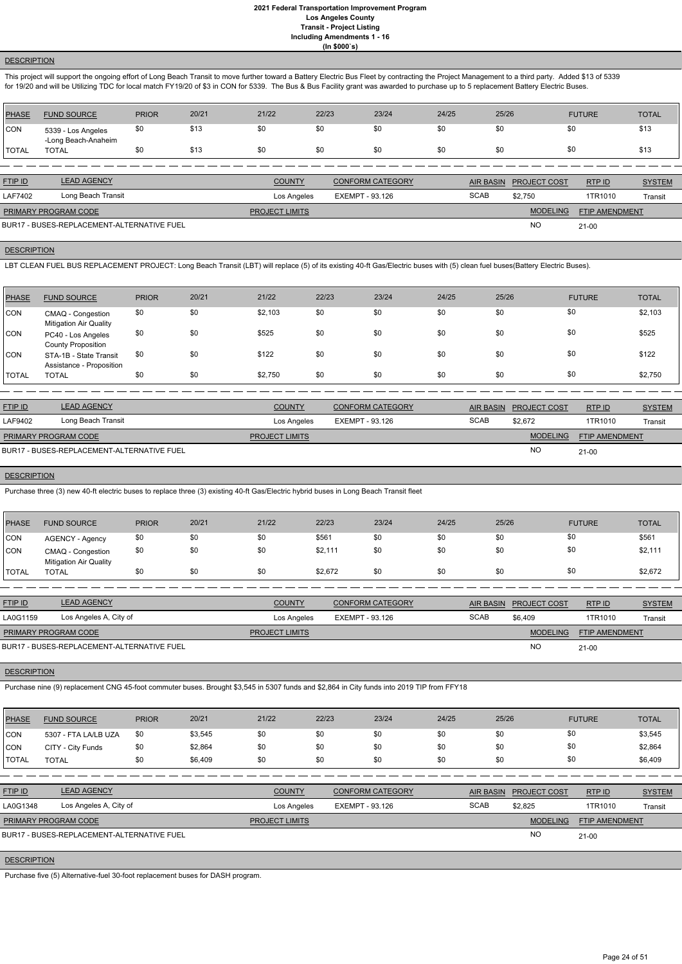## **DESCRIPTION**

This project will support the ongoing effort of Long Beach Transit to move further toward a Battery Electric Bus Fleet by contracting the Project Management to a third party. Added \$13 of 5339 for 19/20 and will be Utilizing TDC for local match FY19/20 of \$3 in CON for 5339. The Bus & Bus Facility grant was awarded to purchase up to 5 replacement Battery Electric Buses.

| <b>PHASE</b>   | <b>FUND SOURCE</b>                        | <b>PRIOR</b> | 20/21 | 21/22         | 22/23 | 23/24                   | 24/25 | 25/26            | <b>FUTURE</b>                       | <b>TOTAL</b>  |
|----------------|-------------------------------------------|--------------|-------|---------------|-------|-------------------------|-------|------------------|-------------------------------------|---------------|
| <b>CON</b>     | 5339 - Los Angeles<br>-Long Beach-Anaheim | \$0          | \$13  | \$0           | \$0   | \$0                     | \$0   | \$0              | \$0                                 | \$13          |
| <b>TOTAL</b>   | <b>TOTAL</b>                              | \$0          | \$13  | \$0           | \$0   | \$0                     | \$0   | \$0              | \$0                                 | \$13          |
|                |                                           |              |       |               |       |                         |       |                  |                                     |               |
| <b>FTIP ID</b> | <b>LEAD AGENCY</b>                        |              |       | <b>COUNTY</b> |       | <b>CONFORM CATEGORY</b> |       | <b>AIR BASIN</b> | <b>RTPID</b><br><b>PROJECT COST</b> | <b>SYSTEM</b> |

| FTIP ID                              | LEAD AGENCY                                | COUNTY                | CONFORM CATEGORY | <b>AIR BASIN</b> | <b>PROJECT COST</b> | RTPID                 | <b>SYSTEM</b> |
|--------------------------------------|--------------------------------------------|-----------------------|------------------|------------------|---------------------|-----------------------|---------------|
| Long Beach Transit<br><b>LAF7402</b> |                                            | Los Angeles           | EXEMPT - 93.126  | <b>SCAB</b>      | \$2.750             | 1TR1010               | Transit       |
| <b>PRIMARY PROGRAM CODE</b>          |                                            | <b>PROJECT LIMITS</b> |                  |                  | <b>MODELING</b>     | <b>FTIP AMENDMENT</b> |               |
|                                      | BUR17 - BUSES-REPLACEMENT-ALTERNATIVE FUEL |                       |                  |                  | <b>NC</b>           | $21 - 00$             |               |

## **DESCRIPTION**

LBT CLEAN FUEL BUS REPLACEMENT PROJECT: Long Beach Transit (LBT) will replace (5) of its existing 40-ft Gas/Electric buses with (5) clean fuel buses(Battery Electric Buses).

| PHASE        | <b>FUND SOURCE</b>                                 | <b>PRIOR</b> | 20/21 | 21/22   | 22/23 | 23/24 | 24/25 | 25/26 | <b>FUTURE</b> | <b>TOTAL</b> |
|--------------|----------------------------------------------------|--------------|-------|---------|-------|-------|-------|-------|---------------|--------------|
| <b>CON</b>   | CMAQ - Congestion<br><b>Mitigation Air Quality</b> | \$0          | \$0   | \$2,103 | \$0   | \$0   | \$0   | \$0   | \$0           | \$2,103      |
| <b>CON</b>   | PC40 - Los Angeles<br><b>County Proposition</b>    | \$0          | \$0   | \$525   | \$0   | \$0   | \$0   | \$0   | \$0           | \$525        |
| <b>CON</b>   | STA-1B - State Transit<br>Assistance - Proposition | \$0          | \$0   | \$122   | \$0   | \$0   | \$0   | \$0   | \$0           | \$122        |
| <b>TOTAL</b> | <b>TOTAL</b>                                       | \$0          | \$0   | \$2,750 | \$0   | \$0   | \$0   | \$0   | \$0           | \$2,750      |

| <b>FTIP ID</b>              | <b>LEAD AGENCY</b>                         | <b>COUNTY</b>         | <b>CONFORM CATEGORY</b> |             | AIR BASIN PROJECT COST | RTPID                 | <b>SYSTEM</b> |
|-----------------------------|--------------------------------------------|-----------------------|-------------------------|-------------|------------------------|-----------------------|---------------|
| LAF9402                     | Long Beach Transit                         | Los Angeles           | EXEMPT - 93.126         | <b>SCAB</b> | \$2.672                | 1TR1010               | Transit       |
| <b>PRIMARY PROGRAM CODE</b> |                                            | <b>PROJECT LIMITS</b> |                         |             | <b>MODELING</b>        | <b>FTIP AMENDMENT</b> |               |
|                             | BUR17 - BUSES-REPLACEMENT-ALTERNATIVE FUEL |                       |                         |             | <b>NC</b>              | $21 - 00$             |               |

#### **DESCRIPTION**

Purchase three (3) new 40-ft electric buses to replace three (3) existing 40-ft Gas/Electric hybrid buses in Long Beach Transit fleet

| PHASE        | <b>FUND SOURCE</b>                                 | <b>PRIOR</b> | 20/21 | 21/22 | 22/23   | 23/24 | 24/25 | 25/26 | <b>FUTURE</b> | <b>TOTAL</b> |
|--------------|----------------------------------------------------|--------------|-------|-------|---------|-------|-------|-------|---------------|--------------|
| <b>CON</b>   | <b>AGENCY - Agency</b>                             | \$0          | \$0   | \$0   | \$561   | \$0   | \$0   | \$0   | \$0           | \$561        |
| <b>CON</b>   | CMAQ - Congestion<br><b>Mitigation Air Quality</b> | \$0          | \$0   | \$0   | \$2,111 | \$0   | \$0   | \$0   | \$0           | \$2,111      |
| <b>TOTAL</b> | <b>TOTAL</b>                                       | \$0          | \$0   | \$0   | \$2,672 | \$0   | \$0   | \$0   | \$0           | \$2,672      |

| <b>FTIP ID</b>       | <b>LEAD AGENCY</b>                         | <b>COUNTY</b>         | <b>CONFORM CATEGORY</b> |             | AIR BASIN PROJECT COST | <b>RTP ID</b>         | <b>SYSTEM</b> |
|----------------------|--------------------------------------------|-----------------------|-------------------------|-------------|------------------------|-----------------------|---------------|
| LA0G1159             | Los Angeles A, City of                     | Los Angeles           | EXEMPT - 93.126         | <b>SCAB</b> | \$6,409                | 1TR1010               | Transit       |
| PRIMARY PROGRAM CODE |                                            | <b>PROJECT LIMITS</b> |                         |             | <b>MODELING</b>        | <b>FTIP AMENDMENT</b> |               |
|                      | BUR17 - BUSES-REPLACEMENT-ALTERNATIVE FUEL |                       |                         |             | <b>NO</b>              | 21-00                 |               |

## **DESCRIPTION**

Purchase nine (9) replacement CNG 45-foot commuter buses. Brought \$3,545 in 5307 funds and \$2,864 in City funds into 2019 TIP from FFY18

| PHASE | <b>FUND SOURCE</b> | <b>PRIOR</b> | 20/21 | 21/22 | 22/23 | 23/24 | 24/25 | 25/26 | <b>FUTURE</b> | <b>TOTAL</b> |
|-------|--------------------|--------------|-------|-------|-------|-------|-------|-------|---------------|--------------|
|       |                    |              |       |       |       |       |       |       |               |              |

| <b>CON</b>     | 5307 - FTA LA/LB UZA                       | \$0 | \$3,545 | \$0                   | \$0         | \$0                     | \$0 | \$0              | \$0                 |                | \$3,545       |
|----------------|--------------------------------------------|-----|---------|-----------------------|-------------|-------------------------|-----|------------------|---------------------|----------------|---------------|
| CON            | CITY - City Funds                          | \$0 | \$2,864 | \$0                   | \$0         | \$0                     | \$0 | \$0              | \$0                 |                | \$2,864       |
| <b>I</b> TOTAL | <b>TOTAL</b>                               | \$0 | \$6,409 | \$0                   | \$0         | \$0                     | \$0 | \$0              | \$0                 |                | \$6,409       |
|                |                                            |     |         |                       |             |                         |     |                  |                     |                |               |
| FTIPID         | <b>LEAD AGENCY</b>                         |     |         | <b>COUNTY</b>         |             | <b>CONFORM CATEGORY</b> |     | <b>AIR BASIN</b> | <b>PROJECT COST</b> | RTP ID         | <b>SYSTEM</b> |
| LA0G1348       | Los Angeles A, City of                     |     |         |                       | Los Angeles | EXEMPT - 93.126         |     | <b>SCAB</b>      | \$2,825             | 1TR1010        | Transit       |
|                | PRIMARY PROGRAM CODE                       |     |         | <b>PROJECT LIMITS</b> |             |                         |     |                  | <b>MODELING</b>     | FTIP AMENDMENT |               |
|                | BUR17 - BUSES-REPLACEMENT-ALTERNATIVE FUEL |     |         |                       |             |                         |     |                  | <b>NO</b>           | 21-00          |               |
|                |                                            |     |         |                       |             |                         |     |                  |                     |                |               |

### **DESCRIPTION**

Purchase five (5) Alternative-fuel 30-foot replacement buses for DASH program.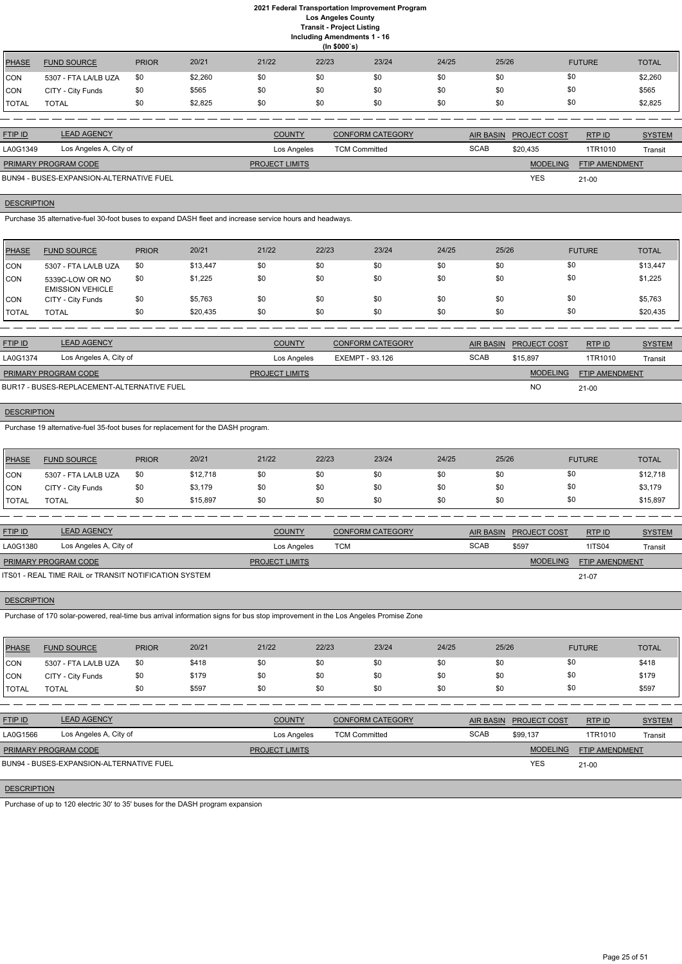| <b>PHASE</b> | <b>FUND SOURCE</b>   | <b>PRIOR</b> | 20/21   | 21/22 | (ln \$000's)<br>22/23 | 23/24 | 24/25 | 25/26 | <b>FUTURE</b> | <b>TOTAL</b> |
|--------------|----------------------|--------------|---------|-------|-----------------------|-------|-------|-------|---------------|--------------|
| CON          | 5307 - FTA LA/LB UZA | \$0          | \$2,260 | \$0   | \$0                   | \$0   | \$0   | \$0   | \$0           | \$2,260      |
| CON          | CITY - City Funds    | \$0          | \$565   | \$0   | \$0                   | \$0   | \$0   | \$0   | \$0           | \$565        |
| TOTAL        | <b>TOTAL</b>         | \$0          | \$2,825 | \$0   | \$0                   | \$0   | \$0   | \$0   | \$0           | \$2,825      |

| <b>FTIP ID</b>              | <b>LEAD AGENCY</b>                       | <b>COUNTY</b>         | <b>CONFORM CATEGORY</b> |             | AIR BASIN PROJECT COST | RTPID                 | <b>SYSTEM</b> |
|-----------------------------|------------------------------------------|-----------------------|-------------------------|-------------|------------------------|-----------------------|---------------|
| LA0G1349                    | Los Angeles A, City of                   | Los Angeles           | <b>TCM Committed</b>    | <b>SCAB</b> | \$20.435               | 1TR1010               | Transit       |
| <b>PRIMARY PROGRAM CODE</b> |                                          | <b>PROJECT LIMITS</b> |                         |             | <b>MODELING</b>        | <b>FTIP AMENDMENT</b> |               |
|                             | BUN94 - BUSES-EXPANSION-ALTERNATIVE FUEL |                       |                         |             | <b>YES</b>             | $21-00$               |               |

## **DESCRIPTION**

Purchase 35 alternative-fuel 30-foot buses to expand DASH fleet and increase service hours and headways.

| <b>PHASE</b> | <b>FUND SOURCE</b>                         | <b>PRIOR</b> | 20/21    | 21/22 | 22/23 | 23/24 | 24/25 | 25/26 | <b>FUTURE</b> | <b>TOTAL</b> |
|--------------|--------------------------------------------|--------------|----------|-------|-------|-------|-------|-------|---------------|--------------|
| CON          | 5307 - FTA LA/LB UZA                       | \$0          | \$13,447 | \$0   | \$0   | \$0   | \$0   | \$0   | \$0           | \$13,447     |
| <b>CON</b>   | 5339C-LOW OR NO<br><b>EMISSION VEHICLE</b> | \$0          | \$1,225  | \$0   | \$0   | \$0   | \$0   | \$0   | \$0           | \$1,225      |
| CON          | CITY - City Funds                          | \$0          | \$5,763  | \$0   | \$0   | \$0   | \$0   | \$0   | \$0           | \$5,763      |
| 'TOTAL       | <b>TOTAL</b>                               | \$0          | \$20,435 | \$0   | \$0   | \$0   | \$0   | \$0   | \$0           | \$20,435     |

ETIP ID LEAD AGENCY DE SYSTEM COUNTY CONFORM CATEGORY AIR BASIN PROJECT COST RTP ID SYSTEM STREM AND TRUP OF SA RTP ID

| <b>FTIP ID</b>              | <b>LEAD AGENCY</b>                         | <b>COUNTY</b>         | CONFORM CATEGORY |             | AIR BASIN PROJECT COST | RTP ID                | <b>SYSTEM</b> |
|-----------------------------|--------------------------------------------|-----------------------|------------------|-------------|------------------------|-----------------------|---------------|
| LA0G1374                    | Los Angeles A, City of                     | Los Angeles           | EXEMPT - 93.126  | <b>SCAB</b> | \$15.897               | 1TR1010               | Transit       |
| <b>PRIMARY PROGRAM CODE</b> |                                            | <b>PROJECT LIMITS</b> |                  |             | <b>MODELING</b>        | <b>FTIP AMENDMENT</b> |               |
|                             | BUR17 - BUSES-REPLACEMENT-ALTERNATIVE FUEL |                       |                  |             | <b>NC</b>              | $21 - 00$             |               |

## **DESCRIPTION**

Purchase 19 alternative-fuel 35-foot buses for replacement for the DASH program.

| <b>PHASE</b>  | <b>FUND SOURCE</b>   | <b>PRIOR</b> | 20/21    | 21/22 | 22/23 | 23/24 | 24/25 | 25/26 | <b>FUTURE</b> | <b>TOTAL</b> |
|---------------|----------------------|--------------|----------|-------|-------|-------|-------|-------|---------------|--------------|
| <b>CON</b>    | 5307 - FTA LA/LB UZA | \$0          | \$12,718 | \$0   | \$0   | \$0   | \$0   | \$0   | \$0           | \$12,718     |
| <b>CON</b>    | CITY - City Funds    | \$0          | \$3,179  | \$0   | \$0   | \$0   | \$0   | \$0   | \$0           | \$3,179      |
| <b>ITOTAL</b> | TOTAL                | \$0          | \$15,897 | \$0   | \$0   | \$0   | \$0   | \$0   | \$0           | \$15,897     |

| <b>FTIP ID</b>              | <b>LEAD AGENCY</b>                                    | <b>COUNTY</b>         | <b>CONFORM CATEGORY</b> |             | AIR BASIN PROJECT COST | RTP ID                | <b>SYSTEM</b> |
|-----------------------------|-------------------------------------------------------|-----------------------|-------------------------|-------------|------------------------|-----------------------|---------------|
| LA0G1380                    | Los Angeles A, City of                                | Los Angeles           | TCM                     | <b>SCAB</b> | \$597                  | <b>1ITS04</b>         | Transit       |
| <b>PRIMARY PROGRAM CODE</b> |                                                       | <b>PROJECT LIMITS</b> |                         |             | <b>MODELING</b>        | <b>FTIP AMENDMENT</b> |               |
|                             | ITS01 - REAL TIME RAIL or TRANSIT NOTIFICATION SYSTEM |                       |                         |             |                        | $21 - 07$             |               |

**DESCRIPTION** 

Purchase of 170 solar-powered, real-time bus arrival information signs for bus stop improvement in the Los Angeles Promise Zone

| PHASE          | <b>FUND SOURCE</b>   | <b>PRIOR</b> | 20/21 | 21/22 | 22/23 | 23/24 | 24/25 | 25/26 | <b>FUTURE</b> | <b>TOTAL</b> |
|----------------|----------------------|--------------|-------|-------|-------|-------|-------|-------|---------------|--------------|
| <b>CON</b>     | 5307 - FTA LA/LB UZA | \$0          | \$418 | \$0   | \$0   | \$0   | \$0   | \$0   | \$0           | \$418        |
| <b>CON</b>     | CITY - City Funds    | \$0          | \$179 | \$0   | \$0   | \$0   | \$0   | \$0   | \$0           | \$179        |
| <b>I</b> TOTAL | <b>TOTAL</b>         | \$0          | \$597 | \$0   | \$0   | \$0   | \$0   | \$0   | \$0           | \$597        |

| LA0G1566                    | Los Angeles A, City of                   | Los Angeles           | <b>TCM Committed</b> | <b>SCAB</b> | \$99.137        | 1TR1010               | Transit |
|-----------------------------|------------------------------------------|-----------------------|----------------------|-------------|-----------------|-----------------------|---------|
| <b>PRIMARY PROGRAM CODE</b> |                                          | <b>PROJECT LIMITS</b> |                      |             | <b>MODELING</b> | <b>FTIP AMENDMENT</b> |         |
|                             | BUN94 - BUSES-EXPANSION-ALTERNATIVE FUEL |                       |                      |             | <b>YES</b>      | $21 - 00$             |         |
|                             |                                          |                       |                      |             |                 |                       |         |

## **DESCRIPTION**

Purchase of up to 120 electric 30' to 35' buses for the DASH program expansion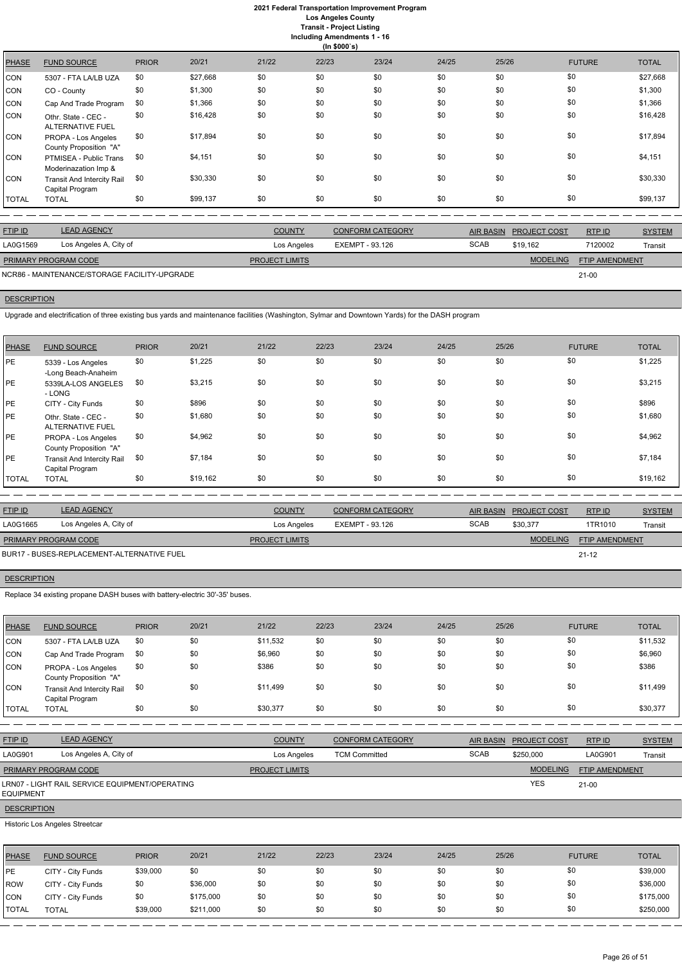**Including Amendments 1 - 16**

**(In \$000`s)** PHASE FUND SOURCE PRIOR 20/21 21/22 22/23 23/24 24/25 25/26 FUTURE TOTAL CON 5307 - FTA LA/LB UZA \$0 \$27,668 \$0 \$0 \$0 \$0 \$0 \$0 \$0 \$0 \$0 \$27,668 CON CO - County \$0 \$1,300 \$0 \$0 \$0 \$0 \$0 \$0 \$1,300 CON Cap And Trade Program \$0 \$1,366 \$0 \$0 \$0 \$0 \$0 \$0 \$0 \$0 \$0 \$0 \$0 \$1,366 CON Othr. State - CEC - ALTERNATIVE FUEL \$0 \$16,428 \$0 \$0 \$0 \$0 \$0 \$0 \$16,428 CON PROPA - Los Angeles County Proposition "A" \$0 \$17,894 \$0 \$0 \$0 \$0 \$0 \$0 \$17,894 CON PTMISEA - Public Trans Moderinazation Imp & \$0 \$4,151 \$0 \$0 \$0 \$0 \$0 \$0 \$4,151 CON Transit And Intercity Rail Capital Program \$0 \$30,330 \$0 \$0 \$0 \$0 \$0 \$0 \$0 \$0 \$0 \$0 \$0 \$0 \$30,330 TOTAL TOTAL \$0 \$99,137 \$0 \$0 \$0 \$0 \$0 \$0 \$99,137

| <b>FTIP ID</b>              | <b>LEAD AGENCY</b>                           | <b>COUNTY</b>         | <b>CONFORM CATEGORY</b> |             | AIR BASIN PROJECT COST | RTPID                 | <b>SYSTEM</b> |
|-----------------------------|----------------------------------------------|-----------------------|-------------------------|-------------|------------------------|-----------------------|---------------|
| LA0G1569                    | Los Angeles A, City of                       | Los Angeles           | EXEMPT - 93.126         | <b>SCAB</b> | \$19.162               | 7120002               | Transit       |
| <b>PRIMARY PROGRAM CODE</b> |                                              | <b>PROJECT LIMITS</b> |                         |             | <b>MODELING</b>        | <b>FTIP AMENDMENT</b> |               |
|                             | NCR86 - MAINTENANCE/STORAGE FACILITY-UPGRADE |                       |                         |             |                        | $21 - 00$             |               |

# **DESCRIPTION**

Upgrade and electrification of three existing bus yards and maintenance facilities (Washington, Sylmar and Downtown Yards) for the DASH program

| <b>PHASE</b> | <b>FUND SOURCE</b>                                   | <b>PRIOR</b> | 20/21    | 21/22 | 22/23 | 23/24 | 24/25 | 25/26 | <b>FUTURE</b> | <b>TOTAL</b> |
|--------------|------------------------------------------------------|--------------|----------|-------|-------|-------|-------|-------|---------------|--------------|
| <b>PE</b>    | 5339 - Los Angeles<br>-Long Beach-Anaheim            | \$0          | \$1,225  | \$0   | \$0   | \$0   | \$0   | \$0   | \$0           | \$1,225      |
| PE           | 5339LA-LOS ANGELES<br>- LONG                         | \$0          | \$3,215  | \$0   | \$0   | \$0   | \$0   | \$0   | \$0           | \$3,215      |
| <b>PE</b>    | CITY - City Funds                                    | \$0          | \$896    | \$0   | \$0   | \$0   | \$0   | \$0   | \$0           | \$896        |
| <b>PE</b>    | Othr. State - CEC -<br><b>ALTERNATIVE FUEL</b>       | \$0          | \$1,680  | \$0   | \$0   | \$0   | \$0   | \$0   | \$0           | \$1,680      |
| <b>PE</b>    | PROPA - Los Angeles<br>County Proposition "A"        | \$0          | \$4,962  | \$0   | \$0   | \$0   | \$0   | \$0   | \$0           | \$4,962      |
| PE           | <b>Transit And Intercity Rail</b><br>Capital Program | \$0          | \$7,184  | \$0   | \$0   | \$0   | \$0   | \$0   | \$0           | \$7,184      |
| <b>TOTAL</b> | <b>TOTAL</b>                                         | \$0          | \$19,162 | \$0   | \$0   | \$0   | \$0   | \$0   | \$0           | \$19,162     |

| <b>FTIP ID</b>              | <b>LEAD AGENCY</b>                         | <b>COUNTY</b>         | <b>CONFORM CATEGORY</b> |             | AIR BASIN PROJECT COST | RTPID                 | <b>SYSTEM</b> |
|-----------------------------|--------------------------------------------|-----------------------|-------------------------|-------------|------------------------|-----------------------|---------------|
| LA0G1665                    | Los Angeles A, City of                     | Los Angeles           | EXEMPT - 93.126         | <b>SCAB</b> | \$30.377               | 1TR1010               | Transit       |
| <b>PRIMARY PROGRAM CODE</b> |                                            | <b>PROJECT LIMITS</b> |                         |             | <b>MODELING</b>        | <b>FTIP AMENDMENT</b> |               |
|                             | BUR17 - BUSES-REPLACEMENT-ALTERNATIVE FUEL |                       |                         |             |                        | $21 - 12$             |               |

## **DESCRIPTION**

Replace 34 existing propane DASH buses with battery-electric 30'-35' buses.

| PHASE      | <b>FUND SOURCE</b>                                   | <b>PRIOR</b> | 20/21 | 21/22    | 22/23 | 23/24 | 24/25 | 25/26 | <b>FUTURE</b> | <b>TOTAL</b> |
|------------|------------------------------------------------------|--------------|-------|----------|-------|-------|-------|-------|---------------|--------------|
| <b>CON</b> | 5307 - FTA LA/LB UZA                                 | \$0          | \$0   | \$11,532 | \$0   | \$0   | \$0   | \$0   | \$0           | \$11,532     |
| <b>CON</b> | Cap And Trade Program                                | \$0          | \$0   | \$6,960  | \$0   | \$0   | \$0   | \$0   | \$0           | \$6,960      |
| ICON       | PROPA - Los Angeles<br>County Proposition "A"        | \$0          | \$0   | \$386    | \$0   | \$0   | \$0   | \$0   | \$0           | \$386        |
| ICON.      | <b>Transit And Intercity Rail</b><br>Capital Program | \$0          | \$0   | \$11.499 | \$0   | \$0   | \$0   | \$0   | \$0           | \$11,499     |
| TOTAL      | <b>TOTAL</b>                                         | \$0          | \$0   | \$30.377 | \$0   | \$0   | \$0   | \$0   | \$0           | \$30,377     |

| <b>FTIP ID</b>              | <b>LEAD AGENCY</b>                             |                       | <b>CONFORM CATEGORY</b> | AIR BASIN | <b>PROJECT COST</b> | RTPID                 | <b>SYSTEM</b> |
|-----------------------------|------------------------------------------------|-----------------------|-------------------------|-----------|---------------------|-----------------------|---------------|
| LA0G901                     | Los Angeles A, City of                         | Los Angeles           | <b>TCM Committed</b>    | SCAB      | \$250,000           | LA0G901               | Transit       |
| <b>PRIMARY PROGRAM CODE</b> |                                                | <b>PROJECT LIMITS</b> |                         |           | <b>MODELING</b>     | <b>FTIP AMENDMENT</b> |               |
| <b>EQUIPMENT</b>            | LRN07 - LIGHT RAIL SERVICE EQUIPMENT/OPERATING |                       |                         |           | <b>YES</b>          | $21 - 00$             |               |
| <b>DESCRIPTION</b>          |                                                |                       |                         |           |                     |                       |               |

## Historic Los Angeles Streetcar

| <b>PHASE</b>    | <b>FUND SOURCE</b> | <b>PRIOR</b> | 20/21     | 21/22 | 22/23 | 23/24 | 24/25 | 25/26 | <b>FUTURE</b> | <b>TOTAL</b> |
|-----------------|--------------------|--------------|-----------|-------|-------|-------|-------|-------|---------------|--------------|
| <sub>I</sub> PE | CITY - City Funds  | \$39,000     | \$0       | \$0   | \$0   | \$0   | \$0   | \$0   | \$0           | \$39,000     |
| <b>ROW</b>      | CITY - City Funds  | \$0          | \$36,000  | \$0   | \$0   | \$0   | \$0   | \$0   | \$0           | \$36,000     |
| <b>CON</b>      | CITY - City Funds  | \$0          | \$175,000 | \$0   | \$0   | \$0   | \$0   | \$0   | \$0           | \$175,000    |
| <b>TOTAL</b>    | <b>TOTAL</b>       | \$39,000     | \$211,000 | \$0   | \$0   | \$0   | \$0   | \$0   | \$0           | \$250,000    |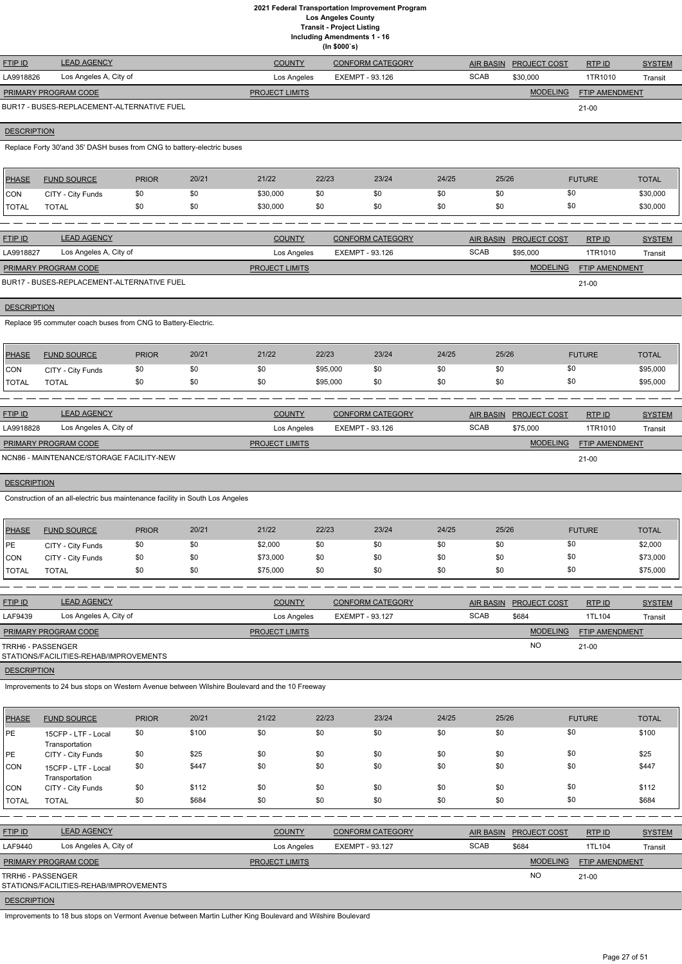**(In \$000`s)**

|                             |                                            |                       | ,,,, www.or             |             |                        |                |               |
|-----------------------------|--------------------------------------------|-----------------------|-------------------------|-------------|------------------------|----------------|---------------|
| <b>FTIP ID</b>              | <b>LEAD AGENCY</b>                         | <b>COUNTY</b>         | <b>CONFORM CATEGORY</b> |             | AIR BASIN PROJECT COST | RTPID          | <b>SYSTEM</b> |
| LA9918826                   | Los Angeles A, City of                     | Los Angeles           | EXEMPT - 93.126         | <b>SCAB</b> | \$30,000               | 1TR1010        | Transit       |
| <b>PRIMARY PROGRAM CODE</b> |                                            | <b>PROJECT LIMITS</b> |                         |             | <b>MODELING</b>        | FTIP AMENDMENT |               |
|                             | BUR17 - BUSES-REPLACEMENT-ALTERNATIVE FUEL |                       |                         |             |                        | $21 - 00$      |               |

## **DESCRIPTION**

Replace Forty 30'and 35' DASH buses from CNG to battery-electric buses

| <b>PHASE</b> | <b>FUND SOURCE</b> | <b>PRIOR</b> | 20/21 | 21/22    | 22/23 | 23/24 | 24/25 | 25/26 | <b>FUTURE</b> | <b>TOTAL</b> |
|--------------|--------------------|--------------|-------|----------|-------|-------|-------|-------|---------------|--------------|
| <b>CON</b>   | CITY - City Funds  | \$0          | \$0   | \$30,000 | \$0   |       | \$0   |       |               | \$30,000     |
| <b>TOTAL</b> | <b>TOTAL</b>       | \$0          | \$0   | \$30,000 | \$0   | \$0   | \$0   |       |               | \$30,000     |

| <b>FTIP ID</b>              | <b>LEAD AGENCY</b>                         | <b>COUNTY</b>         | <b>CONFORM CATEGORY</b> | <b>AIR BASIN</b> | <b>PROJECT COST</b> | RTPID                 | <b>SYSTEM</b> |
|-----------------------------|--------------------------------------------|-----------------------|-------------------------|------------------|---------------------|-----------------------|---------------|
| LA9918827                   | Los Angeles A, City of                     | Los Angeles           | EXEMPT - 93.126         | <b>SCAB</b>      | \$95,000            | 1TR1010               | Transit       |
| <b>PRIMARY PROGRAM CODE</b> |                                            | <b>PROJECT LIMITS</b> |                         |                  | <b>MODELING</b>     | <b>FTIP AMENDMENT</b> |               |
|                             | BUR17 - BUSES-REPLACEMENT-ALTERNATIVE FUEL |                       |                         |                  |                     | $21 - 00$             |               |

# **DESCRIPTION**

Replace 95 commuter coach buses from CNG to Battery-Electric.

| <b>PHASE</b> | <b>FUND SOURCE</b> | <b>PRIOR</b> | 20/21 | 21/22 | 22/23    | 23/24 | 24/25 | 25/26 | <b>FUTURE</b> | <b>TOTAL</b> |
|--------------|--------------------|--------------|-------|-------|----------|-------|-------|-------|---------------|--------------|
| <b>CON</b>   | CITY - City Funds  | \$0          | \$0   | \$0   | \$95,000 | \$0   | \$0   | \$0   | ১৫            | \$95,000     |
| <b>TOTAL</b> | TOTAL              | \$0          | \$0   | \$0   | \$95,000 | \$0   | \$0   | \$0   | \$0           | \$95,000     |

| <b>FTIP ID</b>                           | <b>LEAD AGENCY</b>     | <b>COUNTY</b>         | <b>CONFORM CATEGORY</b> |             | <b>AIR BASIN PROJECT COST</b> | RTP ID                | <b>SYSTEM</b> |
|------------------------------------------|------------------------|-----------------------|-------------------------|-------------|-------------------------------|-----------------------|---------------|
| LA9918828                                | Los Angeles A, City of | Los Angeles           | EXEMPT - 93.126         | <b>SCAB</b> | \$75,000                      | 1TR1010               | Transit       |
| <b>PRIMARY PROGRAM CODE</b>              |                        | <b>PROJECT LIMITS</b> |                         |             | <b>MODELING</b>               | <b>FTIP AMENDMENT</b> |               |
| NCN86 - MAINTENANCE/STORAGE FACILITY-NEW |                        |                       |                         |             |                               | $21 - 00$             |               |

# **DESCRIPTION**

Construction of an all-electric bus maintenance facility in South Los Angeles

| PHASE        | <b>FUND SOURCE</b> | <b>PRIOR</b> | 20/21 | 21/22    | 22/23 | 23/24 | 24/25 | 25/26 | <b>FUTURE</b> | <b>TOTAL</b> |
|--------------|--------------------|--------------|-------|----------|-------|-------|-------|-------|---------------|--------------|
| PE           | CITY - City Funds  | \$0          | \$0   | \$2,000  |       | \$0   | \$0   | \$0   | \$0           | \$2,000      |
| <b>CON</b>   | CITY - City Funds  | \$0          | \$0   | \$73,000 |       | \$0   | \$0   | \$0   | \$0           | \$73,000     |
| <b>TOTAL</b> | <b>TOTAL</b>       |              | \$0   | \$75,000 | \$0   | \$0   | \$0   | \$0   | \$0           | \$75,000     |

| <b>FTIP ID</b>       | <b>LEAD AGENCY</b>                     |                       | <b>CONFORM CATEGORY</b> | <b>AIR BASIN</b> | <b>PROJECT COST</b> | RTPID                 | <b>SYSTEM</b> |
|----------------------|----------------------------------------|-----------------------|-------------------------|------------------|---------------------|-----------------------|---------------|
| LAF9439              | Los Angeles A, City of                 | Los Angeles           | EXEMPT - 93.127         | <b>SCAB</b>      | \$684               | 1TL104                | Transit       |
| PRIMARY PROGRAM CODE |                                        | <b>PROJECT LIMITS</b> |                         |                  | <b>MODELING</b>     | <b>FTIP AMENDMENT</b> |               |
| TRRH6 - PASSENGER    | STATIONS/FACILITIES-REHAB/IMPROVEMENTS |                       |                         |                  | <b>NO</b>           | $21 - 00$             |               |
| <b>DESCRIPTION</b>   |                                        |                       |                         |                  |                     |                       |               |

Improvements to 24 bus stops on Western Avenue between Wilshire Boulevard and the 10 Freeway

| PHASE | <b>FUND SOURCE</b> | <b>PRIOR</b> | 20/21 | 21/22 | 22/23 | 23/24 | 24/25 | 25/26 | <b>FUTURE</b> | <b>TOTAL</b> |
|-------|--------------------|--------------|-------|-------|-------|-------|-------|-------|---------------|--------------|
|       |                    |              |       |       |       |       |       |       |               |              |

| <b>PE</b>                | 15CFP - LTF - Local<br>Transportation  | \$0 | \$100 | \$0           | \$0                   | \$0                     | \$0 | \$0              | \$0             |                | \$100         |
|--------------------------|----------------------------------------|-----|-------|---------------|-----------------------|-------------------------|-----|------------------|-----------------|----------------|---------------|
| PE                       | CITY - City Funds                      | \$0 | \$25  | \$0           | \$0                   | \$0                     | \$0 | \$0              | \$0             |                | \$25          |
| CON                      | 15CFP - LTF - Local<br>Transportation  | \$0 | \$447 | \$0           | \$0                   | \$0                     | \$0 | \$0              | \$0             |                | \$447         |
| CON                      | CITY - City Funds                      | \$0 | \$112 | \$0           | \$0                   | \$0                     | \$0 | \$0              | \$0             |                | \$112         |
| <b>TOTAL</b>             | <b>TOTAL</b>                           | \$0 | \$684 | \$0           | \$0                   | \$0                     | \$0 | \$0              | \$0             |                | \$684         |
|                          |                                        |     |       |               |                       |                         |     |                  |                 |                |               |
| FTIP ID                  | <b>LEAD AGENCY</b>                     |     |       | <b>COUNTY</b> |                       | <b>CONFORM CATEGORY</b> |     | <b>AIR BASIN</b> | PROJECT COST    | RTP ID         | <b>SYSTEM</b> |
| LAF9440                  | Los Angeles A, City of                 |     |       |               | Los Angeles           | <b>EXEMPT - 93.127</b>  |     | <b>SCAB</b>      | \$684           | 1TL104         | Transit       |
|                          | PRIMARY PROGRAM CODE                   |     |       |               | <b>PROJECT LIMITS</b> |                         |     |                  | <b>MODELING</b> | FTIP AMENDMENT |               |
| <b>TRRH6 - PASSENGER</b> | STATIONS/FACILITIES-REHAB/IMPROVEMENTS |     |       |               |                       |                         |     |                  | <b>NO</b>       | $21 - 00$      |               |

## **DESCRIPTION**

Improvements to 18 bus stops on Vermont Avenue between Martin Luther King Boulevard and Wilshire Boulevard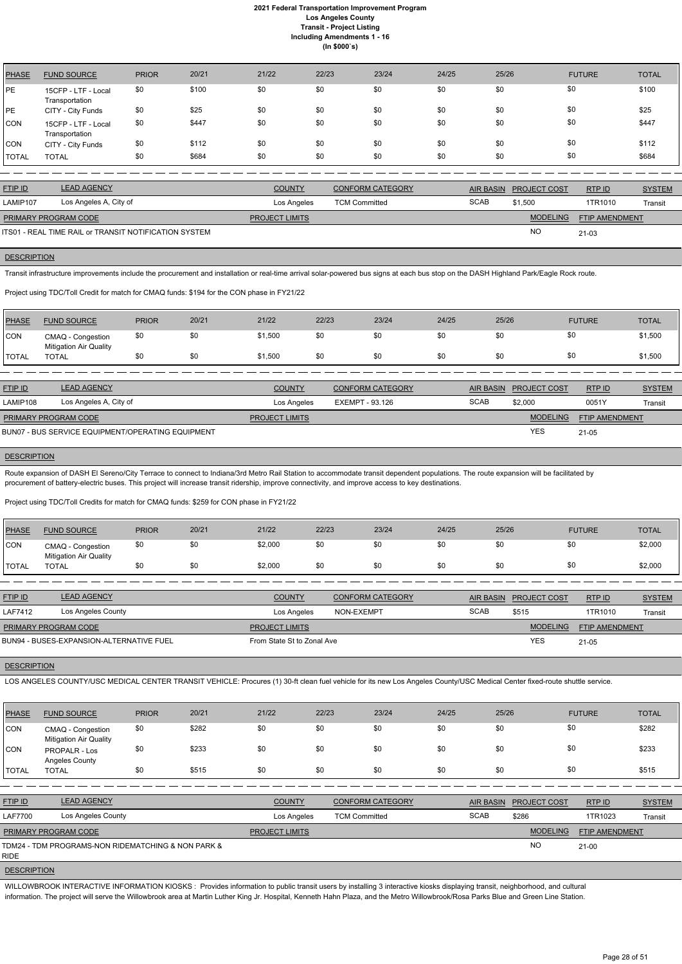| <b>PHASE</b> | <b>FUND SOURCE</b>                    | <b>PRIOR</b> | 20/21 | 21/22 | 22/23 | 23/24 | 24/25 | 25/26 | <b>FUTURE</b> | <b>TOTAL</b> |
|--------------|---------------------------------------|--------------|-------|-------|-------|-------|-------|-------|---------------|--------------|
| PE           | 15CFP - LTF - Local<br>Transportation | \$0          | \$100 | \$0   | \$0   | \$0   | \$0   | \$0   | \$0           | \$100        |
| PE           | CITY - City Funds                     | \$0          | \$25  | \$0   | \$0   | \$0   | \$0   | \$0   | \$0           | \$25         |
| <b>CON</b>   | 15CFP - LTF - Local<br>Transportation | \$0          | \$447 | \$0   | \$0   | \$0   | \$0   | \$0   | \$0           | \$447        |
| CON          | CITY - City Funds                     | \$0          | \$112 | \$0   | \$0   | \$0   | \$0   | \$0   | \$0           | \$112        |
| <b>TOTAL</b> | <b>TOTAL</b>                          | \$0          | \$684 | \$0   | \$0   | \$0   | \$0   | \$0   | \$0           | \$684        |

| <b>FTIP ID</b>              | <b>LEAD AGENCY</b>                                    | <b>COUNTY</b>         | <b>CONFORM CATEGORY</b> | <b>AIR BASIN</b> | <b>PROJECT COST</b> | RTPID                 | <b>SYSTEM</b> |
|-----------------------------|-------------------------------------------------------|-----------------------|-------------------------|------------------|---------------------|-----------------------|---------------|
| LAMIP107                    | Los Angeles A, City of                                | Los Angeles           | <b>TCM Committed</b>    | <b>SCAB</b>      | \$1.500             | 1TR1010               | Transit       |
| <b>PRIMARY PROGRAM CODE</b> |                                                       | <b>PROJECT LIMITS</b> |                         |                  | <b>MODELING</b>     | <b>FTIP AMENDMENT</b> |               |
|                             | ITS01 - REAL TIME RAIL or TRANSIT NOTIFICATION SYSTEM |                       |                         |                  | <b>NC</b>           | $21 - 03$             |               |

#### **DESCRIPTION**

Transit infrastructure improvements include the procurement and installation or real-time arrival solar-powered bus signs at each bus stop on the DASH Highland Park/Eagle Rock route.

Route expansion of DASH El Sereno/City Terrace to connect to Indiana/3rd Metro Rail Station to accommodate transit dependent populations. The route expansion will be facilitated by procurement of battery-electric buses. This project will increase transit ridership, improve connectivity, and improve access to key destinations.

#### Project using TDC/Toll Credit for match for CMAQ funds: \$194 for the CON phase in FY21/22

| <b>PHASE</b> | <b>FUND SOURCE</b>                                 | <b>PRIOR</b> | 20/21 | 21/22   | 22/23 | 23/24 | 24/25 | 25/26 | <b>FUTURE</b> | <b>TOTAL</b> |
|--------------|----------------------------------------------------|--------------|-------|---------|-------|-------|-------|-------|---------------|--------------|
| CON          | CMAQ - Congestion<br><b>Mitigation Air Quality</b> | \$0          | \$0   | \$1,500 | \$0   | \$0   | \$0   | \$0   | \$0           | \$1,500      |
| <b>TOTAL</b> | TOTAL                                              | \$0          | \$0   | \$1,500 | \$0   | \$0   | \$0   | \$0   | \$0           | \$1,500      |

| <b>FTIP ID</b>              | <b>LEAD AGENCY</b>                                | <b>COUNTY</b>         | <b>CONFORM CATEGORY</b> |             | AIR BASIN PROJECT COST | RTPID                 | <b>SYSTEM</b> |
|-----------------------------|---------------------------------------------------|-----------------------|-------------------------|-------------|------------------------|-----------------------|---------------|
| LAMIP108                    | Los Angeles A, City of                            | Los Angeles           | EXEMPT - 93.126         | <b>SCAB</b> | \$2,000                | 0051Y                 | Transit       |
| <b>PRIMARY PROGRAM CODE</b> |                                                   | <b>PROJECT LIMITS</b> |                         |             | <b>MODELING</b>        | <b>FTIP AMENDMENT</b> |               |
|                             | BUN07 - BUS SERVICE EQUIPMENT/OPERATING EQUIPMENT |                       |                         |             | <b>YES</b>             | $21 - 05$             |               |

#### **DESCRIPTION**

#### Project using TDC/Toll Credits for match for CMAQ funds: \$259 for CON phase in FY21/22

| <b>PHASE</b> | <b>FUND SOURCE</b>                                 | <b>PRIOR</b> | 20/21 | 21/22   | 22/23 | 23/24 | 24/25 | 25/26 | <b>FUTURE</b> | <b>TOTAL</b> |
|--------------|----------------------------------------------------|--------------|-------|---------|-------|-------|-------|-------|---------------|--------------|
| <b>CON</b>   | CMAQ - Congestion<br><b>Mitigation Air Quality</b> | \$0          |       | \$2,000 |       | \$0   | \$0   |       |               | \$2,000      |
| <b>TOTAL</b> | <b>TOTAL</b>                                       | \$0          |       | \$2,000 | sс    | \$0   | \$0   |       |               | \$2,000      |

| <b>FTIP ID</b>              | <b>LEAD AGENCY</b>                       | <b>COUNTY</b>              | <b>CONFORM CATEGORY</b> |             | AIR BASIN PROJECT COST | RTP ID                | <b>SYSTEM</b> |
|-----------------------------|------------------------------------------|----------------------------|-------------------------|-------------|------------------------|-----------------------|---------------|
| <b>LAF7412</b>              | Los Angeles County                       | Los Angeles                | NON-EXEMPT              | <b>SCAB</b> | \$515                  | 1TR1010               | Transit       |
| <b>PRIMARY PROGRAM CODE</b> |                                          | <b>PROJECT LIMITS</b>      |                         |             | <b>MODELING</b>        | <b>FTIP AMENDMENT</b> |               |
|                             | BUN94 - BUSES-EXPANSION-ALTERNATIVE FUEL | From State St to Zonal Ave |                         |             | <b>YES</b>             | $21 - 05$             |               |

#### **DESCRIPTION**

LOS ANGELES COUNTY/USC MEDICAL CENTER TRANSIT VEHICLE: Procures (1) 30-ft clean fuel vehicle for its new Los Angeles County/USC Medical Center fixed-route shuttle service.

| <b>PHASE</b>   | <b>FUND SOURCE</b>                                 | <b>PRIOR</b> | 20/21 | 21/22                 | 22/23                | 23/24                   | 24/25            | 25/26 |                     | <b>FUTURE</b>  | <b>TOTAL</b>  |
|----------------|----------------------------------------------------|--------------|-------|-----------------------|----------------------|-------------------------|------------------|-------|---------------------|----------------|---------------|
| CON            | CMAQ - Congestion<br><b>Mitigation Air Quality</b> | \$0          | \$282 | \$0                   | \$0                  | \$0                     | \$0              | \$0   | \$0                 |                | \$282         |
| <b>CON</b>     | <b>PROPALR - Los</b><br><b>Angeles County</b>      | \$0          | \$233 | \$0                   | \$0                  | \$0                     | \$0              | \$0   | \$0                 |                | \$233         |
| <b>TOTAL</b>   | <b>TOTAL</b>                                       | \$0          | \$515 | \$0                   | \$0                  | \$0                     | \$0              | \$0   | \$0                 |                | \$515         |
|                |                                                    |              |       |                       |                      |                         |                  |       |                     |                |               |
| <b>FTIP ID</b> | <b>LEAD AGENCY</b>                                 |              |       | <b>COUNTY</b>         |                      | <b>CONFORM CATEGORY</b> | <b>AIR BASIN</b> |       | <b>PROJECT COST</b> | RTPID          | <b>SYSTEM</b> |
| <b>LAF7700</b> | Los Angeles County                                 |              |       | Los Angeles           | <b>TCM Committed</b> |                         | <b>SCAB</b>      |       | \$286               | 1TR1023        | Transit       |
|                | PRIMARY PROGRAM CODE                               |              |       | <b>PROJECT LIMITS</b> |                      |                         |                  |       | <b>MODELING</b>     | FTIP AMENDMENT |               |
| <b>RIDE</b>    | TDM24 - TDM PROGRAMS-NON RIDEMATCHING & NON PARK & |              |       |                       |                      |                         |                  |       | <b>NO</b>           | $21 - 00$      |               |

**DESCRIPTION** 

WILLOWBROOK INTERACTIVE INFORMATION KIOSKS : Provides information to public transit users by installing 3 interactive kiosks displaying transit, neighborhood, and cultural information. The project will serve the Willowbrook area at Martin Luther King Jr. Hospital, Kenneth Hahn Plaza, and the Metro Willowbrook/Rosa Parks Blue and Green Line Station.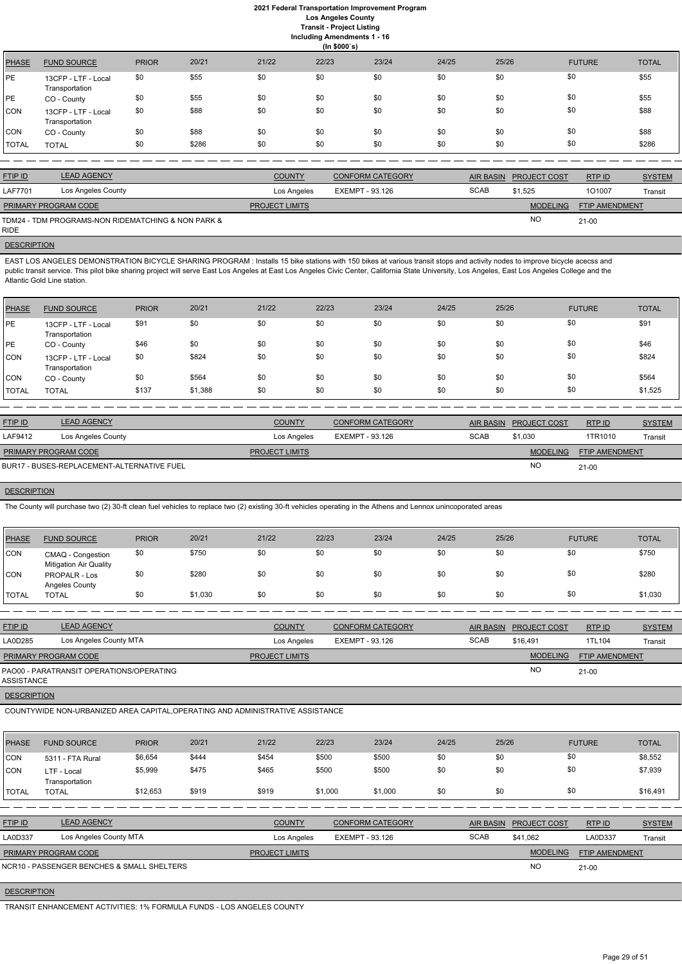## **2021 Federal Transportation Improvement Program Los Angeles County**

**Transit - Project Listing**

**Including Amendments 1 - 16**

|  | ing Amenaments     |  |  |
|--|--------------------|--|--|
|  | $($ ln \$000`s $)$ |  |  |

|              |                                       |              |       |       | $\frac{1}{2}$ |       |       |       |               |              |
|--------------|---------------------------------------|--------------|-------|-------|---------------|-------|-------|-------|---------------|--------------|
| <b>PHASE</b> | <b>FUND SOURCE</b>                    | <b>PRIOR</b> | 20/21 | 21/22 | 22/23         | 23/24 | 24/25 | 25/26 | <b>FUTURE</b> | <b>TOTAL</b> |
| PE           | 13CFP - LTF - Local<br>Transportation | \$0          | \$55  | \$0   | \$0           | \$0   | \$0   | \$0   | \$0           | \$55         |
| PE           | CO - County                           | \$0          | \$55  | \$0   | \$0           | \$0   | \$0   | \$0   | \$0           | \$55         |
| CON          | 13CFP - LTF - Local<br>Transportation | \$0          | \$88  | \$0   | \$0           | \$0   | \$0   | \$0   | \$0           | \$88         |
| CON          | CO - County                           | \$0          | \$88  | \$0   | \$0           | \$0   | \$0   | \$0   | \$0           | \$88         |
| <b>TOTAL</b> | <b>TOTAL</b>                          | \$0          | \$286 | \$0   | \$0           | \$0   | \$0   | \$0   | \$0           | \$286        |

| <b>FTIP ID</b>              | <b>LEAD AGENCY</b>                                 | <b>COUNTY</b>         | <b>CONFORM CATEGORY</b> |             | AIR BASIN PROJECT COST | RTPID                 | <b>SYSTEM</b> |
|-----------------------------|----------------------------------------------------|-----------------------|-------------------------|-------------|------------------------|-----------------------|---------------|
| <b>LAF7701</b>              | Los Angeles County                                 | Los Angeles           | EXEMPT - 93.126         | <b>SCAB</b> | \$1.525                | 101007                | Transit       |
| <b>PRIMARY PROGRAM CODE</b> |                                                    | <b>PROJECT LIMITS</b> |                         |             | <b>MODELING</b>        | <b>FTIP AMENDMENT</b> |               |
|                             | TDM24 - TDM PROGRAMS-NON RIDEMATCHING & NON PARK & |                       |                         |             | <b>NC</b>              | $21 - 00$             |               |

RIDE

#### **DESCRIPTION**

EAST LOS ANGELES DEMONSTRATION BICYCLE SHARING PROGRAM : Installs 15 bike stations with 150 bikes at various transit stops and activity nodes to improve bicycle acecss and public transit service. This pilot bike sharing project will serve East Los Angeles at East Los Angeles, California State University, Los Angeles, East Los Angeles College and the Atlantic Gold Line station.

| <b>PHASE</b> | <b>FUND SOURCE</b>                    | <b>PRIOR</b> | 20/21   | 21/22 | 22/23 | 23/24 | 24/25 | 25/26 | <b>FUTURE</b> | <b>TOTAL</b> |
|--------------|---------------------------------------|--------------|---------|-------|-------|-------|-------|-------|---------------|--------------|
| <b>IPE</b>   | 13CFP - LTF - Local<br>Transportation | \$91         | \$0     | \$0   | \$0   | \$0   | \$0   | \$0   | \$0           | \$91         |
| <b>PE</b>    | CO - County                           | \$46         | \$0     | \$0   | \$0   | \$0   | \$0   | \$0   | \$0           | \$46         |
| <b>CON</b>   | 13CFP - LTF - Local<br>Transportation | \$0          | \$824   | \$0   | \$0   | \$0   | \$0   | \$0   | \$0           | \$824        |
| CON          | CO - County                           | \$0          | \$564   | \$0   | \$0   | \$0   | \$0   | \$0   | \$0           | \$564        |
| <b>TOTAL</b> | <b>TOTAL</b>                          | \$137        | \$1,388 | \$0   | \$0   | \$0   | \$0   | \$0   | \$0           | \$1,525      |

| <b>FTIP ID</b>       | <b>LEAD AGENCY</b>                         | <b>COUNTY</b>         | <b>CONFORM CATEGORY</b> | <b>AIR BASIN</b> | <b>PROJECT COST</b> | RTP ID                | <b>SYSTEM</b> |
|----------------------|--------------------------------------------|-----------------------|-------------------------|------------------|---------------------|-----------------------|---------------|
| LAF9412              | Los Angeles County                         | Los Angeles           | EXEMPT - 93.126         | <b>SCAB</b>      | \$1.030             | 1TR1010               | Transit       |
| PRIMARY PROGRAM CODE |                                            | <b>PROJECT LIMITS</b> |                         |                  | <b>MODELING</b>     | <b>FTIP AMENDMENT</b> |               |
|                      | BUR17 - BUSES-REPLACEMENT-ALTERNATIVE FUEL |                       |                         |                  | <b>NO</b>           | $21 - 00$             |               |

# **DESCRIPTION**

The County will purchase two (2) 30-ft clean fuel vehicles to replace two (2) existing 30-ft vehicles operating in the Athens and Lennox unincoporated areas

| <b>PHASE</b>  | <b>FUND SOURCE</b>                                 | <b>PRIOR</b> | 20/21   | 21/22 | 22/23 | 23/24 | 24/25 | 25/26 | <b>FUTURE</b> | <b>TOTAL</b> |
|---------------|----------------------------------------------------|--------------|---------|-------|-------|-------|-------|-------|---------------|--------------|
| <b>CON</b>    | CMAQ - Congestion<br><b>Mitigation Air Quality</b> | \$0          | \$750   | \$0   | \$0   | \$0   | \$0   | \$0   | \$0           | \$750        |
| <b>CON</b>    | PROPALR - Los<br>Angeles County                    | \$0          | \$280   | \$0   | \$0   | \$0   | \$0   | \$0   | \$0           | \$280        |
| <b>ITOTAL</b> | <b>TOTAL</b>                                       | \$0          | \$1,030 | \$0   | \$0   | \$0   | \$0   | \$0   | \$0           | \$1,030      |

| <b>FTIP ID</b>       | <b>LEAD AGENCY</b>                       | <b>COUNTY</b>         | <b>CONFORM CATEGORY</b> |             | AIR BASIN PROJECT COST | RTP ID                | <b>SYSTEM</b> |
|----------------------|------------------------------------------|-----------------------|-------------------------|-------------|------------------------|-----------------------|---------------|
| LA0D285              | Los Angeles County MTA                   | Los Angeles           | EXEMPT - 93.126         | <b>SCAB</b> | \$16,491               | 1TL104                | Transit       |
| PRIMARY PROGRAM CODE |                                          | <b>PROJECT LIMITS</b> |                         |             | <b>MODELING</b>        | <b>FTIP AMENDMENT</b> |               |
| ASSISTANCE           | PAO00 - PARATRANSIT OPERATIONS/OPERATING |                       |                         |             | <b>NO</b>              | $21 - 00$             |               |
| <b>DEAADIDTIALL</b>  |                                          |                       |                         |             |                        |                       |               |

**DESCRIPTION** 

COUNTYWIDE NON-URBANIZED AREA CAPITAL,OPERATING AND ADMINISTRATIVE ASSISTANCE

| <b>PHASE</b>   | <b>FUND SOURCE</b>                         | <b>PRIOR</b> | 20/21 | 21/22                 | 22/23           | 23/24                   | 24/25       | 25/26            |                 | <b>FUTURE</b>         | <b>TOTAL</b>  |
|----------------|--------------------------------------------|--------------|-------|-----------------------|-----------------|-------------------------|-------------|------------------|-----------------|-----------------------|---------------|
| <b>CON</b>     | 5311 - FTA Rural                           | \$6,654      | \$444 | \$454                 | \$500           | \$500                   | \$0         | \$0              | \$0             |                       | \$8,552       |
| <b>CON</b>     | LTF - Local<br>Transportation              | \$5,999      | \$475 | \$465                 | \$500           | \$500                   | \$0         | \$0              | \$0             |                       | \$7,939       |
| <b>I</b> TOTAL | <b>TOTAL</b>                               | \$12,653     | \$919 | \$919                 | \$1,000         | \$1,000                 | \$0         | \$0              | \$0             |                       | \$16,491      |
|                |                                            |              |       |                       |                 |                         |             |                  |                 |                       |               |
| <b>FTIP ID</b> | <b>LEAD AGENCY</b>                         |              |       | <b>COUNTY</b>         |                 | <b>CONFORM CATEGORY</b> |             | <b>AIR BASIN</b> | PROJECT COST    | RTPID                 | <b>SYSTEM</b> |
| LA0D337        | Los Angeles County MTA                     |              |       | Los Angeles           | EXEMPT - 93.126 |                         | <b>SCAB</b> |                  | \$41,062        | <b>LA0D337</b>        | Transit       |
|                | PRIMARY PROGRAM CODE                       |              |       | <b>PROJECT LIMITS</b> |                 |                         |             |                  | <b>MODELING</b> | <b>FTIP AMENDMENT</b> |               |
|                | NCR10 - PASSENGER BENCHES & SMALL SHELTERS |              |       |                       |                 |                         |             |                  | <b>NO</b>       | $21 - 00$             |               |

**DESCRIPTION** 

TRANSIT ENHANCEMENT ACTIVITIES: 1% FORMULA FUNDS - LOS ANGELES COUNTY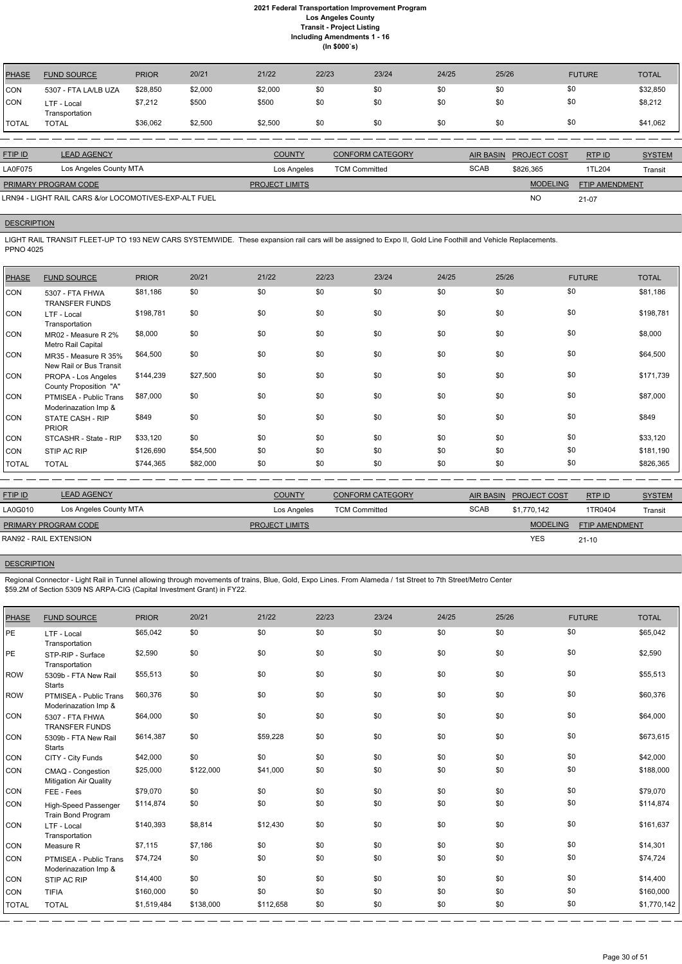| <b>PHASE</b> | <b>FUND SOURCE</b>            | <b>PRIOR</b> | 20/21   | 21/22   | 22/23 | 23/24 | 24/25 | 25/26 | <b>FUTURE</b> | <b>TOTAL</b> |
|--------------|-------------------------------|--------------|---------|---------|-------|-------|-------|-------|---------------|--------------|
| <b>CON</b>   | 5307 - FTA LA/LB UZA          | \$28,850     | \$2,000 | \$2,000 | \$0   | \$0   | \$0   | \$0   | \$0           | \$32,850     |
| <b>CON</b>   | LTF - Local<br>Transportation | \$7,212      | \$500   | \$500   | \$0   | \$0   | \$0   | \$0   | \$0           | \$8,212      |
| <b>TOTAL</b> | TOTAL                         | \$36,062     | \$2,500 | \$2,500 | \$0   | \$0   | \$0   | \$0   | \$0           | \$41,062     |

| <b>FTIP ID</b>                                        | <b>LEAD AGENCY</b>     |                       | <b>CONFORM CATEGORY</b> |             | AIR BASIN PROJECT COST | RTPID                 | <b>SYSTEM</b> |
|-------------------------------------------------------|------------------------|-----------------------|-------------------------|-------------|------------------------|-----------------------|---------------|
| <b>LA0F075</b>                                        | Los Angeles County MTA | Los Angeles           | <b>TCM Committed</b>    | <b>SCAB</b> | \$826.365              | 1TL204                | Transit       |
| <b>PRIMARY PROGRAM CODE</b>                           |                        | <b>PROJECT LIMITS</b> |                         |             | <b>MODELING</b>        | <b>FTIP AMENDMENT</b> |               |
| LRN94 - LIGHT RAIL CARS &/or LOCOMOTIVES-EXP-ALT FUEL |                        |                       |                         |             | <b>NO</b>              | 21-07                 |               |

## **DESCRIPTION**

LIGHT RAIL TRANSIT FLEET-UP TO 193 NEW CARS SYSTEMWIDE. These expansion rail cars will be assigned to Expo II, Gold Line Foothill and Vehicle Replacements. PPNO 4025

| <b>FUND SOURCE</b>                              | <b>PRIOR</b>                                                                     | 20/21    | 21/22 | 22/23 | 23/24 | 24/25 | 25/26 | <b>FUTURE</b> | <b>TOTAL</b> |
|-------------------------------------------------|----------------------------------------------------------------------------------|----------|-------|-------|-------|-------|-------|---------------|--------------|
| 5307 - FTA FHWA<br><b>TRANSFER FUNDS</b>        | \$81,186                                                                         | \$0      | \$0   | \$0   | \$0   | \$0   | \$0   | \$0           | \$81,186     |
| LTF - Local                                     | \$198,781                                                                        | \$0      | \$0   | \$0   | \$0   | \$0   | \$0   | \$0           | \$198,781    |
| MR02 - Measure R 2%<br>Metro Rail Capital       | \$8,000                                                                          | \$0      | \$0   | \$0   | \$0   | \$0   | \$0   | \$0           | \$8,000      |
| MR35 - Measure R 35%<br>New Rail or Bus Transit | \$64,500                                                                         | \$0      | \$0   | \$0   | \$0   | \$0   | \$0   | \$0           | \$64,500     |
| PROPA - Los Angeles                             | \$144,239                                                                        | \$27,500 | \$0   | \$0   | \$0   | \$0   | \$0   | \$0           | \$171,739    |
| PTMISEA - Public Trans                          | \$87,000                                                                         | \$0      | \$0   | \$0   | \$0   | \$0   | \$0   | \$0           | \$87,000     |
| STATE CASH - RIP                                | \$849                                                                            | \$0      | \$0   | \$0   | \$0   | \$0   | \$0   | \$0           | \$849        |
| STCASHR - State - RIP                           | \$33,120                                                                         | \$0      | \$0   | \$0   | \$0   | \$0   | \$0   | \$0           | \$33,120     |
| STIP AC RIP                                     | \$126,690                                                                        | \$54,500 | \$0   | \$0   | \$0   | \$0   | \$0   | \$0           | \$181,190    |
| <b>TOTAL</b>                                    | \$744,365                                                                        | \$82,000 | \$0   | \$0   | \$0   | \$0   | \$0   | \$0           | \$826,365    |
|                                                 | Transportation<br>County Proposition "A"<br>Moderinazation Imp &<br><b>PRIOR</b> |          |       |       |       |       |       |               |              |

| <b>FTIP ID</b>              | <b>LEAD AGENCY</b>     | <b>COUNTY</b>         | <b>CONFORM CATEGORY</b> |             | AIR BASIN PROJECT COST | RTPID                 | <b>SYSTEM</b> |
|-----------------------------|------------------------|-----------------------|-------------------------|-------------|------------------------|-----------------------|---------------|
| LA0G010                     | Los Angeles County MTA | Los Angeles           | <b>TCM Committed</b>    | <b>SCAB</b> | \$1.770.142            | 1TR0404               | Transit       |
| <b>PRIMARY PROGRAM CODE</b> |                        | <b>PROJECT LIMITS</b> |                         |             | <b>MODELING</b>        | <b>FTIP AMENDMENT</b> |               |
| RAN92 - RAIL EXTENSION      |                        |                       |                         |             | <b>YES</b>             | $21 - 10$             |               |
|                             |                        |                       |                         |             |                        |                       |               |

## **DESCRIPTION**

Regional Connector - Light Rail in Tunnel allowing through movements of trains, Blue, Gold, Expo Lines. From Alameda / 1st Street to 7th Street/Metro Center \$59.2M of Section 5309 NS ARPA-CIG (Capital Investment Grant) in FY22.

| <b>PHASE</b> | <b>FUND SOURCE</b>                                 | <b>PRIOR</b> | 20/21     | 21/22     | 22/23 | 23/24 | 24/25 | 25/26 | <b>FUTURE</b> | <b>TOTAL</b> |
|--------------|----------------------------------------------------|--------------|-----------|-----------|-------|-------|-------|-------|---------------|--------------|
| PE           | LTF - Local<br>Transportation                      | \$65,042     | \$0       | \$0       | \$0   | \$0   | \$0   | \$0   | \$0           | \$65,042     |
| PE           | STP-RIP - Surface<br>Transportation                | \$2,590      | \$0       | \$0       | \$0   | \$0   | \$0   | \$0   | \$0           | \$2,590      |
| <b>ROW</b>   | 5309b - FTA New Rail<br><b>Starts</b>              | \$55,513     | \$0       | \$0       | \$0   | \$0   | \$0   | \$0   | \$0           | \$55,513     |
| ROW          | PTMISEA - Public Trans<br>Moderinazation Imp &     | \$60,376     | \$0       | \$0       | \$0   | \$0   | \$0   | \$0   | \$0           | \$60,376     |
| <b>CON</b>   | 5307 - FTA FHWA<br><b>TRANSFER FUNDS</b>           | \$64,000     | \$0       | \$0       | \$0   | \$0   | \$0   | \$0   | \$0           | \$64,000     |
| <b>CON</b>   | 5309b - FTA New Rail<br><b>Starts</b>              | \$614,387    | \$0       | \$59,228  | \$0   | \$0   | \$0   | \$0   | \$0           | \$673,615    |
| <b>CON</b>   | CITY - City Funds                                  | \$42,000     | \$0       | \$0       | \$0   | \$0   | \$0   | \$0   | \$0           | \$42,000     |
| <b>CON</b>   | CMAQ - Congestion<br><b>Mitigation Air Quality</b> | \$25,000     | \$122,000 | \$41,000  | \$0   | \$0   | \$0   | \$0   | \$0           | \$188,000    |
| <b>CON</b>   | FEE - Fees                                         | \$79,070     | \$0       | \$0       | \$0   | \$0   | \$0   | \$0   | \$0           | \$79,070     |
| <b>CON</b>   | <b>High-Speed Passenger</b><br>Train Bond Program  | \$114,874    | \$0       | \$0       | \$0   | \$0   | \$0   | \$0   | \$0           | \$114,874    |
| <b>CON</b>   | LTF - Local<br>Transportation                      | \$140,393    | \$8,814   | \$12,430  | \$0   | \$0   | \$0   | \$0   | \$0           | \$161,637    |
| <b>CON</b>   | Measure R                                          | \$7,115      | \$7,186   | \$0       | \$0   | \$0   | \$0   | \$0   | \$0           | \$14,301     |
| <b>CON</b>   | PTMISEA - Public Trans<br>Moderinazation Imp &     | \$74,724     | \$0       | \$0       | \$0   | \$0   | \$0   | \$0   | \$0           | \$74,724     |
| <b>CON</b>   | STIP AC RIP                                        | \$14,400     | \$0       | \$0       | \$0   | \$0   | \$0   | \$0   | \$0           | \$14,400     |
| <b>CON</b>   | <b>TIFIA</b>                                       | \$160,000    | \$0       | \$0       | \$0   | \$0   | \$0   | \$0   | \$0           | \$160,000    |
| <b>TOTAL</b> | <b>TOTAL</b>                                       | \$1,519,484  | \$138,000 | \$112,658 | \$0   | \$0   | \$0   | \$0   | \$0           | \$1,770,142  |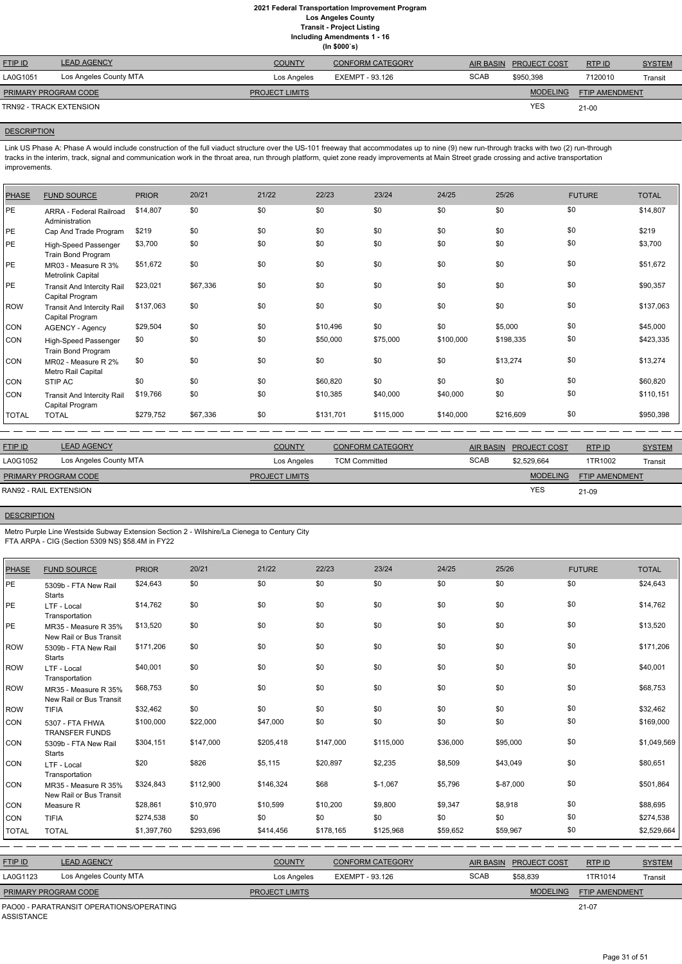|                         | (ln \$000's)           |                       |                         |             |                     |                       |               |  |  |  |  |  |  |
|-------------------------|------------------------|-----------------------|-------------------------|-------------|---------------------|-----------------------|---------------|--|--|--|--|--|--|
| <b>FTIP ID</b>          | <b>LEAD AGENCY</b>     | <b>COUNTY</b>         | <b>CONFORM CATEGORY</b> | AIR BASIN   | <b>PROJECT COST</b> | RTPID                 | <b>SYSTEM</b> |  |  |  |  |  |  |
| LA0G1051                | Los Angeles County MTA | Los Angeles           | EXEMPT - 93.126         | <b>SCAB</b> | \$950,398           | 7120010               | Transit       |  |  |  |  |  |  |
| PRIMARY PROGRAM CODE    |                        | <b>PROJECT LIMITS</b> |                         |             | <b>MODELING</b>     | <b>FTIP AMENDMENT</b> |               |  |  |  |  |  |  |
| TRN92 - TRACK EXTENSION |                        |                       |                         |             | <b>YES</b>          | $21 - 00$             |               |  |  |  |  |  |  |

## **DESCRIPTION**

Link US Phase A: Phase A would include construction of the full viaduct structure over the US-101 freeway that accommodates up to nine (9) new run-through tracks with two (2) run-through tracks in the interim, track, signal and communication work in the throat area, run through platform, quiet zone ready improvements at Main Street grade crossing and active transportation improvements.

| <b>PHASE</b> | <b>FUND SOURCE</b>                                   | <b>PRIOR</b> | 20/21    | 21/22 | 22/23     | 23/24     | 24/25     | 25/26     | <b>FUTURE</b> | <b>TOTAL</b> |
|--------------|------------------------------------------------------|--------------|----------|-------|-----------|-----------|-----------|-----------|---------------|--------------|
| PE           | ARRA - Federal Railroad<br>Administration            | \$14,807     | \$0      | \$0   | \$0       | \$0       | \$0       | \$0       | \$0           | \$14,807     |
| PE           | Cap And Trade Program                                | \$219        | \$0      | \$0   | \$0       | \$0       | \$0       | \$0       | \$0           | \$219        |
| PE           | High-Speed Passenger<br>Train Bond Program           | \$3,700      | \$0      | \$0   | \$0       | \$0       | \$0       | \$0       | \$0           | \$3,700      |
| PE           | MR03 - Measure R 3%<br>Metrolink Capital             | \$51,672     | \$0      | \$0   | \$0       | \$0       | \$0       | \$0       | \$0           | \$51,672     |
| PE           | <b>Transit And Intercity Rail</b><br>Capital Program | \$23,021     | \$67,336 | \$0   | \$0       | \$0       | \$0       | \$0       | \$0           | \$90,357     |
| <b>ROW</b>   | <b>Transit And Intercity Rail</b><br>Capital Program | \$137,063    | \$0      | \$0   | \$0       | \$0       | \$0       | \$0       | \$0           | \$137,063    |
| CON          | <b>AGENCY - Agency</b>                               | \$29,504     | \$0      | \$0   | \$10,496  | \$0       | \$0       | \$5,000   | \$0           | \$45,000     |
| CON          | High-Speed Passenger<br>Train Bond Program           | \$0          | \$0      | \$0   | \$50,000  | \$75,000  | \$100,000 | \$198,335 | \$0           | \$423,335    |
| <b>CON</b>   | MR02 - Measure R 2%<br>Metro Rail Capital            | \$0          | \$0      | \$0   | \$0       | \$0       | \$0       | \$13,274  | \$0           | \$13,274     |
| CON          | STIP AC                                              | \$0          | \$0      | \$0   | \$60,820  | \$0       | \$0       | \$0       | \$0           | \$60,820     |
| CON          | <b>Transit And Intercity Rail</b><br>Capital Program | \$19,766     | \$0      | \$0   | \$10,385  | \$40,000  | \$40,000  | \$0       | \$0           | \$110,151    |
| <b>TOTAL</b> | <b>TOTAL</b>                                         | \$279,752    | \$67,336 | \$0   | \$131,701 | \$115,000 | \$140,000 | \$216,609 | \$0           | \$950,398    |

| <b>FTIP ID</b>         | <b>LEAD AGENCY</b>     | <b>COUNTY</b>         | <b>CONFORM CATEGORY</b> | AIR BASIN   | <b>PROJECT COST</b> | RTP ID                | <b>SYSTEM</b> |
|------------------------|------------------------|-----------------------|-------------------------|-------------|---------------------|-----------------------|---------------|
| LA0G1052               | Los Angeles County MTA | Los Angeles           | <b>TCM Committed</b>    | <b>SCAB</b> | \$2.529.664         | 1TR1002               | Transit       |
| PRIMARY PROGRAM CODE   |                        | <b>PROJECT LIMITS</b> |                         |             | <b>MODELING</b>     | <b>FTIP AMENDMENT</b> |               |
| RAN92 - RAIL EXTENSION |                        |                       |                         |             | <b>YES</b>          | 21-09                 |               |

**DESCRIPTION** 

Metro Purple Line Westside Subway Extension Section 2 - Wilshire/La Cienega to Century City FTA ARPA - CIG (Section 5309 NS) \$58.4M in FY22

| PHASE        | <b>FUND SOURCE</b>                              | <b>PRIOR</b> | 20/21     | 21/22          | 22/23           | 23/24                   | 24/25            | 25/26           | <b>FUTURE</b>  | <b>TOTAL</b>  |
|--------------|-------------------------------------------------|--------------|-----------|----------------|-----------------|-------------------------|------------------|-----------------|----------------|---------------|
| PE           | 5309b - FTA New Rail<br><b>Starts</b>           | \$24,643     | \$0       | \$0            | \$0             | \$0                     | \$0              | \$0             | \$0            | \$24,643      |
| PE           | LTF - Local<br>Transportation                   | \$14,762     | \$0       | \$0            | \$0             | \$0                     | \$0              | \$0             | \$0            | \$14,762      |
| PE           | MR35 - Measure R 35%<br>New Rail or Bus Transit | \$13,520     | \$0       | \$0            | \$0             | \$0                     | \$0              | \$0             | \$0            | \$13,520      |
| ROW          | 5309b - FTA New Rail<br><b>Starts</b>           | \$171,206    | \$0       | \$0            | \$0             | \$0                     | \$0              | \$0             | \$0            | \$171,206     |
| ROW          | LTF - Local<br>Transportation                   | \$40,001     | \$0       | \$0            | \$0             | \$0                     | \$0              | \$0             | \$0            | \$40,001      |
| ROW          | MR35 - Measure R 35%<br>New Rail or Bus Transit | \$68,753     | \$0       | \$0            | \$0             | \$0                     | \$0              | \$0             | \$0            | \$68,753      |
| ROW          | <b>TIFIA</b>                                    | \$32,462     | \$0       | \$0            | \$0             | \$0                     | \$0              | \$0             | \$0            | \$32,462      |
| CON          | 5307 - FTA FHWA<br><b>TRANSFER FUNDS</b>        | \$100,000    | \$22,000  | \$47,000       | \$0             | \$0                     | \$0              | \$0             | \$0            | \$169,000     |
| CON          | 5309b - FTA New Rail<br><b>Starts</b>           | \$304,151    | \$147,000 | \$205,418      | \$147,000       | \$115,000               | \$36,000         | \$95,000        | \$0            | \$1,049,569   |
| CON          | LTF - Local<br>Transportation                   | \$20         | \$826     | \$5,115        | \$20,897        | \$2,235                 | \$8,509          | \$43,049        | \$0            | \$80,651      |
| CON          | MR35 - Measure R 35%<br>New Rail or Bus Transit | \$324,843    | \$112,900 | \$146,324      | \$68            | $$-1,067$               | \$5,796          | $$ -87,000$     | \$0            | \$501,864     |
| CON          | Measure R                                       | \$28,861     | \$10,970  | \$10,599       | \$10,200        | \$9,800                 | \$9,347          | \$8,918         | \$0            | \$88,695      |
| CON          | <b>TIFIA</b>                                    | \$274,538    | \$0       | \$0            | \$0             | \$0                     | \$0              | \$0             | \$0            | \$274,538     |
| <b>TOTAL</b> | <b>TOTAL</b>                                    | \$1,397,760  | \$293,696 | \$414,456      | \$178,165       | \$125,968               | \$59,652         | \$59,967        | \$0            | \$2,529,664   |
|              |                                                 |              |           |                |                 |                         |                  |                 |                |               |
| FTIP ID      | <b>LEAD AGENCY</b>                              |              |           | <b>COUNTY</b>  |                 | <b>CONFORM CATEGORY</b> | <b>AIR BASIN</b> | PROJECT COST    | RTP ID         | <b>SYSTEM</b> |
| LA0G1123     | Los Angeles County MTA                          |              |           | Los Angeles    | EXEMPT - 93.126 |                         | <b>SCAB</b>      | \$58,839        | 1TR1014        | Transit       |
|              | PRIMARY PROGRAM CODE                            |              |           | PROJECT LIMITS |                 |                         |                  | <b>MODELING</b> | FTIP AMENDMENT |               |

21-07

PAO00 - PARATRANSIT OPERATIONS/OPERATING ASSISTANCE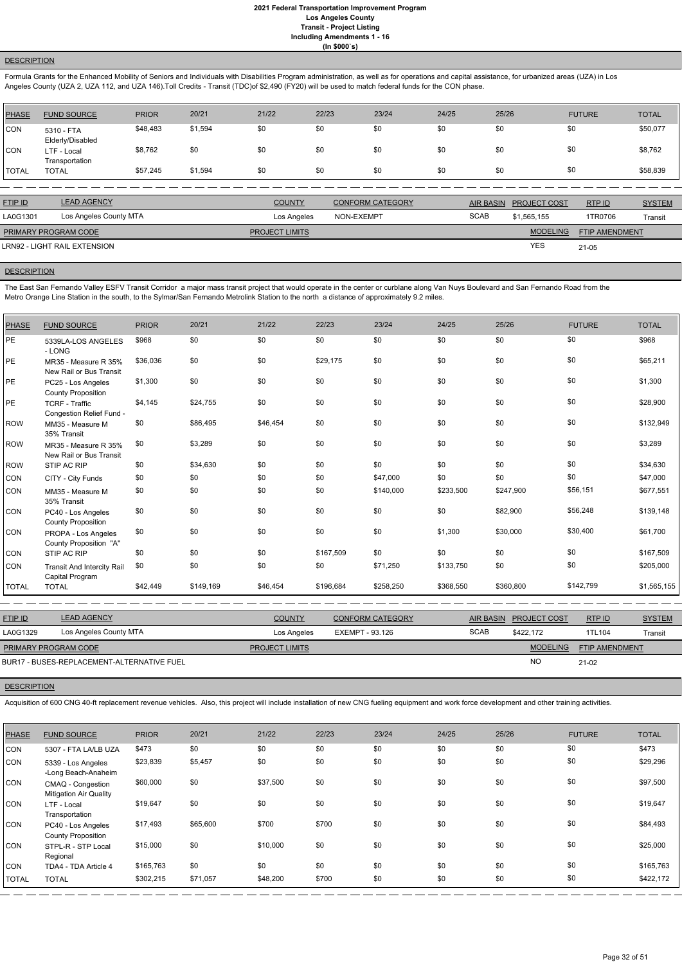## **DESCRIPTION**

Formula Grants for the Enhanced Mobility of Seniors and Individuals with Disabilities Program administration, as well as for operations and capital assistance, for urbanized areas (UZA) in Los Angeles County (UZA 2, UZA 112, and UZA 146).Toll Credits - Transit (TDC)of \$2,490 (FY20) will be used to match federal funds for the CON phase.

| PHASE        | <b>FUND SOURCE</b>             | <b>PRIOR</b> | 20/21   | 21/22 | 22/23 | 23/24 | 24/25 | 25/26 | <b>FUTURE</b> | <b>TOTAL</b> |
|--------------|--------------------------------|--------------|---------|-------|-------|-------|-------|-------|---------------|--------------|
| <b>CON</b>   | 5310 - FTA<br>Elderly/Disabled | \$48,483     | \$1,594 | \$0   | \$0   | \$0   | \$0   | \$0   | \$0           | \$50,077     |
| <b>CON</b>   | LTF - Local<br>Transportation  | \$8,762      | \$0     | \$0   | \$0   | \$0   | \$0   | \$0   | \$0           | \$8,762      |
| <b>TOTAL</b> | <b>TOTAL</b>                   | \$57,245     | \$1,594 | \$0   | \$0   | \$0   | \$0   | \$0   | \$0           | \$58,839     |

The East San Fernando Valley ESFV Transit Corridor a major mass transit project that would operate in the center or curblane along Van Nuys Boulevard and San Fernando Road from the Metro Orange Line Station in the south, to the Sylmar/San Fernando Metrolink Station to the north a distance of approximately 9.2 miles.

| <b>FTIP ID</b>       | <b>LEAD AGENCY</b>           | <b>COUNTY</b>         | <b>CONFORM CATEGORY</b> | AIR BASIN   | <b>PROJECT COST</b> | RTP ID         | <b>SYSTEM</b> |
|----------------------|------------------------------|-----------------------|-------------------------|-------------|---------------------|----------------|---------------|
| LA0G1301             | Los Angeles County MTA       | Los Angeles           | NON-EXEMPT              | <b>SCAB</b> | \$1,565,155         | 1TR0706        | Transit       |
| PRIMARY PROGRAM CODE |                              | <b>PROJECT LIMITS</b> |                         |             | <b>MODELING</b>     | FTIP AMENDMENT |               |
|                      | LRN92 - LIGHT RAIL EXTENSION |                       |                         |             | <b>YES</b>          | $21 - 05$      |               |
|                      |                              |                       |                         |             |                     |                |               |

#### **DESCRIPTION**

| <b>PHASE</b> | <b>FUND SOURCE</b>                                | <b>PRIOR</b> | 20/21     | 21/22    | 22/23     | 23/24     | 24/25     | 25/26     | <b>FUTURE</b> | <b>TOTAL</b> |
|--------------|---------------------------------------------------|--------------|-----------|----------|-----------|-----------|-----------|-----------|---------------|--------------|
| <b>PE</b>    | 5339LA-LOS ANGELES<br>- LONG                      | \$968        | \$0       | \$0      | \$0       | \$0       | \$0       | \$0       | \$0           | \$968        |
| PE           | MR35 - Measure R 35%<br>New Rail or Bus Transit   | \$36,036     | \$0       | \$0      | \$29,175  | \$0       | \$0       | \$0       | \$0           | \$65,211     |
| PE           | PC25 - Los Angeles<br><b>County Proposition</b>   | \$1,300      | \$0       | \$0      | \$0       | \$0       | \$0       | \$0       | \$0           | \$1,300      |
| PE           | <b>TCRF - Traffic</b><br>Congestion Relief Fund - | \$4,145      | \$24,755  | \$0      | \$0       | \$0       | \$0       | \$0       | \$0           | \$28,900     |
| <b>ROW</b>   | MM35 - Measure M<br>35% Transit                   | \$0          | \$86,495  | \$46,454 | \$0       | \$0       | \$0       | \$0       | \$0           | \$132,949    |
| <b>ROW</b>   | MR35 - Measure R 35%<br>New Rail or Bus Transit   | \$0          | \$3,289   | \$0      | \$0       | \$0       | \$0       | \$0       | \$0           | \$3,289      |
| <b>ROW</b>   | STIP AC RIP                                       | \$0          | \$34,630  | \$0      | \$0       | \$0       | \$0       | \$0       | \$0           | \$34,630     |
| CON          | CITY - City Funds                                 | \$0          | \$0       | \$0      | \$0       | \$47,000  | \$0       | \$0       | \$0           | \$47,000     |
| CON          | MM35 - Measure M<br>35% Transit                   | \$0          | \$0       | \$0      | \$0       | \$140,000 | \$233,500 | \$247,900 | \$56,151      | \$677,551    |
| CON          | PC40 - Los Angeles<br><b>County Proposition</b>   | \$0          | \$0       | \$0      | \$0       | \$0       | \$0       | \$82,900  | \$56,248      | \$139,148    |
| CON          | PROPA - Los Angeles<br>County Proposition "A"     | \$0          | \$0       | \$0      | \$0       | \$0       | \$1,300   | \$30,000  | \$30,400      | \$61,700     |
| CON          | STIP AC RIP                                       | \$0          | \$0       | \$0      | \$167,509 | \$0       | \$0       | \$0       | \$0           | \$167,509    |
| CON          | Transit And Intercity Rail<br>Capital Program     | \$0          | \$0       | \$0      | \$0       | \$71,250  | \$133,750 | \$0       | \$0           | \$205,000    |
| <b>TOTAL</b> | <b>TOTAL</b>                                      | \$42,449     | \$149,169 | \$46,454 | \$196,684 | \$258,250 | \$368,550 | \$360,800 | \$142,799     | \$1,565,155  |

| <b>FTIP ID</b>              | <b>LEAD AGENCY</b>                         | <b>COUNTY</b>         | CONFORM CATEGORY |             | AIR BASIN PROJECT COST | RTPID                 | <b>SYSTEM</b> |
|-----------------------------|--------------------------------------------|-----------------------|------------------|-------------|------------------------|-----------------------|---------------|
| LA0G1329                    | Los Angeles County MTA                     | Los Angeles           | EXEMPT - 93.126  | <b>SCAB</b> | \$422.172              | 1TL104                | Transit       |
| <b>PRIMARY PROGRAM CODE</b> |                                            | <b>PROJECT LIMITS</b> |                  |             | <b>MODELING</b>        | <b>FTIP AMENDMENT</b> |               |
|                             | BUR17 - BUSES-REPLACEMENT-ALTERNATIVE FUEL |                       |                  |             | <b>NO</b>              | $21-02$               |               |

#### **DESCRIPTION**

Acquisition of 600 CNG 40-ft replacement revenue vehicles. Also, this project will include installation of new CNG fueling equipment and work force development and other training activities.

| <b>PHASE</b> | <b>FUND SOURCE</b>                                 | <b>PRIOR</b> | 20/21    | 21/22    | 22/23 | 23/24 | 24/25 | 25/26 | <b>FUTURE</b> | <b>TOTAL</b> |
|--------------|----------------------------------------------------|--------------|----------|----------|-------|-------|-------|-------|---------------|--------------|
| <b>CON</b>   | 5307 - FTA LA/LB UZA                               | \$473        | \$0      | \$0      | \$0   | \$0   | \$0   | \$0   | \$0           | \$473        |
| CON          | 5339 - Los Angeles<br>-Long Beach-Anaheim          | \$23,839     | \$5,457  | \$0      | \$0   | \$0   | \$0   | \$0   | \$0           | \$29,296     |
| <b>CON</b>   | CMAQ - Congestion<br><b>Mitigation Air Quality</b> | \$60,000     | \$0      | \$37,500 | \$0   | \$0   | \$0   | \$0   | \$0           | \$97,500     |
| <b>CON</b>   | LTF - Local<br>Transportation                      | \$19,647     | \$0      | \$0      | \$0   | \$0   | \$0   | \$0   | \$0           | \$19,647     |
| <b>CON</b>   | PC40 - Los Angeles<br><b>County Proposition</b>    | \$17,493     | \$65,600 | \$700    | \$700 | \$0   | \$0   | \$0   | \$0           | \$84,493     |
| <b>CON</b>   | STPL-R - STP Local<br>Regional                     | \$15,000     | \$0      | \$10,000 | \$0   | \$0   | \$0   | \$0   | \$0           | \$25,000     |
| <b>CON</b>   | TDA4 - TDA Article 4                               | \$165,763    | \$0      | \$0      | \$0   | \$0   | \$0   | \$0   | \$0           | \$165,763    |
| <b>TOTAL</b> | <b>TOTAL</b>                                       | \$302,215    | \$71,057 | \$48,200 | \$700 | \$0   | \$0   | \$0   | \$0           | \$422,172    |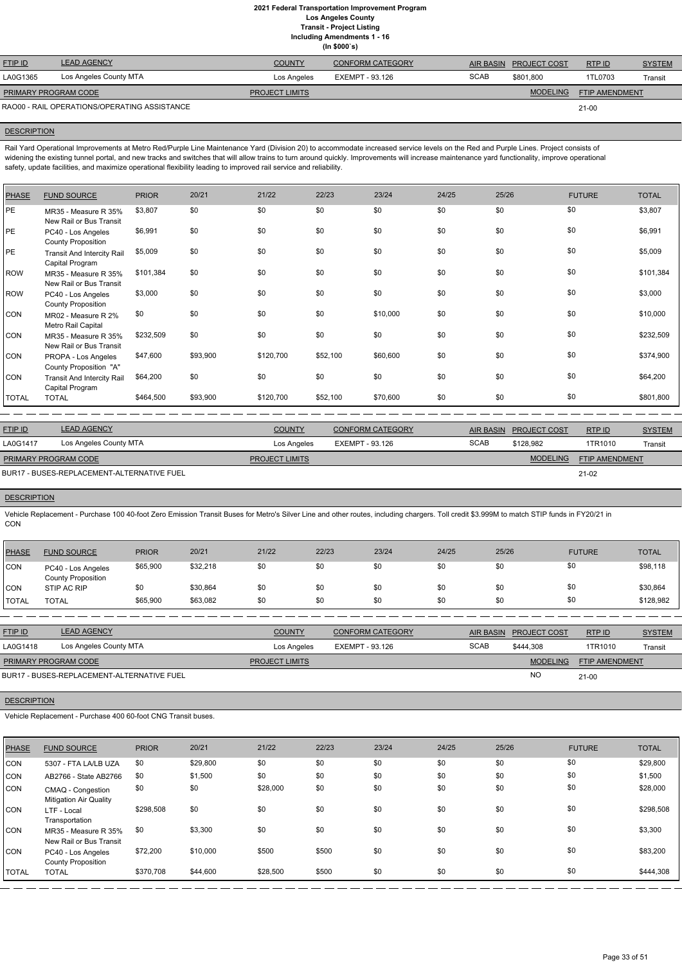|                             |                                              |                       | (ln \$000's)            |             |                        |                       |               |
|-----------------------------|----------------------------------------------|-----------------------|-------------------------|-------------|------------------------|-----------------------|---------------|
| <b>FTIP ID</b>              | <b>LEAD AGENCY</b>                           | <b>COUNTY</b>         | <b>CONFORM CATEGORY</b> |             | AIR BASIN PROJECT COST | RTP ID                | <b>SYSTEM</b> |
| LA0G1365                    | Los Angeles County MTA                       | Los Angeles           | EXEMPT - 93.126         | <b>SCAB</b> | \$801.800              | 1TL0703               | Transit       |
| <b>PRIMARY PROGRAM CODE</b> |                                              | <b>PROJECT LIMITS</b> |                         |             | <b>MODELING</b>        | <b>FTIP AMENDMENT</b> |               |
|                             | RAO00 - RAIL OPERATIONS/OPERATING ASSISTANCE |                       |                         |             |                        | 21-00                 |               |

## **DESCRIPTION**

Rail Yard Operational Improvements at Metro Red/Purple Line Maintenance Yard (Division 20) to accommodate increased service levels on the Red and Purple Lines. Project consists of widening the existing tunnel portal, and new tracks and switches that will allow trains to turn around quickly. Improvements will increase maintenance yard functionality, improve operational safety, update facilities, and maximize operational flexibility leading to improved rail service and reliability.

| <b>PHASE</b> | <b>FUND SOURCE</b>                                   | <b>PRIOR</b> | 20/21    | 21/22     | 22/23    | 23/24    | 24/25 | 25/26 | <b>FUTURE</b> | <b>TOTAL</b> |
|--------------|------------------------------------------------------|--------------|----------|-----------|----------|----------|-------|-------|---------------|--------------|
| PE           | MR35 - Measure R 35%<br>New Rail or Bus Transit      | \$3,807      | \$0      | \$0       | \$0      | \$0      | \$0   | \$0   | \$0           | \$3,807      |
| PE           | PC40 - Los Angeles<br><b>County Proposition</b>      | \$6,991      | \$0      | \$0       | \$0      | \$0      | \$0   | \$0   | \$0           | \$6,991      |
| PE           | <b>Transit And Intercity Rail</b><br>Capital Program | \$5,009      | \$0      | \$0       | \$0      | \$0      | \$0   | \$0   | \$0           | \$5,009      |
| <b>ROW</b>   | MR35 - Measure R 35%<br>New Rail or Bus Transit      | \$101,384    | \$0      | \$0       | \$0      | \$0      | \$0   | \$0   | \$0           | \$101,384    |
| <b>ROW</b>   | PC40 - Los Angeles<br><b>County Proposition</b>      | \$3,000      | \$0      | \$0       | \$0      | \$0      | \$0   | \$0   | \$0           | \$3,000      |
| CON          | MR02 - Measure R 2%<br>Metro Rail Capital            | \$0          | \$0      | \$0       | \$0      | \$10,000 | \$0   | \$0   | \$0           | \$10,000     |
| CON          | MR35 - Measure R 35%<br>New Rail or Bus Transit      | \$232,509    | \$0      | \$0       | \$0      | \$0      | \$0   | \$0   | \$0           | \$232,509    |
| CON          | PROPA - Los Angeles<br>County Proposition "A"        | \$47,600     | \$93,900 | \$120,700 | \$52,100 | \$60,600 | \$0   | \$0   | \$0           | \$374,900    |
| CON          | <b>Transit And Intercity Rail</b><br>Capital Program | \$64,200     | \$0      | \$0       | \$0      | \$0      | \$0   | \$0   | \$0           | \$64,200     |
| <b>TOTAL</b> | <b>TOTAL</b>                                         | \$464,500    | \$93,900 | \$120,700 | \$52,100 | \$70,600 | \$0   | \$0   | \$0           | \$801,800    |

| FTIP ID                     | <b>LEAD AGENCY</b>                         | <b>COUNTY</b>         | <b>CONFORM CATEGORY</b> |             | AIR BASIN PROJECT COST | RTPID                 | <b>SYSTEM</b> |
|-----------------------------|--------------------------------------------|-----------------------|-------------------------|-------------|------------------------|-----------------------|---------------|
| LA0G1417                    | Los Angeles County MTA                     | Los Angeles           | EXEMPT - 93.126         | <b>SCAB</b> | \$128.982              | 1TR1010               | Transit       |
| <b>PRIMARY PROGRAM CODE</b> |                                            | <b>PROJECT LIMITS</b> |                         |             | <b>MODELING</b>        | <b>FTIP AMENDMENT</b> |               |
|                             | BUR17 - BUSES-REPLACEMENT-ALTERNATIVE FUEL |                       |                         |             |                        | $21-02$               |               |

BUR17 - BUSES-REPLACEMENT-ALTERNATIVE FUEL

## **DESCRIPTION**

Vehicle Replacement - Purchase 100 40-foot Zero Emission Transit Buses for Metro's Silver Line and other routes, including chargers. Toll credit \$3.999M to match STIP funds in FY20/21 in CON

| <b>PHASE</b> | <b>FUND SOURCE</b>                              | <b>PRIOR</b> | 20/21    | 21/22 | 22/23 | 23/24 | 24/25 | 25/26 | <b>FUTURE</b> | <b>TOTAL</b> |
|--------------|-------------------------------------------------|--------------|----------|-------|-------|-------|-------|-------|---------------|--------------|
| CON          | PC40 - Los Angeles<br><b>County Proposition</b> | \$65,900     | \$32,218 | \$0   | \$0   | \$0   | \$0   | \$0   | \$0           | \$98,118     |
| CON          | STIP AC RIP                                     | \$0          | \$30,864 | \$0   | \$0   | \$0   | \$0   | \$0   | \$0           | \$30,864     |
| <b>TOTAL</b> | <b>TOTAL</b>                                    | \$65,900     | \$63,082 | \$0   | \$0   | \$0   | \$0   | \$0   | \$0           | \$128,982    |

| <b>FTIP ID</b>       | <b>LEAD AGENCY</b>                         | <b>COUNTY</b>         | <b>CONFORM CATEGORY</b> |             | AIR BASIN PROJECT COST | RTP ID                | <b>SYSTEM</b> |
|----------------------|--------------------------------------------|-----------------------|-------------------------|-------------|------------------------|-----------------------|---------------|
| LA0G1418             | Los Angeles County MTA                     | Los Angeles           | EXEMPT - 93.126         | <b>SCAB</b> | \$444.308              | 1TR1010               | Transit       |
| PRIMARY PROGRAM CODE |                                            | <b>PROJECT LIMITS</b> |                         |             | <b>MODELING</b>        | <b>FTIP AMENDMENT</b> |               |
|                      | BUR17 - BUSES-REPLACEMENT-ALTERNATIVE FUEL |                       |                         |             | N <sub>O</sub>         | 21-00                 |               |

**DESCRIPTION** 

Vehicle Replacement - Purchase 400 60-foot CNG Transit buses.

| PHASE          | <b>FUND SOURCE</b>                                 | <b>PRIOR</b> | 20/21    | 21/22    | 22/23 | 23/24 | 24/25 | 25/26 | <b>FUTURE</b> | <b>TOTAL</b> |
|----------------|----------------------------------------------------|--------------|----------|----------|-------|-------|-------|-------|---------------|--------------|
| CON            | 5307 - FTA LA/LB UZA                               | \$0          | \$29,800 | \$0      | \$0   | \$0   | \$0   | \$0   | \$0           | \$29,800     |
| CON            | AB2766 - State AB2766                              | \$0          | \$1,500  | \$0      | \$0   | \$0   | \$0   | \$0   | \$0           | \$1,500      |
| CON            | CMAQ - Congestion<br><b>Mitigation Air Quality</b> | \$0          | \$0      | \$28,000 | \$0   | \$0   | \$0   | \$0   | \$0           | \$28,000     |
| CON            | LTF - Local<br>Transportation                      | \$298,508    | \$0      | \$0      | \$0   | \$0   | \$0   | \$0   | \$0           | \$298,508    |
| <b>CON</b>     | MR35 - Measure R 35%<br>New Rail or Bus Transit    | \$0          | \$3,300  | \$0      | \$0   | \$0   | \$0   | \$0   | \$0           | \$3,300      |
| CON            | PC40 - Los Angeles<br><b>County Proposition</b>    | \$72,200     | \$10,000 | \$500    | \$500 | \$0   | \$0   | \$0   | \$0           | \$83,200     |
| <b>I</b> TOTAL | <b>TOTAL</b>                                       | \$370,708    | \$44,600 | \$28,500 | \$500 | \$0   | \$0   | \$0   | \$0           | \$444,308    |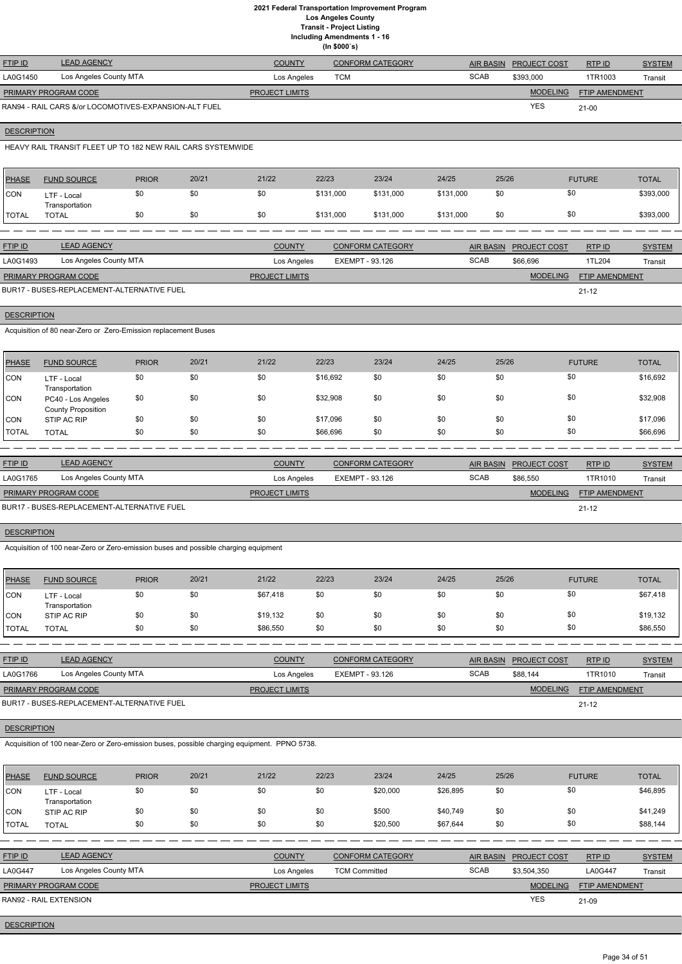|                      |                                                       |                       | (ln \$000's)            |             |                     |                       |               |
|----------------------|-------------------------------------------------------|-----------------------|-------------------------|-------------|---------------------|-----------------------|---------------|
| <b>FTIP ID</b>       | <b>LEAD AGENCY</b>                                    | <b>COUNTY</b>         | <b>CONFORM CATEGORY</b> | AIR BASIN   | <b>PROJECT COST</b> | RTPID                 | <b>SYSTEM</b> |
| LA0G1450             | Los Angeles County MTA                                | Los Angeles           | <b>TCM</b>              | <b>SCAB</b> | \$393,000           | 1TR1003               | Transit       |
| PRIMARY PROGRAM CODE |                                                       | <b>PROJECT LIMITS</b> |                         |             | <b>MODELING</b>     | <b>FTIP AMENDMENT</b> |               |
|                      | RAN94 - RAIL CARS &/or LOCOMOTIVES-EXPANSION-ALT FUEL |                       |                         |             | <b>YES</b>          | $21 - 00$             |               |

## **DESCRIPTION**

HEAVY RAIL TRANSIT FLEET UP TO 182 NEW RAIL CARS SYSTEMWIDE

| PHASE        | <b>FUND SOURCE</b>            | <b>PRIOR</b> | 20/21 | 21/22 | 22/23     | 23/24     | 24/25     | 25/26 | <b>FUTURE</b> | <b>TOTAL</b> |
|--------------|-------------------------------|--------------|-------|-------|-----------|-----------|-----------|-------|---------------|--------------|
| <b>CON</b>   | LTF - Local<br>Transportation |              | \$0   | \$0   | \$131,000 | \$131,000 | \$131,000 | \$0   | \$0           | \$393,000    |
| <b>TOTAL</b> | TOTAL                         |              | \$0   | \$0   | \$131,000 | \$131,000 | \$131,000 | \$0   | \$0           | \$393,000    |

| <b>FTIP ID</b>              | <b>LEAD AGENCY</b>                         | <b>COUNTY</b>         | CONFORM CATEGORY |             | AIR BASIN PROJECT COST | RTP ID                | <b>SYSTEM</b> |
|-----------------------------|--------------------------------------------|-----------------------|------------------|-------------|------------------------|-----------------------|---------------|
| LA0G1493                    | Los Angeles County MTA                     | Los Angeles           | EXEMPT - 93.126  | <b>SCAB</b> | \$66.696               | 1TL204                | Transit       |
| <b>PRIMARY PROGRAM CODE</b> |                                            | <b>PROJECT LIMITS</b> |                  |             | <b>MODELING</b>        | <b>FTIP AMENDMENT</b> |               |
|                             | BUR17 - BUSES-REPLACEMENT-ALTERNATIVE FUEL |                       |                  |             |                        | $21 - 12$             |               |

**DESCRIPTION** 

Acquisition of 80 near-Zero or Zero-Emission replacement Buses

| PHASE        | <b>FUND SOURCE</b>                              | <b>PRIOR</b> | 20/21 | 21/22 | 22/23    | 23/24 | 24/25 | 25/26 | <b>FUTURE</b> | <b>TOTAL</b> |
|--------------|-------------------------------------------------|--------------|-------|-------|----------|-------|-------|-------|---------------|--------------|
| <b>CON</b>   | LTF - Local<br>Transportation                   | \$0          | \$0   | \$0   | \$16,692 | \$0   | \$0   | \$0   | \$0           | \$16,692     |
| <b>CON</b>   | PC40 - Los Angeles<br><b>County Proposition</b> | \$0          | \$0   | \$0   | \$32,908 | \$0   | \$0   | \$0   | \$0           | \$32,908     |
| <b>CON</b>   | STIP AC RIP                                     | \$0          | \$0   | \$0   | \$17,096 | \$0   | \$0   | \$0   | \$0           | \$17,096     |
| <b>TOTAL</b> | <b>TOTAL</b>                                    | \$0          | \$0   | \$0   | \$66,696 | \$0   | \$0   | \$0   | \$0           | \$66,696     |

| <b>FTIP ID</b>              | <b>LEAD AGENCY</b>                         | <b>COUNTY</b>         | <b>CONFORM CATEGORY</b> |             | AIR BASIN PROJECT COST | RTPID                 | <b>SYSTEM</b> |
|-----------------------------|--------------------------------------------|-----------------------|-------------------------|-------------|------------------------|-----------------------|---------------|
| LA0G1765                    | Los Angeles County MTA                     | Los Angeles           | EXEMPT - 93.126         | <b>SCAB</b> | \$86,550               | 1TR1010               | Transit       |
| <b>PRIMARY PROGRAM CODE</b> |                                            | <b>PROJECT LIMITS</b> |                         |             | <b>MODELING</b>        | <b>FTIP AMENDMENT</b> |               |
|                             | BUR17 - BUSES-REPLACEMENT-ALTERNATIVE FUEL |                       |                         |             |                        | $21 - 12$             |               |

## **DESCRIPTION**

Acquisition of 100 near-Zero or Zero-emission buses and possible charging equipment

| <b>PHASE</b> | <b>FUND SOURCE</b>            | <b>PRIOR</b> | 20/21 | 21/22    | 22/23 | 23/24 | 24/25 | 25/26 | <b>FUTURE</b> | <b>TOTAL</b> |
|--------------|-------------------------------|--------------|-------|----------|-------|-------|-------|-------|---------------|--------------|
| <b>CON</b>   | LTF - Local<br>Transportation | \$0          | \$0   | \$67,418 | \$0   | \$0   | \$0   | \$0   | \$0           | \$67,418     |
| CON          | STIP AC RIP                   | \$0          | \$0   | \$19,132 | \$0   | \$0   | \$0   | \$0   | \$0           | \$19,132     |
| <b>TOTAL</b> | TOTAL                         | \$0          | \$0   | \$86,550 | \$0   | \$0   | \$0   | \$0   | \$0           | \$86,550     |

| <u>FTIP ID</u>                             | <b>LEAD AGENCY</b>     | <b>COUNTY</b>         | <b>CONFORM CATEGORY</b> |             | AIR BASIN PROJECT COST | RTPID                 | <b>SYSTEM</b> |
|--------------------------------------------|------------------------|-----------------------|-------------------------|-------------|------------------------|-----------------------|---------------|
| LA0G1766                                   | Los Angeles County MTA | Los Angeles           | EXEMPT - 93.126         | <b>SCAB</b> | \$88.144               | 1TR1010               | Transit       |
| <b>PRIMARY PROGRAM CODE</b>                |                        | <b>PROJECT LIMITS</b> |                         |             | <b>MODELING</b>        | <b>FTIP AMENDMENT</b> |               |
| BUR17 - BUSES-REPLACEMENT-ALTERNATIVE FUEL |                        |                       |                         |             |                        | $21 - 12$             |               |

BUR17 - BUSES-REPLACEMENT-ALTERNATIVE FUEL

Acquisition of 100 near-Zero or Zero-emission buses, possible charging equipment. PPNO 5738.

| <b>PHASE</b>   | <b>FUND SOURCE</b>            | <b>PRIOR</b> | 20/21 | 21/22                 | 22/23                | 23/24                   | 24/25       | 25/26            |                     | <b>FUTURE</b>  | <b>TOTAL</b>  |
|----------------|-------------------------------|--------------|-------|-----------------------|----------------------|-------------------------|-------------|------------------|---------------------|----------------|---------------|
| <b>CON</b>     | LTF - Local<br>Transportation | \$0          | \$0   | \$0                   | \$0                  | \$20,000                | \$26,895    | \$0              |                     | \$0            | \$46,895      |
| <b>CON</b>     | STIP AC RIP                   | \$0          | \$0   | \$0                   | \$0                  | \$500                   | \$40,749    | \$0              |                     | \$0            | \$41,249      |
| <b>TOTAL</b>   | <b>TOTAL</b>                  | \$0          | \$0   | \$0                   | \$0                  | \$20,500                | \$67,644    | \$0              |                     | \$0            | \$88,144      |
|                |                               |              |       |                       |                      |                         |             |                  |                     |                |               |
| <b>FTIP ID</b> | <b>LEAD AGENCY</b>            |              |       | <b>COUNTY</b>         |                      | <b>CONFORM CATEGORY</b> |             | <b>AIR BASIN</b> | <b>PROJECT COST</b> | RTP ID         | <b>SYSTEM</b> |
| <b>LA0G447</b> | Los Angeles County MTA        |              |       | Los Angeles           | <b>TCM Committed</b> |                         | <b>SCAB</b> |                  | \$3,504,350         | <b>LA0G447</b> | Transit       |
|                | PRIMARY PROGRAM CODE          |              |       | <b>PROJECT LIMITS</b> |                      |                         |             |                  | <b>MODELING</b>     | FTIP AMENDMENT |               |
|                | RAN92 - RAIL EXTENSION        |              |       |                       |                      |                         |             |                  | <b>YES</b>          | $21-09$        |               |

**DESCRIPTION**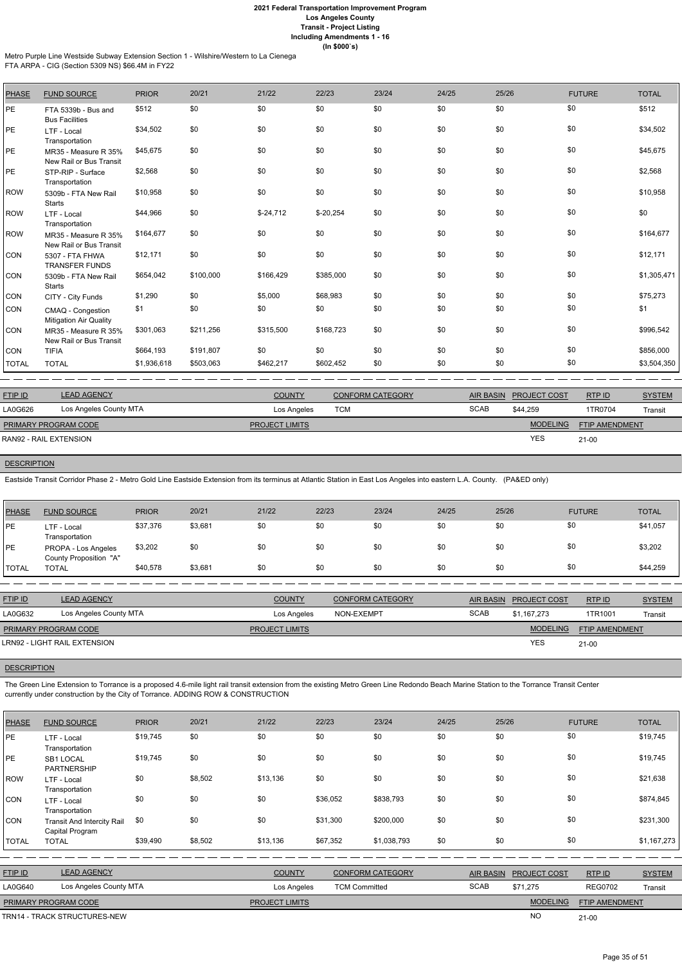Metro Purple Line Westside Subway Extension Section 1 - Wilshire/Western to La Cienega

FTA ARPA - CIG (Section 5309 NS) \$66.4M in FY22

| <b>PHASE</b> | <b>FUND SOURCE</b>                                 | <b>PRIOR</b> | 20/21     | 21/22      | 22/23      | 23/24 | 24/25 | 25/26 | <b>FUTURE</b> | <b>TOTAL</b> |
|--------------|----------------------------------------------------|--------------|-----------|------------|------------|-------|-------|-------|---------------|--------------|
| <b>PE</b>    | FTA 5339b - Bus and<br><b>Bus Facilities</b>       | \$512        | \$0       | \$0        | \$0        | \$0   | \$0   | \$0   | \$0           | \$512        |
| PE           | LTF - Local<br>Transportation                      | \$34,502     | \$0       | \$0        | \$0        | \$0   | \$0   | \$0   | \$0           | \$34,502     |
| PE           | MR35 - Measure R 35%<br>New Rail or Bus Transit    | \$45,675     | \$0       | \$0        | \$0        | \$0   | \$0   | \$0   | \$0           | \$45,675     |
| PE           | STP-RIP - Surface<br>Transportation                | \$2,568      | \$0       | \$0        | \$0        | \$0   | \$0   | \$0   | \$0           | \$2,568      |
| <b>ROW</b>   | 5309b - FTA New Rail<br><b>Starts</b>              | \$10,958     | \$0       | \$0        | \$0        | \$0   | \$0   | \$0   | \$0           | \$10,958     |
| <b>ROW</b>   | LTF - Local<br>Transportation                      | \$44,966     | \$0       | $$-24,712$ | $$-20,254$ | \$0   | \$0   | \$0   | \$0           | \$0          |
| <b>ROW</b>   | MR35 - Measure R 35%<br>New Rail or Bus Transit    | \$164,677    | \$0       | \$0        | \$0        | \$0   | \$0   | \$0   | \$0           | \$164,677    |
| CON          | 5307 - FTA FHWA<br><b>TRANSFER FUNDS</b>           | \$12,171     | \$0       | \$0        | \$0        | \$0   | \$0   | \$0   | \$0           | \$12,171     |
| CON          | 5309b - FTA New Rail<br><b>Starts</b>              | \$654,042    | \$100,000 | \$166,429  | \$385,000  | \$0   | \$0   | \$0   | \$0           | \$1,305,471  |
| CON          | CITY - City Funds                                  | \$1,290      | \$0       | \$5,000    | \$68,983   | \$0   | \$0   | \$0   | \$0           | \$75,273     |
| CON          | CMAQ - Congestion<br><b>Mitigation Air Quality</b> | \$1          | \$0       | \$0        | \$0        | \$0   | \$0   | \$0   | \$0           | \$1          |
| CON          | MR35 - Measure R 35%<br>New Rail or Bus Transit    | \$301,063    | \$211,256 | \$315,500  | \$168,723  | \$0   | \$0   | \$0   | \$0           | \$996,542    |
| CON          | <b>TIFIA</b>                                       | \$664,193    | \$191,807 | \$0        | \$0        | \$0   | \$0   | \$0   | \$0           | \$856,000    |
| <b>TOTAL</b> | <b>TOTAL</b>                                       | \$1,936,618  | \$503,063 | \$462,217  | \$602,452  | \$0   | \$0   | \$0   | \$0           | \$3,504,350  |

| <b>FTIP ID</b>              | <b>LEAD AGENCY</b>     | <b>COUNTY</b>         | <b>CONFORM CATEGORY</b> |             | <b>AIR BASIN PROJECT COST</b> | RTP ID         | <b>SYSTEM</b> |
|-----------------------------|------------------------|-----------------------|-------------------------|-------------|-------------------------------|----------------|---------------|
| LA0G626                     | Los Angeles County MTA | Los Angeles           | тсм                     | <b>SCAB</b> | \$44.259                      | 1TR0704        | Transit       |
| <b>PRIMARY PROGRAM CODE</b> |                        | <b>PROJECT LIMITS</b> |                         |             | <b>MODELING</b>               | FTIP AMENDMENT |               |
| RAN92 - RAIL EXTENSION      |                        |                       |                         |             | <b>YES</b>                    | $21 - 00$      |               |

## **DESCRIPTION**

Eastside Transit Corridor Phase 2 - Metro Gold Line Eastside Extension from its terminus at Atlantic Station in East Los Angeles into eastern L.A. County. (PA&ED only)

| PHASE        | <b>FUND SOURCE</b>                            | <b>PRIOR</b> | 20/21   | 21/22 | 22/23 | 23/24 | 24/25 | 25/26 | <b>FUTURE</b> | <b>TOTAL</b> |
|--------------|-----------------------------------------------|--------------|---------|-------|-------|-------|-------|-------|---------------|--------------|
| <b>IPE</b>   | LTF - Local<br>Transportation                 | \$37,376     | \$3,681 | \$0   | \$0   | \$0   | \$0   | \$0   | \$0           | \$41,057     |
| PE           | PROPA - Los Angeles<br>County Proposition "A" | \$3,202      | \$0     | \$0   | \$0   | \$0   | \$0   | \$0   | \$0           | \$3,202      |
| <b>TOTAL</b> | <b>TOTAL</b>                                  | \$40,578     | \$3,681 | \$0   | \$0   | \$0   | \$0   | \$0   | \$0           | \$44,259     |

| <b>FTIP ID</b>              | <b>LEAD AGENCY</b>           | <b>COUNTY</b>         | <b>CONFORM CATEGORY</b> | <b>AIR BASIN</b> | <b>PROJECT COST</b> | RTPID                 | <b>SYSTEM</b> |
|-----------------------------|------------------------------|-----------------------|-------------------------|------------------|---------------------|-----------------------|---------------|
| LA0G632                     | Los Angeles County MTA       | Los Angeles           | NON-EXEMPT              | <b>SCAB</b>      | \$1,167,273         | 1TR1001               | Transit       |
| <b>PRIMARY PROGRAM CODE</b> |                              | <b>PROJECT LIMITS</b> |                         |                  | <b>MODELING</b>     | <b>FTIP AMENDMENT</b> |               |
|                             | LRN92 - LIGHT RAIL EXTENSION |                       |                         |                  | <b>YES</b>          | $21 - 00$             |               |

# **DESCRIPTION**

The Green Line Extension to Torrance is a proposed 4.6-mile light rail transit extension from the existing Metro Green Line Redondo Beach Marine Station to the Torrance Transit Center currently under construction by the City of Torrance. ADDING ROW & CONSTRUCTION

| <b>PHASE</b> | <b>FUND SOURCE</b>                                   | <b>PRIOR</b> | 20/21   | 21/22                 | 22/23                | 23/24                   | 24/25       | 25/26            |                     | <b>FUTURE</b>  | <b>TOTAL</b>  |
|--------------|------------------------------------------------------|--------------|---------|-----------------------|----------------------|-------------------------|-------------|------------------|---------------------|----------------|---------------|
| <b>PE</b>    | LTF - Local<br>Transportation                        | \$19,745     | \$0     | \$0                   | \$0                  | \$0                     | \$0         | \$0              |                     | \$0            | \$19,745      |
| <b>IPE</b>   | <b>SB1 LOCAL</b><br><b>PARTNERSHIP</b>               | \$19,745     | \$0     | \$0                   | \$0                  | \$0                     | \$0         | \$0              |                     | \$0            | \$19,745      |
| ROW          | LTF - Local<br>Transportation                        | \$0          | \$8,502 | \$13,136              | \$0                  | \$0                     | \$0         | \$0              |                     | \$0            | \$21,638      |
| CON          | LTF - Local<br>Transportation                        | \$0          | \$0     | \$0                   | \$36,052             | \$838,793               | \$0         | \$0              |                     | \$0            | \$874,845     |
| <b>CON</b>   | <b>Transit And Intercity Rail</b><br>Capital Program | \$0          | \$0     | \$0                   | \$31,300             | \$200,000               | \$0         | \$0              |                     | \$0            | \$231,300     |
| <b>TOTAL</b> | <b>TOTAL</b>                                         | \$39,490     | \$8,502 | \$13,136              | \$67,352             | \$1,038,793             | \$0         | \$0              |                     | \$0            | \$1,167,273   |
|              |                                                      |              |         |                       |                      |                         |             |                  |                     |                |               |
| FTIP ID      | <b>LEAD AGENCY</b>                                   |              |         | <b>COUNTY</b>         |                      | <b>CONFORM CATEGORY</b> |             | <b>AIR BASIN</b> | <b>PROJECT COST</b> | RTP ID         | <b>SYSTEM</b> |
| LA0G640      | Los Angeles County MTA                               |              |         | Los Angeles           | <b>TCM Committed</b> |                         | <b>SCAB</b> |                  | \$71,275            | <b>REG0702</b> | Transit       |
|              | PRIMARY PROGRAM CODE                                 |              |         | <b>PROJECT LIMITS</b> |                      |                         |             |                  | <b>MODELING</b>     | FTIP AMENDMENT |               |
|              | TRN14 - TRACK STRUCTURES-NEW                         |              |         |                       |                      |                         |             |                  | <b>NO</b>           | $21 - 00$      |               |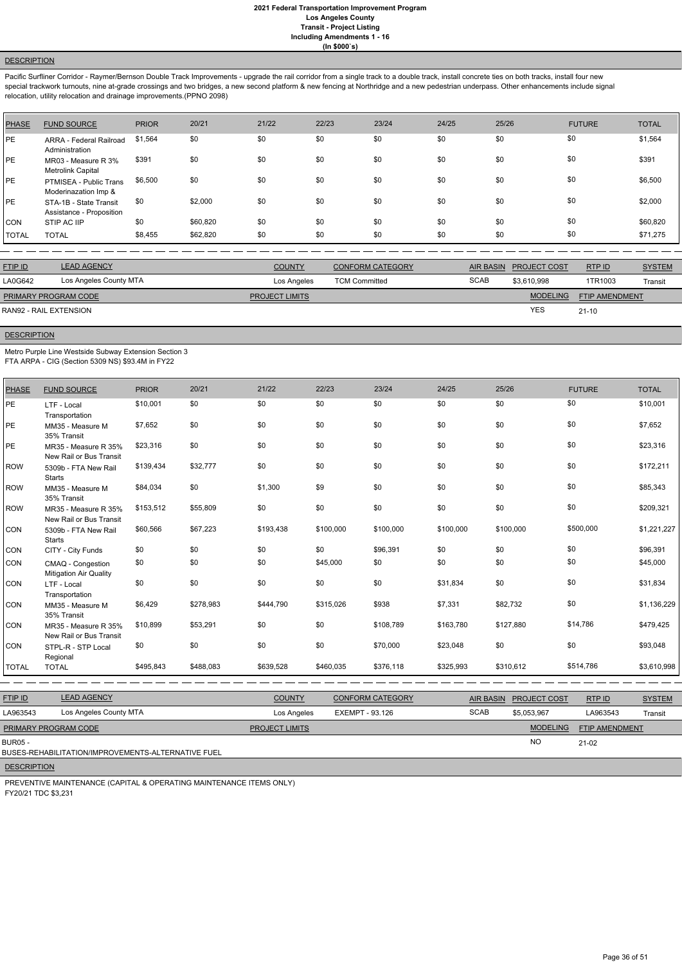## **DESCRIPTION**

Pacific Surfliner Corridor - Raymer/Bernson Double Track Improvements - upgrade the rail corridor from a single track to a double track, install concrete ties on both tracks, install four new special trackwork turnouts, nine at-grade crossings and two bridges, a new second platform & new fencing at Northridge and a new pedestrian underpass. Other enhancements include signal relocation, utility relocation and drainage improvements.(PPNO 2098)

| PHASE        | <b>FUND SOURCE</b>                                 | <b>PRIOR</b> | 20/21    | 21/22 | 22/23 | 23/24 | 24/25 | 25/26 | <b>FUTURE</b> | <b>TOTAL</b> |
|--------------|----------------------------------------------------|--------------|----------|-------|-------|-------|-------|-------|---------------|--------------|
| PE           | ARRA - Federal Railroad<br>Administration          | \$1,564      | \$0      | \$0   | \$0   | \$0   | \$0   | \$0   | \$0           | \$1,564      |
| PE           | MR03 - Measure R 3%<br>Metrolink Capital           | \$391        | \$0      | \$0   | \$0   | \$0   | \$0   | \$0   | \$0           | \$391        |
| PE           | PTMISEA - Public Trans<br>Moderinazation Imp &     | \$6,500      | \$0      | \$0   | \$0   | \$0   | \$0   | \$0   | \$0           | \$6,500      |
| PE           | STA-1B - State Transit<br>Assistance - Proposition | \$0          | \$2,000  | \$0   | \$0   | \$0   | \$0   | \$0   | \$0           | \$2,000      |
| <b>CON</b>   | STIP AC IIP                                        | \$0          | \$60,820 | \$0   | \$0   | \$0   | \$0   | \$0   | \$0           | \$60,820     |
| <b>TOTAL</b> | <b>TOTAL</b>                                       | \$8,455      | \$62,820 | \$0   | \$0   | \$0   | \$0   | \$0   | \$0           | \$71,275     |

| <b>FTIP ID</b>              | <b>LEAD AGENCY</b>     | <b>COUNTY</b>         | <b>CONFORM CATEGORY</b> |             | AIR BASIN PROJECT COST | RTP ID                | <b>SYSTEM</b> |
|-----------------------------|------------------------|-----------------------|-------------------------|-------------|------------------------|-----------------------|---------------|
| LA0G642                     | Los Angeles County MTA | Los Angeles           | <b>TCM Committed</b>    | <b>SCAB</b> | \$3.610.998            | 1TR1003               | Transit       |
| <b>PRIMARY PROGRAM CODE</b> |                        | <b>PROJECT LIMITS</b> |                         |             | <b>MODELING</b>        | <b>FTIP AMENDMENT</b> |               |
| RAN92 - RAIL EXTENSION      |                        |                       |                         |             | <b>YES</b>             | $21-10$               |               |

## **DESCRIPTION**

Metro Purple Line Westside Subway Extension Section 3

FTA ARPA - CIG (Section 5309 NS) \$93.4M in FY22

| <b>PHASE</b> | <b>FUND SOURCE</b>                                 | <b>PRIOR</b> | 20/21     | 21/22     | 22/23     | 23/24     | 24/25     | 25/26     | <b>FUTURE</b> | <b>TOTAL</b> |
|--------------|----------------------------------------------------|--------------|-----------|-----------|-----------|-----------|-----------|-----------|---------------|--------------|
| PE           | LTF - Local<br>Transportation                      | \$10,001     | \$0       | \$0       | \$0       | \$0       | \$0       | \$0       | \$0           | \$10,001     |
| PE           | MM35 - Measure M<br>35% Transit                    | \$7,652      | \$0       | \$0       | \$0       | \$0       | \$0       | \$0       | \$0           | \$7,652      |
| PE           | MR35 - Measure R 35%<br>New Rail or Bus Transit    | \$23,316     | \$0       | \$0       | \$0       | \$0       | \$0       | \$0       | \$0           | \$23,316     |
| <b>ROW</b>   | 5309b - FTA New Rail<br><b>Starts</b>              | \$139,434    | \$32,777  | \$0       | \$0       | \$0       | \$0       | \$0       | \$0           | \$172,211    |
| <b>ROW</b>   | MM35 - Measure M<br>35% Transit                    | \$84,034     | \$0       | \$1,300   | \$9       | \$0       | \$0       | \$0       | \$0           | \$85,343     |
| <b>ROW</b>   | MR35 - Measure R 35%<br>New Rail or Bus Transit    | \$153,512    | \$55,809  | \$0       | \$0       | \$0       | \$0       | \$0       | \$0           | \$209,321    |
| <b>CON</b>   | 5309b - FTA New Rail<br><b>Starts</b>              | \$60,566     | \$67,223  | \$193,438 | \$100,000 | \$100,000 | \$100,000 | \$100,000 | \$500,000     | \$1,221,227  |
| CON          | CITY - City Funds                                  | \$0          | \$0       | \$0       | \$0       | \$96,391  | \$0       | \$0       | \$0           | \$96,391     |
| <b>CON</b>   | CMAQ - Congestion<br><b>Mitigation Air Quality</b> | \$0          | \$0       | \$0       | \$45,000  | \$0       | \$0       | \$0       | \$0           | \$45,000     |
| <b>CON</b>   | LTF - Local<br>Transportation                      | \$0          | \$0       | \$0       | \$0       | \$0       | \$31,834  | \$0       | \$0           | \$31,834     |
| <b>CON</b>   | MM35 - Measure M<br>35% Transit                    | \$6,429      | \$278,983 | \$444,790 | \$315,026 | \$938     | \$7,331   | \$82,732  | \$0           | \$1,136,229  |
| <b>CON</b>   | MR35 - Measure R 35%<br>New Rail or Bus Transit    | \$10,899     | \$53,291  | \$0       | \$0       | \$108,789 | \$163,780 | \$127,880 | \$14,786      | \$479,425    |
| CON          | STPL-R - STP Local<br>Regional                     | \$0          | \$0       | \$0       | \$0       | \$70,000  | \$23,048  | \$0       | \$0           | \$93,048     |
| <b>TOTAL</b> | <b>TOTAL</b>                                       | \$495,843    | \$488,083 | \$639,528 | \$460,035 | \$376,118 | \$325,993 | \$310,612 | \$514,786     | \$3,610,998  |

| <b>FTIP ID</b>              | <b>LEAD AGENCY</b>                                 | <b>COUNTY</b>         | <b>CONFORM CATEGORY</b> | <b>AIR BASIN</b> | <b>PROJECT COST</b> | RTPID                 | <b>SYSTEM</b> |
|-----------------------------|----------------------------------------------------|-----------------------|-------------------------|------------------|---------------------|-----------------------|---------------|
| LA963543                    | Los Angeles County MTA                             | Los Angeles           | EXEMPT - 93.126         | <b>SCAB</b>      | \$5,053,967         | LA963543              | Transit       |
| <b>PRIMARY PROGRAM CODE</b> |                                                    | <b>PROJECT LIMITS</b> |                         |                  | <b>MODELING</b>     | <b>FTIP AMENDMENT</b> |               |
| <b>BUR05 -</b>              | BUSES-REHABILITATION/IMPROVEMENTS-ALTERNATIVE FUEL |                       |                         |                  | <b>NO</b>           | $21-02$               |               |
| <b>DESCRIPTION</b>          |                                                    |                       |                         |                  |                     |                       |               |

PREVENTIVE MAINTENANCE (CAPITAL & OPERATING MAINTENANCE ITEMS ONLY) FY20/21 TDC \$3,231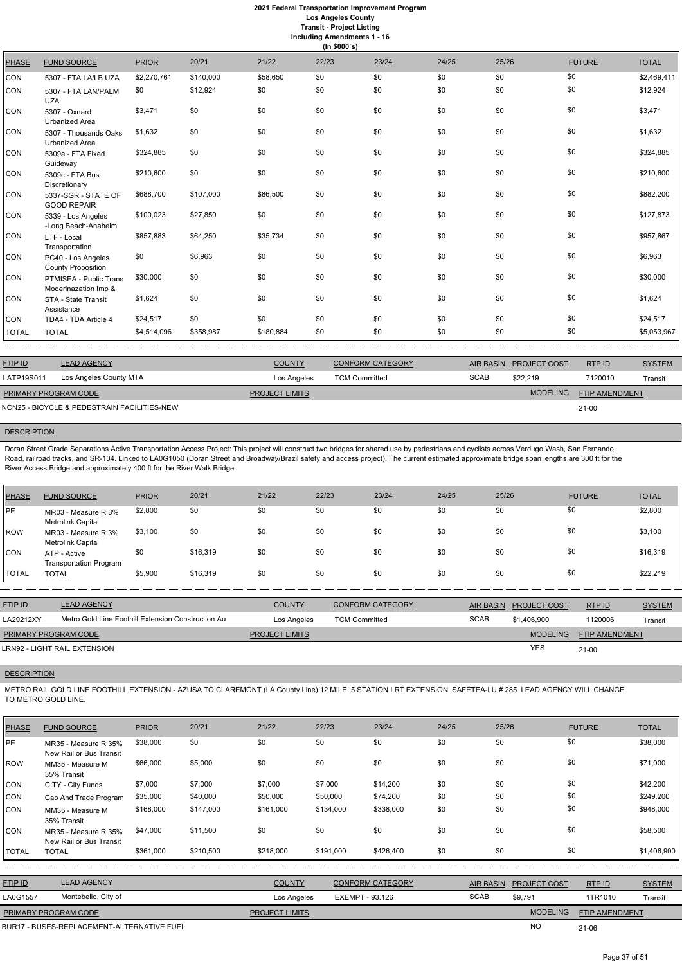|  | Including Amendments 1 - 16 |  |  |  |
|--|-----------------------------|--|--|--|
|--|-----------------------------|--|--|--|

|              | (ln \$000's)                                    |              |           |           |       |       |       |       |               |              |
|--------------|-------------------------------------------------|--------------|-----------|-----------|-------|-------|-------|-------|---------------|--------------|
| <b>PHASE</b> | <b>FUND SOURCE</b>                              | <b>PRIOR</b> | 20/21     | 21/22     | 22/23 | 23/24 | 24/25 | 25/26 | <b>FUTURE</b> | <b>TOTAL</b> |
| CON          | 5307 - FTA LA/LB UZA                            | \$2,270,761  | \$140,000 | \$58,650  | \$0   | \$0   | \$0   | \$0   | \$0           | \$2,469,411  |
| <b>CON</b>   | 5307 - FTA LAN/PALM<br><b>UZA</b>               | \$0          | \$12,924  | \$0       | \$0   | \$0   | \$0   | \$0   | \$0           | \$12,924     |
| CON          | 5307 - Oxnard<br><b>Urbanized Area</b>          | \$3,471      | \$0       | \$0       | \$0   | \$0   | \$0   | \$0   | \$0           | \$3,471      |
| CON          | 5307 - Thousands Oaks<br><b>Urbanized Area</b>  | \$1,632      | \$0       | \$0       | \$0   | \$0   | \$0   | \$0   | \$0           | \$1,632      |
| CON          | 5309a - FTA Fixed<br>Guideway                   | \$324,885    | \$0       | \$0       | \$0   | \$0   | \$0   | \$0   | \$0           | \$324,885    |
| CON          | 5309c - FTA Bus<br>Discretionary                | \$210,600    | \$0       | \$0       | \$0   | \$0   | \$0   | \$0   | \$0           | \$210,600    |
| CON          | 5337-SGR - STATE OF<br><b>GOOD REPAIR</b>       | \$688,700    | \$107,000 | \$86,500  | \$0   | \$0   | \$0   | \$0   | \$0           | \$882,200    |
| CON          | 5339 - Los Angeles<br>-Long Beach-Anaheim       | \$100,023    | \$27,850  | \$0       | \$0   | \$0   | \$0   | \$0   | \$0           | \$127,873    |
| CON          | LTF - Local<br>Transportation                   | \$857,883    | \$64,250  | \$35,734  | \$0   | \$0   | \$0   | \$0   | \$0           | \$957,867    |
| CON          | PC40 - Los Angeles<br><b>County Proposition</b> | \$0          | \$6,963   | \$0       | \$0   | \$0   | \$0   | \$0   | \$0           | \$6,963      |
| CON          | PTMISEA - Public Trans<br>Moderinazation Imp &  | \$30,000     | \$0       | \$0       | \$0   | \$0   | \$0   | \$0   | \$0           | \$30,000     |
| CON          | STA - State Transit<br>Assistance               | \$1,624      | \$0       | \$0       | \$0   | \$0   | \$0   | \$0   | \$0           | \$1,624      |
| CON          | TDA4 - TDA Article 4                            | \$24,517     | \$0       | \$0       | \$0   | \$0   | \$0   | \$0   | \$0           | \$24,517     |
| <b>TOTAL</b> | <b>TOTAL</b>                                    | \$4,514,096  | \$358,987 | \$180,884 | \$0   | \$0   | \$0   | \$0   | \$0           | \$5,053,967  |

| <b>FTIP ID</b>              | <b>LEAD AGENCY</b>                          | <b>COUNTY</b>         | <b>CONFORM CATEGORY</b> | AIR BASIN   | <b>PROJECT COST</b> | RTPID                 | <b>SYSTEM</b> |
|-----------------------------|---------------------------------------------|-----------------------|-------------------------|-------------|---------------------|-----------------------|---------------|
| LATP19S011                  | Los Angeles County MTA                      | Los Angeles           | <b>TCM Committed</b>    | <b>SCAB</b> | \$22,219            | 7120010               | Transit       |
| <b>PRIMARY PROGRAM CODE</b> |                                             | <b>PROJECT LIMITS</b> |                         |             | <b>MODELING</b>     | <b>FTIP AMENDMENT</b> |               |
|                             | NCN25 - BICYCLE & PEDESTRAIN FACILITIES-NEW |                       |                         |             |                     | $21 - 00$             |               |

## **DESCRIPTION**

Doran Street Grade Separations Active Transportation Access Project: This project will construct two bridges for shared use by pedestrians and cyclists across Verdugo Wash, San Fernando Road, railroad tracks, and SR-134. Linked to LA0G1050 (Doran Street and Broadway/Brazil safety and access project). The current estimated approximate bridge span lengths are 300 ft for the River Access Bridge and approximately 400 ft for the River Walk Bridge.

| <b>PHASE</b>   | <b>FUND SOURCE</b>                            | <b>PRIOR</b> | 20/21    | 21/22 | 22/23 | 23/24 | 24/25 | 25/26 | <b>FUTURE</b> | <b>TOTAL</b> |
|----------------|-----------------------------------------------|--------------|----------|-------|-------|-------|-------|-------|---------------|--------------|
| <b>IPE</b>     | MR03 - Measure R 3%<br>Metrolink Capital      | \$2,800      | \$0      | \$0   | \$0   | \$0   | \$0   | \$0   | \$0           | \$2,800      |
| ROW            | MR03 - Measure R 3%<br>Metrolink Capital      | \$3,100      | \$0      | \$0   | \$0   | \$0   | \$0   | \$0   | \$0           | \$3,100      |
| Icon           | ATP - Active<br><b>Transportation Program</b> | \$0          | \$16,319 | \$0   | \$0   | \$0   | \$0   | \$0   | \$0           | \$16,319     |
| <b>I</b> TOTAL | <b>TOTAL</b>                                  | \$5,900      | \$16,319 | \$0   | \$0   | \$0   | \$0   | \$0   | \$0           | \$22,219     |

| <b>FTIP ID</b>              | <b>LEAD AGENCY</b>                                 | <b>COUNTY</b>         | <b>CONFORM CATEGORY</b> | <b>AIR BASIN</b> | <b>PROJECT COST</b> | RTP ID                | <b>SYSTEM</b> |
|-----------------------------|----------------------------------------------------|-----------------------|-------------------------|------------------|---------------------|-----------------------|---------------|
| LA29212XY                   | Metro Gold Line Foothill Extension Construction Au | Los Angeles           | <b>TCM Committed</b>    | <b>SCAB</b>      | \$1.406.900         | 1120006               | Transit       |
| <b>PRIMARY PROGRAM CODE</b> |                                                    | <b>PROJECT LIMITS</b> |                         |                  | <b>MODELING</b>     | <b>FTIP AMENDMENT</b> |               |
|                             | LRN92 - LIGHT RAIL EXTENSION                       |                       |                         |                  | <b>YES</b>          | $21-00$               |               |
|                             |                                                    |                       |                         |                  |                     |                       |               |

# **DESCRIPTION**

METRO RAIL GOLD LINE FOOTHILL EXTENSION - AZUSA TO CLAREMONT (LA County Line) 12 MILE, 5 STATION LRT EXTENSION. SAFETEA-LU # 285 LEAD AGENCY WILL CHANGE TO METRO GOLD LINE.

| <b>PHASE</b> | <b>FUND SOURCE</b>                              | <b>PRIOR</b> | 20/21     | 21/22          | 22/23     | 23/24                   | 24/25 | 25/26            |                 | <b>FUTURE</b>         | <b>TOTAL</b>  |
|--------------|-------------------------------------------------|--------------|-----------|----------------|-----------|-------------------------|-------|------------------|-----------------|-----------------------|---------------|
| PE           | MR35 - Measure R 35%<br>New Rail or Bus Transit | \$38,000     | \$0       | \$0            | \$0       | \$0                     | \$0   | \$0              | \$0             |                       | \$38,000      |
| ROW          | MM35 - Measure M<br>35% Transit                 | \$66,000     | \$5,000   | \$0            | \$0       | \$0                     | \$0   | \$0              | \$0             |                       | \$71,000      |
| CON          | CITY - City Funds                               | \$7,000      | \$7,000   | \$7,000        | \$7,000   | \$14,200                | \$0   | \$0              | \$0             |                       | \$42,200      |
| CON          | Cap And Trade Program                           | \$35,000     | \$40,000  | \$50,000       | \$50,000  | \$74,200                | \$0   | \$0              | \$0             |                       | \$249,200     |
| CON          | MM35 - Measure M<br>35% Transit                 | \$168,000    | \$147,000 | \$161,000      | \$134,000 | \$338,000               | \$0   | \$0              | \$0             |                       | \$948,000     |
| <b>CON</b>   | MR35 - Measure R 35%<br>New Rail or Bus Transit | \$47,000     | \$11,500  | \$0            | \$0       | \$0                     | \$0   | \$0              | \$0             |                       | \$58,500      |
| <b>TOTAL</b> | <b>TOTAL</b>                                    | \$361,000    | \$210,500 | \$218,000      | \$191,000 | \$426,400               | \$0   | \$0              | \$0             |                       | \$1,406,900   |
|              |                                                 |              |           |                |           |                         |       |                  |                 |                       |               |
| FTIP ID      | <b>LEAD AGENCY</b>                              |              |           | <b>COUNTY</b>  |           | <b>CONFORM CATEGORY</b> |       | <b>AIR BASIN</b> | PROJECT COST    | RTP ID                | <b>SYSTEM</b> |
| LA0G1557     | Montebello, City of                             |              |           | Los Angeles    |           | <b>EXEMPT - 93.126</b>  |       | <b>SCAB</b>      | \$9,791         | 1TR1010               | Transit       |
|              | PRIMARY PROGRAM CODE                            |              |           | PROJECT LIMITS |           |                         |       |                  | <b>MODELING</b> | <b>FTIP AMENDMENT</b> |               |
|              | BUR17 - BUSES-REPLACEMENT-ALTERNATIVE FUEL      |              |           |                |           |                         |       |                  | <b>NO</b>       | 21-06                 |               |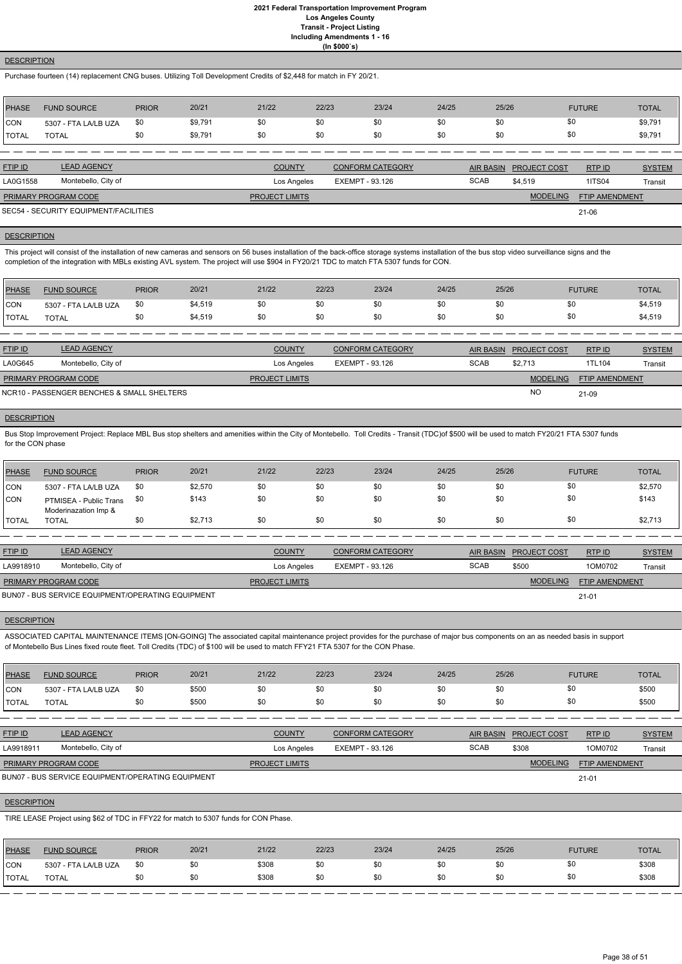## **DESCRIPTION**

Purchase fourteen (14) replacement CNG buses. Utilizing Toll Development Credits of \$2,448 for match in FY 20/21.

| <b>PHASE</b> | <b>FUND SOURCE</b>                    | <b>PRIOR</b> | 20/21   | 21/22                 | 22/23 | 23/24                   | 24/25 | 25/26            |                     | <b>FUTURE</b>         | <b>TOTAL</b>  |
|--------------|---------------------------------------|--------------|---------|-----------------------|-------|-------------------------|-------|------------------|---------------------|-----------------------|---------------|
| <b>ICON</b>  | 5307 - FTA LA/LB UZA                  | \$0          | \$9,791 | \$0                   | \$0   | \$0                     | \$0   | \$0              | \$0                 |                       | \$9,791       |
| <b>TOTAL</b> | <b>TOTAL</b>                          | \$0          | \$9,791 | \$0                   | \$0   | \$0                     | \$0   | \$0              | \$0                 |                       | \$9,791       |
|              |                                       |              |         |                       |       |                         |       |                  |                     |                       |               |
| FTIP ID      | <b>LEAD AGENCY</b>                    |              |         | <b>COUNTY</b>         |       | <b>CONFORM CATEGORY</b> |       | <b>AIR BASIN</b> | <b>PROJECT COST</b> | RTPID                 | <b>SYSTEM</b> |
| LA0G1558     | Montebello, City of                   |              |         | Los Angeles           |       | EXEMPT - 93.126         |       | <b>SCAB</b>      | \$4,519             | <b>1ITS04</b>         | Transit       |
|              | PRIMARY PROGRAM CODE                  |              |         | <b>PROJECT LIMITS</b> |       |                         |       |                  | <b>MODELING</b>     | <b>FTIP AMENDMENT</b> |               |
|              | SEC54 - SECURITY EQUIPMENT/FACILITIES |              |         |                       |       |                         |       |                  |                     | $21 - 06$             |               |

This project will consist of the installation of new cameras and sensors on 56 buses installation of the back-office storage systems installation of the bus stop video surveillance signs and the completion of the integration with MBLs existing AVL system. The project will use \$904 in FY20/21 TDC to match FTA 5307 funds for CON.

SEC54 - SECURITY EQUIPMENT/FACILITIES

## **DESCRIPTION**

Bus Stop Improvement Project: Replace MBL Bus stop shelters and amenities within the City of Montebello. Toll Credits - Transit (TDC)of \$500 will be used to match FY20/21 FTA 5307 funds for the CON phase

| <b>PHASE</b>  | <b>FUND SOURCE</b>   | <b>PRIOR</b> | 20/21   | 21/22 | 22/23 | 23/24 | 24/25 | 25/26 | <b>FUTURE</b> | <b>TOTAL</b> |
|---------------|----------------------|--------------|---------|-------|-------|-------|-------|-------|---------------|--------------|
| CON           | 5307 - FTA LA/LB UZA | \$0          | \$4,519 | \$0   |       |       | \$0   |       |               | \$4,519      |
| <b>ITOTAL</b> | <b>TOTAL</b>         | \$0          | \$4,519 | \$0   |       |       | \$0   |       |               | \$4,519      |

| <b>FTIP ID</b>                             | <b>LEAD AGENCY</b>  | <b>COUNTY</b>         | <b>CONFORM CATEGORY</b> |             | AIR BASIN PROJECT COST | RTP ID                | <b>SYSTEM</b> |
|--------------------------------------------|---------------------|-----------------------|-------------------------|-------------|------------------------|-----------------------|---------------|
| LA0G645                                    | Montebello, City of | Los Angeles           | EXEMPT - 93.126         | <b>SCAB</b> | \$2.713                | 1TL104                | Transit       |
| <b>PRIMARY PROGRAM CODE</b>                |                     | <b>PROJECT LIMITS</b> |                         |             | <b>MODELING</b>        | <b>FTIP AMENDMENT</b> |               |
| NCR10 - PASSENGER BENCHES & SMALL SHELTERS |                     |                       |                         |             | NO                     | 21-09                 |               |

#### **DESCRIPTION**

| <b>PHASE</b>   | <b>FUND SOURCE</b>                             | <b>PRIOR</b> | 20/21   | 21/22 | 22/23 | 23/24 | 24/25 | 25/26 | <b>FUTURE</b> | TOTAL   |
|----------------|------------------------------------------------|--------------|---------|-------|-------|-------|-------|-------|---------------|---------|
| <b>ICON</b>    | 5307 - FTA LA/LB UZA                           | -\$0         | \$2,570 | \$0   | \$0   | \$0   | \$0   | \$0   | \$0           | \$2,570 |
| <b>CON</b>     | PTMISEA - Public Trans<br>Moderinazation Imp & | <b>\$0</b>   | \$143   | \$0   |       | \$0   | \$0   | \$0   | \$0           | \$143   |
| <b>I</b> TOTAL | <b>TOTAL</b>                                   |              | \$2,713 | \$0   |       | \$0   | \$0   | \$0   | \$0           | \$2,713 |

| <b>FTIP ID</b>       | <b>LEAD AGENCY</b>  | <b>COUNTY</b>         | <b>CONFORM CATEGORY</b> |             | AIR BASIN PROJECT COST | RTP ID                | <b>SYSTEM</b> |
|----------------------|---------------------|-----------------------|-------------------------|-------------|------------------------|-----------------------|---------------|
| LA9918910            | Montebello, City of | Los Angeles           | EXEMPT - 93.126         | <b>SCAB</b> | \$500                  | 1OM0702               | Transit       |
| PRIMARY PROGRAM CODE |                     | <b>PROJECT LIMITS</b> |                         |             | <b>MODELING</b>        | <b>FTIP AMENDMENT</b> |               |
|                      |                     |                       |                         |             |                        |                       |               |

21-01

BUN07 - BUS SERVICE EQUIPMENT/OPERATING EQUIPMENT

## **DESCRIPTION**

ASSOCIATED CAPITAL MAINTENANCE ITEMS [ON-GOING] The associated capital maintenance project provides for the purchase of major bus components on an as needed basis in support of Montebello Bus Lines fixed route fleet. Toll Credits (TDC) of \$100 will be used to match FFY21 FTA 5307 for the CON Phase.

| PHASE        | <b>FUND SOURCE</b>   | <b>PRIOR</b> | 20/21 | 21/22 | 22/23 | 23/24 | 24/25 | 25/26 | <b>FUTURE</b> | <b>TOTAL</b> |
|--------------|----------------------|--------------|-------|-------|-------|-------|-------|-------|---------------|--------------|
| <b>CON</b>   | 5307 - FTA LA/LB UZA | \$0          | \$500 | \$0   | \$0   |       | \$0   | งบ    |               | \$500        |
| <b>TOTAL</b> | <b>TOTAL</b>         | \$0          | \$500 | \$0   | \$0   |       | \$0   | \$0   |               | \$500        |

| <b>FTIP ID</b>              | <b>LEAD AGENCY</b>                                | <b>COUNTY</b>         | CONFORM CATEGORY | <b>AIR BASIN</b> | <b>PROJECT COST</b> | RTPID                 | <b>SYSTEM</b> |
|-----------------------------|---------------------------------------------------|-----------------------|------------------|------------------|---------------------|-----------------------|---------------|
| LA9918911                   | Montebello, City of                               | Los Angeles           | EXEMPT - 93.126  | <b>SCAB</b>      | \$308               | 1OM0702               | Transit       |
| <b>PRIMARY PROGRAM CODE</b> |                                                   | <b>PROJECT LIMITS</b> |                  |                  | <b>MODELING</b>     | <b>FTIP AMENDMENT</b> |               |
|                             | BUN07 - BUS SERVICE EQUIPMENT/OPERATING EQUIPMENT |                       |                  |                  |                     | $21 - 01$             |               |

## **DESCRIPTION**

TIRE LEASE Project using \$62 of TDC in FFY22 for match to 5307 funds for CON Phase.

| PHASE        | <b>FUND SOURCE</b>   | <b>PRIOR</b> | 20/21 | 21/22 | 22/23 | 23/24 | 24/25 | 25/26 | <b>FUTURE</b> | <b>TOTAL</b> |
|--------------|----------------------|--------------|-------|-------|-------|-------|-------|-------|---------------|--------------|
| <b>CON</b>   | 5307 - FTA LA/LB UZA | \$0          |       | \$308 | \$0   |       | \$0   | \$0   |               | \$308        |
| <b>TOTAL</b> | TOTAL                | \$0          | \$0   | \$308 | \$0   |       | \$0   | \$0   |               | \$308        |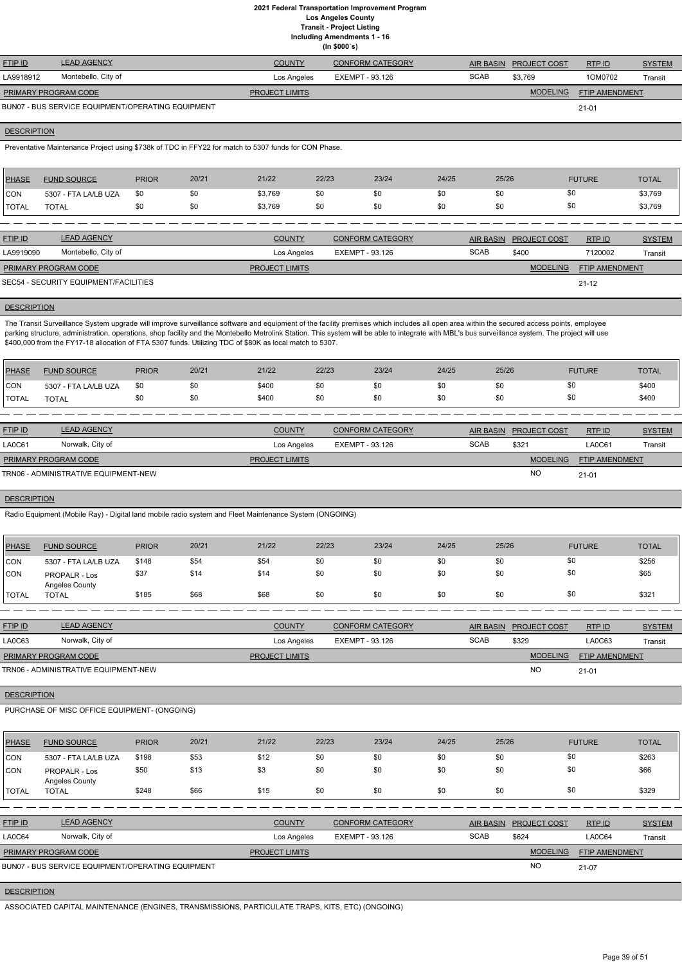**Including Amendments 1 - 16**

|  | (ln \$000's) |  |
|--|--------------|--|
|--|--------------|--|

| <b>FTIP ID</b>              | <b>LEAD AGENCY</b>                                | <b>COUNTY</b>         | <b>CONFORM CATEGORY</b> |             | AIR BASIN PROJECT COST | RTPID                 | <b>SYSTEM</b> |
|-----------------------------|---------------------------------------------------|-----------------------|-------------------------|-------------|------------------------|-----------------------|---------------|
| LA9918912                   | Montebello, City of                               | Los Angeles           | EXEMPT - 93.126         | <b>SCAB</b> | \$3.769                | 1OM0702               | Transit       |
| <b>PRIMARY PROGRAM CODE</b> |                                                   | <b>PROJECT LIMITS</b> |                         |             | <b>MODELING</b>        | <b>FTIP AMENDMENT</b> |               |
|                             | BUN07 - BUS SERVICE EQUIPMENT/OPERATING EQUIPMENT |                       |                         |             |                        | $21 - 01$             |               |

#### **DESCRIPTION**

Preventative Maintenance Project using \$738k of TDC in FFY22 for match to 5307 funds for CON Phase.

| <b>PHASE</b> | <b>FUND SOURCE</b>   | <b>PRIOR</b> | 20/21 | 21/22   | 22/23 | 23/24 | 24/25 | 25/26 | <b>FUTURE</b> | <b>TOTAL</b> |
|--------------|----------------------|--------------|-------|---------|-------|-------|-------|-------|---------------|--------------|
| <b>CON</b>   | 5307 - FTA LA/LB UZA | \$0          | \$0   | \$3,769 | \$0   | \$0   | \$0   |       | \$0           | \$3,769      |
| <b>TOTAL</b> | <b>TOTAL</b>         |              | \$0   | \$3,769 | \$0   | \$0   | \$0   |       | \$0           | \$3,769      |

| <b>FTIP ID</b>              | <b>LEAD AGENCY</b>                    | <b>COUNTY</b>         | <b>CONFORM CATEGORY</b> | <b>AIR BASIN</b> | <b>PROJECT COST</b> | RTP ID                | <b>SYSTEM</b> |
|-----------------------------|---------------------------------------|-----------------------|-------------------------|------------------|---------------------|-----------------------|---------------|
| LA9919090                   | Montebello, City of                   | Los Angeles           | EXEMPT - 93.126         | <b>SCAB</b>      | \$400               | 7120002               | Transit       |
| <b>PRIMARY PROGRAM CODE</b> |                                       | <b>PROJECT LIMITS</b> |                         |                  | <b>MODELING</b>     | <b>FTIP AMENDMENT</b> |               |
|                             | SEC54 - SECURITY EQUIPMENT/FACILITIES |                       |                         |                  |                     | $21 - 12$             |               |

## **DESCRIPTION**

The Transit Surveillance System upgrade will improve surveillance software and equipment of the facility premises which includes all open area within the secured access points, employee parking structure, administration, operations, shop facility and the Montebello Metrolink Station. This system will be able to integrate with MBL's bus surveillance system. The project will use \$400,000 from the FY17-18 allocation of FTA 5307 funds. Utilizing TDC of \$80K as local match to 5307.

| PHASE        | <b>FUND SOURCE</b>   | <b>PRIOR</b> | 20/21 | 21/22 | 22/23 | 23/24 | 24/25 | 25/26 | <b>FUTURE</b> | <b>TOTAL</b> |
|--------------|----------------------|--------------|-------|-------|-------|-------|-------|-------|---------------|--------------|
| Icon         | 5307 - FTA LA/LB UZA |              | \$0   | \$400 |       | \$0   | \$0   | \$0   | \$0           | \$400        |
| <b>TOTAL</b> | <b>TOTAL</b>         |              | \$0   | \$400 |       | \$0   | \$0   |       | \$0           | \$400        |

| <b>FTIP ID</b>              | <b>LEAD AGENCY</b>                   | <b>COUNTY</b>         | <b>CONFORM CATEGORY</b> |             | AIR BASIN PROJECT COST | RTP ID                | <b>SYSTEM</b> |
|-----------------------------|--------------------------------------|-----------------------|-------------------------|-------------|------------------------|-----------------------|---------------|
| <b>LA0C61</b>               | Norwalk, City of                     | Los Angeles           | EXEMPT - 93.126         | <b>SCAB</b> | \$321                  | <b>LA0C61</b>         | Transit       |
| <b>PRIMARY PROGRAM CODE</b> |                                      | <b>PROJECT LIMITS</b> |                         |             | <b>MODELING</b>        | <b>FTIP AMENDMENT</b> |               |
|                             | TRN06 - ADMINISTRATIVE EQUIPMENT-NEW |                       |                         |             | <b>NO</b>              | $21 - 01$             |               |

## **DESCRIPTION**

Radio Equipment (Mobile Ray) - Digital land mobile radio system and Fleet Maintenance System (ONGOING)

| PHASE        | <b>FUND SOURCE</b>              | <b>PRIOR</b> | 20/21 | 21/22 | 22/23 | 23/24 | 24/25 | 25/26 | <b>FUTURE</b> | <b>TOTAL</b> |
|--------------|---------------------------------|--------------|-------|-------|-------|-------|-------|-------|---------------|--------------|
| CON          | 5307 - FTA LA/LB UZA            | \$148        | \$54  | \$54  | \$0   | \$0   | \$0   | \$0   | \$0           | \$256        |
| CON          | PROPALR - Los<br>Angeles County | \$37         | \$14  | \$14  | \$0   | \$0   | \$0   | \$0   | \$0           | \$65         |
| <b>TOTAL</b> | <b>TOTAL</b>                    | \$185        | \$68  | \$68  | \$0   | \$0   | \$0   | \$0   | \$0           | \$321        |

| <b>FTIP ID</b>              | <b>LEAD AGENCY</b>                   | <b>COUNTY</b>         | <b>CONFORM CATEGORY</b> |             | AIR BASIN PROJECT COST | RTP ID                | <b>SYSTEM</b> |
|-----------------------------|--------------------------------------|-----------------------|-------------------------|-------------|------------------------|-----------------------|---------------|
| <b>LA0C63</b>               | Norwalk, City of                     | Los Angeles           | EXEMPT - 93.126         | <b>SCAB</b> | \$329                  | LA0C63                | Transit       |
| <b>PRIMARY PROGRAM CODE</b> |                                      | <b>PROJECT LIMITS</b> |                         |             | <b>MODELING</b>        | <b>FTIP AMENDMENT</b> |               |
|                             | TRN06 - ADMINISTRATIVE EQUIPMENT-NEW |                       |                         |             | <b>NO</b>              | $21 - 01$             |               |

**DESCRIPTION** 

PURCHASE OF MISC OFFICE EQUIPMENT- (ONGOING)

| <b>PHASE</b>   | <b>FUND SOURCE</b>                                | <b>PRIOR</b> | 20/21 | 21/22                 | 22/23           | 23/24                   | 24/25            | 25/26               | <b>FUTURE</b>         | <b>TOTAL</b>  |
|----------------|---------------------------------------------------|--------------|-------|-----------------------|-----------------|-------------------------|------------------|---------------------|-----------------------|---------------|
| CON            | 5307 - FTA LA/LB UZA                              | \$198        | \$53  | \$12                  | \$0             | \$0                     | \$0              | \$0                 | \$0                   | \$263         |
| CON            | <b>PROPALR - Los</b><br>Angeles County            | \$50         | \$13  | \$3                   | \$0             | \$0                     | \$0              | \$0                 | \$0                   | \$66          |
| <b>TOTAL</b>   | <b>TOTAL</b>                                      | \$248        | \$66  | \$15                  | \$0             | \$0                     | \$0              | \$0                 | \$0                   | \$329         |
|                |                                                   |              |       |                       |                 |                         |                  |                     |                       |               |
| <b>FTIP ID</b> | <b>LEAD AGENCY</b>                                |              |       | <b>COUNTY</b>         |                 | <b>CONFORM CATEGORY</b> | <b>AIR BASIN</b> | <b>PROJECT COST</b> | RTPID                 | <b>SYSTEM</b> |
| LA0C64         | Norwalk, City of                                  |              |       | Los Angeles           | EXEMPT - 93.126 |                         | <b>SCAB</b>      | \$624               | LA0C64                | Transit       |
|                | <b>PRIMARY PROGRAM CODE</b>                       |              |       | <b>PROJECT LIMITS</b> |                 |                         |                  | <b>MODELING</b>     | <b>FTIP AMENDMENT</b> |               |
|                | BUN07 - BUS SERVICE EQUIPMENT/OPERATING EQUIPMENT |              |       |                       |                 |                         |                  | <b>NO</b>           | 21-07                 |               |
|                |                                                   |              |       |                       |                 |                         |                  |                     |                       |               |

**DESCRIPTION** 

ASSOCIATED CAPITAL MAINTENANCE (ENGINES, TRANSMISSIONS, PARTICULATE TRAPS, KITS, ETC) (ONGOING)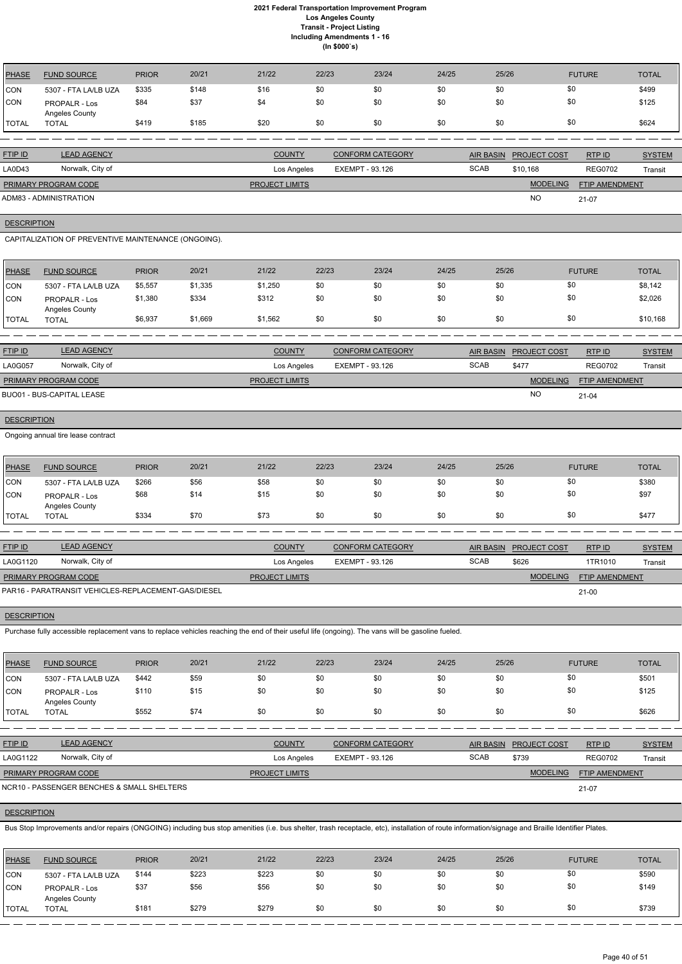| PHASE          | <b>FUND SOURCE</b>                     | <b>PRIOR</b> | 20/21 | 21/22 | 22/23 | 23/24 | 24/25 | 25/26 | <b>FUTURE</b> | <b>TOTAL</b> |
|----------------|----------------------------------------|--------------|-------|-------|-------|-------|-------|-------|---------------|--------------|
| CON            | 5307 - FTA LA/LB UZA                   | \$335        | \$148 | \$16  | \$0   | \$0   | \$0   | \$0   | \$0           | \$499        |
| <b>CON</b>     | <b>PROPALR - Los</b><br>Angeles County | \$84         | \$37  | \$4   | \$0   | \$0   | \$0   | \$0   | \$0           | \$125        |
| <b>I</b> TOTAL | <b>TOTAL</b>                           | \$419        | \$185 | \$20  | \$0   | \$0   | \$0   | \$0   | \$0           | \$624        |

| <b>FTIP ID</b>         | <b>LEAD AGENCY</b> | <b>COUNTY</b>         | <b>CONFORM CATEGORY</b> | <b>AIR BASIN</b> | <b>PROJECT COST</b> | RTP ID                | <b>SYSTEM</b> |
|------------------------|--------------------|-----------------------|-------------------------|------------------|---------------------|-----------------------|---------------|
| LA0D43                 | Norwalk, City of   | Los Angeles           | EXEMPT - 93.126         | <b>SCAB</b>      | \$10.168            | <b>REG0702</b>        | Transit       |
| PRIMARY PROGRAM CODE   |                    | <b>PROJECT LIMITS</b> |                         |                  | <b>MODELING</b>     | <b>FTIP AMENDMENT</b> |               |
| ADM83 - ADMINISTRATION |                    |                       |                         |                  | <b>NO</b>           | $21-07$               |               |

## **DESCRIPTION**

CAPITALIZATION OF PREVENTIVE MAINTENANCE (ONGOING).

| PHASE        | <b>FUND SOURCE</b>                     | <b>PRIOR</b> | 20/21   | 21/22   | 22/23 | 23/24 | 24/25 | 25/26 | <b>FUTURE</b> | <b>TOTAL</b> |
|--------------|----------------------------------------|--------------|---------|---------|-------|-------|-------|-------|---------------|--------------|
| <b>CON</b>   | 5307 - FTA LA/LB UZA                   | \$5,557      | \$1,335 | \$1,250 | \$0   | \$0   | \$0   | \$0   | \$0           | \$8,142      |
| <b>CON</b>   | <b>PROPALR - Los</b><br>Angeles County | \$1,380      | \$334   | \$312   | \$0   | \$0   | \$0   | \$0   | \$0           | \$2,026      |
| <b>TOTAL</b> | <b>TOTAL</b>                           | \$6,937      | \$1,669 | \$1,562 | \$0   | \$0   | \$0   | \$0   | \$0           | \$10,168     |

| <b>FTIP ID</b>       | <b>LEAD AGENCY</b>        | <b>COUNTY</b>         | <b>CONFORM CATEGORY</b> |             | AIR BASIN PROJECT COST | RTPID          | <b>SYSTEM</b> |
|----------------------|---------------------------|-----------------------|-------------------------|-------------|------------------------|----------------|---------------|
| <b>LA0G057</b>       | Norwalk, City of          | Los Angeles           | EXEMPT - 93.126         | <b>SCAB</b> | \$477                  | <b>REG0702</b> | Transit       |
| PRIMARY PROGRAM CODE |                           | <b>PROJECT LIMITS</b> |                         |             | <b>MODELING</b>        | FTIP AMENDMENT |               |
|                      | BUO01 - BUS-CAPITAL LEASE |                       |                         |             | <b>NC</b>              | $21 - 04$      |               |

## **DESCRIPTION**

Ongoing annual tire lease contract

| PHASE        | <b>FUND SOURCE</b>                     | <b>PRIOR</b> | 20/21 | 21/22 | 22/23 | 23/24 | 24/25 | 25/26 | <b>FUTURE</b> | TOTAL |
|--------------|----------------------------------------|--------------|-------|-------|-------|-------|-------|-------|---------------|-------|
| <b>CON</b>   | 5307 - FTA LA/LB UZA                   | \$266        | \$56  | \$58  | \$0   | \$0   | \$0   | \$0   | \$0           | \$380 |
| <b>CON</b>   | <b>PROPALR - Los</b><br>Angeles County | \$68         | \$14  | \$15  | \$0   | \$0   | \$0   | \$0   | \$0           | \$97  |
| <b>TOTAL</b> | TOTAL                                  | \$334        | \$70  | \$73  | \$0   | \$0   | \$0   | \$0   | \$0           | \$477 |

| <b>FTIP ID</b>                                      | <b>LEAD AGENCY</b> | <b>COUNTY</b>         | <b>CONFORM CATEGORY</b> |             | AIR BASIN PROJECT COST | RTP ID                | <b>SYSTEM</b> |
|-----------------------------------------------------|--------------------|-----------------------|-------------------------|-------------|------------------------|-----------------------|---------------|
| LA0G1120                                            | Norwalk, City of   | Los Angeles           | EXEMPT - 93.126         | <b>SCAB</b> | \$626                  | 1TR1010               | Transit       |
| PRIMARY PROGRAM CODE                                |                    | <b>PROJECT LIMITS</b> |                         |             | <b>MODELING</b>        | <b>FTIP AMENDMENT</b> |               |
| PAR16 - PARATRANSIT VEHICLES-REPLACEMENT-GAS/DIESEL |                    |                       |                         |             |                        | $21 - 00$             |               |

## **DESCRIPTION**

Purchase fully accessible replacement vans to replace vehicles reaching the end of their useful life (ongoing). The vans will be gasoline fueled.

| <b>PHASE</b> | <b>FUND SOURCE</b>                     | <b>PRIOR</b> | 20/21 | 21/22 | 22/23 | 23/24 | 24/25 | 25/26 | <b>FUTURE</b> | <b>TOTAL</b> |
|--------------|----------------------------------------|--------------|-------|-------|-------|-------|-------|-------|---------------|--------------|
| CON          | 5307 - FTA LA/LB UZA                   | \$442        | \$59  | \$0   | \$0   | \$0   | \$0   | \$0   | \$0           | \$501        |
| CON          | <b>PROPALR - Los</b><br>Angeles County | \$110        | \$15  | \$0   | \$0   | \$0   | \$0   | \$0   | \$0           | \$125        |
| <b>TOTAL</b> | <b>TOTAL</b>                           | \$552        | \$74  | \$0   | \$0   | \$0   | \$0   | \$0   | \$0           | \$626        |

| <b>FTIP ID</b>              | <b>LEAD AGENCY</b>                         | <b>COUNTY</b>         | <b>CONFORM CATEGORY</b> | AIR BASIN   | <b>PROJECT COST</b> | RTPID                 | <b>SYSTEM</b> |
|-----------------------------|--------------------------------------------|-----------------------|-------------------------|-------------|---------------------|-----------------------|---------------|
| LA0G1122                    | Norwalk, City of                           |                       | EXEMPT - 93.126         | <b>SCAB</b> | \$739               | <b>REG0702</b>        | Transit       |
| <b>PRIMARY PROGRAM CODE</b> |                                            | <b>PROJECT LIMITS</b> |                         |             | <b>MODELING</b>     | <b>FTIP AMENDMENT</b> |               |
|                             | NCR10 - PASSENGER BENCHES & SMALL SHELTERS |                       |                         |             |                     | 21-07                 |               |

# **DESCRIPTION**

Bus Stop Improvements and/or repairs (ONGOING) including bus stop amenities (i.e. bus shelter, trash receptacle, etc), installation of route information/signage and Braille Identifier Plates.

| <b>PHASE</b>  | <b>FUND SOURCE</b>              | <b>PRIOR</b> | 20/21 | 21/22 | 22/23 | 23/24 | 24/25 | 25/26 | <b>FUTURE</b> | TOTAL |
|---------------|---------------------------------|--------------|-------|-------|-------|-------|-------|-------|---------------|-------|
| CON           | 5307 - FTA LA/LB UZA            | \$144        | \$223 | \$223 | \$0   | \$0   | \$0   | \$0   | \$0           | \$590 |
| <b>CON</b>    | PROPALR - Los<br>Angeles County | \$37         | \$56  | \$56  | \$0   | \$0   | \$0   |       | \$0           | \$149 |
| <b>ITOTAL</b> | <b>TOTAL</b>                    | \$181        | \$279 | \$279 | \$0   | \$0   | \$0   | \$0   | \$0           | \$739 |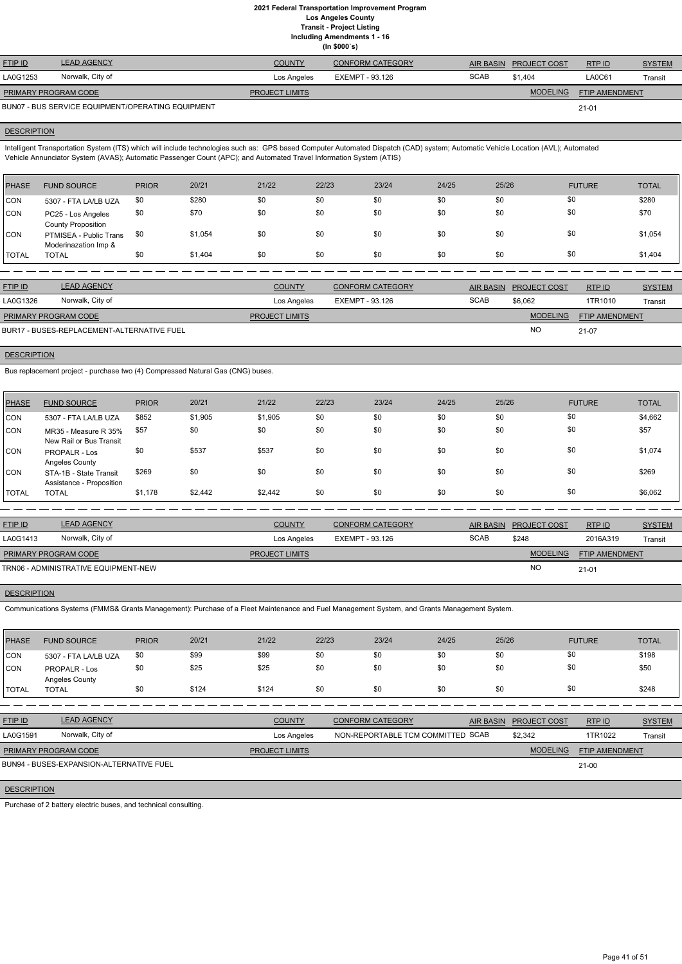**(In \$000`s)** FTIP ID LEAD AGENCY COUNTY CONFORM CATEGORY AIR BASIN PROJECT COST RTP ID SYSTEM AND STREM MODELING FTIP AMENDMENT RTP ID LA0G1253 Norwalk, City of Los Angeles EXEMPT - 93.126 SCAB \$1,404 LA0C61 Transit 21-01 **PROJECT LIMITS** BUN07 - BUS SERVICE EQUIPMENT/OPERATING EQUIPMENT PRIMARY PROGRAM CODE

## **DESCRIPTION**

Intelligent Transportation System (ITS) which will include technologies such as: GPS based Computer Automated Dispatch (CAD) system; Automatic Vehicle Location (AVL); Automated Vehicle Annunciator System (AVAS); Automatic Passenger Count (APC); and Automated Travel Information System (ATIS)

| <b>PHASE</b> | <b>FUND SOURCE</b>                              | <b>PRIOR</b> | 20/21   | 21/22 | 22/23 | 23/24 | 24/25 | 25/26 | <b>FUTURE</b> | <b>TOTAL</b> |
|--------------|-------------------------------------------------|--------------|---------|-------|-------|-------|-------|-------|---------------|--------------|
| <b>CON</b>   | 5307 - FTA LA/LB UZA                            | \$0          | \$280   | \$0   | \$0   | \$0   | \$0   | \$0   | \$0           | \$280        |
| <b>CON</b>   | PC25 - Los Angeles<br><b>County Proposition</b> | \$0          | \$70    | \$0   | \$0   | \$0   | \$0   | \$0   | \$0           | \$70         |
| <b>CON</b>   | PTMISEA - Public Trans<br>Moderinazation Imp &  | -\$0         | \$1,054 | \$0   | \$0   | \$0   | \$0   | \$0   | \$0           | \$1,054      |
| <b>TOTAL</b> | <b>TOTAL</b>                                    | \$0          | \$1,404 | \$0   | \$0   | \$0   | \$0   | \$0   | \$0           | \$1,404      |

| <b>FTIP ID</b>                             | <b>LEAD AGENCY</b> | <b>COUNTY</b>         | <b>CONFORM CATEGORY</b> |             | AIR BASIN PROJECT COST | RTPID                 | <b>SYSTEM</b> |
|--------------------------------------------|--------------------|-----------------------|-------------------------|-------------|------------------------|-----------------------|---------------|
| LA0G1326                                   | Norwalk, City of   | Los Angeles           | EXEMPT - 93.126         | <b>SCAB</b> | \$6,062                | 1TR1010               | Transit       |
| <b>PRIMARY PROGRAM CODE</b>                |                    | <b>PROJECT LIMITS</b> |                         |             | <b>MODELING</b>        | <b>FTIP AMENDMENT</b> |               |
| BUR17 - BUSES-REPLACEMENT-ALTERNATIVE FUEL |                    |                       |                         |             | <b>NC</b>              | 21-07                 |               |

## **DESCRIPTION**

Bus replacement project - purchase two (4) Compressed Natural Gas (CNG) buses.

| PHASE        | <b>FUND SOURCE</b>                                 | <b>PRIOR</b> | 20/21   | 21/22   | 22/23 | 23/24 | 24/25 | 25/26 | <b>FUTURE</b> | <b>TOTAL</b> |
|--------------|----------------------------------------------------|--------------|---------|---------|-------|-------|-------|-------|---------------|--------------|
| CON          | 5307 - FTA LA/LB UZA                               | \$852        | \$1,905 | \$1,905 | \$0   | \$0   | \$0   | \$0   | \$0           | \$4,662      |
| ICON.        | MR35 - Measure R 35%<br>New Rail or Bus Transit    | \$57         | \$0     | \$0     | \$0   | \$0   | \$0   | \$0   | \$0           | \$57         |
| ICON.        | <b>PROPALR - Los</b><br>Angeles County             | \$0          | \$537   | \$537   | \$0   | \$0   | \$0   | \$0   | \$0           | \$1,074      |
| ICON         | STA-1B - State Transit<br>Assistance - Proposition | \$269        | \$0     | \$0     | \$0   | \$0   | \$0   | \$0   | \$0           | \$269        |
| <b>TOTAL</b> | <b>TOTAL</b>                                       | \$1,178      | \$2,442 | \$2,442 | \$0   | \$0   | \$0   | \$0   | \$0           | \$6,062      |

| <b>FTIP ID</b>                       | <b>LEAD AGENCY</b> | <b>COUNTY</b>         | <b>CONFORM CATEGORY</b> | <b>AIR BASIN</b> | <b>PROJECT COST</b> | RTP ID                | <b>SYSTEM</b> |
|--------------------------------------|--------------------|-----------------------|-------------------------|------------------|---------------------|-----------------------|---------------|
| LA0G1413                             | Norwalk, City of   | Los Angeles           | EXEMPT - 93.126         | <b>SCAB</b>      | \$248               | 2016A319              | Transit       |
| <b>PRIMARY PROGRAM CODE</b>          |                    | <b>PROJECT LIMITS</b> |                         |                  | <b>MODELING</b>     | <b>FTIP AMENDMENT</b> |               |
| TRN06 - ADMINISTRATIVE EQUIPMENT-NEW |                    |                       |                         |                  | <b>NO</b>           | $21 - 01$             |               |

## **DESCRIPTION**

Communications Systems (FMMS& Grants Management): Purchase of a Fleet Maintenance and Fuel Management System, and Grants Management System.

| <b>PHASE</b>  | <b>FUND SOURCE</b>                     | <b>PRIOR</b> | 20/21 | 21/22 | 22/23 | 23/24 | 24/25 | 25/26 | <b>FUTURE</b> | <b>TOTAL</b> |
|---------------|----------------------------------------|--------------|-------|-------|-------|-------|-------|-------|---------------|--------------|
| CON           | 5307 - FTA LA/LB UZA                   | \$0          | \$99  | \$99  | \$0   | \$0   | \$0   | \$0   | \$0           | \$198        |
| CON           | <b>PROPALR - Los</b><br>Angeles County | \$0          | \$25  | \$25  | \$0   | \$0   | \$0   |       | \$0           | \$50         |
| <b>ITOTAL</b> | <b>TOTAL</b>                           | \$0          | \$124 | \$124 | \$0   | \$0   | \$0   | \$0   | \$0           | \$248        |

RTP ID

| LA0G1591                    | Norwalk, City of                         | Los Angeles           | NON-REPORTABLE TCM COMMITTED SCAB | \$2.342         | 1TR1022        | Transit |
|-----------------------------|------------------------------------------|-----------------------|-----------------------------------|-----------------|----------------|---------|
| <b>PRIMARY PROGRAM CODE</b> |                                          | <b>PROJECT LIMITS</b> |                                   | <b>MODELING</b> | FTIP AMENDMENT |         |
|                             | BUN94 - BUSES-EXPANSION-ALTERNATIVE FUEL |                       |                                   |                 | 21-00          |         |
|                             |                                          |                       |                                   |                 |                |         |
| <b>DESCRIPTION</b>          |                                          |                       |                                   |                 |                |         |

Purchase of 2 battery electric buses, and technical consulting.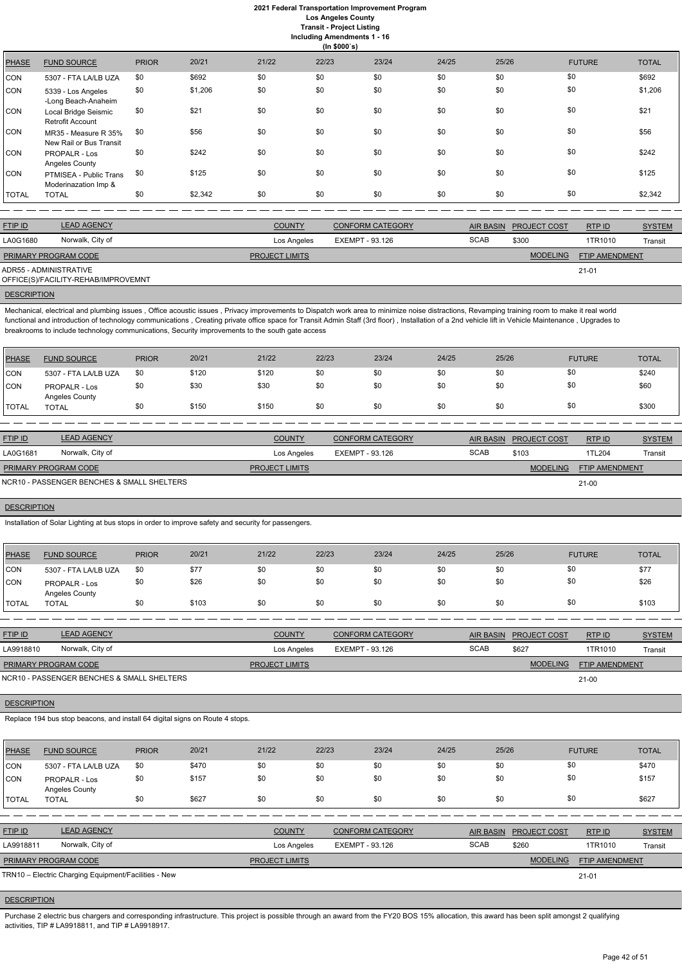## **2021 Federal Transportation Improvement Program Los Angeles County**

**Transit - Project Listing**

**Including Amendments 1 - 16**

|  | ding Amendments 1 - |  |  |
|--|---------------------|--|--|
|--|---------------------|--|--|

|              | Including Amendments 1 - 16<br>(ln \$000's)     |              |         |       |       |       |       |       |               |              |  |
|--------------|-------------------------------------------------|--------------|---------|-------|-------|-------|-------|-------|---------------|--------------|--|
| <b>PHASE</b> | <b>FUND SOURCE</b>                              | <b>PRIOR</b> | 20/21   | 21/22 | 22/23 | 23/24 | 24/25 | 25/26 | <b>FUTURE</b> | <b>TOTAL</b> |  |
| CON          | 5307 - FTA LA/LB UZA                            | \$0          | \$692   | \$0   | \$0   | \$0   | \$0   | \$0   | \$0           | \$692        |  |
| <b>CON</b>   | 5339 - Los Angeles<br>-Long Beach-Anaheim       | \$0          | \$1,206 | \$0   | \$0   | \$0   | \$0   | \$0   | \$0           | \$1,206      |  |
| <b>CON</b>   | Local Bridge Seismic<br>Retrofit Account        | \$0          | \$21    | \$0   | \$0   | \$0   | \$0   | \$0   | \$0           | \$21         |  |
| <b>CON</b>   | MR35 - Measure R 35%<br>New Rail or Bus Transit | \$0          | \$56    | \$0   | \$0   | \$0   | \$0   | \$0   | \$0           | \$56         |  |
| <b>CON</b>   | PROPALR - Los<br>Angeles County                 | \$0          | \$242   | \$0   | \$0   | \$0   | \$0   | \$0   | \$0           | \$242        |  |
| <b>CON</b>   | PTMISEA - Public Trans<br>Moderinazation Imp &  | \$0          | \$125   | \$0   | \$0   | \$0   | \$0   | \$0   | \$0           | \$125        |  |
| <b>TOTAL</b> | <b>TOTAL</b>                                    | \$0          | \$2,342 | \$0   | \$0   | \$0   | \$0   | \$0   | \$0           | \$2,342      |  |

| <b>LEAD AGENCY</b><br><b>FTIP ID</b> |                                     | <b>COUNTY</b>         | <b>CONFORM CATEGORY</b> |             | AIR BASIN PROJECT COST | RTP ID                | <b>SYSTEM</b>  |
|--------------------------------------|-------------------------------------|-----------------------|-------------------------|-------------|------------------------|-----------------------|----------------|
| LA0G1680                             | Norwalk, City of                    | Los Angeles           | EXEMPT - 93.126         | <b>SCAB</b> | \$300                  | 1TR1010               | <b>Transit</b> |
| PRIMARY PROGRAM CODE                 |                                     | <b>PROJECT LIMITS</b> |                         |             | <b>MODELING</b>        | <b>FTIP AMENDMENT</b> |                |
| ADR55 - ADMINISTRATIVE               | OFFICE(S)/FACILITY-REHAB/IMPROVEMNT |                       |                         |             |                        | $21 - 01$             |                |
|                                      |                                     |                       |                         |             |                        |                       |                |

## **DESCRIPTION**

Mechanical, electrical and plumbing issues , Office acoustic issues , Privacy improvements to Dispatch work area to minimize noise distractions, Revamping training room to make it real world functional and introduction of technology communications, Creating private office space for Transit Admin Staff (3rd floor), Installation of a 2nd vehicle lift in Vehicle Maintenance, Upgrades to breakrooms to include technology communications, Security improvements to the south gate access

| PHASE        | <b>FUND SOURCE</b>                     | <b>PRIOR</b> | 20/21 | 21/22 | 22/23 | 23/24 | 24/25 | 25/26 | <b>FUTURE</b> | <b>TOTAL</b> |
|--------------|----------------------------------------|--------------|-------|-------|-------|-------|-------|-------|---------------|--------------|
| <b>CON</b>   | 5307 - FTA LA/LB UZA                   | \$0          | \$120 | \$120 | \$0   | \$0   | \$0   | \$0   | \$0           | \$240        |
| <b>CON</b>   | <b>PROPALR - Los</b><br>Angeles County | \$0          | \$30  | \$30  | \$0   | \$0   | \$0   | \$0   | \$0           | \$60         |
| <b>TOTAL</b> | TOTAL                                  | \$0          | \$150 | \$150 | \$0   | \$0   | \$0   | \$0   | \$0           | \$300        |

Purchase 2 electric bus chargers and corresponding infrastructure. This project is possible through an award from the FY20 BOS 15% allocation, this award has been split amongst 2 qualifying activities, TIP # LA9918811, and TIP # LA9918917.

| <b>FTIP ID</b>                             | <b>LEAD AGENCY</b> | <b>COUNTY</b>         | <b>CONFORM CATEGORY</b> |             | AIR BASIN PROJECT COST | RTPID          | <b>SYSTEM</b> |
|--------------------------------------------|--------------------|-----------------------|-------------------------|-------------|------------------------|----------------|---------------|
| LA0G1681                                   | Norwalk, City of   | Los Angeles           | EXEMPT - 93.126         | <b>SCAB</b> | \$103                  | 1TL204         | Transit       |
| PRIMARY PROGRAM CODE                       |                    | <b>PROJECT LIMITS</b> |                         |             | <b>MODELING</b>        | FTIP AMENDMENT |               |
| NCR10 - PASSENGER BENCHES & SMALL SHELTERS |                    |                       |                         |             |                        | $21-00$        |               |

## **DESCRIPTION**

Installation of Solar Lighting at bus stops in order to improve safety and security for passengers.

| <b>PHASE</b> | <b>FUND SOURCE</b>              | <b>PRIOR</b> | 20/21 | 21/22 | 22/23 | 23/24 | 24/25 | 25/26 | <b>FUTURE</b> | <b>TOTAL</b> |
|--------------|---------------------------------|--------------|-------|-------|-------|-------|-------|-------|---------------|--------------|
| CON          | 5307 - FTA LA/LB UZA            | -\$0         | \$77  | \$0   | \$0   | \$0   | \$0   | \$0   | \$0           | \$77         |
| CON          | PROPALR - Los<br>Angeles County | \$0          | \$26  | \$0   | \$0   | \$0   | \$0   | \$0   | \$0           | \$26         |
| TOTAL        | <b>TOTAL</b>                    | \$0          | \$103 | \$0   | \$0   | \$0   | \$0   | \$0   | \$0           | \$103        |
|              |                                 |              |       |       |       |       |       |       |               |              |

| <b>FTIP ID</b>                             | <b>LEAD AGENCY</b> | <b>COUNTY</b>         | <b>CONFORM CATEGORY</b> | <b>AIR BASIN</b> | <b>PROJECT COST</b> | <b>RTPID</b>          | <b>SYSTEM</b> |
|--------------------------------------------|--------------------|-----------------------|-------------------------|------------------|---------------------|-----------------------|---------------|
| LA9918810                                  | Norwalk, City of   | Los Angeles           | EXEMPT - 93.126         | <b>SCAB</b>      | \$627               | 1TR1010               | Transit       |
| <b>PRIMARY PROGRAM CODE</b>                |                    | <b>PROJECT LIMITS</b> |                         |                  | <b>MODELING</b>     | <b>FTIP AMENDMENT</b> |               |
| NCR10 - PASSENGER BENCHES & SMALL SHELTERS |                    |                       |                         |                  |                     | $21-00$               |               |

**DESCRIPTION** 

Replace 194 bus stop beacons, and install 64 digital signs on Route 4 stops.

| <b>PHASE</b>   | <b>FUND SOURCE</b>                                   | <b>PRIOR</b> | 20/21 | 21/22                 | 22/23           | 23/24                   | 24/25       | 25/26                                   | <b>FUTURE</b>         | <b>TOTAL</b>  |
|----------------|------------------------------------------------------|--------------|-------|-----------------------|-----------------|-------------------------|-------------|-----------------------------------------|-----------------------|---------------|
| CON            | 5307 - FTA LA/LB UZA                                 | \$0          | \$470 | \$0                   | \$0             | \$0                     | \$0         | \$0                                     | \$0                   | \$470         |
| CON            | <b>PROPALR - Los</b><br>Angeles County               | \$0          | \$157 | \$0                   | \$0             | \$0                     | \$0         | \$0                                     | \$0                   | \$157         |
| <b>TOTAL</b>   | <b>TOTAL</b>                                         | \$0          | \$627 | \$0                   | \$0             | \$0                     | \$0         | \$0                                     | \$0                   | \$627         |
|                |                                                      |              |       |                       |                 |                         |             |                                         |                       |               |
| <b>FTIP ID</b> | <b>LEAD AGENCY</b>                                   |              |       | <b>COUNTY</b>         |                 | <b>CONFORM CATEGORY</b> |             | <b>AIR BASIN</b><br><b>PROJECT COST</b> | RTP ID                | <b>SYSTEM</b> |
| LA9918811      | Norwalk, City of                                     |              |       | Los Angeles           | EXEMPT - 93.126 |                         | <b>SCAB</b> | \$260                                   | 1TR1010               | Transit       |
|                | PRIMARY PROGRAM CODE                                 |              |       | <b>PROJECT LIMITS</b> |                 |                         |             | <b>MODELING</b>                         | <b>FTIP AMENDMENT</b> |               |
|                | TRN10 - Electric Charging Equipment/Facilities - New |              |       |                       |                 |                         |             |                                         | $21 - 01$             |               |

## **DESCRIPTION**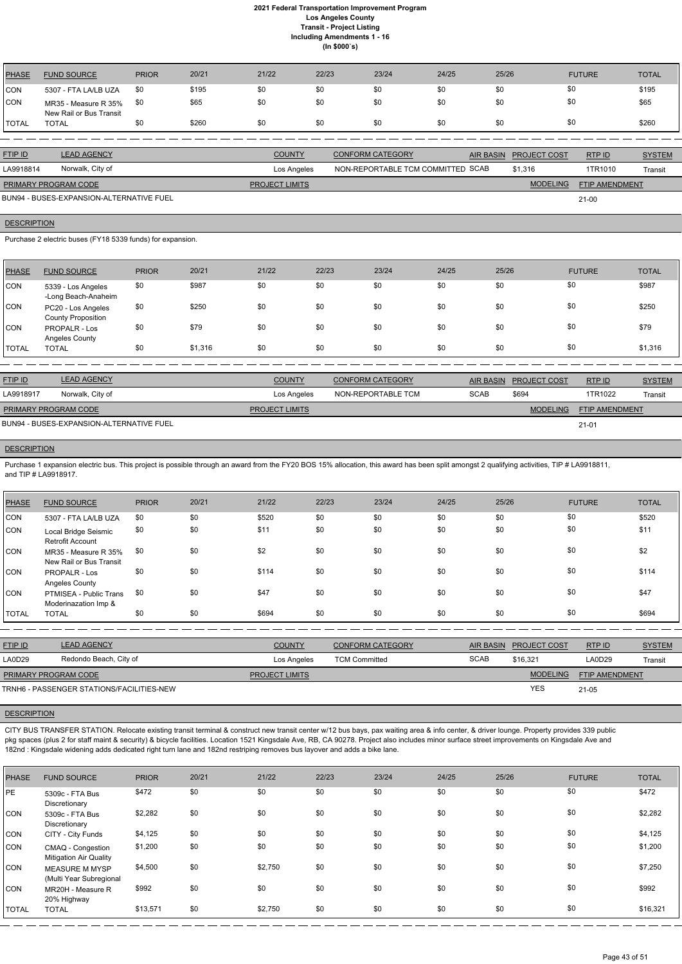| PHASE      | <b>FUND SOURCE</b>                              | <b>PRIOR</b> | 20/21 | 21/22 | 22/23 | 23/24 | 24/25 | 25/26 | <b>FUTURE</b> | <b>TOTAL</b> |
|------------|-------------------------------------------------|--------------|-------|-------|-------|-------|-------|-------|---------------|--------------|
| <b>CON</b> | 5307 - FTA LA/LB UZA                            | \$0          | \$195 | \$0   | \$0   | \$0   | \$0   | \$0   | \$0           | \$195        |
| <b>CON</b> | MR35 - Measure R 35%<br>New Rail or Bus Transit | - \$0        | \$65  | \$0   | \$0   | \$0   | \$0   | \$0   | \$0           | \$65         |
| `TOTAL     | <b>TOTAL</b>                                    |              | \$260 | \$0   | \$0   | \$0   | \$0   | \$0   | \$0           | \$260        |

| <b>FTIP ID</b>              | <b>LEAD AGENCY</b>                       | <b>COUNTY</b>         | CONFORM CATEGORY                  | AIR BASIN PROJECT COST | RTP ID                | <b>SYSTEM</b> |
|-----------------------------|------------------------------------------|-----------------------|-----------------------------------|------------------------|-----------------------|---------------|
| LA9918814                   | Norwalk, City of                         | Los Angeles           | NON-REPORTABLE TCM COMMITTED SCAB | \$1.316                | 1TR1010               | Transit       |
| <b>PRIMARY PROGRAM CODE</b> |                                          | <b>PROJECT LIMITS</b> |                                   | <b>MODELING</b>        | <b>FTIP AMENDMENT</b> |               |
|                             | BUN94 - BUSES-EXPANSION-ALTERNATIVE FUEL |                       |                                   |                        | $21 - 00$             |               |

## **DESCRIPTION**

Purchase 2 electric buses (FY18 5339 funds) for expansion.

Purchase 1 expansion electric bus. This project is possible through an award from the FY20 BOS 15% allocation, this award has been split amongst 2 qualifying activities, TIP # LA9918811, and TIP # LA9918917.

| PHASE        | <b>FUND SOURCE</b>                              | <b>PRIOR</b> | 20/21   | 21/22 | 22/23 | 23/24 | 24/25 | 25/26 | <b>FUTURE</b> | <b>TOTAL</b> |
|--------------|-------------------------------------------------|--------------|---------|-------|-------|-------|-------|-------|---------------|--------------|
| <b>CON</b>   | 5339 - Los Angeles<br>-Long Beach-Anaheim       | \$0          | \$987   | \$0   | \$0   | \$0   | \$0   | \$0   | \$0           | \$987        |
| CON          | PC20 - Los Angeles<br><b>County Proposition</b> | \$0          | \$250   | \$0   | \$0   | \$0   | \$0   | \$0   | \$0           | \$250        |
| <b>CON</b>   | PROPALR - Los<br>Angeles County                 | \$0          | \$79    | \$0   | \$0   | \$0   | \$0   | \$0   | \$0           | \$79         |
| <b>TOTAL</b> | <b>TOTAL</b>                                    | \$0          | \$1,316 | \$0   | \$0   | \$0   | \$0   | \$0   | \$0           | \$1,316      |

| <b>FTIP ID</b>              | <b>LEAD AGENCY</b>                       | <b>COUNTY</b>         | <b>CONFORM CATEGORY</b> | AIR BASIN   | <b>PROJECT COST</b> | RTPID                 | <b>SYSTEM</b> |
|-----------------------------|------------------------------------------|-----------------------|-------------------------|-------------|---------------------|-----------------------|---------------|
| LA9918917                   | Norwalk, City of                         | Los Angeles           | NON-REPORTABLE TCM      | <b>SCAB</b> | \$694               | 1TR1022               | Transit       |
| <b>PRIMARY PROGRAM CODE</b> |                                          | <b>PROJECT LIMITS</b> |                         |             | <b>MODELING</b>     | <b>FTIP AMENDMENT</b> |               |
|                             | BUN94 - BUSES-EXPANSION-ALTERNATIVE FUEL |                       |                         |             |                     | $21 - 01$             |               |

#### **DESCRIPTION**

| PHASE        | <b>FUND SOURCE</b>                              | <b>PRIOR</b> | 20/21 | 21/22 | 22/23 | 23/24 | 24/25 | 25/26 | <b>FUTURE</b> | <b>TOTAL</b> |
|--------------|-------------------------------------------------|--------------|-------|-------|-------|-------|-------|-------|---------------|--------------|
| CON          | 5307 - FTA LA/LB UZA                            | \$0          | \$0   | \$520 | \$0   | \$0   | \$0   | \$0   | \$0           | \$520        |
| <b>CON</b>   | Local Bridge Seismic<br>Retrofit Account        | \$0          | \$0   | \$11  | \$0   | \$0   | \$0   | \$0   | \$0           | \$11         |
| <b>CON</b>   | MR35 - Measure R 35%<br>New Rail or Bus Transit | \$0          | \$0   | \$2   | \$0   | \$0   | \$0   | \$0   | \$0           | \$2          |
| <b>CON</b>   | PROPALR - Los<br>Angeles County                 | \$0          | \$0   | \$114 | \$0   | \$0   | \$0   | \$0   | \$0           | \$114        |
| CON          | PTMISEA - Public Trans<br>Moderinazation Imp &  | \$0          | \$0   | \$47  | \$0   | \$0   | \$0   | \$0   | \$0           | \$47         |
| <b>TOTAL</b> | <b>TOTAL</b>                                    | \$0          | \$0   | \$694 | \$0   | \$0   | \$0   | \$0   | \$0           | \$694        |

| <b>FTIP ID</b>              | <b>LEAD AGENCY</b>                        | <b>COUNTY</b>         | <b>CONFORM CATEGORY</b> |             | AIR BASIN PROJECT COST | RTPID                 | <b>SYSTEM</b> |
|-----------------------------|-------------------------------------------|-----------------------|-------------------------|-------------|------------------------|-----------------------|---------------|
| LA0D29                      | Redondo Beach, City of                    | Los Angeles           | <b>TCM Committed</b>    | <b>SCAB</b> | \$16,321               | LA0D29                | Transit       |
| <b>PRIMARY PROGRAM CODE</b> |                                           | <b>PROJECT LIMITS</b> |                         |             | <b>MODELING</b>        | <b>FTIP AMENDMENT</b> |               |
|                             | TRNH6 - PASSENGER STATIONS/FACILITIES-NEW |                       |                         |             | YES                    | $21 - 05$             |               |

## **DESCRIPTION**

CITY BUS TRANSFER STATION. Relocate existing transit terminal & construct new transit center w/12 bus bays, pax waiting area & info center, & driver lounge. Property provides 339 public pkg spaces (plus 2 for staff maint & security) & bicycle facilities. Location 1521 Kingsdale Ave, RB, CA 90278. Project also includes minor surface street improvements on Kingsdale Ave and 182nd : Kingsdale widening adds dedicated right turn lane and 182nd restriping removes bus layover and adds a bike lane.

| <b>PHASE</b> | <b>FUND SOURCE</b>                                 | <b>PRIOR</b> | 20/21 | 21/22   | 22/23 | 23/24 | 24/25 | 25/26 | <b>FUTURE</b> | <b>TOTAL</b> |
|--------------|----------------------------------------------------|--------------|-------|---------|-------|-------|-------|-------|---------------|--------------|
| <b>IPE</b>   | 5309c - FTA Bus<br>Discretionary                   | \$472        | \$0   | \$0     | \$0   | \$0   | \$0   | \$0   | \$0           | \$472        |
| <b>CON</b>   | 5309c - FTA Bus<br>Discretionary                   | \$2,282      | \$0   | \$0     | \$0   | \$0   | \$0   | \$0   | \$0           | \$2,282      |
| <b>CON</b>   | CITY - City Funds                                  | \$4,125      | \$0   | \$0     | \$0   | \$0   | \$0   | \$0   | \$0           | \$4,125      |
| <b>CON</b>   | CMAQ - Congestion<br><b>Mitigation Air Quality</b> | \$1,200      | \$0   | \$0     | \$0   | \$0   | \$0   | \$0   | \$0           | \$1,200      |
| <b>CON</b>   | <b>MEASURE M MYSP</b><br>(Multi Year Subregional   | \$4,500      | \$0   | \$2,750 | \$0   | \$0   | \$0   | \$0   | \$0           | \$7,250      |
| CON          | MR20H - Measure R<br>20% Highway                   | \$992        | \$0   | \$0     | \$0   | \$0   | \$0   | \$0   | \$0           | \$992        |
| <b>TOTAL</b> | <b>TOTAL</b>                                       | \$13,571     | \$0   | \$2,750 | \$0   | \$0   | \$0   | \$0   | \$0           | \$16,321     |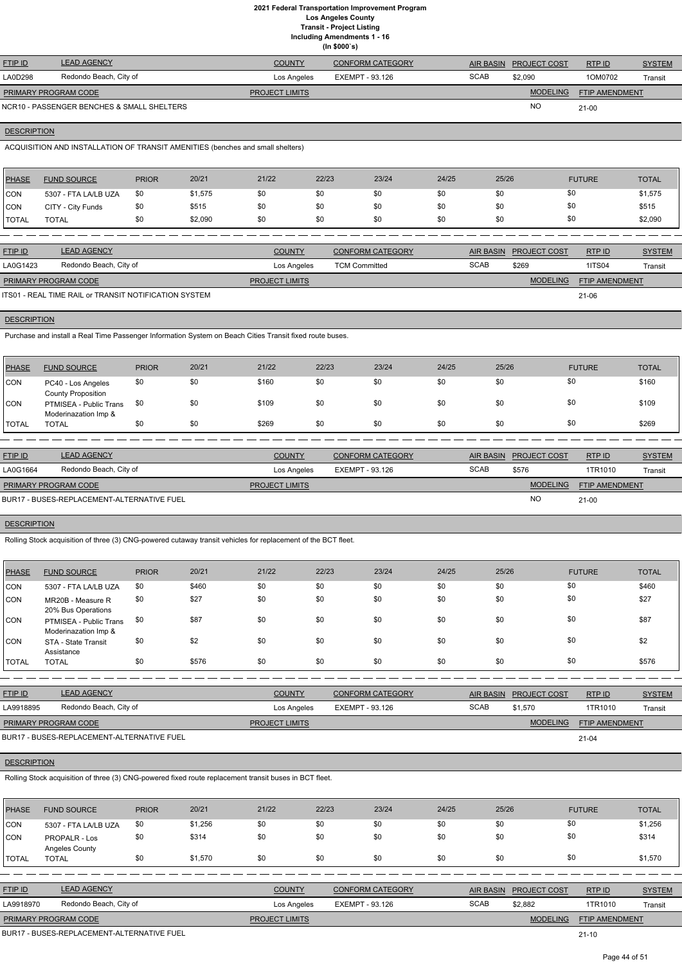**Including Amendments 1 - 16**

|                             |                                            |                       | (ln \$000's)            |             |                     |                       |               |
|-----------------------------|--------------------------------------------|-----------------------|-------------------------|-------------|---------------------|-----------------------|---------------|
| <b>FTIP ID</b>              | <b>LEAD AGENCY</b>                         | <b>COUNTY</b>         | <b>CONFORM CATEGORY</b> | AIR BASIN   | <b>PROJECT COST</b> | RTP ID                | <b>SYSTEM</b> |
| LA0D298                     | Redondo Beach, City of                     | Los Angeles           | EXEMPT - 93.126         | <b>SCAB</b> | \$2,090             | 1OM0702               | Transit       |
| <b>PRIMARY PROGRAM CODE</b> |                                            | <b>PROJECT LIMITS</b> |                         |             | <b>MODELING</b>     | <b>FTIP AMENDMENT</b> |               |
|                             | NCR10 - PASSENGER BENCHES & SMALL SHELTERS |                       |                         |             | <b>NO</b>           | $21 - 00$             |               |

# **DESCRIPTION**

ACQUISITION AND INSTALLATION OF TRANSIT AMENITIES (benches and small shelters)

| <b>PHASE</b> | <b>FUND SOURCE</b>   | <b>PRIOR</b> | 20/21   | 21/22 | 22/23 | 23/24 | 24/25 | 25/26 | <b>FUTURE</b> | <b>TOTAL</b> |
|--------------|----------------------|--------------|---------|-------|-------|-------|-------|-------|---------------|--------------|
| <b>CON</b>   | 5307 - FTA LA/LB UZA | \$0          | \$1,575 | \$0   |       | \$0   | \$0   | \$0   | \$0           | \$1,575      |
| <b>CON</b>   | CITY - City Funds    | \$0          | \$515   | \$0   |       | \$0   | \$0   | \$0   | \$0           | \$515        |
| <b>TOTAL</b> | <b>TOTAL</b>         | \$0          | \$2,090 | \$0   |       | \$0   | \$0   | \$0   | \$0           | \$2,090      |

| <b>FTIP ID</b>              | <b>LEAD AGENCY</b>                                    | <b>COUNTY</b>         | <b>CONFORM CATEGORY</b> |             | AIR BASIN PROJECT COST | RTPID                 | <b>SYSTEM</b> |
|-----------------------------|-------------------------------------------------------|-----------------------|-------------------------|-------------|------------------------|-----------------------|---------------|
| LA0G1423                    | Redondo Beach, City of                                | Los Angeles           | <b>TCM Committed</b>    | <b>SCAB</b> | \$269                  | <b>1ITS04</b>         | Transit       |
| <b>PRIMARY PROGRAM CODE</b> |                                                       | <b>PROJECT LIMITS</b> |                         |             | <b>MODELING</b>        | <b>FTIP AMENDMENT</b> |               |
|                             | ITS01 - REAL TIME RAIL or TRANSIT NOTIFICATION SYSTEM |                       |                         |             |                        | $21 - 06$             |               |

## **DESCRIPTION**

Purchase and install a Real Time Passenger Information System on Beach Cities Transit fixed route buses.

| <b>PHASE</b>   | <b>FUND SOURCE</b>                              | <b>PRIOR</b> | 20/21 | 21/22                 | 22/23 | 23/24                   | 24/25 | 25/26       |                        | <b>FUTURE</b>  | <b>TOTAL</b>  |
|----------------|-------------------------------------------------|--------------|-------|-----------------------|-------|-------------------------|-------|-------------|------------------------|----------------|---------------|
| CON            | PC40 - Los Angeles<br><b>County Proposition</b> | \$0          | \$0   | \$160                 | \$0   | \$0                     | \$0   | \$0         | \$0                    |                | \$160         |
| CON            | PTMISEA - Public Trans<br>Moderinazation Imp &  | \$0          | \$0   | \$109                 | \$0   | \$0                     | \$0   | \$0         | \$0                    |                | \$109         |
| <b>I</b> TOTAL | <b>TOTAL</b>                                    | \$0          | \$0   | \$269                 | \$0   | \$0                     | \$0   | \$0         | \$0                    |                | \$269         |
|                |                                                 |              |       |                       |       |                         |       |             |                        |                |               |
| FTIP ID        | <b>LEAD AGENCY</b>                              |              |       | <b>COUNTY</b>         |       | <b>CONFORM CATEGORY</b> |       |             | AIR BASIN PROJECT COST | RTP ID         | <b>SYSTEM</b> |
| LA0G1664       | Redondo Beach, City of                          |              |       | Los Angeles           |       | EXEMPT - 93.126         |       | <b>SCAB</b> | \$576                  | 1TR1010        | Transit       |
|                | PRIMARY PROGRAM CODE                            |              |       | <b>PROJECT LIMITS</b> |       |                         |       |             | <b>MODELING</b>        | FTIP AMENDMENT |               |
|                | BUR17 - BUSES-REPLACEMENT-ALTERNATIVE FUEL      |              |       |                       |       |                         |       |             | <b>NO</b>              | $21 - 00$      |               |

# **DESCRIPTION**

Rolling Stock acquisition of three (3) CNG-powered cutaway transit vehicles for replacement of the BCT fleet.

| <b>PHASE</b> | <b>FUND SOURCE</b>                             | <b>PRIOR</b> | 20/21 | 21/22 | 22/23 | 23/24 | 24/25 | 25/26 | <b>FUTURE</b> | <b>TOTAL</b> |
|--------------|------------------------------------------------|--------------|-------|-------|-------|-------|-------|-------|---------------|--------------|
| <b>CON</b>   | 5307 - FTA LA/LB UZA                           | \$0          | \$460 | \$0   | \$0   | \$0   | \$0   | \$0   | \$0           | \$460        |
| <b>CON</b>   | MR20B - Measure R<br>20% Bus Operations        | \$0          | \$27  | \$0   | \$0   | \$0   | \$0   | \$0   | \$0           | \$27         |
| <b>CON</b>   | PTMISEA - Public Trans<br>Moderinazation Imp & | \$0          | \$87  | \$0   | \$0   | \$0   | \$0   | \$0   | \$0           | \$87         |
| <b>CON</b>   | STA - State Transit<br>Assistance              | \$0          | \$2   | \$0   | \$0   | \$0   | \$0   | \$0   | \$0           | \$2          |
| <b>TOTAL</b> | <b>TOTAL</b>                                   | \$0          | \$576 | \$0   | \$0   | \$0   | \$0   | \$0   | \$0           | \$576        |
|              |                                                |              |       |       |       |       |       |       |               |              |

| <u>FTIP ID</u>              | <b>LEAD AGENCY</b>     | <b>COUNTY</b>         | <b>CONFORM CATEGORY</b> | AIR BASIN   | <b>PROJECT COST</b> | <b>RTPID</b>          | <b>SYSTEM</b> |
|-----------------------------|------------------------|-----------------------|-------------------------|-------------|---------------------|-----------------------|---------------|
| LA9918895                   | Redondo Beach, City of | Los Angeles           | EXEMPT - 93.126         | <b>SCAB</b> | \$1.570             | 1TR1010               | Transit       |
| <b>PRIMARY PROGRAM CODE</b> |                        | <b>PROJECT LIMITS</b> |                         |             | <b>MODELING</b>     | <b>FTIP AMENDMENT</b> |               |

#### **DESCRIPTION**

Rolling Stock acquisition of three (3) CNG-powered fixed route replacement transit buses in BCT fleet.

| <b>PHASE</b> | <b>FUND SOURCE</b>                     | <b>PRIOR</b> | 20/21   | 21/22 | 22/23 | 23/24 | 24/25 | 25/26 | <b>FUTURE</b> | <b>TOTAL</b> |
|--------------|----------------------------------------|--------------|---------|-------|-------|-------|-------|-------|---------------|--------------|
| CON          | 5307 - FTA LA/LB UZA                   | \$0          | \$1,256 | \$0   | \$0   | \$0   | \$0   | \$0   | \$0           | \$1,256      |
| CON          | <b>PROPALR - Los</b><br>Angeles County | \$0          | \$314   | \$0   | \$0   | \$0   | \$0   | \$0   | \$0           | \$314        |
| TOTAL        | <b>TOTAL</b>                           | \$0          | \$1,570 | \$0   | \$0   | \$0   | \$0   | \$0   | \$0           | \$1,570      |

| <b>FTIP ID</b>              | <b>LEAD AGENCY</b>                         | <b>COUNTY</b>         | <b>CONFORM CATEGORY</b> |             | AIR BASIN PROJECT COST | RTP ID                | <b>SYSTEM</b> |
|-----------------------------|--------------------------------------------|-----------------------|-------------------------|-------------|------------------------|-----------------------|---------------|
| LA9918970                   | Redondo Beach, City of                     | Los Angeles           | EXEMPT - 93.126         | <b>SCAB</b> | \$2.882                | 1TR1010               | Transit       |
| <b>PRIMARY PROGRAM CODE</b> |                                            | <b>PROJECT LIMITS</b> |                         |             | <b>MODELING</b>        | <b>FTIP AMENDMENT</b> |               |
|                             | RHR17 - RHSES-REPLACEMENT-ALTERNATIVE FHEL |                       |                         |             |                        | 21.10                 |               |

PLACEMENT-ALTERNATIVE FUEL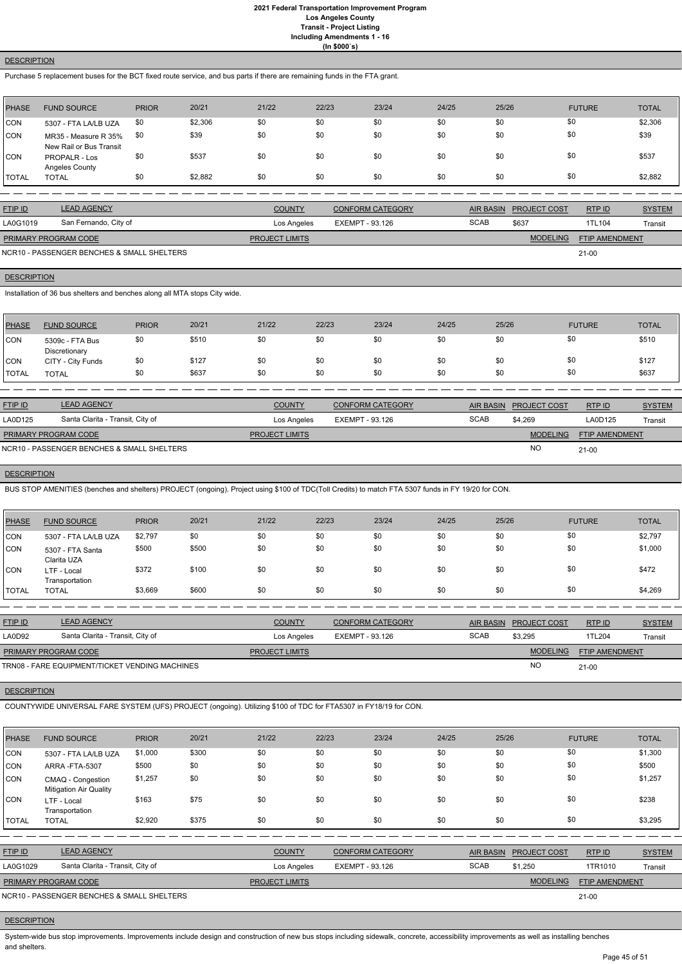### **DESCRIPTION**

Purchase 5 replacement buses for the BCT fixed route service, and bus parts if there are remaining funds in the FTA grant.

| <b>PHASE</b> | <b>FUND SOURCE</b>                              | <b>PRIOR</b> | 20/21   | 21/22 | 22/23 | 23/24 | 24/25 | 25/26 | <b>FUTURE</b> | <b>TOTAL</b> |
|--------------|-------------------------------------------------|--------------|---------|-------|-------|-------|-------|-------|---------------|--------------|
| <b>CON</b>   | 5307 - FTA LA/LB UZA                            | \$0          | \$2,306 | \$0   | \$0   | \$0   | \$0   | \$0   | \$0           | \$2,306      |
| CON          | MR35 - Measure R 35%<br>New Rail or Bus Transit | -\$0         | \$39    | \$0   | \$0   | \$0   | \$0   | \$0   | \$0           | \$39         |
| ICON         | PROPALR - Los<br>Angeles County                 | \$0          | \$537   | \$0   | \$0   | \$0   | \$0   | \$0   | \$0           | \$537        |
| TOTAL        | <b>TOTAL</b>                                    | \$0          | \$2,882 | \$0   | \$0   | \$0   | \$0   | \$0   | \$0           | \$2,882      |

| <b>FTIP ID</b>              | <b>LEAD AGENCY</b>                         | <b>COUNTY</b>         | <b>CONFORM CATEGORY</b> | <b>AIR BASIN</b> | <b>PROJECT COST</b> | RTPID                 | <b>SYSTEM</b> |
|-----------------------------|--------------------------------------------|-----------------------|-------------------------|------------------|---------------------|-----------------------|---------------|
| LA0G1019                    | San Fernando, City of                      | Los Angeles           | EXEMPT - 93.126         | <b>SCAB</b>      | \$637               | 1TL104                | Transit       |
| <b>PRIMARY PROGRAM CODE</b> |                                            | <b>PROJECT LIMITS</b> |                         |                  | <b>MODELING</b>     | <b>FTIP AMENDMENT</b> |               |
|                             | NCR10 - PASSENGER BENCHES & SMALL SHELTERS |                       |                         |                  |                     | $21 - 00$             |               |

## **DESCRIPTION**

Installation of 36 bus shelters and benches along all MTA stops City wide.

| PHASE        | <b>FUND SOURCE</b>               | <b>PRIOR</b> | 20/21 | 21/22 | 22/23 | 23/24 | 24/25 | 25/26 | <b>FUTURE</b> | <b>TOTAL</b> |
|--------------|----------------------------------|--------------|-------|-------|-------|-------|-------|-------|---------------|--------------|
| <b>CON</b>   | 5309c - FTA Bus<br>Discretionary | \$0          | \$510 | \$0   | \$0   | \$0   | \$0   | \$0   | \$0           | \$510        |
| CON          | CITY - City Funds                | \$0          | \$127 | \$0   | \$0   | \$0   | \$0   | \$0   | \$0           | \$127        |
| <b>TOTAL</b> | <b>TOTAL</b>                     | \$0          | \$637 | \$0   | \$0   | \$0   | \$0   | \$0   | \$0           | \$637        |

| <b>FTIP ID</b>       | <b>LEAD AGENCY</b>                         | <b>COUNTY</b>         | <b>CONFORM CATEGORY</b> |             | AIR BASIN PROJECT COST | RTP ID                | <b>SYSTEM</b> |
|----------------------|--------------------------------------------|-----------------------|-------------------------|-------------|------------------------|-----------------------|---------------|
| LA0D125              | Santa Clarita - Transit, City of           | Los Angeles           | EXEMPT - 93.126         | <b>SCAB</b> | \$4.269                | LA0D125               | Transit       |
| PRIMARY PROGRAM CODE |                                            | <b>PROJECT LIMITS</b> |                         |             | <b>MODELING</b>        | <b>FTIP AMENDMENT</b> |               |
|                      | NCR10 - PASSENGER BENCHES & SMALL SHELTERS |                       |                         |             | <b>NO</b>              | $21 - 00$             |               |

## **DESCRIPTION**

BUS STOP AMENITIES (benches and shelters) PROJECT (ongoing). Project using \$100 of TDC(Toll Credits) to match FTA 5307 funds in FY 19/20 for CON.

| PHASE        | <b>FUND SOURCE</b>              | <b>PRIOR</b> | 20/21 | 21/22 | 22/23 | 23/24 | 24/25 | 25/26 | <b>FUTURE</b> | <b>TOTAL</b> |
|--------------|---------------------------------|--------------|-------|-------|-------|-------|-------|-------|---------------|--------------|
| <b>CON</b>   | 5307 - FTA LA/LB UZA            | \$2,797      | \$0   | \$0   | \$0   | \$0   | \$0   | \$0   | \$0           | \$2,797      |
| <b>CON</b>   | 5307 - FTA Santa<br>Clarita UZA | \$500        | \$500 | \$0   | \$0   | \$0   | \$0   | \$0   | \$0           | \$1,000      |
| <b>CON</b>   | LTF - Local<br>Transportation   | \$372        | \$100 | \$0   | \$0   | \$0   | \$0   | \$0   | \$0           | \$472        |
| <b>TOTAL</b> | <b>TOTAL</b>                    | \$3,669      | \$600 | \$0   | \$0   | \$0   | \$0   | \$0   | \$0           | \$4,269      |

| <b>FTIP ID</b>              | <b>LEAD AGENCY</b>                             | <b>COUNTY</b>         | <b>CONFORM CATEGORY</b> |             | AIR BASIN PROJECT COST | RTP ID                | <b>SYSTEM</b> |
|-----------------------------|------------------------------------------------|-----------------------|-------------------------|-------------|------------------------|-----------------------|---------------|
| <b>LA0D92</b>               | Santa Clarita - Transit, City of               | Los Angeles           | EXEMPT - 93.126         | <b>SCAB</b> | \$3,295                | 1TL204                | Transit       |
| <b>PRIMARY PROGRAM CODE</b> |                                                | <b>PROJECT LIMITS</b> |                         |             | <b>MODELING</b>        | <b>FTIP AMENDMENT</b> |               |
|                             | TRN08 - FARE EQUIPMENT/TICKET VENDING MACHINES |                       |                         |             | <b>NO</b>              | $21 - 00$             |               |

## **DESCRIPTION**

COUNTYWIDE UNIVERSAL FARE SYSTEM (UFS) PROJECT (ongoing). Utilizing \$100 of TDC for FTA5307 in FY18/19 for CON.

| <b>PHASE</b> | <b>FUND SOURCE</b>                                 | <b>PRIOR</b> | 20/21 | 21/22                 | 22/23           | 23/24                   | 24/25 | 25/26            |                     | <b>FUTURE</b>         | <b>TOTAL</b>  |
|--------------|----------------------------------------------------|--------------|-------|-----------------------|-----------------|-------------------------|-------|------------------|---------------------|-----------------------|---------------|
| <b>CON</b>   | 5307 - FTA LA/LB UZA                               | \$1,000      | \$300 | \$0                   | \$0             | \$0                     | \$0   | \$0              |                     | \$0                   | \$1,300       |
| CON          | ARRA-FTA-5307                                      | \$500        | \$0   | \$0                   | \$0             | \$0                     | \$0   | \$0              |                     | \$0                   | \$500         |
| <b>CON</b>   | CMAQ - Congestion<br><b>Mitigation Air Quality</b> | \$1,257      | \$0   | \$0                   | \$0             | \$0                     | \$0   | \$0              |                     | \$0                   | \$1,257       |
| ICON         | LTF - Local<br>Transportation                      | \$163        | \$75  | \$0                   | \$0             | \$0                     | \$0   | \$0              |                     | \$0                   | \$238         |
| <b>TOTAL</b> | <b>TOTAL</b>                                       | \$2,920      | \$375 | \$0                   | \$0             | \$0                     | \$0   | \$0              |                     | \$0                   | \$3,295       |
|              |                                                    |              |       |                       |                 |                         |       |                  |                     |                       |               |
| FTIP ID      | <b>LEAD AGENCY</b>                                 |              |       | <b>COUNTY</b>         |                 | <b>CONFORM CATEGORY</b> |       | <b>AIR BASIN</b> | <b>PROJECT COST</b> | RTPID                 | <b>SYSTEM</b> |
| LA0G1029     | Santa Clarita - Transit, City of                   |              |       | Los Angeles           | EXEMPT - 93.126 |                         |       | <b>SCAB</b>      | \$1,250             | 1TR1010               | Transit       |
|              | PRIMARY PROGRAM CODE                               |              |       | <b>PROJECT LIMITS</b> |                 |                         |       |                  | <b>MODELING</b>     | <b>FTIP AMENDMENT</b> |               |
|              | NCR10 - PASSENGER BENCHES & SMALL SHELTERS         |              |       |                       |                 |                         |       |                  |                     | $21 - 00$             |               |

## **DESCRIPTION**

System-wide bus stop improvements. Improvements include design and construction of new bus stops including sidewalk, concrete, accessibility improvements as well as installing benches and shelters.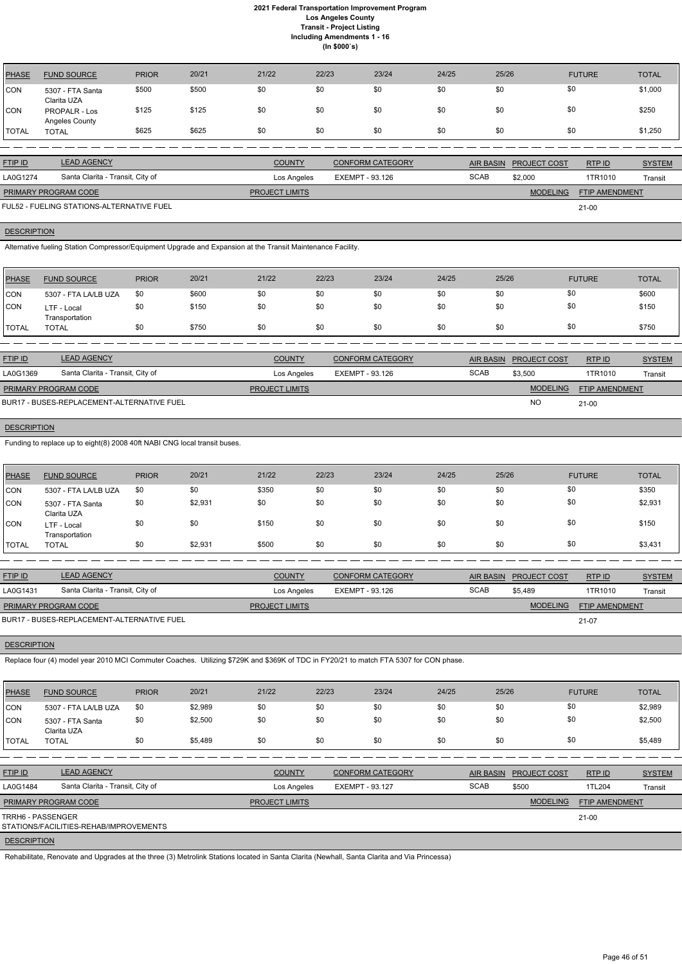| <b>PHASE</b> | <b>FUND SOURCE</b>              | <b>PRIOR</b> | 20/21 | 21/22 | 22/23 | 23/24 | 24/25 | 25/26 | <b>FUTURE</b> | <b>TOTAL</b> |
|--------------|---------------------------------|--------------|-------|-------|-------|-------|-------|-------|---------------|--------------|
| CON          | 5307 - FTA Santa<br>Clarita UZA | \$500        | \$500 | \$0   | \$0   | \$0   | \$0   | \$0   | \$0           | \$1,000      |
| <b>CON</b>   | PROPALR - Los<br>Angeles County | \$125        | \$125 | \$0   | \$0   | \$0   | \$0   | \$0   | \$0           | \$250        |
| <b>TOTAL</b> | <b>TOTAL</b>                    | \$625        | \$625 | \$0   | \$0   | \$0   | \$0   | \$0   | \$0           | \$1,250      |

| <b>FTIP ID</b>                            | <b>LEAD AGENCY</b>               | <b>COUNTY</b>         | CONFORM CATEGORY |             | AIR BASIN PROJECT COST | RTP ID                | <b>SYSTEM</b> |
|-------------------------------------------|----------------------------------|-----------------------|------------------|-------------|------------------------|-----------------------|---------------|
| LA0G1274                                  | Santa Clarita - Transit, City of | Los Angeles           | EXEMPT - 93.126  | <b>SCAB</b> | \$2,000                | 1TR1010               | Transit       |
| <b>PRIMARY PROGRAM CODE</b>               |                                  | <b>PROJECT LIMITS</b> |                  |             | <b>MODELING</b>        | <b>FTIP AMENDMENT</b> |               |
| FUL52 - FUELING STATIONS-ALTERNATIVE FUEL |                                  |                       |                  |             |                        | 21-00                 |               |

**DESCRIPTION** 

Alternative fueling Station Compressor/Equipment Upgrade and Expansion at the Transit Maintenance Facility.

| PHASE        | <b>FUND SOURCE</b>            | <b>PRIOR</b> | 20/21 | 21/22 | 22/23 | 23/24 | 24/25 | 25/26 | <b>FUTURE</b> | <b>TOTAL</b> |
|--------------|-------------------------------|--------------|-------|-------|-------|-------|-------|-------|---------------|--------------|
| <b>CON</b>   | 5307 - FTA LA/LB UZA          | \$0          | \$600 | \$0   | \$0   | \$0   | \$0   | \$0   | \$0           | \$600        |
| <b>CON</b>   | LTF - Local<br>Transportation | \$0          | \$150 | \$0   | \$0   | \$0   | \$0   | \$0   | \$0           | \$150        |
| <b>TOTAL</b> | TOTAL                         | \$0          | \$750 | \$0   | \$0   | \$0   | \$0   | \$0   | \$0           | \$750        |

| <b>FTIP ID</b>       | <b>LEAD AGENCY</b>                         | <b>COUNTY</b>         | <b>CONFORM CATEGORY</b> |             | AIR BASIN PROJECT COST | RTP ID                | <b>SYSTEM</b> |
|----------------------|--------------------------------------------|-----------------------|-------------------------|-------------|------------------------|-----------------------|---------------|
| LA0G1369             | Santa Clarita - Transit, City of           | Los Angeles           | EXEMPT - 93.126         | <b>SCAB</b> | \$3,500                | 1TR1010               | Transit       |
| PRIMARY PROGRAM CODE |                                            | <b>PROJECT LIMITS</b> |                         |             | <b>MODELING</b>        | <b>FTIP AMENDMENT</b> |               |
|                      | BUR17 - BUSES-REPLACEMENT-ALTERNATIVE FUEL |                       |                         |             | <b>NC</b>              | $21 - 00$             |               |

## **DESCRIPTION**

Funding to replace up to eight(8) 2008 40ft NABI CNG local transit buses.

| PHASE                | <b>FUND SOURCE</b>               | <b>PRIOR</b> | 20/21   | 21/22                 | 22/23           | 23/24                   | 24/25       | 25/26                                   | <b>FUTURE</b>                            | <b>TOTAL</b>  |  |
|----------------------|----------------------------------|--------------|---------|-----------------------|-----------------|-------------------------|-------------|-----------------------------------------|------------------------------------------|---------------|--|
| CON                  | 5307 - FTA LA/LB UZA             | \$0          | \$0     | \$350                 | \$0             | \$0                     | \$0         | \$0                                     | \$0                                      | \$350         |  |
| CON                  | 5307 - FTA Santa<br>Clarita UZA  | \$0          | \$2,931 | \$0                   | \$0             | \$0                     | \$0         | \$0                                     | \$0                                      | \$2,931       |  |
| ICON                 | LTF - Local<br>Transportation    | \$0          | \$0     | \$150                 | \$0             | \$0                     | \$0         | \$0                                     | \$0                                      | \$150         |  |
| <b>TOTAL</b>         | <b>TOTAL</b>                     | \$0          | \$2,931 | \$500                 | \$0             | \$0                     | \$0         | \$0                                     | \$0                                      | \$3,431       |  |
|                      |                                  |              |         |                       |                 |                         |             |                                         |                                          |               |  |
| FTIP ID              | <b>LEAD AGENCY</b>               |              |         | <b>COUNTY</b>         |                 | <b>CONFORM CATEGORY</b> |             | <b>AIR BASIN</b><br><b>PROJECT COST</b> | RTP ID                                   | <b>SYSTEM</b> |  |
| LA0G1431             | Santa Clarita - Transit, City of |              |         | Los Angeles           | EXEMPT - 93.126 |                         | <b>SCAB</b> | \$5,489                                 | 1TR1010                                  | Transit       |  |
| PRIMARY PROGRAM CODE |                                  |              |         | <b>PROJECT LIMITS</b> |                 |                         |             |                                         | <b>MODELING</b><br><b>FTIP AMENDMENT</b> |               |  |

21-07

BUR17 - BUSES-REPLACEMENT-ALTERNATIVE FUEL

## **DESCRIPTION**

Replace four (4) model year 2010 MCI Commuter Coaches. Utilizing \$729K and \$369K of TDC in FY20/21 to match FTA 5307 for CON phase.

| PHASE        | <b>FUND SOURCE</b>              | <b>PRIOR</b> | 20/21   | 21/22 | 22/23 | 23/24 | 24/25 | 25/26 | <b>FUTURE</b> | <b>TOTAL</b> |
|--------------|---------------------------------|--------------|---------|-------|-------|-------|-------|-------|---------------|--------------|
| <b>CON</b>   | 5307 - FTA LA/LB UZA            | \$0          | \$2,989 | \$0   | \$0   | \$0   | \$0   | \$0   | \$0           | \$2,989      |
| <b>CON</b>   | 5307 - FTA Santa<br>Clarita UZA | \$0          | \$2,500 | \$0   | \$0   | \$0   | \$0   | \$0   | \$0           | \$2,500      |
| <b>TOTAL</b> | <b>TOTAL</b>                    | \$0          | \$5,489 | \$0   | \$0   | \$0   | \$0   | \$0   | \$0           | \$5,489      |
|              |                                 |              |         |       |       |       |       |       |               |              |

| <b>FTIP ID</b>              | <b>LEAD AGENCY</b>                      | <b>COUNTY</b>         | CONFORM CATEGORY |             | AIR BASIN PROJECT COST | RTPID                 | <b>SYSTEM</b> |
|-----------------------------|-----------------------------------------|-----------------------|------------------|-------------|------------------------|-----------------------|---------------|
| LA0G1484                    | Santa Clarita - Transit, City of        | Los Angeles           | EXEMPT - 93.127  | <b>SCAB</b> | \$500                  | 1TL204                | Transit       |
| <b>PRIMARY PROGRAM CODE</b> |                                         | <b>PROJECT LIMITS</b> |                  |             | <b>MODELING</b>        | <b>FTIP AMENDMENT</b> |               |
| TRRH6 - PASSENGER           | STATIONS/FACILITIES-REHAB/IMPROVEMENTS_ |                       |                  |             |                        | $21-00$               |               |

## **DESCRIPTION**

Rehabilitate, Renovate and Upgrades at the three (3) Metrolink Stations located in Santa Clarita (Newhall, Santa Clarita and Via Princessa)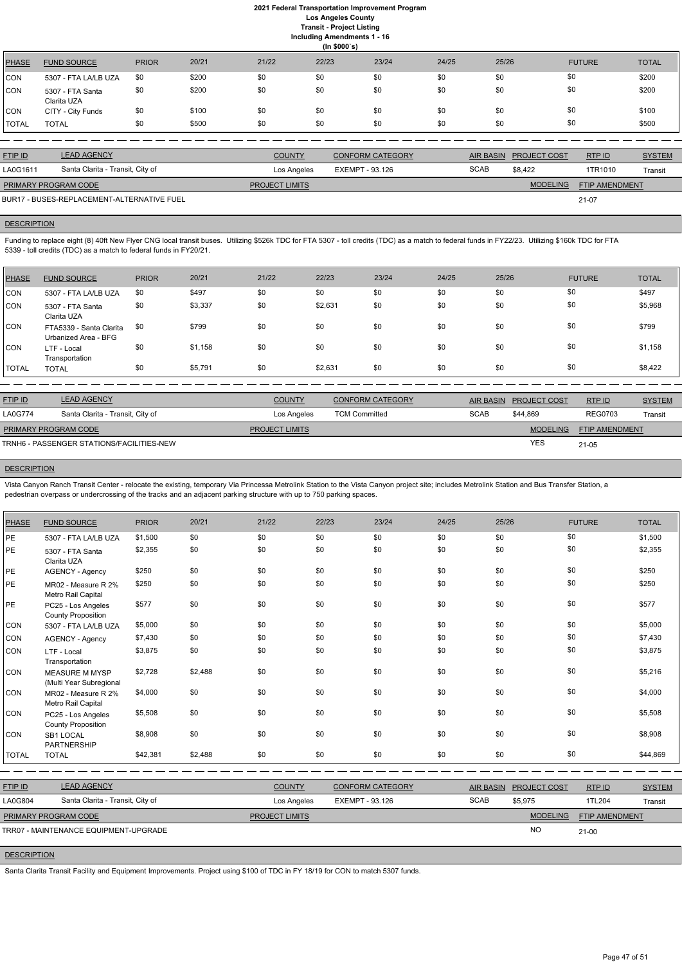# **2021 Federal Transportation Improvement Program Los Angeles County**

**Transit - Project Listing**

| <b>Including Amendments 1 - 16</b> |  |
|------------------------------------|--|
| $\ln$ CONC $\alpha$                |  |

|              | $(III)$ and $(II)$              |              |       |       |       |       |       |       |               |              |
|--------------|---------------------------------|--------------|-------|-------|-------|-------|-------|-------|---------------|--------------|
| PHASE        | <b>FUND SOURCE</b>              | <b>PRIOR</b> | 20/21 | 21/22 | 22/23 | 23/24 | 24/25 | 25/26 | <b>FUTURE</b> | <b>TOTAL</b> |
| CON          | 5307 - FTA LA/LB UZA            | \$0          | \$200 | \$0   | \$0   | \$0   | \$0   | \$0   | \$0           | \$200        |
| CON          | 5307 - FTA Santa<br>Clarita UZA | \$0          | \$200 | \$0   | \$0   | \$0   | \$0   | \$0   | \$0           | \$200        |
| CON          | CITY - City Funds               | \$0          | \$100 | \$0   | \$0   | \$0   | \$0   | \$0   | \$0           | \$100        |
| <b>TOTAL</b> | <b>TOTAL</b>                    | \$0          | \$500 | \$0   | \$0   | \$0   | \$0   | \$0   | \$0           | \$500        |

Funding to replace eight (8) 40ft New Flyer CNG local transit buses. Utilizing \$526k TDC for FTA 5307 - toll credits (TDC) as a match to federal funds in FY22/23. Utilizing \$160k TDC for FTA 5339 - toll credits (TDC) as a match to federal funds in FY20/21.

| <b>FTIP ID</b>              | <b>LEAD AGENCY</b>                         | <b>COUNTY</b>         | <b>CONFORM CATEGORY</b> |             | AIR BASIN PROJECT COST | RTP ID                | <b>SYSTEM</b> |
|-----------------------------|--------------------------------------------|-----------------------|-------------------------|-------------|------------------------|-----------------------|---------------|
| LA0G1611                    | Santa Clarita - Transit, City of           | Los Angeles           | EXEMPT - 93.126         | <b>SCAB</b> | \$8.422                | 1TR1010               | Transit       |
| <b>PRIMARY PROGRAM CODE</b> |                                            | <b>PROJECT LIMITS</b> |                         |             | <b>MODELING</b>        | <b>FTIP AMENDMENT</b> |               |
|                             | BUR17 - BUSES-REPLACEMENT-ALTERNATIVE FUEL |                       |                         |             |                        | 21-07                 |               |

# **DESCRIPTION**

| PHASE          | <b>FUND SOURCE</b>                              | <b>PRIOR</b> | 20/21   | 21/22 | 22/23   | 23/24 | 24/25 | 25/26 | <b>FUTURE</b> | <b>TOTAL</b> |
|----------------|-------------------------------------------------|--------------|---------|-------|---------|-------|-------|-------|---------------|--------------|
| CON            | 5307 - FTA LA/LB UZA                            | \$0          | \$497   | \$0   | \$0     | \$0   | \$0   | \$0   | \$0           | \$497        |
| CON            | 5307 - FTA Santa<br>Clarita UZA                 | \$0          | \$3,337 | \$0   | \$2,631 | \$0   | \$0   | \$0   | \$0           | \$5,968      |
| ICON.          | FTA5339 - Santa Clarita<br>Urbanized Area - BFG | \$0          | \$799   | \$0   | \$0     | \$0   | \$0   | \$0   | \$0           | \$799        |
| CON            | LTF - Local<br>Transportation                   | \$0          | \$1,158 | \$0   | \$0     | \$0   | \$0   | \$0   | \$0           | \$1,158      |
| <b>I</b> TOTAL | <b>TOTAL</b>                                    | \$0          | \$5,791 | \$0   | \$2,631 | \$0   | \$0   | \$0   | \$0           | \$8,422      |

| <b>FTIP ID</b>                            | <b>LEAD AGENCY</b>               | <b>COUNTY</b>         | <b>CONFORM CATEGORY</b> |             | AIR BASIN PROJECT COST | RTPID                 | <b>SYSTEM</b> |
|-------------------------------------------|----------------------------------|-----------------------|-------------------------|-------------|------------------------|-----------------------|---------------|
| <b>LA0G774</b>                            | Santa Clarita - Transit, City of | Los Angeles           | <b>TCM Committed</b>    | <b>SCAB</b> | \$44.869               | <b>REG0703</b>        | Transit       |
| <b>PRIMARY PROGRAM CODE</b>               |                                  | <b>PROJECT LIMITS</b> |                         |             | <b>MODELING</b>        | <b>FTIP AMENDMENT</b> |               |
| TRNH6 - PASSENGER STATIONS/FACILITIES-NEW |                                  |                       |                         |             | <b>YES</b>             | $21 - 05$             |               |

## **DESCRIPTION**

Vista Canyon Ranch Transit Center - relocate the existing, temporary Via Princessa Metrolink Station to the Vista Canyon project site; includes Metrolink Station and Bus Transfer Station, a pedestrian overpass or undercrossing of the tracks and an adjacent parking structure with up to 750 parking spaces.

| <b>PHASE</b> | <b>FUND SOURCE</b>                               | <b>PRIOR</b> | 20/21   | 21/22 | 22/23 | 23/24 | 24/25 | 25/26 | <b>FUTURE</b> | <b>TOTAL</b> |
|--------------|--------------------------------------------------|--------------|---------|-------|-------|-------|-------|-------|---------------|--------------|
| PE           | 5307 - FTA LA/LB UZA                             | \$1,500      | \$0     | \$0   | \$0   | \$0   | \$0   | \$0   | \$0           | \$1,500      |
| PE           | 5307 - FTA Santa<br>Clarita UZA                  | \$2,355      | \$0     | \$0   | \$0   | \$0   | \$0   | \$0   | \$0           | \$2,355      |
| PE           | <b>AGENCY - Agency</b>                           | \$250        | \$0     | \$0   | \$0   | \$0   | \$0   | \$0   | \$0           | \$250        |
| PE           | MR02 - Measure R 2%<br>Metro Rail Capital        | \$250        | \$0     | \$0   | \$0   | \$0   | \$0   | \$0   | \$0           | \$250        |
| <b>PE</b>    | PC25 - Los Angeles<br><b>County Proposition</b>  | \$577        | \$0     | \$0   | \$0   | \$0   | \$0   | \$0   | \$0           | \$577        |
| CON          | 5307 - FTA LA/LB UZA                             | \$5,000      | \$0     | \$0   | \$0   | \$0   | \$0   | \$0   | \$0           | \$5,000      |
| <b>CON</b>   | <b>AGENCY - Agency</b>                           | \$7,430      | \$0     | \$0   | \$0   | \$0   | \$0   | \$0   | \$0           | \$7,430      |
| <b>CON</b>   | LTF - Local<br>Transportation                    | \$3,875      | \$0     | \$0   | \$0   | \$0   | \$0   | \$0   | \$0           | \$3,875      |
| <b>CON</b>   | <b>MEASURE M MYSP</b><br>(Multi Year Subregional | \$2,728      | \$2,488 | \$0   | \$0   | \$0   | \$0   | \$0   | \$0           | \$5,216      |
| <b>CON</b>   | MR02 - Measure R 2%<br>Metro Rail Capital        | \$4,000      | \$0     | \$0   | \$0   | \$0   | \$0   | \$0   | \$0           | \$4,000      |
| <b>CON</b>   | PC25 - Los Angeles<br><b>County Proposition</b>  | \$5,508      | \$0     | \$0   | \$0   | \$0   | \$0   | \$0   | \$0           | \$5,508      |

| <b>CON</b>     | SB1 LOCAL<br><b>PARTNERSHIP</b>       | \$8,908  | \$0     | \$0                   | \$0         | \$0                     | \$0 | \$0              | \$0                 |                       | \$8,908       |
|----------------|---------------------------------------|----------|---------|-----------------------|-------------|-------------------------|-----|------------------|---------------------|-----------------------|---------------|
| <b>TOTAL</b>   | <b>TOTAL</b>                          | \$42,381 | \$2.488 | \$0                   | \$0         | \$0                     | \$0 | \$0              | \$0                 |                       | \$44,869      |
|                |                                       |          |         |                       |             |                         |     |                  |                     |                       |               |
| <b>FTIP ID</b> | <b>LEAD AGENCY</b>                    |          |         | <b>COUNTY</b>         |             | <b>CONFORM CATEGORY</b> |     | <b>AIR BASIN</b> | <b>PROJECT COST</b> | RTP ID                | <b>SYSTEM</b> |
| LA0G804        | Santa Clarita - Transit, City of      |          |         |                       | Los Angeles | EXEMPT - 93.126         |     | <b>SCAB</b>      | \$5,975             | 1TL204                | Transit       |
|                | <b>PRIMARY PROGRAM CODE</b>           |          |         | <b>PROJECT LIMITS</b> |             |                         |     |                  | <b>MODELING</b>     | <b>FTIP AMENDMENT</b> |               |
|                | TRR07 - MAINTENANCE EQUIPMENT-UPGRADE |          |         |                       |             |                         |     |                  | <b>NO</b>           | 21-00                 |               |
|                |                                       |          |         |                       |             |                         |     |                  |                     |                       |               |

# **DESCRIPTION**

Santa Clarita Transit Facility and Equipment Improvements. Project using \$100 of TDC in FY 18/19 for CON to match 5307 funds.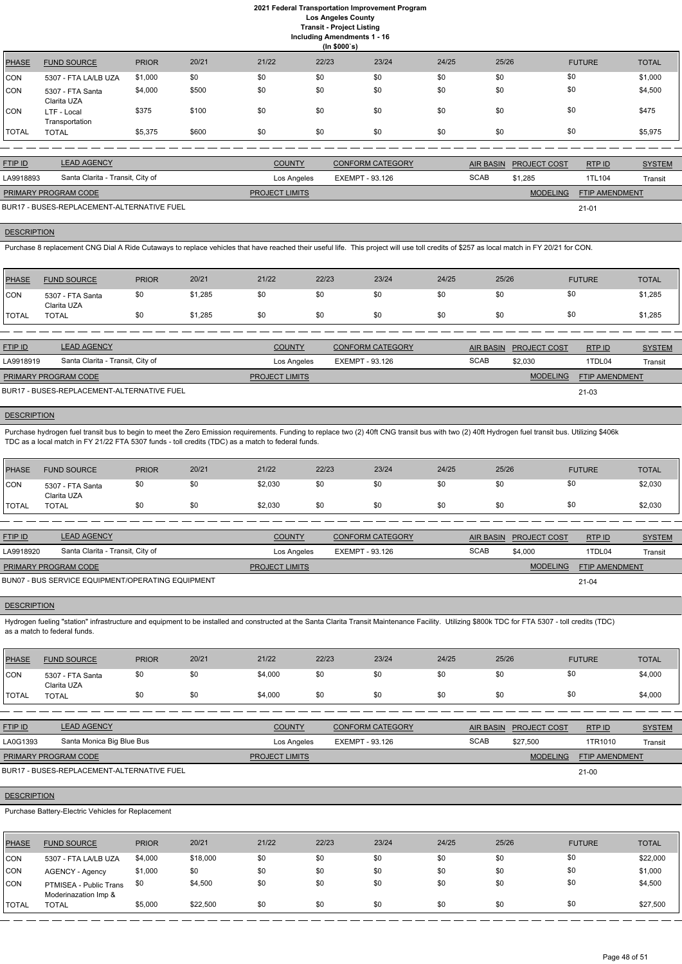**Including Amendments 1 - 16**

|  | ing Amenaments |  |
|--|----------------|--|
|  | -----          |  |

|              | (ln \$000's)                    |              |       |       |       |       |       |       |               |              |  |  |
|--------------|---------------------------------|--------------|-------|-------|-------|-------|-------|-------|---------------|--------------|--|--|
| PHASE        | <b>FUND SOURCE</b>              | <b>PRIOR</b> | 20/21 | 21/22 | 22/23 | 23/24 | 24/25 | 25/26 | <b>FUTURE</b> | <b>TOTAL</b> |  |  |
| ICON         | 5307 - FTA LA/LB UZA            | \$1,000      | \$0   | \$0   | \$0   | \$0   | \$0   | \$0   | \$0           | \$1,000      |  |  |
| CON          | 5307 - FTA Santa<br>Clarita UZA | \$4,000      | \$500 | \$0   | \$0   | \$0   | \$0   | \$0   | \$0           | \$4,500      |  |  |
| ICON.        | LTF - Local<br>Transportation   | \$375        | \$100 | \$0   | \$0   | \$0   | \$0   | \$0   | \$0           | \$475        |  |  |
| <b>TOTAL</b> | <b>TOTAL</b>                    | \$5,375      | \$600 | \$0   | \$0   | \$0   | \$0   | \$0   | \$0           | \$5,975      |  |  |

| <b>FTIP ID</b>              | <b>LEAD AGENCY</b>                         | <b>COUNTY</b>         | <b>CONFORM CATEGORY</b> |             | AIR BASIN PROJECT COST | RTPID                 | <b>SYSTEM</b> |
|-----------------------------|--------------------------------------------|-----------------------|-------------------------|-------------|------------------------|-----------------------|---------------|
| LA9918893                   | Santa Clarita - Transit, City of           | Los Angeles           | EXEMPT - 93.126         | <b>SCAB</b> | \$1.285                | 1TL104                | Transit       |
| <b>PRIMARY PROGRAM CODE</b> |                                            | <b>PROJECT LIMITS</b> |                         |             | <b>MODELING</b>        | <b>FTIP AMENDMENT</b> |               |
|                             | BUR17 - BUSES-REPLACEMENT-ALTERNATIVE FUEL |                       |                         |             |                        | $21 - 01$             |               |

## **DESCRIPTION**

Purchase 8 replacement CNG Dial A Ride Cutaways to replace vehicles that have reached their useful life. This project will use toll credits of \$257 as local match in FY 20/21 for CON.

Purchase hydrogen fuel transit bus to begin to meet the Zero Emission requirements. Funding to replace two (2) 40ft CNG transit bus with two (2) 40ft Hydrogen fuel transit bus. Utilizing \$406k TDC as a local match in FY 21/22 FTA 5307 funds - toll credits (TDC) as a match to federal funds.

| <b>PHASE</b> | <b>FUND SOURCE</b>              | <b>PRIOR</b> | 20/21   | 21/22 | 22/23 | 23/24 | 24/25 | 25/26 | <b>FUTURE</b> | <b>TOTAL</b> |
|--------------|---------------------------------|--------------|---------|-------|-------|-------|-------|-------|---------------|--------------|
| <b>CON</b>   | 5307 - FTA Santa<br>Clarita UZA | \$0          | \$1,285 | \$0   |       | \$0   | \$0   | \$0   | \$0           | \$1,285      |
| <b>TOTAL</b> | <b>TOTAL</b>                    | \$0          | \$1,285 | \$0   | \$0   | \$0   | \$0   | \$0   | \$0           | \$1,285      |

| <b>FTIP ID</b>              | <b>LEAD AGENCY</b>                         | <b>COUNTY</b>         | <b>CONFORM CATEGORY</b> |             | AIR BASIN PROJECT COST | RTP ID                | <b>SYSTEM</b> |
|-----------------------------|--------------------------------------------|-----------------------|-------------------------|-------------|------------------------|-----------------------|---------------|
| LA9918919                   | Santa Clarita - Transit, City of           | Los Angeles           | EXEMPT - 93.126         | <b>SCAB</b> | \$2.030                | 1TDL04                | Transit       |
| <b>PRIMARY PROGRAM CODE</b> |                                            | <b>PROJECT LIMITS</b> |                         |             | <b>MODELING</b>        | <b>FTIP AMENDMENT</b> |               |
|                             | BUR17 - BUSES-REPLACEMENT-ALTERNATIVE FUEL |                       |                         |             |                        | 21-03                 |               |

## **DESCRIPTION**

| <b>PHASE</b> | <b>FUND SOURCE</b>              | <b>PRIOR</b> | 20/21 | 21/22   | 22/23 | 23/24 | 24/25 | 25/26 | <b>FUTURE</b> | <b>TOTAL</b> |
|--------------|---------------------------------|--------------|-------|---------|-------|-------|-------|-------|---------------|--------------|
| <b>CON</b>   | 5307 - FTA Santa<br>Clarita UZA | \$0          | \$0   | \$2,030 | \$0   | \$0   | \$0   | \$0   | \$0           | \$2,030      |
| <b>TOTAL</b> | <b>TOTAL</b>                    | \$0          | \$0   | \$2,030 | \$0   | \$0   | \$0   | \$0   | \$0           | \$2,030      |

| <b>FTIP ID</b>              | <b>LEAD AGENCY</b>                                | <b>COUNTY</b>         | CONFORM CATEGORY |             | AIR BASIN PROJECT COST | RTP ID                | <b>SYSTEM</b> |
|-----------------------------|---------------------------------------------------|-----------------------|------------------|-------------|------------------------|-----------------------|---------------|
| LA9918920                   | Santa Clarita - Transit, City of                  | Los Angeles           | EXEMPT - 93.126  | <b>SCAB</b> | \$4,000                | 1TDL04                | Transit       |
| <b>PRIMARY PROGRAM CODE</b> |                                                   | <b>PROJECT LIMITS</b> |                  |             | <b>MODELING</b>        | <b>FTIP AMENDMENT</b> |               |
|                             | BUN07 - BUS SERVICE EQUIPMENT/OPERATING EQUIPMENT |                       |                  |             |                        | $21 - 04$             |               |

## **DESCRIPTION**

Hydrogen fueling "station" infrastructure and equipment to be installed and constructed at the Santa Clarita Transit Maintenance Facility. Utilizing \$800k TDC for FTA 5307 - toll credits (TDC) as a match to federal funds.

| PHASE        | <b>FUND SOURCE</b>              | <b>PRIOR</b> | 20/21 | 21/22   | 22/23 | 23/24 | 24/25 | 25/26 | <b>FUTURE</b> | <b>TOTAL</b> |
|--------------|---------------------------------|--------------|-------|---------|-------|-------|-------|-------|---------------|--------------|
| CON          | 5307 - FTA Santa<br>Clarita UZA | \$0          |       | \$4,000 | \$0   | \$0   | \$0   | \$0   | \$0           | \$4,000      |
| <b>TOTAL</b> | <b>TOTAL</b>                    | \$0          |       | \$4,000 | \$0   | \$0   | \$0   | \$0   | \$0           | \$4,000      |

| <b>FTIP ID</b>     | <b>LEAD AGENCY</b>                                 |              |          | <b>COUNTY</b>         |       | <b>CONFORM CATEGORY</b> |       | <b>AIR BASIN</b> | PROJECT COST    | RTPID          | <b>SYSTEM</b> |
|--------------------|----------------------------------------------------|--------------|----------|-----------------------|-------|-------------------------|-------|------------------|-----------------|----------------|---------------|
| LA0G1393           | Santa Monica Big Blue Bus                          |              |          | Los Angeles           |       | EXEMPT - 93.126         |       | <b>SCAB</b>      | \$27,500        | 1TR1010        | Transit       |
|                    | PRIMARY PROGRAM CODE                               |              |          | <b>PROJECT LIMITS</b> |       |                         |       |                  | <b>MODELING</b> | FTIP AMENDMENT |               |
|                    | BUR17 - BUSES-REPLACEMENT-ALTERNATIVE FUEL         |              |          |                       |       |                         |       |                  |                 | $21 - 00$      |               |
| <b>DESCRIPTION</b> |                                                    |              |          |                       |       |                         |       |                  |                 |                |               |
|                    | Purchase Battery-Electric Vehicles for Replacement |              |          |                       |       |                         |       |                  |                 |                |               |
|                    |                                                    |              |          |                       |       |                         |       |                  |                 |                |               |
| <b>PHASE</b>       | <b>FUND SOURCE</b>                                 | <b>PRIOR</b> | 20/21    | 21/22                 | 22/23 | 23/24                   | 24/25 | 25/26            |                 | <b>FUTURE</b>  | <b>TOTAL</b>  |
| <b>CON</b>         | 5307 - FTA LA/LB UZA                               | \$4,000      | \$18,000 | \$0                   | \$0   | \$0                     | \$0   | \$0              | \$0             |                | \$22,000      |
| CON                | <b>AGENCY - Agency</b>                             | \$1,000      | \$0      | \$0                   | \$0   | \$0                     | \$0   | \$0              | \$0             |                | \$1,000       |
| <b>CON</b>         | PTMISEA - Public Trans<br>Moderinazation Imp &     | \$0          | \$4,500  | \$0                   | \$0   | \$0                     | \$0   | \$0              | \$0             |                | \$4,500       |
| <b>TOTAL</b>       | <b>TOTAL</b>                                       | \$5,000      | \$22,500 | \$0                   | \$0   | \$0                     | \$0   | \$0              | \$0             |                | \$27,500      |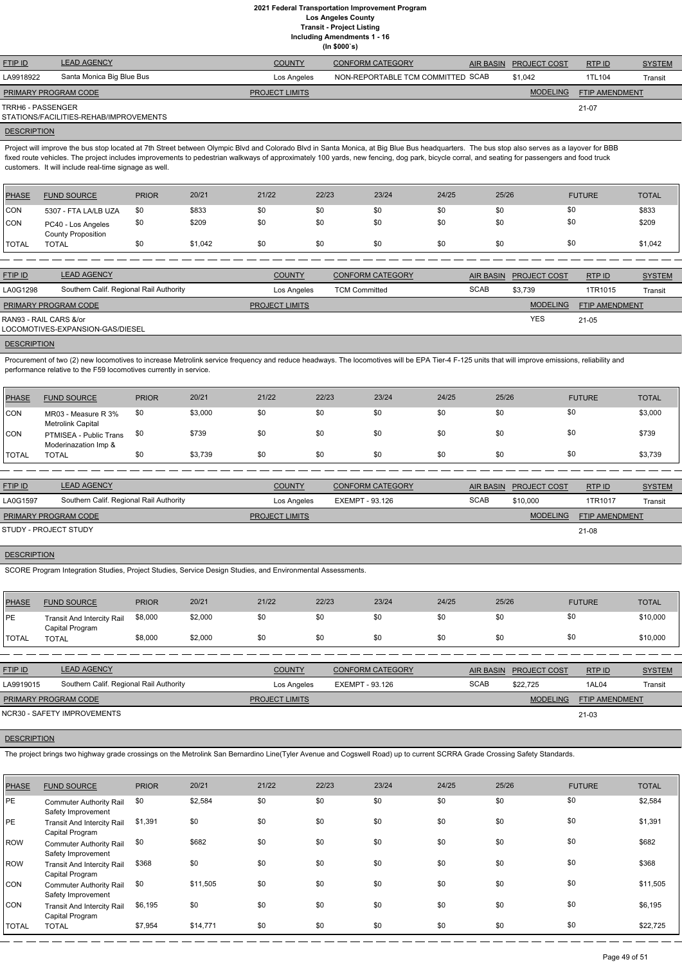**Including Amendments 1 - 16**

**(In \$000`s)**

| <b>FTIP ID</b>              | <b>LEAD AGENCY</b>                     | <b>COUNTY</b>         | <b>CONFORM CATEGORY</b>           | AIR BASIN PROJECT COST | RTP ID         | <b>SYSTEM</b> |
|-----------------------------|----------------------------------------|-----------------------|-----------------------------------|------------------------|----------------|---------------|
| LA9918922                   | Santa Monica Big Blue Bus              | Los Angeles           | NON-REPORTABLE TCM COMMITTED SCAB | \$1,042                | 1TL104         | Transit       |
| <b>PRIMARY PROGRAM CODE</b> |                                        | <b>PROJECT LIMITS</b> |                                   | <b>MODELING</b>        | FTIP AMENDMENT |               |
| TRRH6 - PASSENGER           | STATIONS/FACILITIES-REHAB/IMPROVEMENTS |                       |                                   |                        | 21-07          |               |
|                             |                                        |                       |                                   |                        |                |               |

## **DESCRIPTION**

Project will improve the bus stop located at 7th Street between Olympic Blvd and Colorado Blvd in Santa Monica, at Big Blue Bus headquarters. The bus stop also serves as a layover for BBB fixed route vehicles. The project includes improvements to pedestrian walkways of approximately 100 yards, new fencing, dog park, bicycle corral, and seating for passengers and food truck customers. It will include real-time signage as well.

Procurement of two (2) new locomotives to increase Metrolink service frequency and reduce headways. The locomotives will be EPA Tier-4 F-125 units that will improve emissions, reliability and performance relative to the F59 locomotives currently in service.

| PHASE        | <b>FUND SOURCE</b>                              | <b>PRIOR</b> | 20/21   | 21/22 | 22/23 | 23/24 | 24/25 | 25/26 | <b>FUTURE</b> | <b>TOTAL</b> |
|--------------|-------------------------------------------------|--------------|---------|-------|-------|-------|-------|-------|---------------|--------------|
| <b>CON</b>   | 5307 - FTA LA/LB UZA                            | \$0          | \$833   | \$0   | \$0   | \$0   | \$0   | \$0   | \$0           | \$833        |
| <b>CON</b>   | PC40 - Los Angeles<br><b>County Proposition</b> | \$0          | \$209   | \$0   | \$0   | \$0   | \$0   | \$0   | \$0           | \$209        |
| <b>TOTAL</b> | <b>TOTAL</b>                                    | \$0          | \$1,042 | \$0   | \$0   | \$0   | \$0   | \$0   | \$0           | \$1,042      |

| <b>FTIP ID</b>         | <b>LEAD AGENCY</b>                      | <b>COUNTY</b>         | <b>CONFORM CATEGORY</b> | AIR BASIN   | <b>PROJECT COST</b> | RTPID          | <b>SYSTEM</b> |
|------------------------|-----------------------------------------|-----------------------|-------------------------|-------------|---------------------|----------------|---------------|
| LA0G1298               | Southern Calif. Regional Rail Authority | Los Angeles           | <b>TCM Committed</b>    | <b>SCAB</b> | \$3.739             | 1TR1015        | Transit       |
| PRIMARY PROGRAM CODE   |                                         | <b>PROJECT LIMITS</b> |                         |             | <b>MODELING</b>     | FTIP AMENDMENT |               |
| RAN93 - RAIL CARS &/or | LOCOMOTIVES-EXPANSION-GAS/DIESEL        |                       |                         |             | <b>YES</b>          | 21-05          |               |
| <b>DEAADIDTIALL</b>    |                                         |                       |                         |             |                     |                |               |

**DESCRIPTION** 

| <b>PHASE</b> | <b>FUND SOURCE</b>                             | <b>PRIOR</b> | 20/21   | 21/22 | 22/23 | 23/24 | 24/25 | 25/26 | <b>FUTURE</b> | <b>TOTAL</b> |
|--------------|------------------------------------------------|--------------|---------|-------|-------|-------|-------|-------|---------------|--------------|
| CON          | MR03 - Measure R 3%<br>Metrolink Capital       | \$0          | \$3,000 | \$0   | \$0   | \$0   | \$0   | \$0   | \$0           | \$3,000      |
| <b>CON</b>   | PTMISEA - Public Trans<br>Moderinazation Imp & | \$0          | \$739   | \$0   | \$0   | \$0   | \$0   | \$0   | \$0           | \$739        |
| <b>TOTAL</b> | <b>TOTAL</b>                                   | \$0          | \$3,739 | \$0   | \$0   | \$0   | \$0   | \$0   | \$0           | \$3,739      |

| <b>FTIP ID</b>        | <b>LEAD AGENCY</b>                      | <b>COUNTY</b>         | <b>CONFORM CATEGORY</b> | AIR BASIN   | <b>PROJECT COST</b> | <b>RTPID</b>          | <b>SYSTEM</b> |
|-----------------------|-----------------------------------------|-----------------------|-------------------------|-------------|---------------------|-----------------------|---------------|
| LA0G1597              | Southern Calif. Regional Rail Authority | Los Angeles           | EXEMPT - 93.126         | <b>SCAB</b> | \$10,000            | 1TR1017               | Transit       |
| PRIMARY PROGRAM CODE  |                                         | <b>PROJECT LIMITS</b> |                         |             | <b>MODELING</b>     | <b>FTIP AMENDMENT</b> |               |
| STUDY - PROJECT STUDY |                                         |                       |                         |             |                     | $21 - 08$             |               |

## **DESCRIPTION**

SCORE Program Integration Studies, Project Studies, Service Design Studies, and Environmental Assessments.

| <b>PHASE</b> | <b>FUND SOURCE</b>                                   | <b>PRIOR</b> | 20/21   | 21/22 | 22/23 | 23/24 | 24/25 | 25/26 | <b>FUTURE</b> | <b>TOTAL</b> |
|--------------|------------------------------------------------------|--------------|---------|-------|-------|-------|-------|-------|---------------|--------------|
| <b>PE</b>    | <b>Transit And Intercity Rail</b><br>Capital Program | \$8,000      | \$2,000 | \$0   |       | \$0   | \$0   |       | \$0           | \$10,000     |
| <b>TOTAL</b> | TOTAL                                                | \$8,000      | \$2,000 | \$0   |       | \$0   | \$0   |       | \$0           | \$10,000     |

| <b>FTIP ID</b>              | <b>LEAD AGENCY</b>                      | <b>COUNTY</b>         | <b>CONFORM CATEGORY</b> |             | AIR BASIN PROJECT COST | RTP ID                | <b>SYSTEM</b> |
|-----------------------------|-----------------------------------------|-----------------------|-------------------------|-------------|------------------------|-----------------------|---------------|
| LA9919015                   | Southern Calif. Regional Rail Authority | Los Angeles           | EXEMPT - 93.126         | <b>SCAB</b> | \$22,725               | 1AL04                 | Transit       |
| <b>PRIMARY PROGRAM CODE</b> |                                         | <b>PROJECT LIMITS</b> |                         |             | <b>MODELING</b>        | <b>FTIP AMENDMENT</b> |               |

#### **DESCRIPTION**

NCR30 - SAFETY IMPROVEMENTS

The project brings two highway grade crossings on the Metrolink San Bernardino Line(Tyler Avenue and Cogswell Road) up to current SCRRA Grade Crossing Safety Standards.

| PHASE        | <b>FUND SOURCE</b>                                   | <b>PRIOR</b> | 20/21    | 21/22 | 22/23 | 23/24 | 24/25 | 25/26 | <b>FUTURE</b> | <b>TOTAL</b> |
|--------------|------------------------------------------------------|--------------|----------|-------|-------|-------|-------|-------|---------------|--------------|
| <b>IPE</b>   | <b>Commuter Authority Rail</b><br>Safety Improvement | \$0          | \$2,584  | \$0   | \$0   | \$0   | \$0   | \$0   | \$0           | \$2,584      |
| <b>PE</b>    | <b>Transit And Intercity Rail</b><br>Capital Program | \$1,391      | \$0      | \$0   | \$0   | \$0   | \$0   | \$0   | \$0           | \$1,391      |
| ROW          | <b>Commuter Authority Rail</b><br>Safety Improvement | \$0          | \$682    | \$0   | \$0   | \$0   | \$0   | \$0   | \$0           | \$682        |
| ROW          | <b>Transit And Intercity Rail</b><br>Capital Program | \$368        | \$0      | \$0   | \$0   | \$0   | \$0   | \$0   | \$0           | \$368        |
| <b>CON</b>   | <b>Commuter Authority Rail</b><br>Safety Improvement | \$0          | \$11,505 | \$0   | \$0   | \$0   | \$0   | \$0   | \$0           | \$11,505     |
| CON          | <b>Transit And Intercity Rail</b><br>Capital Program | \$6,195      | \$0      | \$0   | \$0   | \$0   | \$0   | \$0   | \$0           | \$6,195      |
| <b>TOTAL</b> | <b>TOTAL</b>                                         | \$7,954      | \$14,771 | \$0   | \$0   | \$0   | \$0   | \$0   | \$0           | \$22,725     |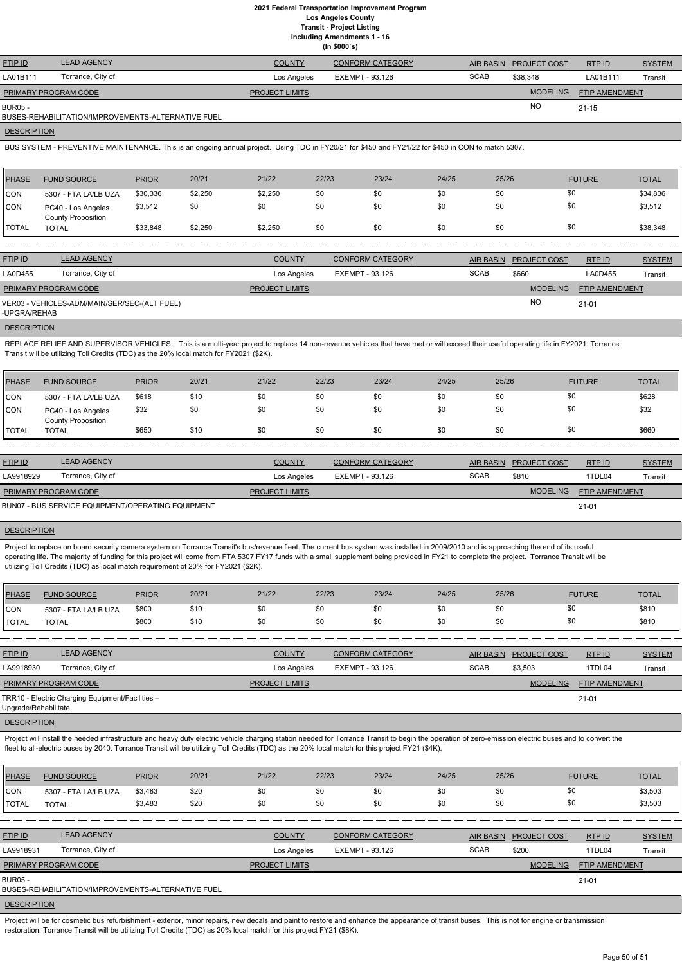|  | Including Amendments 1 - 16 |  |  |  |
|--|-----------------------------|--|--|--|
|--|-----------------------------|--|--|--|

| <b>FTIP ID</b>              | <b>LEAD AGENCY</b> | <b>COUNTY</b>         | <b>CONFORM CATEGORY</b> | AIR BASIN   | <b>PROJECT COST</b> | RTPID                 | <b>SYSTEM</b> |
|-----------------------------|--------------------|-----------------------|-------------------------|-------------|---------------------|-----------------------|---------------|
| LA01B111                    | Torrance, City of  | Los Angeles           | EXEMPT - 93.126         | <b>SCAB</b> | \$38,348            | LA01B111              | Transit       |
| <b>PRIMARY PROGRAM CODE</b> |                    | <b>PROJECT LIMITS</b> |                         |             | <b>MODELING</b>     | <b>FTIP AMENDMENT</b> |               |
| <b>BUR05 -</b>              |                    |                       |                         |             | <b>NO</b>           | $21 - 15$             |               |
|                             |                    |                       |                         |             |                     |                       |               |

BUSES-REHABILITATION/IMPROVEMENTS-ALTERNATIVE FUEL

#### **DESCRIPTION**

BUS SYSTEM - PREVENTIVE MAINTENANCE. This is an ongoing annual project. Using TDC in FY20/21 for \$450 and FY21/22 for \$450 in CON to match 5307.

REPLACE RELIEF AND SUPERVISOR VEHICLES. This is a multi-year project to replace 14 non-revenue vehicles that have met or will exceed their useful operating life in FY2021. Torrance Transit will be utilizing Toll Credits (TDC) as the 20% local match for FY2021 (\$2K).

| PHASE | <b>FUND SOURCE</b>                              | <b>PRIOR</b> | 20/21   | 21/22   | 22/23 | 23/24 | 24/25 | 25/26 | <b>FUTURE</b> | <b>TOTAL</b> |
|-------|-------------------------------------------------|--------------|---------|---------|-------|-------|-------|-------|---------------|--------------|
| CON   | 5307 - FTA LA/LB UZA                            | \$30,336     | \$2,250 | \$2,250 | \$0   | \$0   | \$0   | \$0   | \$0           | \$34,836     |
| CON   | PC40 - Los Angeles<br><b>County Proposition</b> | \$3,512      | \$0     | \$0     | \$0   | \$0   | \$0   | \$0   | \$0           | \$3,512      |
| TOTAL | TOTAL                                           | \$33,848     | \$2,250 | \$2,250 | \$0   | \$0   | \$0   | \$0   | \$0           | \$38,348     |

| <b>SCAB</b><br>Torrance, City of<br>LA0D455<br>\$660<br>LA0D455<br>EXEMPT - 93.126<br>Los Angeles |                |
|---------------------------------------------------------------------------------------------------|----------------|
|                                                                                                   | <b>Transit</b> |
| <b>MODELING</b><br>PRIMARY PROGRAM CODE<br>FTIP AMENDMENT<br><b>PROJECT LIMITS</b>                |                |
| <b>NO</b><br>VER03 - VEHICLES-ADM/MAIN/SER/SEC-(ALT FUEL)<br>$21 - 01$<br>-UPGRA/REHAB            |                |

**DESCRIPTION** 

Project to replace on board security camera system on Torrance Transit's bus/revenue fleet. The current bus system was installed in 2009/2010 and is approaching the end of its useful operating life. The majority of funding for this project will come from FTA 5307 FY17 funds with a small supplement being provided in FY21 to complete the project. Torrance Transit will be utilizing Toll Credits (TDC) as local match requirement of 20% for FY2021 (\$2K).

| PHASE        | <b>FUND SOURCE</b>                              | <b>PRIOR</b> | 20/21 | 21/22 | 22/23 | 23/24 | 24/25 | 25/26 | <b>FUTURE</b> | <b>TOTAL</b> |
|--------------|-------------------------------------------------|--------------|-------|-------|-------|-------|-------|-------|---------------|--------------|
| CON          | 5307 - FTA LA/LB UZA                            | \$618        | \$10  | \$0   | \$0   | \$0   | \$0   | \$0   |               | \$628        |
| <b>CON</b>   | PC40 - Los Angeles<br><b>County Proposition</b> | \$32         | \$0   | \$0   | \$0   | \$0   | \$0   | \$0   |               | \$32         |
| <b>TOTAL</b> | TOTAL                                           | \$650        | \$10  | \$0   | \$0   | \$0   | \$0   | \$0   |               | \$660        |

| <b>FTIP ID</b>              | <b>LEAD AGENCY</b>                                | <b>COUNTY</b>         | <b>CONFORM CATEGORY</b> |             | AIR BASIN PROJECT COST | <b>RTPID</b>          | <b>SYSTEM</b> |
|-----------------------------|---------------------------------------------------|-----------------------|-------------------------|-------------|------------------------|-----------------------|---------------|
| LA9918929                   | Torrance, City of                                 | Los Angeles           | EXEMPT - 93.126         | <b>SCAB</b> | \$810                  | 1TDL04                | Transit       |
| <b>PRIMARY PROGRAM CODE</b> |                                                   | <b>PROJECT LIMITS</b> |                         |             | <b>MODELING</b>        | <b>FTIP AMENDMENT</b> |               |
|                             | BUN07 - BUS SERVICE EQUIPMENT/OPERATING EQUIPMENT |                       |                         |             |                        | $21 - 01$             |               |

### **DESCRIPTION**

Project will be for cosmetic bus refurbishment - exterior, minor repairs, new decals and paint to restore and enhance the appearance of transit buses. This is not for engine or transmission restoration. Torrance Transit will be utilizing Toll Credits (TDC) as 20% local match for this project FY21 (\$8K).

| PHASE                | <b>FUND SOURCE</b>   | <b>PRIOR</b> | 20/21 | 21/22 | 22/23 | 23/24 | 24/25 | 25/26 | <b>FUTURE</b> | <b>TOTAL</b> |
|----------------------|----------------------|--------------|-------|-------|-------|-------|-------|-------|---------------|--------------|
| CON                  | 5307 - FTA LA/LB UZA | \$800        | \$10  | \$0   | \$0   | \$0   | \$0   |       | \$0           | \$810        |
| <b><i>ITOTAL</i></b> | <b>TOTAL</b>         | \$800        | \$10  | \$0   | \$0   |       | \$0   |       | \$0           | \$810        |

| <b>FTIP ID</b>                 | <b>LEAD AGENCY</b>                               | <b>COUNTY</b>                  | <b>CONFORM CATEGORY</b> | <b>AIR BASIN</b> | <b>PROJECT COST</b> | RTP ID         | <b>SYSTEM</b> |
|--------------------------------|--------------------------------------------------|--------------------------------|-------------------------|------------------|---------------------|----------------|---------------|
| Torrance, City of<br>LA9918930 |                                                  | EXEMPT - 93.126<br>Los Angeles |                         | <b>SCAB</b>      | \$3.503             | 1TDL04         | Transit       |
| <b>PRIMARY PROGRAM CODE</b>    |                                                  | <b>PROJECT LIMITS</b>          |                         |                  | <b>MODELING</b>     | FTIP AMENDMENT |               |
| Upgrade/Rehabilitate           | TRR10 - Electric Charging Equipment/Facilities - |                                |                         |                  |                     | $21 - 01$      |               |

**DESCRIPTION** 

Project will install the needed infrastructure and heavy duty electric vehicle charging station needed for Torrance Transit to begin the operation of zero-emission electric buses and to convert the fleet to all-electric buses by 2040. Torrance Transit will be utilizing Toll Credits (TDC) as the 20% local match for this project FY21 (\$4K).

| <b>PHASE</b>   | <b>FUND SOURCE</b>                                 | <b>PRIOR</b> | 20/21 | 21/22                 | 22/23           | 23/24                   | 24/25 | 25/26            |                     | <b>FUTURE</b>         | <b>TOTAL</b>  |
|----------------|----------------------------------------------------|--------------|-------|-----------------------|-----------------|-------------------------|-------|------------------|---------------------|-----------------------|---------------|
| <b>CON</b>     | 5307 - FTA LA/LB UZA                               | \$3,483      | \$20  | \$0                   | \$0             | \$0                     | \$0   | \$0              | \$0                 |                       | \$3,503       |
| ITOTAL         | <b>TOTAL</b>                                       | \$3,483      | \$20  | \$0                   | \$0             | \$0                     | \$0   | \$0              | \$0                 |                       | \$3,503       |
|                |                                                    |              |       |                       |                 |                         |       |                  |                     |                       |               |
| <b>FTIP ID</b> | <b>LEAD AGENCY</b>                                 |              |       | <b>COUNTY</b>         |                 | <b>CONFORM CATEGORY</b> |       | <b>AIR BASIN</b> | <b>PROJECT COST</b> | RTP ID                | <b>SYSTEM</b> |
| LA9918931      | Torrance, City of                                  |              |       | Los Angeles           | EXEMPT - 93.126 |                         |       | <b>SCAB</b>      | \$200               | 1TDL04                | Transit       |
|                | PRIMARY PROGRAM CODE                               |              |       | <b>PROJECT LIMITS</b> |                 |                         |       |                  | <b>MODELING</b>     | <b>FTIP AMENDMENT</b> |               |
| <b>BUR05 -</b> | BUSES-REHABILITATION/IMPROVEMENTS-ALTERNATIVE FUEL |              |       |                       |                 |                         |       |                  |                     | $21 - 01$             |               |

#### **DESCRIPTION**